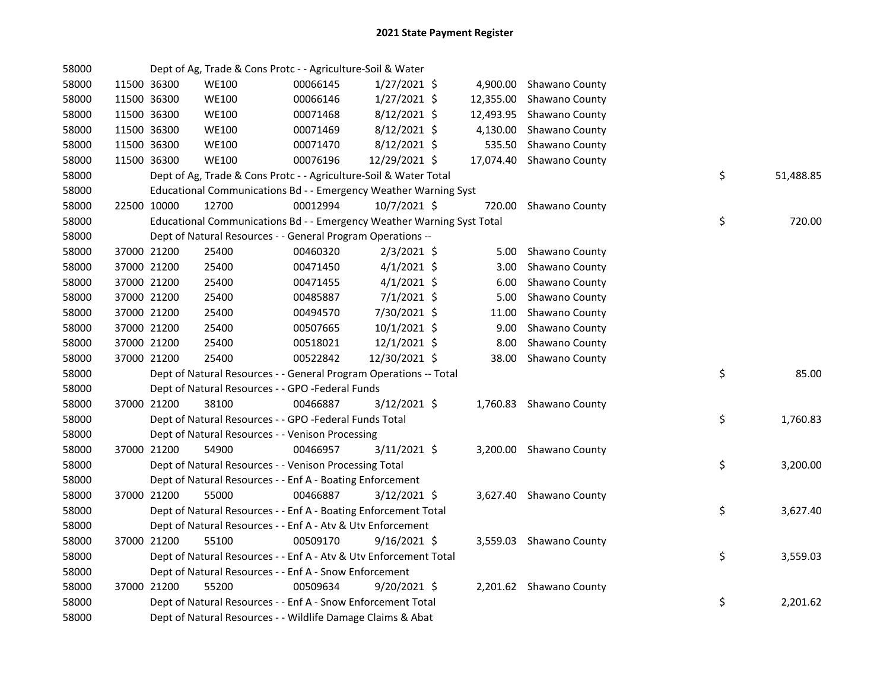| 58000 |             | Dept of Ag, Trade & Cons Protc - - Agriculture-Soil & Water            |          |                |                   |                          |    |           |
|-------|-------------|------------------------------------------------------------------------|----------|----------------|-------------------|--------------------------|----|-----------|
| 58000 | 11500 36300 | <b>WE100</b>                                                           | 00066145 | $1/27/2021$ \$ |                   | 4,900.00 Shawano County  |    |           |
| 58000 | 11500 36300 | <b>WE100</b>                                                           | 00066146 | $1/27/2021$ \$ |                   | 12,355.00 Shawano County |    |           |
| 58000 | 11500 36300 | <b>WE100</b>                                                           | 00071468 | 8/12/2021 \$   |                   | 12,493.95 Shawano County |    |           |
| 58000 | 11500 36300 | <b>WE100</b>                                                           | 00071469 | 8/12/2021 \$   | 4,130.00          | Shawano County           |    |           |
| 58000 | 11500 36300 | <b>WE100</b>                                                           | 00071470 | $8/12/2021$ \$ | 535.50            | Shawano County           |    |           |
| 58000 | 11500 36300 | <b>WE100</b>                                                           | 00076196 | 12/29/2021 \$  |                   | 17,074.40 Shawano County |    |           |
| 58000 |             | Dept of Ag, Trade & Cons Protc - - Agriculture-Soil & Water Total      |          |                |                   |                          | \$ | 51,488.85 |
| 58000 |             | Educational Communications Bd - - Emergency Weather Warning Syst       |          |                |                   |                          |    |           |
| 58000 | 22500 10000 | 12700                                                                  | 00012994 | 10/7/2021 \$   |                   | 720.00 Shawano County    |    |           |
| 58000 |             | Educational Communications Bd - - Emergency Weather Warning Syst Total |          |                |                   |                          | \$ | 720.00    |
| 58000 |             | Dept of Natural Resources - - General Program Operations --            |          |                |                   |                          |    |           |
| 58000 | 37000 21200 | 25400                                                                  | 00460320 | $2/3/2021$ \$  |                   | 5.00 Shawano County      |    |           |
| 58000 | 37000 21200 | 25400                                                                  | 00471450 | $4/1/2021$ \$  | 3.00 <sub>1</sub> | Shawano County           |    |           |
| 58000 | 37000 21200 | 25400                                                                  | 00471455 | $4/1/2021$ \$  | 6.00              | Shawano County           |    |           |
| 58000 | 37000 21200 | 25400                                                                  | 00485887 | $7/1/2021$ \$  | 5.00              | Shawano County           |    |           |
| 58000 | 37000 21200 | 25400                                                                  | 00494570 | 7/30/2021 \$   | 11.00             | Shawano County           |    |           |
| 58000 | 37000 21200 | 25400                                                                  | 00507665 | 10/1/2021 \$   | 9.00              | Shawano County           |    |           |
| 58000 | 37000 21200 | 25400                                                                  | 00518021 | 12/1/2021 \$   | 8.00              | Shawano County           |    |           |
| 58000 | 37000 21200 | 25400                                                                  | 00522842 | 12/30/2021 \$  |                   | 38.00 Shawano County     |    |           |
| 58000 |             | Dept of Natural Resources - - General Program Operations -- Total      |          |                |                   |                          | \$ | 85.00     |
| 58000 |             | Dept of Natural Resources - - GPO -Federal Funds                       |          |                |                   |                          |    |           |
| 58000 | 37000 21200 | 38100                                                                  | 00466887 | 3/12/2021 \$   |                   | 1,760.83 Shawano County  |    |           |
| 58000 |             | Dept of Natural Resources - - GPO -Federal Funds Total                 |          |                |                   |                          | \$ | 1,760.83  |
| 58000 |             | Dept of Natural Resources - - Venison Processing                       |          |                |                   |                          |    |           |
| 58000 | 37000 21200 | 54900                                                                  | 00466957 | $3/11/2021$ \$ |                   | 3,200.00 Shawano County  |    |           |
| 58000 |             | Dept of Natural Resources - - Venison Processing Total                 |          |                |                   |                          | \$ | 3,200.00  |
| 58000 |             | Dept of Natural Resources - - Enf A - Boating Enforcement              |          |                |                   |                          |    |           |
| 58000 | 37000 21200 | 55000                                                                  | 00466887 | $3/12/2021$ \$ |                   | 3,627.40 Shawano County  |    |           |
| 58000 |             | Dept of Natural Resources - - Enf A - Boating Enforcement Total        |          |                |                   |                          | \$ | 3,627.40  |
| 58000 |             | Dept of Natural Resources - - Enf A - Atv & Utv Enforcement            |          |                |                   |                          |    |           |
| 58000 | 37000 21200 | 55100                                                                  | 00509170 | $9/16/2021$ \$ |                   | 3,559.03 Shawano County  |    |           |
| 58000 |             | Dept of Natural Resources - - Enf A - Atv & Utv Enforcement Total      |          |                |                   |                          | \$ | 3,559.03  |
| 58000 |             | Dept of Natural Resources - - Enf A - Snow Enforcement                 |          |                |                   |                          |    |           |
| 58000 | 37000 21200 | 55200                                                                  | 00509634 | $9/20/2021$ \$ |                   | 2,201.62 Shawano County  |    |           |
| 58000 |             | Dept of Natural Resources - - Enf A - Snow Enforcement Total           |          |                |                   |                          | \$ | 2,201.62  |
| 58000 |             | Dept of Natural Resources - - Wildlife Damage Claims & Abat            |          |                |                   |                          |    |           |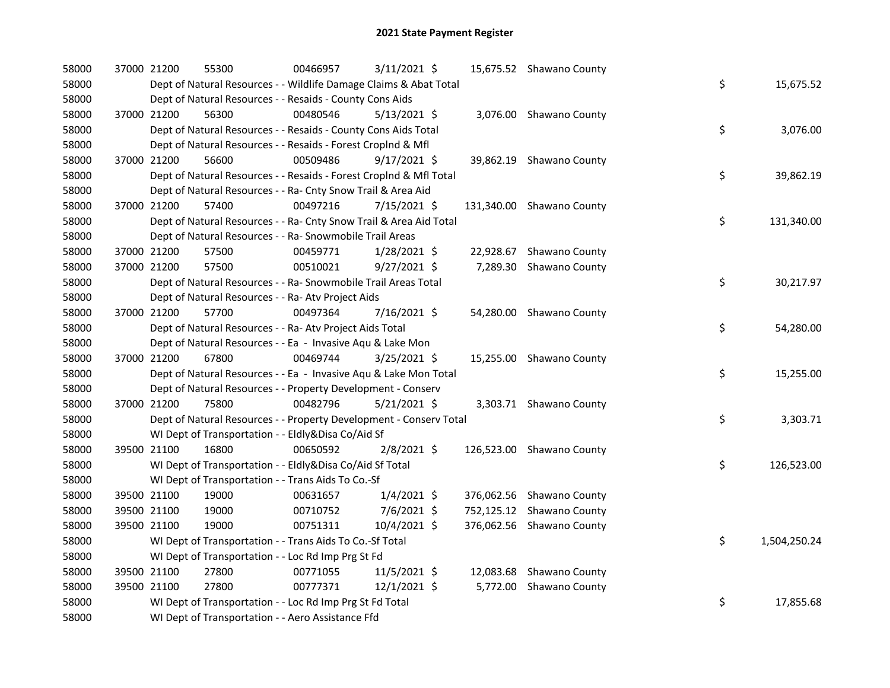| 58000 | 37000 21200 | 55300                                                              | 00466957 | 3/11/2021 \$   |           | 15,675.52 Shawano County  |    |              |
|-------|-------------|--------------------------------------------------------------------|----------|----------------|-----------|---------------------------|----|--------------|
| 58000 |             | Dept of Natural Resources - - Wildlife Damage Claims & Abat Total  |          |                |           |                           | \$ | 15,675.52    |
| 58000 |             | Dept of Natural Resources - - Resaids - County Cons Aids           |          |                |           |                           |    |              |
| 58000 | 37000 21200 | 56300                                                              | 00480546 | $5/13/2021$ \$ |           | 3,076.00 Shawano County   |    |              |
| 58000 |             | Dept of Natural Resources - - Resaids - County Cons Aids Total     |          |                |           |                           | \$ | 3,076.00     |
| 58000 |             | Dept of Natural Resources - - Resaids - Forest CropInd & Mfl       |          |                |           |                           |    |              |
| 58000 | 37000 21200 | 56600                                                              | 00509486 | 9/17/2021 \$   |           | 39,862.19 Shawano County  |    |              |
| 58000 |             | Dept of Natural Resources - - Resaids - Forest CropInd & Mfl Total |          |                |           |                           | \$ | 39,862.19    |
| 58000 |             | Dept of Natural Resources - - Ra- Cnty Snow Trail & Area Aid       |          |                |           |                           |    |              |
| 58000 | 37000 21200 | 57400                                                              | 00497216 | 7/15/2021 \$   |           | 131,340.00 Shawano County |    |              |
| 58000 |             | Dept of Natural Resources - - Ra- Cnty Snow Trail & Area Aid Total |          |                |           |                           | \$ | 131,340.00   |
| 58000 |             | Dept of Natural Resources - - Ra- Snowmobile Trail Areas           |          |                |           |                           |    |              |
| 58000 | 37000 21200 | 57500                                                              | 00459771 | 1/28/2021 \$   | 22,928.67 | Shawano County            |    |              |
| 58000 | 37000 21200 | 57500                                                              | 00510021 | $9/27/2021$ \$ |           | 7,289.30 Shawano County   |    |              |
| 58000 |             | Dept of Natural Resources - - Ra- Snowmobile Trail Areas Total     |          |                |           |                           | \$ | 30,217.97    |
| 58000 |             | Dept of Natural Resources - - Ra- Atv Project Aids                 |          |                |           |                           |    |              |
| 58000 | 37000 21200 | 57700                                                              | 00497364 | 7/16/2021 \$   |           | 54,280.00 Shawano County  |    |              |
| 58000 |             | Dept of Natural Resources - - Ra- Atv Project Aids Total           |          |                |           |                           | \$ | 54,280.00    |
| 58000 |             | Dept of Natural Resources - - Ea - Invasive Aqu & Lake Mon         |          |                |           |                           |    |              |
| 58000 | 37000 21200 | 67800                                                              | 00469744 | 3/25/2021 \$   |           | 15,255.00 Shawano County  |    |              |
| 58000 |             | Dept of Natural Resources - - Ea - Invasive Aqu & Lake Mon Total   |          |                |           |                           | \$ | 15,255.00    |
| 58000 |             | Dept of Natural Resources - - Property Development - Conserv       |          |                |           |                           |    |              |
| 58000 | 37000 21200 | 75800                                                              | 00482796 | $5/21/2021$ \$ |           | 3,303.71 Shawano County   |    |              |
| 58000 |             | Dept of Natural Resources - - Property Development - Conserv Total |          |                |           |                           | \$ | 3,303.71     |
| 58000 |             | WI Dept of Transportation - - Eldly&Disa Co/Aid Sf                 |          |                |           |                           |    |              |
| 58000 | 39500 21100 | 16800                                                              | 00650592 | $2/8/2021$ \$  |           | 126,523.00 Shawano County |    |              |
| 58000 |             | WI Dept of Transportation - - Eldly&Disa Co/Aid Sf Total           |          |                |           |                           | \$ | 126,523.00   |
| 58000 |             | WI Dept of Transportation - - Trans Aids To Co.-Sf                 |          |                |           |                           |    |              |
| 58000 | 39500 21100 | 19000                                                              | 00631657 | $1/4/2021$ \$  |           | 376,062.56 Shawano County |    |              |
| 58000 | 39500 21100 | 19000                                                              | 00710752 | 7/6/2021 \$    |           | 752,125.12 Shawano County |    |              |
| 58000 | 39500 21100 | 19000                                                              | 00751311 | 10/4/2021 \$   |           | 376,062.56 Shawano County |    |              |
| 58000 |             | WI Dept of Transportation - - Trans Aids To Co.-Sf Total           |          |                |           |                           | \$ | 1,504,250.24 |
| 58000 |             | WI Dept of Transportation - - Loc Rd Imp Prg St Fd                 |          |                |           |                           |    |              |
| 58000 | 39500 21100 | 27800                                                              | 00771055 | 11/5/2021 \$   |           | 12,083.68 Shawano County  |    |              |
| 58000 | 39500 21100 | 27800                                                              | 00777371 | 12/1/2021 \$   | 5,772.00  | Shawano County            |    |              |
| 58000 |             | WI Dept of Transportation - - Loc Rd Imp Prg St Fd Total           |          |                |           |                           | \$ | 17,855.68    |
| 58000 |             | WI Dept of Transportation - - Aero Assistance Ffd                  |          |                |           |                           |    |              |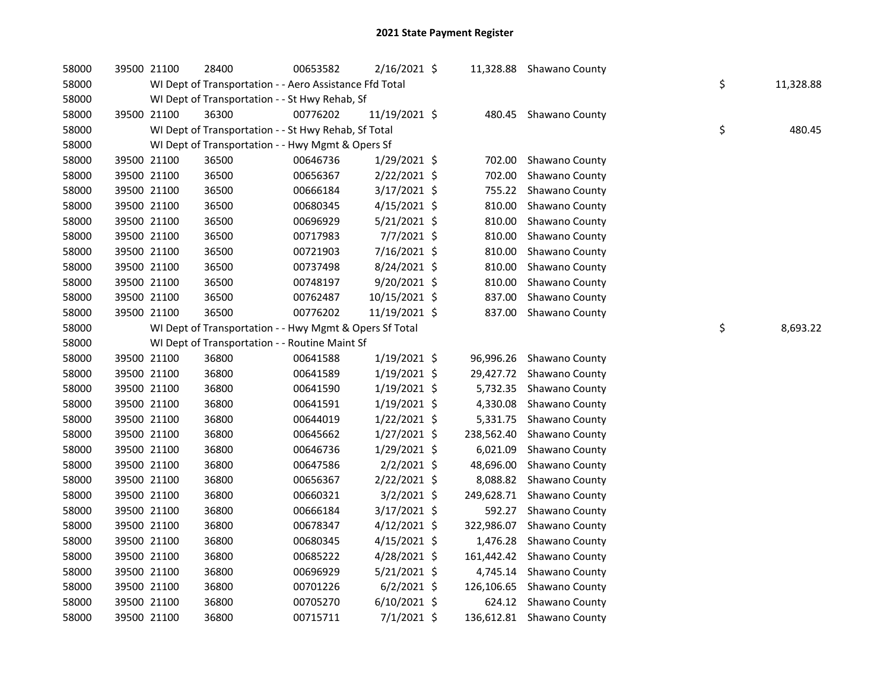| 58000 | 39500 21100 | 28400                                                   | 00653582 | 2/16/2021 \$   |            | 11,328.88 Shawano County  |    |           |
|-------|-------------|---------------------------------------------------------|----------|----------------|------------|---------------------------|----|-----------|
| 58000 |             | WI Dept of Transportation - - Aero Assistance Ffd Total |          |                |            |                           | \$ | 11,328.88 |
| 58000 |             | WI Dept of Transportation - - St Hwy Rehab, Sf          |          |                |            |                           |    |           |
| 58000 | 39500 21100 | 36300                                                   | 00776202 | 11/19/2021 \$  |            | 480.45 Shawano County     |    |           |
| 58000 |             | WI Dept of Transportation - - St Hwy Rehab, Sf Total    |          |                |            |                           | \$ | 480.45    |
| 58000 |             | WI Dept of Transportation - - Hwy Mgmt & Opers Sf       |          |                |            |                           |    |           |
| 58000 | 39500 21100 | 36500                                                   | 00646736 | 1/29/2021 \$   | 702.00     | Shawano County            |    |           |
| 58000 | 39500 21100 | 36500                                                   | 00656367 | 2/22/2021 \$   | 702.00     | Shawano County            |    |           |
| 58000 | 39500 21100 | 36500                                                   | 00666184 | 3/17/2021 \$   | 755.22     | Shawano County            |    |           |
| 58000 | 39500 21100 | 36500                                                   | 00680345 | $4/15/2021$ \$ | 810.00     | Shawano County            |    |           |
| 58000 | 39500 21100 | 36500                                                   | 00696929 | $5/21/2021$ \$ | 810.00     | Shawano County            |    |           |
| 58000 | 39500 21100 | 36500                                                   | 00717983 | 7/7/2021 \$    | 810.00     | Shawano County            |    |           |
| 58000 | 39500 21100 | 36500                                                   | 00721903 | 7/16/2021 \$   | 810.00     | Shawano County            |    |           |
| 58000 | 39500 21100 | 36500                                                   | 00737498 | 8/24/2021 \$   | 810.00     | Shawano County            |    |           |
| 58000 | 39500 21100 | 36500                                                   | 00748197 | 9/20/2021 \$   | 810.00     | Shawano County            |    |           |
| 58000 | 39500 21100 | 36500                                                   | 00762487 | 10/15/2021 \$  | 837.00     | Shawano County            |    |           |
| 58000 | 39500 21100 | 36500                                                   | 00776202 | 11/19/2021 \$  |            | 837.00 Shawano County     |    |           |
| 58000 |             | WI Dept of Transportation - - Hwy Mgmt & Opers Sf Total |          |                |            |                           | \$ | 8,693.22  |
| 58000 |             | WI Dept of Transportation - - Routine Maint Sf          |          |                |            |                           |    |           |
| 58000 | 39500 21100 | 36800                                                   | 00641588 | $1/19/2021$ \$ | 96,996.26  | Shawano County            |    |           |
| 58000 | 39500 21100 | 36800                                                   | 00641589 | 1/19/2021 \$   | 29,427.72  | Shawano County            |    |           |
| 58000 | 39500 21100 | 36800                                                   | 00641590 | $1/19/2021$ \$ | 5,732.35   | Shawano County            |    |           |
| 58000 | 39500 21100 | 36800                                                   | 00641591 | 1/19/2021 \$   | 4,330.08   | Shawano County            |    |           |
| 58000 | 39500 21100 | 36800                                                   | 00644019 | $1/22/2021$ \$ | 5,331.75   | Shawano County            |    |           |
| 58000 | 39500 21100 | 36800                                                   | 00645662 | $1/27/2021$ \$ | 238,562.40 | Shawano County            |    |           |
| 58000 | 39500 21100 | 36800                                                   | 00646736 | 1/29/2021 \$   | 6,021.09   | Shawano County            |    |           |
| 58000 | 39500 21100 | 36800                                                   | 00647586 | $2/2/2021$ \$  | 48,696.00  | Shawano County            |    |           |
| 58000 | 39500 21100 | 36800                                                   | 00656367 | 2/22/2021 \$   | 8,088.82   | Shawano County            |    |           |
| 58000 | 39500 21100 | 36800                                                   | 00660321 | $3/2/2021$ \$  | 249,628.71 | Shawano County            |    |           |
| 58000 | 39500 21100 | 36800                                                   | 00666184 | 3/17/2021 \$   | 592.27     | Shawano County            |    |           |
| 58000 | 39500 21100 | 36800                                                   | 00678347 | $4/12/2021$ \$ | 322,986.07 | Shawano County            |    |           |
| 58000 | 39500 21100 | 36800                                                   | 00680345 | $4/15/2021$ \$ | 1,476.28   | Shawano County            |    |           |
| 58000 | 39500 21100 | 36800                                                   | 00685222 | 4/28/2021 \$   | 161,442.42 | Shawano County            |    |           |
| 58000 | 39500 21100 | 36800                                                   | 00696929 | $5/21/2021$ \$ | 4,745.14   | Shawano County            |    |           |
| 58000 | 39500 21100 | 36800                                                   | 00701226 | $6/2/2021$ \$  | 126,106.65 | Shawano County            |    |           |
| 58000 | 39500 21100 | 36800                                                   | 00705270 | $6/10/2021$ \$ | 624.12     | Shawano County            |    |           |
| 58000 | 39500 21100 | 36800                                                   | 00715711 | $7/1/2021$ \$  |            | 136,612.81 Shawano County |    |           |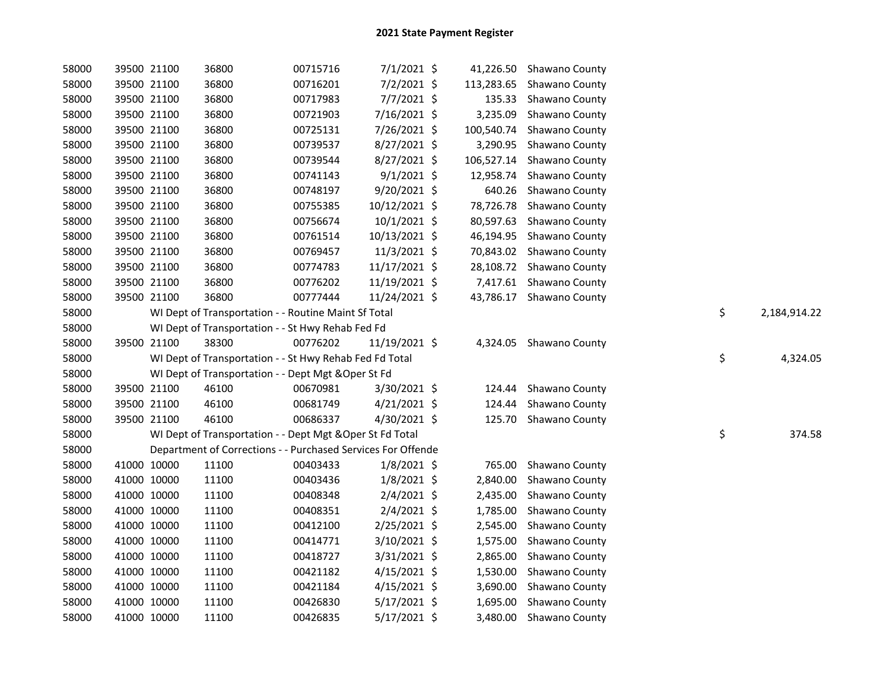| 58000 | 39500 21100 | 36800                                                        | 00715716 | 7/1/2021 \$    |          | 41,226.50 Shawano County  |                    |
|-------|-------------|--------------------------------------------------------------|----------|----------------|----------|---------------------------|--------------------|
| 58000 | 39500 21100 | 36800                                                        | 00716201 | 7/2/2021 \$    |          | 113,283.65 Shawano County |                    |
| 58000 | 39500 21100 | 36800                                                        | 00717983 | 7/7/2021 \$    |          | 135.33 Shawano County     |                    |
| 58000 | 39500 21100 | 36800                                                        | 00721903 | 7/16/2021 \$   |          | 3,235.09 Shawano County   |                    |
| 58000 | 39500 21100 | 36800                                                        | 00725131 | 7/26/2021 \$   |          | 100,540.74 Shawano County |                    |
| 58000 | 39500 21100 | 36800                                                        | 00739537 | 8/27/2021 \$   |          | 3,290.95 Shawano County   |                    |
| 58000 | 39500 21100 | 36800                                                        | 00739544 | 8/27/2021 \$   |          | 106,527.14 Shawano County |                    |
| 58000 | 39500 21100 | 36800                                                        | 00741143 | $9/1/2021$ \$  |          | 12,958.74 Shawano County  |                    |
| 58000 | 39500 21100 | 36800                                                        | 00748197 | 9/20/2021 \$   |          | 640.26 Shawano County     |                    |
| 58000 | 39500 21100 | 36800                                                        | 00755385 | 10/12/2021 \$  |          | 78,726.78 Shawano County  |                    |
| 58000 | 39500 21100 | 36800                                                        | 00756674 | $10/1/2021$ \$ |          | 80,597.63 Shawano County  |                    |
| 58000 | 39500 21100 | 36800                                                        | 00761514 | 10/13/2021 \$  |          | 46,194.95 Shawano County  |                    |
| 58000 | 39500 21100 | 36800                                                        | 00769457 | 11/3/2021 \$   |          | 70,843.02 Shawano County  |                    |
| 58000 | 39500 21100 | 36800                                                        | 00774783 | 11/17/2021 \$  |          | 28,108.72 Shawano County  |                    |
| 58000 | 39500 21100 | 36800                                                        | 00776202 | 11/19/2021 \$  |          | 7,417.61 Shawano County   |                    |
| 58000 | 39500 21100 | 36800                                                        | 00777444 | 11/24/2021 \$  |          | 43,786.17 Shawano County  |                    |
| 58000 |             | WI Dept of Transportation - - Routine Maint Sf Total         |          |                |          |                           | \$<br>2,184,914.22 |
| 58000 |             | WI Dept of Transportation - - St Hwy Rehab Fed Fd            |          |                |          |                           |                    |
| 58000 | 39500 21100 | 38300                                                        | 00776202 | 11/19/2021 \$  |          | 4,324.05 Shawano County   |                    |
| 58000 |             | WI Dept of Transportation - - St Hwy Rehab Fed Fd Total      |          |                |          |                           | \$<br>4,324.05     |
| 58000 |             | WI Dept of Transportation - - Dept Mgt & Oper St Fd          |          |                |          |                           |                    |
| 58000 | 39500 21100 | 46100                                                        | 00670981 | 3/30/2021 \$   |          | 124.44 Shawano County     |                    |
| 58000 | 39500 21100 | 46100                                                        | 00681749 | 4/21/2021 \$   | 124.44   | Shawano County            |                    |
| 58000 | 39500 21100 | 46100                                                        | 00686337 | 4/30/2021 \$   |          | 125.70 Shawano County     |                    |
| 58000 |             | WI Dept of Transportation - - Dept Mgt & Oper St Fd Total    |          |                |          |                           | \$<br>374.58       |
| 58000 |             | Department of Corrections - - Purchased Services For Offende |          |                |          |                           |                    |
| 58000 | 41000 10000 | 11100                                                        | 00403433 | $1/8/2021$ \$  | 765.00   | Shawano County            |                    |
| 58000 | 41000 10000 | 11100                                                        | 00403436 | $1/8/2021$ \$  | 2,840.00 | Shawano County            |                    |
| 58000 | 41000 10000 | 11100                                                        | 00408348 | $2/4/2021$ \$  |          | 2,435.00 Shawano County   |                    |
| 58000 | 41000 10000 | 11100                                                        | 00408351 | $2/4/2021$ \$  |          | 1,785.00 Shawano County   |                    |
| 58000 | 41000 10000 | 11100                                                        | 00412100 | 2/25/2021 \$   | 2,545.00 | Shawano County            |                    |
| 58000 | 41000 10000 | 11100                                                        | 00414771 | 3/10/2021 \$   |          | 1,575.00 Shawano County   |                    |
| 58000 | 41000 10000 | 11100                                                        | 00418727 | 3/31/2021 \$   |          | 2,865.00 Shawano County   |                    |
| 58000 | 41000 10000 | 11100                                                        | 00421182 | 4/15/2021 \$   |          | 1,530.00 Shawano County   |                    |
| 58000 | 41000 10000 | 11100                                                        | 00421184 | $4/15/2021$ \$ |          | 3,690.00 Shawano County   |                    |
| 58000 | 41000 10000 | 11100                                                        | 00426830 | 5/17/2021 \$   | 1,695.00 | Shawano County            |                    |
| 58000 | 41000 10000 | 11100                                                        | 00426835 | 5/17/2021 \$   |          | 3,480.00 Shawano County   |                    |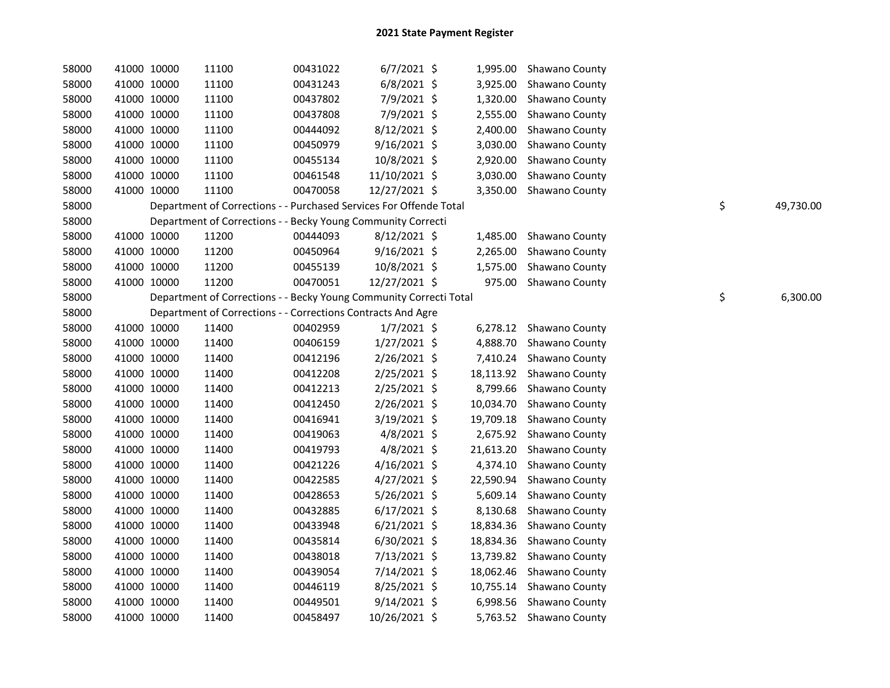| 58000 |             | 41000 10000 | 11100 | 00431022                                                           | $6/7/2021$ \$  |           | 1,995.00 Shawano County  |    |           |
|-------|-------------|-------------|-------|--------------------------------------------------------------------|----------------|-----------|--------------------------|----|-----------|
| 58000 |             | 41000 10000 | 11100 | 00431243                                                           | 6/8/2021 \$    | 3,925.00  | Shawano County           |    |           |
| 58000 |             | 41000 10000 | 11100 | 00437802                                                           | 7/9/2021 \$    | 1,320.00  | Shawano County           |    |           |
| 58000 |             | 41000 10000 | 11100 | 00437808                                                           | 7/9/2021 \$    | 2,555.00  | Shawano County           |    |           |
| 58000 |             | 41000 10000 | 11100 | 00444092                                                           | 8/12/2021 \$   | 2,400.00  | Shawano County           |    |           |
| 58000 | 41000 10000 |             | 11100 | 00450979                                                           | $9/16/2021$ \$ | 3,030.00  | Shawano County           |    |           |
| 58000 | 41000 10000 |             | 11100 | 00455134                                                           | 10/8/2021 \$   | 2,920.00  | Shawano County           |    |           |
| 58000 |             | 41000 10000 | 11100 | 00461548                                                           | 11/10/2021 \$  | 3,030.00  | Shawano County           |    |           |
| 58000 | 41000 10000 |             | 11100 | 00470058                                                           | 12/27/2021 \$  |           | 3,350.00 Shawano County  |    |           |
| 58000 |             |             |       | Department of Corrections - - Purchased Services For Offende Total |                |           |                          | \$ | 49,730.00 |
| 58000 |             |             |       | Department of Corrections - - Becky Young Community Correcti       |                |           |                          |    |           |
| 58000 |             | 41000 10000 | 11200 | 00444093                                                           | 8/12/2021 \$   |           | 1,485.00 Shawano County  |    |           |
| 58000 |             | 41000 10000 | 11200 | 00450964                                                           | $9/16/2021$ \$ |           | 2,265.00 Shawano County  |    |           |
| 58000 |             | 41000 10000 | 11200 | 00455139                                                           | 10/8/2021 \$   |           | 1,575.00 Shawano County  |    |           |
| 58000 | 41000 10000 |             | 11200 | 00470051                                                           | 12/27/2021 \$  |           | 975.00 Shawano County    |    |           |
| 58000 |             |             |       | Department of Corrections - - Becky Young Community Correcti Total |                |           |                          | \$ | 6,300.00  |
| 58000 |             |             |       | Department of Corrections - - Corrections Contracts And Agre       |                |           |                          |    |           |
| 58000 |             | 41000 10000 | 11400 | 00402959                                                           | $1/7/2021$ \$  |           | 6,278.12 Shawano County  |    |           |
| 58000 | 41000 10000 |             | 11400 | 00406159                                                           | 1/27/2021 \$   |           | 4,888.70 Shawano County  |    |           |
| 58000 |             | 41000 10000 | 11400 | 00412196                                                           | 2/26/2021 \$   |           | 7,410.24 Shawano County  |    |           |
| 58000 |             | 41000 10000 | 11400 | 00412208                                                           | $2/25/2021$ \$ |           | 18,113.92 Shawano County |    |           |
| 58000 |             | 41000 10000 | 11400 | 00412213                                                           | 2/25/2021 \$   | 8,799.66  | Shawano County           |    |           |
| 58000 |             | 41000 10000 | 11400 | 00412450                                                           | 2/26/2021 \$   | 10,034.70 | Shawano County           |    |           |
| 58000 |             | 41000 10000 | 11400 | 00416941                                                           | 3/19/2021 \$   | 19,709.18 | Shawano County           |    |           |
| 58000 | 41000 10000 |             | 11400 | 00419063                                                           | $4/8/2021$ \$  | 2,675.92  | Shawano County           |    |           |
| 58000 | 41000 10000 |             | 11400 | 00419793                                                           | $4/8/2021$ \$  | 21,613.20 | Shawano County           |    |           |
| 58000 |             | 41000 10000 | 11400 | 00421226                                                           | $4/16/2021$ \$ | 4,374.10  | Shawano County           |    |           |
| 58000 | 41000 10000 |             | 11400 | 00422585                                                           | $4/27/2021$ \$ | 22,590.94 | Shawano County           |    |           |
| 58000 |             | 41000 10000 | 11400 | 00428653                                                           | $5/26/2021$ \$ | 5,609.14  | Shawano County           |    |           |
| 58000 |             | 41000 10000 | 11400 | 00432885                                                           | $6/17/2021$ \$ | 8,130.68  | Shawano County           |    |           |
| 58000 |             | 41000 10000 | 11400 | 00433948                                                           | $6/21/2021$ \$ | 18,834.36 | Shawano County           |    |           |
| 58000 |             | 41000 10000 | 11400 | 00435814                                                           | $6/30/2021$ \$ |           | 18,834.36 Shawano County |    |           |
| 58000 | 41000 10000 |             | 11400 | 00438018                                                           | 7/13/2021 \$   |           | 13,739.82 Shawano County |    |           |
| 58000 |             | 41000 10000 | 11400 | 00439054                                                           | 7/14/2021 \$   | 18,062.46 | Shawano County           |    |           |
| 58000 |             | 41000 10000 | 11400 | 00446119                                                           | 8/25/2021 \$   |           | 10,755.14 Shawano County |    |           |
| 58000 |             | 41000 10000 | 11400 | 00449501                                                           | $9/14/2021$ \$ |           | 6,998.56 Shawano County  |    |           |
| 58000 |             | 41000 10000 | 11400 | 00458497                                                           | 10/26/2021 \$  |           | 5,763.52 Shawano County  |    |           |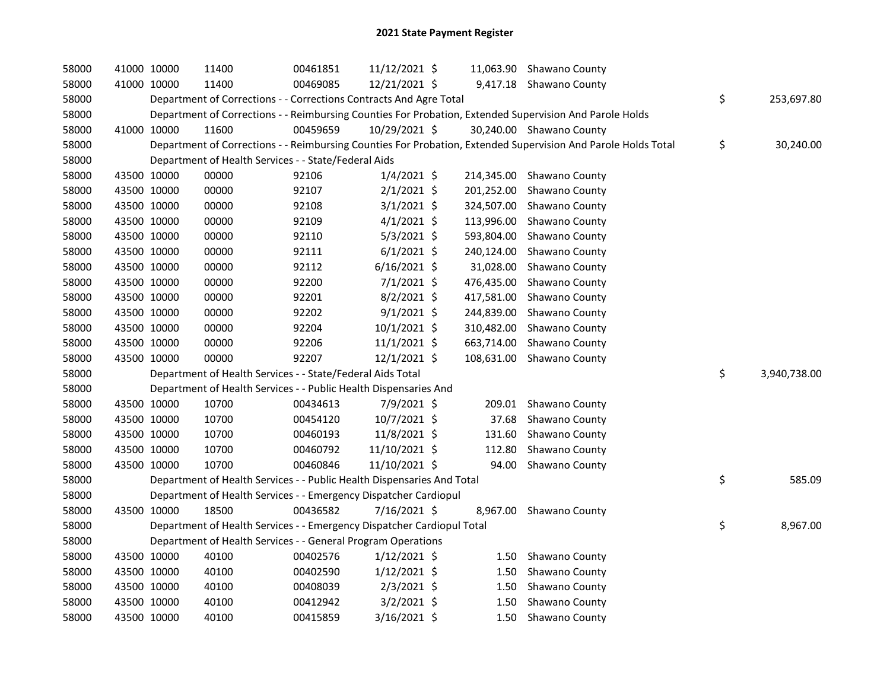| 58000 | 41000 10000 | 11400                                                                  | 00461851 | 11/12/2021 \$  |            | 11,063.90 Shawano County                                                                                      |                    |
|-------|-------------|------------------------------------------------------------------------|----------|----------------|------------|---------------------------------------------------------------------------------------------------------------|--------------------|
| 58000 | 41000 10000 | 11400                                                                  | 00469085 | 12/21/2021 \$  |            | 9,417.18 Shawano County                                                                                       |                    |
| 58000 |             | Department of Corrections - - Corrections Contracts And Agre Total     |          |                |            |                                                                                                               | \$<br>253,697.80   |
| 58000 |             |                                                                        |          |                |            | Department of Corrections - - Reimbursing Counties For Probation, Extended Supervision And Parole Holds       |                    |
| 58000 | 41000 10000 | 11600                                                                  | 00459659 | 10/29/2021 \$  |            | 30,240.00 Shawano County                                                                                      |                    |
| 58000 |             |                                                                        |          |                |            | Department of Corrections - - Reimbursing Counties For Probation, Extended Supervision And Parole Holds Total | \$<br>30,240.00    |
| 58000 |             | Department of Health Services - - State/Federal Aids                   |          |                |            |                                                                                                               |                    |
| 58000 | 43500 10000 | 00000                                                                  | 92106    | $1/4/2021$ \$  |            | 214,345.00 Shawano County                                                                                     |                    |
| 58000 | 43500 10000 | 00000                                                                  | 92107    | $2/1/2021$ \$  | 201,252.00 | Shawano County                                                                                                |                    |
| 58000 | 43500 10000 | 00000                                                                  | 92108    | $3/1/2021$ \$  | 324,507.00 | Shawano County                                                                                                |                    |
| 58000 | 43500 10000 | 00000                                                                  | 92109    | $4/1/2021$ \$  | 113,996.00 | Shawano County                                                                                                |                    |
| 58000 | 43500 10000 | 00000                                                                  | 92110    | $5/3/2021$ \$  | 593,804.00 | Shawano County                                                                                                |                    |
| 58000 | 43500 10000 | 00000                                                                  | 92111    | $6/1/2021$ \$  | 240,124.00 | Shawano County                                                                                                |                    |
| 58000 | 43500 10000 | 00000                                                                  | 92112    | $6/16/2021$ \$ | 31,028.00  | Shawano County                                                                                                |                    |
| 58000 | 43500 10000 | 00000                                                                  | 92200    | $7/1/2021$ \$  | 476,435.00 | Shawano County                                                                                                |                    |
| 58000 | 43500 10000 | 00000                                                                  | 92201    | 8/2/2021 \$    | 417,581.00 | Shawano County                                                                                                |                    |
| 58000 | 43500 10000 | 00000                                                                  | 92202    | $9/1/2021$ \$  | 244,839.00 | Shawano County                                                                                                |                    |
| 58000 | 43500 10000 | 00000                                                                  | 92204    | $10/1/2021$ \$ | 310,482.00 | Shawano County                                                                                                |                    |
| 58000 | 43500 10000 | 00000                                                                  | 92206    | 11/1/2021 \$   | 663,714.00 | Shawano County                                                                                                |                    |
| 58000 | 43500 10000 | 00000                                                                  | 92207    | 12/1/2021 \$   | 108,631.00 | Shawano County                                                                                                |                    |
| 58000 |             | Department of Health Services - - State/Federal Aids Total             |          |                |            |                                                                                                               | \$<br>3,940,738.00 |
| 58000 |             | Department of Health Services - - Public Health Dispensaries And       |          |                |            |                                                                                                               |                    |
| 58000 | 43500 10000 | 10700                                                                  | 00434613 | 7/9/2021 \$    | 209.01     | Shawano County                                                                                                |                    |
| 58000 | 43500 10000 | 10700                                                                  | 00454120 | 10/7/2021 \$   | 37.68      | Shawano County                                                                                                |                    |
| 58000 | 43500 10000 | 10700                                                                  | 00460193 | 11/8/2021 \$   | 131.60     | Shawano County                                                                                                |                    |
| 58000 | 43500 10000 | 10700                                                                  | 00460792 | 11/10/2021 \$  | 112.80     | Shawano County                                                                                                |                    |
| 58000 | 43500 10000 | 10700                                                                  | 00460846 | 11/10/2021 \$  | 94.00      | Shawano County                                                                                                |                    |
| 58000 |             | Department of Health Services - - Public Health Dispensaries And Total |          |                |            |                                                                                                               | \$<br>585.09       |
| 58000 |             | Department of Health Services - - Emergency Dispatcher Cardiopul       |          |                |            |                                                                                                               |                    |
| 58000 | 43500 10000 | 18500                                                                  | 00436582 | 7/16/2021 \$   |            | 8,967.00 Shawano County                                                                                       |                    |
| 58000 |             | Department of Health Services - - Emergency Dispatcher Cardiopul Total |          |                |            |                                                                                                               | \$<br>8,967.00     |
| 58000 |             | Department of Health Services - - General Program Operations           |          |                |            |                                                                                                               |                    |
| 58000 | 43500 10000 | 40100                                                                  | 00402576 | $1/12/2021$ \$ | 1.50       | Shawano County                                                                                                |                    |
| 58000 | 43500 10000 | 40100                                                                  | 00402590 | $1/12/2021$ \$ | 1.50       | Shawano County                                                                                                |                    |
| 58000 | 43500 10000 | 40100                                                                  | 00408039 | $2/3/2021$ \$  | 1.50       | Shawano County                                                                                                |                    |
| 58000 | 43500 10000 | 40100                                                                  | 00412942 | $3/2/2021$ \$  | 1.50       | Shawano County                                                                                                |                    |
| 58000 | 43500 10000 | 40100                                                                  | 00415859 | $3/16/2021$ \$ | 1.50       | Shawano County                                                                                                |                    |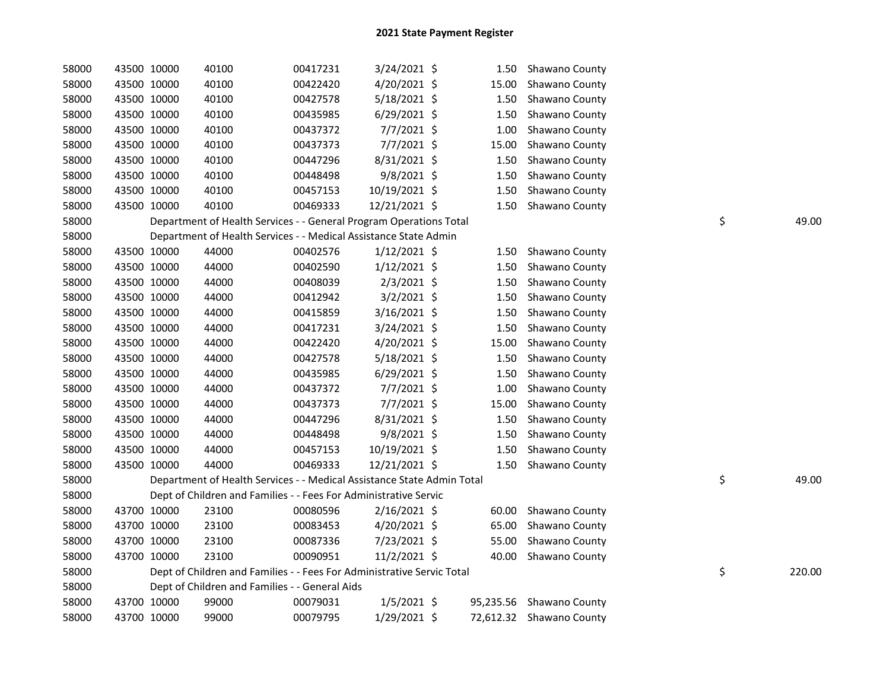| 58000 |             | 43500 10000 | 40100                                                                  | 00417231 | 3/24/2021 \$   | 1.50  | Shawano County           |    |        |
|-------|-------------|-------------|------------------------------------------------------------------------|----------|----------------|-------|--------------------------|----|--------|
| 58000 |             | 43500 10000 | 40100                                                                  | 00422420 | 4/20/2021 \$   | 15.00 | Shawano County           |    |        |
| 58000 | 43500 10000 |             | 40100                                                                  | 00427578 | 5/18/2021 \$   | 1.50  | Shawano County           |    |        |
| 58000 | 43500 10000 |             | 40100                                                                  | 00435985 | $6/29/2021$ \$ | 1.50  | Shawano County           |    |        |
| 58000 | 43500 10000 |             | 40100                                                                  | 00437372 | 7/7/2021 \$    | 1.00  | Shawano County           |    |        |
| 58000 | 43500 10000 |             | 40100                                                                  | 00437373 | 7/7/2021 \$    | 15.00 | Shawano County           |    |        |
| 58000 | 43500 10000 |             | 40100                                                                  | 00447296 | 8/31/2021 \$   | 1.50  | Shawano County           |    |        |
| 58000 |             | 43500 10000 | 40100                                                                  | 00448498 | 9/8/2021 \$    | 1.50  | Shawano County           |    |        |
| 58000 | 43500 10000 |             | 40100                                                                  | 00457153 | 10/19/2021 \$  | 1.50  | Shawano County           |    |        |
| 58000 | 43500 10000 |             | 40100                                                                  | 00469333 | 12/21/2021 \$  |       | 1.50 Shawano County      |    |        |
| 58000 |             |             | Department of Health Services - - General Program Operations Total     |          |                |       |                          | \$ | 49.00  |
| 58000 |             |             | Department of Health Services - - Medical Assistance State Admin       |          |                |       |                          |    |        |
| 58000 |             | 43500 10000 | 44000                                                                  | 00402576 | $1/12/2021$ \$ |       | 1.50 Shawano County      |    |        |
| 58000 |             | 43500 10000 | 44000                                                                  | 00402590 | $1/12/2021$ \$ | 1.50  | Shawano County           |    |        |
| 58000 |             | 43500 10000 | 44000                                                                  | 00408039 | 2/3/2021 \$    | 1.50  | Shawano County           |    |        |
| 58000 |             | 43500 10000 | 44000                                                                  | 00412942 | $3/2/2021$ \$  | 1.50  | Shawano County           |    |        |
| 58000 |             | 43500 10000 | 44000                                                                  | 00415859 | 3/16/2021 \$   | 1.50  | Shawano County           |    |        |
| 58000 |             | 43500 10000 | 44000                                                                  | 00417231 | 3/24/2021 \$   | 1.50  | Shawano County           |    |        |
| 58000 |             | 43500 10000 | 44000                                                                  | 00422420 | 4/20/2021 \$   | 15.00 | Shawano County           |    |        |
| 58000 |             | 43500 10000 | 44000                                                                  | 00427578 | 5/18/2021 \$   | 1.50  | Shawano County           |    |        |
| 58000 |             | 43500 10000 | 44000                                                                  | 00435985 | 6/29/2021 \$   | 1.50  | Shawano County           |    |        |
| 58000 | 43500 10000 |             | 44000                                                                  | 00437372 | 7/7/2021 \$    | 1.00  | Shawano County           |    |        |
| 58000 | 43500 10000 |             | 44000                                                                  | 00437373 | $7/7/2021$ \$  | 15.00 | Shawano County           |    |        |
| 58000 | 43500 10000 |             | 44000                                                                  | 00447296 | 8/31/2021 \$   | 1.50  | Shawano County           |    |        |
| 58000 | 43500 10000 |             | 44000                                                                  | 00448498 | 9/8/2021 \$    | 1.50  | Shawano County           |    |        |
| 58000 | 43500 10000 |             | 44000                                                                  | 00457153 | 10/19/2021 \$  | 1.50  | Shawano County           |    |        |
| 58000 | 43500 10000 |             | 44000                                                                  | 00469333 | 12/21/2021 \$  | 1.50  | Shawano County           |    |        |
| 58000 |             |             | Department of Health Services - - Medical Assistance State Admin Total |          |                |       |                          | \$ | 49.00  |
| 58000 |             |             | Dept of Children and Families - - Fees For Administrative Servic       |          |                |       |                          |    |        |
| 58000 |             | 43700 10000 | 23100                                                                  | 00080596 | $2/16/2021$ \$ | 60.00 | Shawano County           |    |        |
| 58000 |             | 43700 10000 | 23100                                                                  | 00083453 | 4/20/2021 \$   | 65.00 | Shawano County           |    |        |
| 58000 | 43700 10000 |             | 23100                                                                  | 00087336 | 7/23/2021 \$   | 55.00 | Shawano County           |    |        |
| 58000 | 43700 10000 |             | 23100                                                                  | 00090951 | 11/2/2021 \$   | 40.00 | Shawano County           |    |        |
| 58000 |             |             | Dept of Children and Families - - Fees For Administrative Servic Total |          |                |       |                          | \$ | 220.00 |
| 58000 |             |             | Dept of Children and Families - - General Aids                         |          |                |       |                          |    |        |
| 58000 |             | 43700 10000 | 99000                                                                  | 00079031 | $1/5/2021$ \$  |       | 95,235.56 Shawano County |    |        |
| 58000 |             | 43700 10000 | 99000                                                                  | 00079795 | 1/29/2021 \$   |       | 72,612.32 Shawano County |    |        |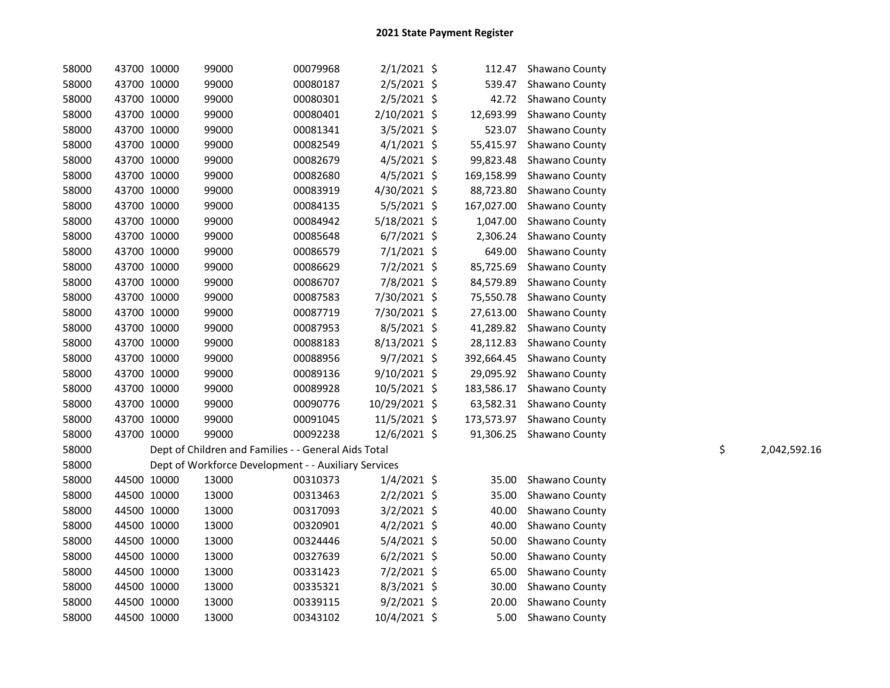| 58000 |             |                                                      |          |                |            | Shawano County            |    |              |
|-------|-------------|------------------------------------------------------|----------|----------------|------------|---------------------------|----|--------------|
|       | 43700 10000 | 99000                                                | 00080187 | $2/5/2021$ \$  | 539.47     | Shawano County            |    |              |
| 58000 | 43700 10000 | 99000                                                | 00080301 | $2/5/2021$ \$  | 42.72      | Shawano County            |    |              |
| 58000 | 43700 10000 | 99000                                                | 00080401 | 2/10/2021 \$   | 12,693.99  | Shawano County            |    |              |
| 58000 | 43700 10000 | 99000                                                | 00081341 | $3/5/2021$ \$  | 523.07     | Shawano County            |    |              |
| 58000 | 43700 10000 | 99000                                                | 00082549 | $4/1/2021$ \$  | 55,415.97  | Shawano County            |    |              |
| 58000 | 43700 10000 | 99000                                                | 00082679 | $4/5/2021$ \$  | 99,823.48  | Shawano County            |    |              |
| 58000 | 43700 10000 | 99000                                                | 00082680 | $4/5/2021$ \$  | 169,158.99 | Shawano County            |    |              |
| 58000 | 43700 10000 | 99000                                                | 00083919 | 4/30/2021 \$   | 88,723.80  | Shawano County            |    |              |
| 58000 | 43700 10000 | 99000                                                | 00084135 | 5/5/2021 \$    | 167,027.00 | Shawano County            |    |              |
| 58000 | 43700 10000 | 99000                                                | 00084942 | 5/18/2021 \$   | 1,047.00   | Shawano County            |    |              |
| 58000 | 43700 10000 | 99000                                                | 00085648 | $6/7/2021$ \$  | 2,306.24   | Shawano County            |    |              |
| 58000 | 43700 10000 | 99000                                                | 00086579 | $7/1/2021$ \$  | 649.00     | Shawano County            |    |              |
| 58000 | 43700 10000 | 99000                                                | 00086629 | $7/2/2021$ \$  | 85,725.69  | Shawano County            |    |              |
| 58000 | 43700 10000 | 99000                                                | 00086707 | 7/8/2021 \$    | 84,579.89  | Shawano County            |    |              |
| 58000 | 43700 10000 | 99000                                                | 00087583 | 7/30/2021 \$   | 75,550.78  | Shawano County            |    |              |
| 58000 | 43700 10000 | 99000                                                | 00087719 | 7/30/2021 \$   | 27,613.00  | Shawano County            |    |              |
| 58000 | 43700 10000 | 99000                                                | 00087953 | $8/5/2021$ \$  | 41,289.82  | Shawano County            |    |              |
| 58000 | 43700 10000 | 99000                                                | 00088183 | $8/13/2021$ \$ | 28,112.83  | Shawano County            |    |              |
| 58000 | 43700 10000 | 99000                                                | 00088956 | $9/7/2021$ \$  | 392,664.45 | Shawano County            |    |              |
| 58000 | 43700 10000 | 99000                                                | 00089136 | 9/10/2021 \$   | 29,095.92  | Shawano County            |    |              |
| 58000 | 43700 10000 | 99000                                                | 00089928 | 10/5/2021 \$   | 183,586.17 | Shawano County            |    |              |
| 58000 | 43700 10000 | 99000                                                | 00090776 | 10/29/2021 \$  |            | 63,582.31 Shawano County  |    |              |
| 58000 | 43700 10000 | 99000                                                | 00091045 | 11/5/2021 \$   |            | 173,573.97 Shawano County |    |              |
| 58000 | 43700 10000 | 99000                                                | 00092238 | 12/6/2021 \$   |            | 91,306.25 Shawano County  |    |              |
| 58000 |             | Dept of Children and Families - - General Aids Total |          |                |            |                           | \$ | 2,042,592.16 |
| 58000 |             | Dept of Workforce Development - - Auxiliary Services |          |                |            |                           |    |              |
| 58000 | 44500 10000 | 13000                                                | 00310373 | $1/4/2021$ \$  | 35.00      | Shawano County            |    |              |
| 58000 | 44500 10000 | 13000                                                | 00313463 | $2/2/2021$ \$  | 35.00      | Shawano County            |    |              |
| 58000 | 44500 10000 | 13000                                                | 00317093 | $3/2/2021$ \$  | 40.00      | Shawano County            |    |              |
| 58000 | 44500 10000 | 13000                                                | 00320901 | $4/2/2021$ \$  | 40.00      | Shawano County            |    |              |
| 58000 | 44500 10000 | 13000                                                | 00324446 | 5/4/2021 \$    | 50.00      | Shawano County            |    |              |
| 58000 | 44500 10000 | 13000                                                | 00327639 | $6/2/2021$ \$  | 50.00      | Shawano County            |    |              |
| 58000 | 44500 10000 | 13000                                                | 00331423 | 7/2/2021 \$    | 65.00      | Shawano County            |    |              |
| 58000 | 44500 10000 | 13000                                                | 00335321 | 8/3/2021 \$    | 30.00      | Shawano County            |    |              |
| 58000 | 44500 10000 | 13000                                                | 00339115 | $9/2/2021$ \$  | 20.00      | Shawano County            |    |              |
| 58000 | 44500 10000 | 13000                                                | 00343102 | 10/4/2021 \$   | 5.00       | Shawano County            |    |              |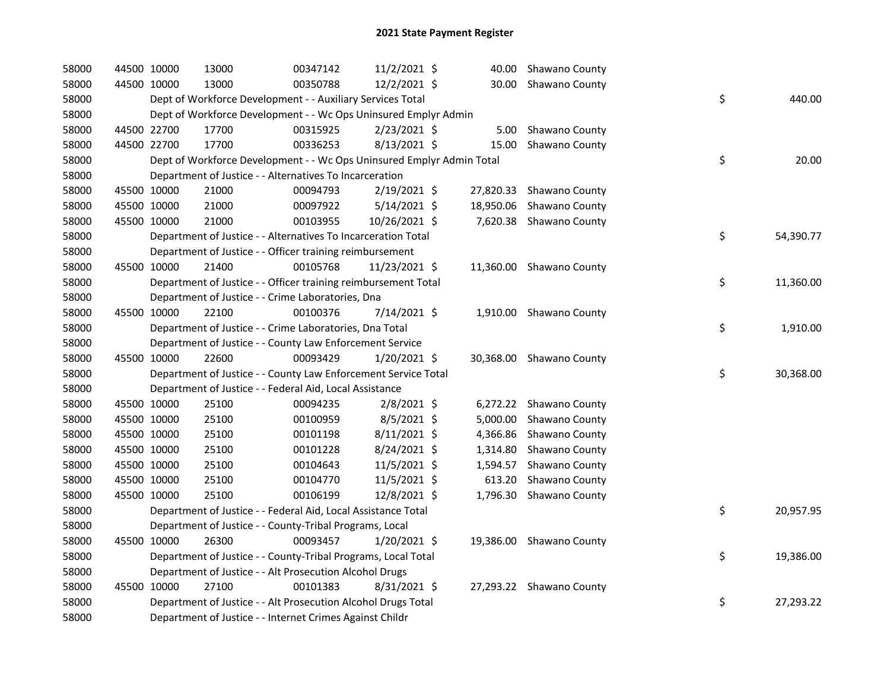| 58000 | 44500 10000 | 13000                                                                 | 00347142 | 11/2/2021 \$   |          | 40.00 Shawano County     |    |           |
|-------|-------------|-----------------------------------------------------------------------|----------|----------------|----------|--------------------------|----|-----------|
| 58000 | 44500 10000 | 13000                                                                 | 00350788 | 12/2/2021 \$   |          | 30.00 Shawano County     |    |           |
| 58000 |             | Dept of Workforce Development - - Auxiliary Services Total            |          |                |          |                          | \$ | 440.00    |
| 58000 |             | Dept of Workforce Development - - Wc Ops Uninsured Emplyr Admin       |          |                |          |                          |    |           |
| 58000 | 44500 22700 | 17700                                                                 | 00315925 | 2/23/2021 \$   |          | 5.00 Shawano County      |    |           |
| 58000 | 44500 22700 | 17700                                                                 | 00336253 | $8/13/2021$ \$ | 15.00    | Shawano County           |    |           |
| 58000 |             | Dept of Workforce Development - - Wc Ops Uninsured Emplyr Admin Total |          |                |          |                          | \$ | 20.00     |
| 58000 |             | Department of Justice - - Alternatives To Incarceration               |          |                |          |                          |    |           |
| 58000 | 45500 10000 | 21000                                                                 | 00094793 | 2/19/2021 \$   |          | 27,820.33 Shawano County |    |           |
| 58000 | 45500 10000 | 21000                                                                 | 00097922 | 5/14/2021 \$   |          | 18,950.06 Shawano County |    |           |
| 58000 | 45500 10000 | 21000                                                                 | 00103955 | 10/26/2021 \$  |          | 7,620.38 Shawano County  |    |           |
| 58000 |             | Department of Justice - - Alternatives To Incarceration Total         |          |                |          |                          | \$ | 54,390.77 |
| 58000 |             | Department of Justice - - Officer training reimbursement              |          |                |          |                          |    |           |
| 58000 | 45500 10000 | 21400                                                                 | 00105768 | 11/23/2021 \$  |          | 11,360.00 Shawano County |    |           |
| 58000 |             | Department of Justice - - Officer training reimbursement Total        |          |                |          |                          | \$ | 11,360.00 |
| 58000 |             | Department of Justice - - Crime Laboratories, Dna                     |          |                |          |                          |    |           |
| 58000 | 45500 10000 | 22100                                                                 | 00100376 | 7/14/2021 \$   |          | 1,910.00 Shawano County  |    |           |
| 58000 |             | Department of Justice - - Crime Laboratories, Dna Total               |          |                |          |                          | \$ | 1,910.00  |
| 58000 |             | Department of Justice - - County Law Enforcement Service              |          |                |          |                          |    |           |
| 58000 | 45500 10000 | 22600                                                                 | 00093429 | 1/20/2021 \$   |          | 30,368.00 Shawano County |    |           |
| 58000 |             | Department of Justice - - County Law Enforcement Service Total        |          |                |          |                          | \$ | 30,368.00 |
| 58000 |             | Department of Justice - - Federal Aid, Local Assistance               |          |                |          |                          |    |           |
| 58000 | 45500 10000 | 25100                                                                 | 00094235 | $2/8/2021$ \$  |          | 6,272.22 Shawano County  |    |           |
| 58000 | 45500 10000 | 25100                                                                 | 00100959 | 8/5/2021 \$    | 5,000.00 | Shawano County           |    |           |
| 58000 | 45500 10000 | 25100                                                                 | 00101198 | $8/11/2021$ \$ |          | 4,366.86 Shawano County  |    |           |
| 58000 | 45500 10000 | 25100                                                                 | 00101228 | 8/24/2021 \$   |          | 1,314.80 Shawano County  |    |           |
| 58000 | 45500 10000 | 25100                                                                 | 00104643 | 11/5/2021 \$   |          | 1,594.57 Shawano County  |    |           |
| 58000 | 45500 10000 | 25100                                                                 | 00104770 | 11/5/2021 \$   |          | 613.20 Shawano County    |    |           |
| 58000 | 45500 10000 | 25100                                                                 | 00106199 | 12/8/2021 \$   |          | 1,796.30 Shawano County  |    |           |
| 58000 |             | Department of Justice - - Federal Aid, Local Assistance Total         |          |                |          |                          | \$ | 20,957.95 |
| 58000 |             | Department of Justice - - County-Tribal Programs, Local               |          |                |          |                          |    |           |
| 58000 | 45500 10000 | 26300                                                                 | 00093457 | $1/20/2021$ \$ |          | 19,386.00 Shawano County |    |           |
| 58000 |             | Department of Justice - - County-Tribal Programs, Local Total         |          |                |          |                          | \$ | 19,386.00 |
| 58000 |             | Department of Justice - - Alt Prosecution Alcohol Drugs               |          |                |          |                          |    |           |
| 58000 | 45500 10000 | 27100                                                                 | 00101383 | 8/31/2021 \$   |          | 27,293.22 Shawano County |    |           |
| 58000 |             | Department of Justice - - Alt Prosecution Alcohol Drugs Total         |          |                |          |                          | \$ | 27,293.22 |
| 58000 |             | Department of Justice - - Internet Crimes Against Childr              |          |                |          |                          |    |           |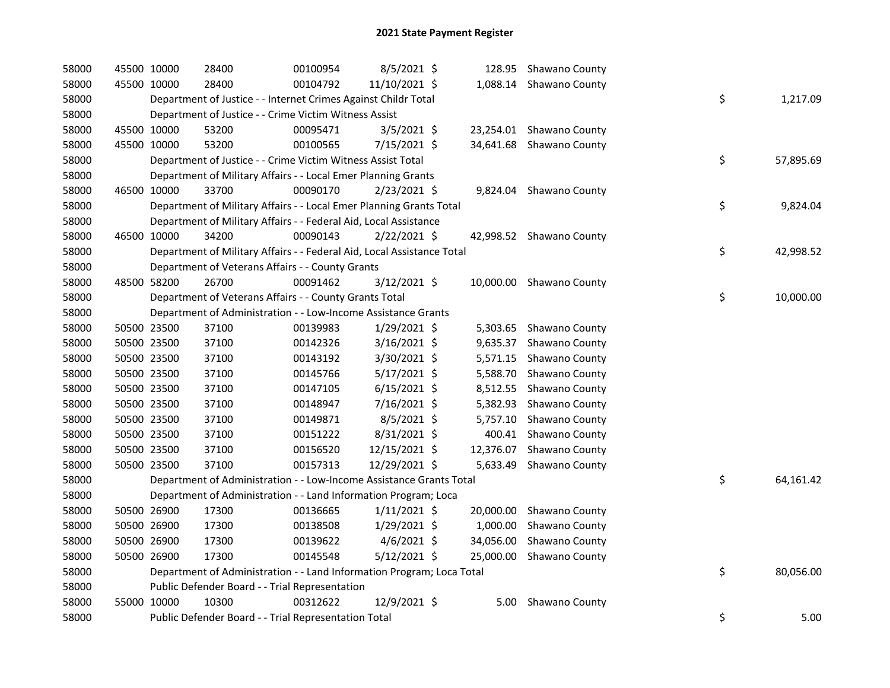| 58000 | 45500 10000 |             | 28400                                                                  | 00100954 | 8/5/2021 \$    |          | 128.95 Shawano County    |    |           |
|-------|-------------|-------------|------------------------------------------------------------------------|----------|----------------|----------|--------------------------|----|-----------|
| 58000 | 45500 10000 |             | 28400                                                                  | 00104792 | 11/10/2021 \$  |          | 1,088.14 Shawano County  |    |           |
| 58000 |             |             | Department of Justice - - Internet Crimes Against Childr Total         |          |                |          |                          | \$ | 1,217.09  |
| 58000 |             |             | Department of Justice - - Crime Victim Witness Assist                  |          |                |          |                          |    |           |
| 58000 | 45500 10000 |             | 53200                                                                  | 00095471 | $3/5/2021$ \$  |          | 23,254.01 Shawano County |    |           |
| 58000 | 45500 10000 |             | 53200                                                                  | 00100565 | 7/15/2021 \$   |          | 34,641.68 Shawano County |    |           |
| 58000 |             |             | Department of Justice - - Crime Victim Witness Assist Total            |          |                |          |                          | \$ | 57,895.69 |
| 58000 |             |             | Department of Military Affairs - - Local Emer Planning Grants          |          |                |          |                          |    |           |
| 58000 | 46500 10000 |             | 33700                                                                  | 00090170 | $2/23/2021$ \$ |          | 9,824.04 Shawano County  |    |           |
| 58000 |             |             | Department of Military Affairs - - Local Emer Planning Grants Total    |          |                |          |                          | \$ | 9,824.04  |
| 58000 |             |             | Department of Military Affairs - - Federal Aid, Local Assistance       |          |                |          |                          |    |           |
| 58000 | 46500 10000 |             | 34200                                                                  | 00090143 | $2/22/2021$ \$ |          | 42,998.52 Shawano County |    |           |
| 58000 |             |             | Department of Military Affairs - - Federal Aid, Local Assistance Total |          |                |          |                          | \$ | 42,998.52 |
| 58000 |             |             | Department of Veterans Affairs - - County Grants                       |          |                |          |                          |    |           |
| 58000 | 48500 58200 |             | 26700                                                                  | 00091462 | 3/12/2021 \$   |          | 10,000.00 Shawano County |    |           |
| 58000 |             |             | Department of Veterans Affairs - - County Grants Total                 |          |                |          |                          | \$ | 10,000.00 |
| 58000 |             |             | Department of Administration - - Low-Income Assistance Grants          |          |                |          |                          |    |           |
| 58000 | 50500 23500 |             | 37100                                                                  | 00139983 | $1/29/2021$ \$ |          | 5,303.65 Shawano County  |    |           |
| 58000 | 50500 23500 |             | 37100                                                                  | 00142326 | 3/16/2021 \$   | 9,635.37 | Shawano County           |    |           |
| 58000 | 50500 23500 |             | 37100                                                                  | 00143192 | 3/30/2021 \$   |          | 5,571.15 Shawano County  |    |           |
| 58000 | 50500 23500 |             | 37100                                                                  | 00145766 | $5/17/2021$ \$ |          | 5,588.70 Shawano County  |    |           |
| 58000 | 50500 23500 |             | 37100                                                                  | 00147105 | $6/15/2021$ \$ |          | 8,512.55 Shawano County  |    |           |
| 58000 | 50500 23500 |             | 37100                                                                  | 00148947 | 7/16/2021 \$   |          | 5,382.93 Shawano County  |    |           |
| 58000 | 50500 23500 |             | 37100                                                                  | 00149871 | 8/5/2021 \$    | 5,757.10 | Shawano County           |    |           |
| 58000 | 50500 23500 |             | 37100                                                                  | 00151222 | 8/31/2021 \$   |          | 400.41 Shawano County    |    |           |
| 58000 | 50500 23500 |             | 37100                                                                  | 00156520 | 12/15/2021 \$  |          | 12,376.07 Shawano County |    |           |
| 58000 | 50500 23500 |             | 37100                                                                  | 00157313 | 12/29/2021 \$  |          | 5,633.49 Shawano County  |    |           |
| 58000 |             |             | Department of Administration - - Low-Income Assistance Grants Total    |          |                |          |                          | \$ | 64,161.42 |
| 58000 |             |             | Department of Administration - - Land Information Program; Loca        |          |                |          |                          |    |           |
| 58000 |             | 50500 26900 | 17300                                                                  | 00136665 | $1/11/2021$ \$ |          | 20,000.00 Shawano County |    |           |
| 58000 | 50500 26900 |             | 17300                                                                  | 00138508 | 1/29/2021 \$   |          | 1,000.00 Shawano County  |    |           |
| 58000 | 50500 26900 |             | 17300                                                                  | 00139622 | $4/6/2021$ \$  |          | 34,056.00 Shawano County |    |           |
| 58000 | 50500 26900 |             | 17300                                                                  | 00145548 | $5/12/2021$ \$ |          | 25,000.00 Shawano County |    |           |
| 58000 |             |             | Department of Administration - - Land Information Program; Loca Total  |          |                |          |                          | \$ | 80,056.00 |
| 58000 |             |             | Public Defender Board - - Trial Representation                         |          |                |          |                          |    |           |
| 58000 | 55000 10000 |             | 10300                                                                  | 00312622 | 12/9/2021 \$   | 5.00     | Shawano County           |    |           |
| 58000 |             |             | Public Defender Board - - Trial Representation Total                   |          |                |          |                          | \$ | 5.00      |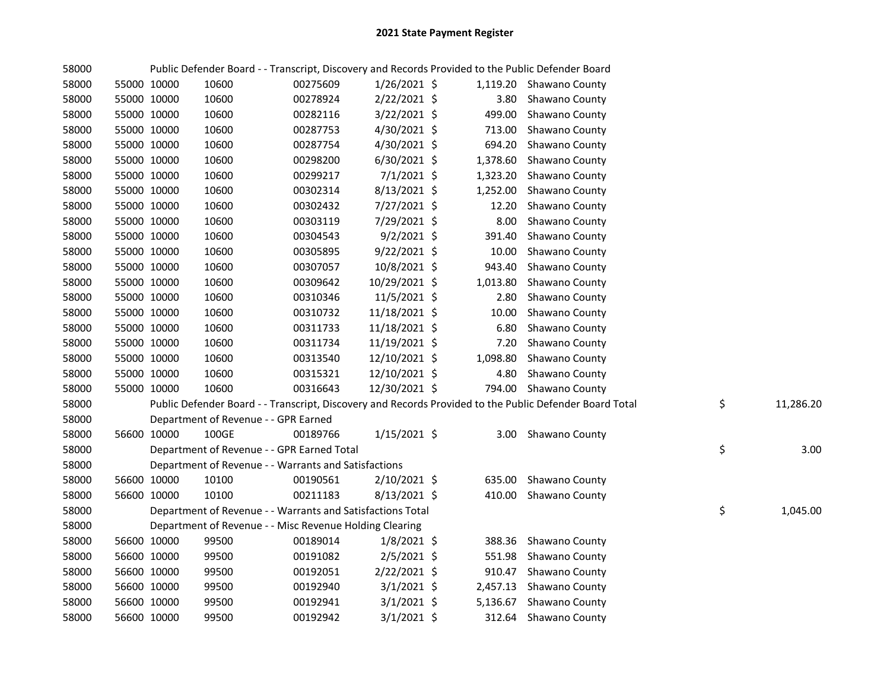| 58000 |             |             |                                                            |          |                |          | Public Defender Board - - Transcript, Discovery and Records Provided to the Public Defender Board       |                 |
|-------|-------------|-------------|------------------------------------------------------------|----------|----------------|----------|---------------------------------------------------------------------------------------------------------|-----------------|
| 58000 | 55000 10000 |             | 10600                                                      | 00275609 | $1/26/2021$ \$ |          | 1,119.20 Shawano County                                                                                 |                 |
| 58000 | 55000 10000 |             | 10600                                                      | 00278924 | 2/22/2021 \$   | 3.80     | Shawano County                                                                                          |                 |
| 58000 | 55000 10000 |             | 10600                                                      | 00282116 | 3/22/2021 \$   | 499.00   | Shawano County                                                                                          |                 |
| 58000 | 55000 10000 |             | 10600                                                      | 00287753 | 4/30/2021 \$   | 713.00   | Shawano County                                                                                          |                 |
| 58000 | 55000 10000 |             | 10600                                                      | 00287754 | 4/30/2021 \$   | 694.20   | Shawano County                                                                                          |                 |
| 58000 | 55000 10000 |             | 10600                                                      | 00298200 | $6/30/2021$ \$ | 1,378.60 | Shawano County                                                                                          |                 |
| 58000 | 55000 10000 |             | 10600                                                      | 00299217 | $7/1/2021$ \$  | 1,323.20 | Shawano County                                                                                          |                 |
| 58000 | 55000 10000 |             | 10600                                                      | 00302314 | 8/13/2021 \$   | 1,252.00 | Shawano County                                                                                          |                 |
| 58000 | 55000 10000 |             | 10600                                                      | 00302432 | 7/27/2021 \$   | 12.20    | Shawano County                                                                                          |                 |
| 58000 |             | 55000 10000 | 10600                                                      | 00303119 | 7/29/2021 \$   | 8.00     | Shawano County                                                                                          |                 |
| 58000 |             | 55000 10000 | 10600                                                      | 00304543 | $9/2/2021$ \$  | 391.40   | Shawano County                                                                                          |                 |
| 58000 |             | 55000 10000 | 10600                                                      | 00305895 | 9/22/2021 \$   | 10.00    | Shawano County                                                                                          |                 |
| 58000 |             | 55000 10000 | 10600                                                      | 00307057 | 10/8/2021 \$   | 943.40   | Shawano County                                                                                          |                 |
| 58000 |             | 55000 10000 | 10600                                                      | 00309642 | 10/29/2021 \$  | 1,013.80 | Shawano County                                                                                          |                 |
| 58000 |             | 55000 10000 | 10600                                                      | 00310346 | 11/5/2021 \$   | 2.80     | Shawano County                                                                                          |                 |
| 58000 |             | 55000 10000 | 10600                                                      | 00310732 | 11/18/2021 \$  | 10.00    | Shawano County                                                                                          |                 |
| 58000 |             | 55000 10000 | 10600                                                      | 00311733 | 11/18/2021 \$  | 6.80     | Shawano County                                                                                          |                 |
| 58000 |             | 55000 10000 | 10600                                                      | 00311734 | 11/19/2021 \$  | 7.20     | Shawano County                                                                                          |                 |
| 58000 |             | 55000 10000 | 10600                                                      | 00313540 | 12/10/2021 \$  | 1,098.80 | Shawano County                                                                                          |                 |
| 58000 | 55000 10000 |             | 10600                                                      | 00315321 | 12/10/2021 \$  | 4.80     | Shawano County                                                                                          |                 |
| 58000 | 55000 10000 |             | 10600                                                      | 00316643 | 12/30/2021 \$  |          | 794.00 Shawano County                                                                                   |                 |
| 58000 |             |             |                                                            |          |                |          | Public Defender Board - - Transcript, Discovery and Records Provided to the Public Defender Board Total | \$<br>11,286.20 |
| 58000 |             |             | Department of Revenue - - GPR Earned                       |          |                |          |                                                                                                         |                 |
| 58000 | 56600 10000 |             | 100GE                                                      | 00189766 | $1/15/2021$ \$ |          | 3.00 Shawano County                                                                                     |                 |
| 58000 |             |             | Department of Revenue - - GPR Earned Total                 |          |                |          |                                                                                                         | \$<br>3.00      |
| 58000 |             |             | Department of Revenue - - Warrants and Satisfactions       |          |                |          |                                                                                                         |                 |
| 58000 |             | 56600 10000 | 10100                                                      | 00190561 | 2/10/2021 \$   |          | 635.00 Shawano County                                                                                   |                 |
| 58000 | 56600 10000 |             | 10100                                                      | 00211183 | $8/13/2021$ \$ |          | 410.00 Shawano County                                                                                   |                 |
| 58000 |             |             | Department of Revenue - - Warrants and Satisfactions Total |          |                |          |                                                                                                         | \$<br>1,045.00  |
| 58000 |             |             | Department of Revenue - - Misc Revenue Holding Clearing    |          |                |          |                                                                                                         |                 |
| 58000 |             | 56600 10000 | 99500                                                      | 00189014 | $1/8/2021$ \$  |          | 388.36 Shawano County                                                                                   |                 |
| 58000 |             | 56600 10000 | 99500                                                      | 00191082 | $2/5/2021$ \$  |          | 551.98 Shawano County                                                                                   |                 |
| 58000 | 56600 10000 |             | 99500                                                      | 00192051 | $2/22/2021$ \$ |          | 910.47 Shawano County                                                                                   |                 |
| 58000 | 56600 10000 |             | 99500                                                      | 00192940 | $3/1/2021$ \$  |          | 2,457.13 Shawano County                                                                                 |                 |
| 58000 | 56600 10000 |             | 99500                                                      | 00192941 | $3/1/2021$ \$  |          | 5,136.67 Shawano County                                                                                 |                 |
| 58000 | 56600 10000 |             | 99500                                                      | 00192942 | $3/1/2021$ \$  |          | 312.64 Shawano County                                                                                   |                 |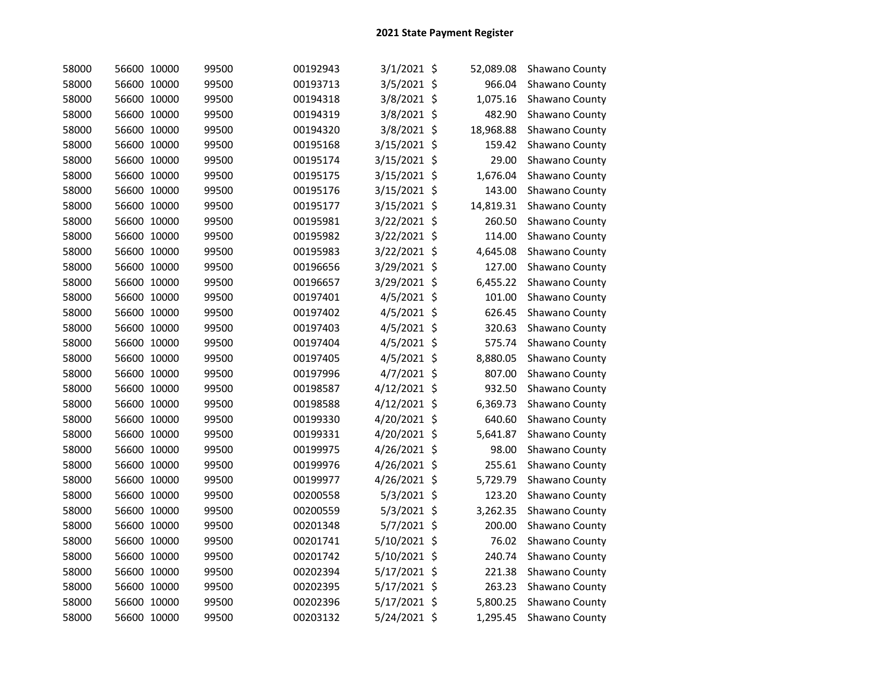| 58000 | 56600 10000 | 99500 | 00192943 | 3/1/2021 \$   | 52,089.08 | Shawano County |
|-------|-------------|-------|----------|---------------|-----------|----------------|
| 58000 | 56600 10000 | 99500 | 00193713 | 3/5/2021 \$   | 966.04    | Shawano County |
| 58000 | 56600 10000 | 99500 | 00194318 | 3/8/2021 \$   | 1,075.16  | Shawano County |
| 58000 | 56600 10000 | 99500 | 00194319 | 3/8/2021 \$   | 482.90    | Shawano County |
| 58000 | 56600 10000 | 99500 | 00194320 | 3/8/2021 \$   | 18,968.88 | Shawano County |
| 58000 | 56600 10000 | 99500 | 00195168 | 3/15/2021 \$  | 159.42    | Shawano County |
| 58000 | 56600 10000 | 99500 | 00195174 | 3/15/2021 \$  | 29.00     | Shawano County |
| 58000 | 56600 10000 | 99500 | 00195175 | 3/15/2021 \$  | 1,676.04  | Shawano County |
| 58000 | 56600 10000 | 99500 | 00195176 | 3/15/2021 \$  | 143.00    | Shawano County |
| 58000 | 56600 10000 | 99500 | 00195177 | 3/15/2021 \$  | 14,819.31 | Shawano County |
| 58000 | 56600 10000 | 99500 | 00195981 | 3/22/2021 \$  | 260.50    | Shawano County |
| 58000 | 56600 10000 | 99500 | 00195982 | 3/22/2021 \$  | 114.00    | Shawano County |
| 58000 | 56600 10000 | 99500 | 00195983 | 3/22/2021 \$  | 4,645.08  | Shawano County |
| 58000 | 56600 10000 | 99500 | 00196656 | 3/29/2021 \$  | 127.00    | Shawano County |
| 58000 | 56600 10000 | 99500 | 00196657 | 3/29/2021 \$  | 6,455.22  | Shawano County |
| 58000 | 56600 10000 | 99500 | 00197401 | 4/5/2021 \$   | 101.00    | Shawano County |
| 58000 | 56600 10000 | 99500 | 00197402 | $4/5/2021$ \$ | 626.45    | Shawano County |
| 58000 | 56600 10000 | 99500 | 00197403 | 4/5/2021 \$   | 320.63    | Shawano County |
| 58000 | 56600 10000 | 99500 | 00197404 | 4/5/2021 \$   | 575.74    | Shawano County |
| 58000 | 56600 10000 | 99500 | 00197405 | 4/5/2021 \$   | 8,880.05  | Shawano County |
| 58000 | 56600 10000 | 99500 | 00197996 | 4/7/2021 \$   | 807.00    | Shawano County |
| 58000 | 56600 10000 | 99500 | 00198587 | 4/12/2021 \$  | 932.50    | Shawano County |
| 58000 | 56600 10000 | 99500 | 00198588 | 4/12/2021 \$  | 6,369.73  | Shawano County |
| 58000 | 56600 10000 | 99500 | 00199330 | 4/20/2021 \$  | 640.60    | Shawano County |
| 58000 | 56600 10000 | 99500 | 00199331 | 4/20/2021 \$  | 5,641.87  | Shawano County |
| 58000 | 56600 10000 | 99500 | 00199975 | 4/26/2021 \$  | 98.00     | Shawano County |
| 58000 | 56600 10000 | 99500 | 00199976 | 4/26/2021 \$  | 255.61    | Shawano County |
| 58000 | 56600 10000 | 99500 | 00199977 | 4/26/2021 \$  | 5,729.79  | Shawano County |
| 58000 | 56600 10000 | 99500 | 00200558 | 5/3/2021 \$   | 123.20    | Shawano County |
| 58000 | 56600 10000 | 99500 | 00200559 | 5/3/2021 \$   | 3,262.35  | Shawano County |
| 58000 | 56600 10000 | 99500 | 00201348 | 5/7/2021 \$   | 200.00    | Shawano County |
| 58000 | 56600 10000 | 99500 | 00201741 | 5/10/2021 \$  | 76.02     | Shawano County |
| 58000 | 56600 10000 | 99500 | 00201742 | 5/10/2021 \$  | 240.74    | Shawano County |
| 58000 | 56600 10000 | 99500 | 00202394 | 5/17/2021 \$  | 221.38    | Shawano County |
| 58000 | 56600 10000 | 99500 | 00202395 | 5/17/2021 \$  | 263.23    | Shawano County |
| 58000 | 56600 10000 | 99500 | 00202396 | 5/17/2021 \$  | 5,800.25  | Shawano County |
| 58000 | 56600 10000 | 99500 | 00203132 | 5/24/2021 \$  | 1,295.45  | Shawano County |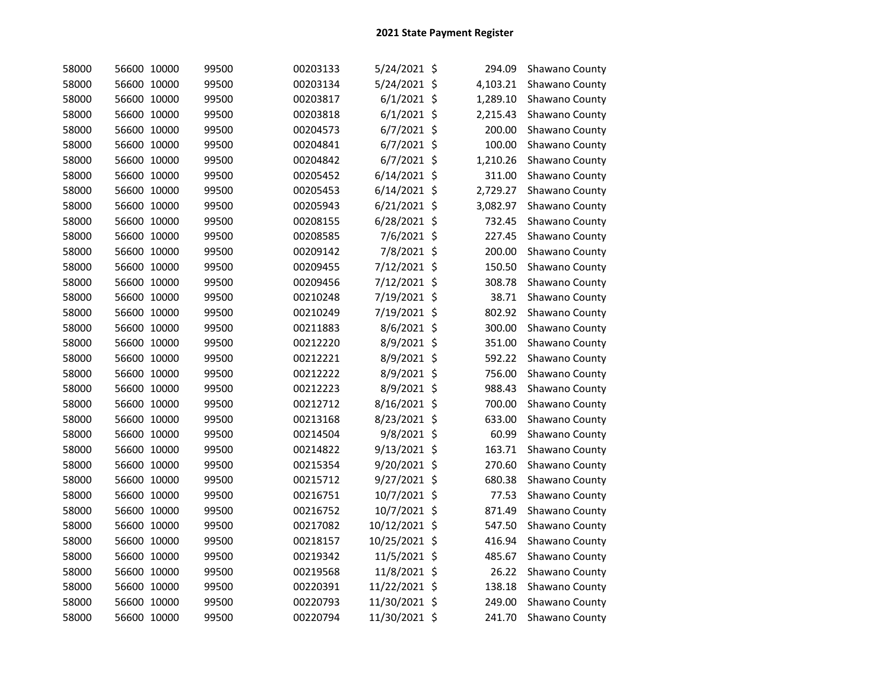| 58000 | 56600 10000 | 99500 | 00203133 | 5/24/2021 \$   | 294.09   | Shawano County |
|-------|-------------|-------|----------|----------------|----------|----------------|
| 58000 | 56600 10000 | 99500 | 00203134 | 5/24/2021 \$   | 4,103.21 | Shawano County |
| 58000 | 56600 10000 | 99500 | 00203817 | $6/1/2021$ \$  | 1,289.10 | Shawano County |
| 58000 | 56600 10000 | 99500 | 00203818 | $6/1/2021$ \$  | 2,215.43 | Shawano County |
| 58000 | 56600 10000 | 99500 | 00204573 | $6/7/2021$ \$  | 200.00   | Shawano County |
| 58000 | 56600 10000 | 99500 | 00204841 | $6/7/2021$ \$  | 100.00   | Shawano County |
| 58000 | 56600 10000 | 99500 | 00204842 | $6/7/2021$ \$  | 1,210.26 | Shawano County |
| 58000 | 56600 10000 | 99500 | 00205452 | $6/14/2021$ \$ | 311.00   | Shawano County |
| 58000 | 56600 10000 | 99500 | 00205453 | $6/14/2021$ \$ | 2,729.27 | Shawano County |
| 58000 | 56600 10000 | 99500 | 00205943 | $6/21/2021$ \$ | 3,082.97 | Shawano County |
| 58000 | 56600 10000 | 99500 | 00208155 | $6/28/2021$ \$ | 732.45   | Shawano County |
| 58000 | 56600 10000 | 99500 | 00208585 | 7/6/2021 \$    | 227.45   | Shawano County |
| 58000 | 56600 10000 | 99500 | 00209142 | 7/8/2021 \$    | 200.00   | Shawano County |
| 58000 | 56600 10000 | 99500 | 00209455 | 7/12/2021 \$   | 150.50   | Shawano County |
| 58000 | 56600 10000 | 99500 | 00209456 | 7/12/2021 \$   | 308.78   | Shawano County |
| 58000 | 56600 10000 | 99500 | 00210248 | 7/19/2021 \$   | 38.71    | Shawano County |
| 58000 | 56600 10000 | 99500 | 00210249 | 7/19/2021 \$   | 802.92   | Shawano County |
| 58000 | 56600 10000 | 99500 | 00211883 | 8/6/2021 \$    | 300.00   | Shawano County |
| 58000 | 56600 10000 | 99500 | 00212220 | 8/9/2021 \$    | 351.00   | Shawano County |
| 58000 | 56600 10000 | 99500 | 00212221 | 8/9/2021 \$    | 592.22   | Shawano County |
| 58000 | 56600 10000 | 99500 | 00212222 | 8/9/2021 \$    | 756.00   | Shawano County |
| 58000 | 56600 10000 | 99500 | 00212223 | 8/9/2021 \$    | 988.43   | Shawano County |
| 58000 | 56600 10000 | 99500 | 00212712 | 8/16/2021 \$   | 700.00   | Shawano County |
| 58000 | 56600 10000 | 99500 | 00213168 | 8/23/2021 \$   | 633.00   | Shawano County |
| 58000 | 56600 10000 | 99500 | 00214504 | 9/8/2021 \$    | 60.99    | Shawano County |
| 58000 | 56600 10000 | 99500 | 00214822 | 9/13/2021 \$   | 163.71   | Shawano County |
| 58000 | 56600 10000 | 99500 | 00215354 | 9/20/2021 \$   | 270.60   | Shawano County |
| 58000 | 56600 10000 | 99500 | 00215712 | 9/27/2021 \$   | 680.38   | Shawano County |
| 58000 | 56600 10000 | 99500 | 00216751 | 10/7/2021 \$   | 77.53    | Shawano County |
| 58000 | 56600 10000 | 99500 | 00216752 | 10/7/2021 \$   | 871.49   | Shawano County |
| 58000 | 56600 10000 | 99500 | 00217082 | 10/12/2021 \$  | 547.50   | Shawano County |
| 58000 | 56600 10000 | 99500 | 00218157 | 10/25/2021 \$  | 416.94   | Shawano County |
| 58000 | 56600 10000 | 99500 | 00219342 | 11/5/2021 \$   | 485.67   | Shawano County |
| 58000 | 56600 10000 | 99500 | 00219568 | 11/8/2021 \$   | 26.22    | Shawano County |
| 58000 | 56600 10000 | 99500 | 00220391 | 11/22/2021 \$  | 138.18   | Shawano County |
| 58000 | 56600 10000 | 99500 | 00220793 | 11/30/2021 \$  | 249.00   | Shawano County |
| 58000 | 56600 10000 | 99500 | 00220794 | 11/30/2021 \$  | 241.70   | Shawano County |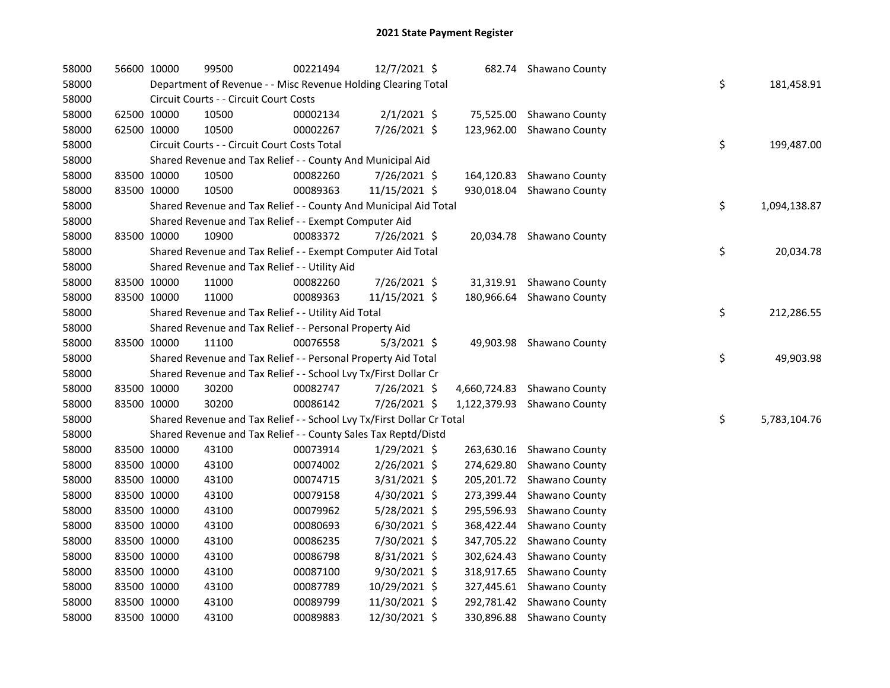| 58000 |             | 56600 10000 | 99500                                                                 | 00221494 | 12/7/2021 \$   |            | 682.74 Shawano County       |    |              |
|-------|-------------|-------------|-----------------------------------------------------------------------|----------|----------------|------------|-----------------------------|----|--------------|
| 58000 |             |             | Department of Revenue - - Misc Revenue Holding Clearing Total         |          |                |            |                             | \$ | 181,458.91   |
| 58000 |             |             | Circuit Courts - - Circuit Court Costs                                |          |                |            |                             |    |              |
| 58000 | 62500 10000 |             | 10500                                                                 | 00002134 | $2/1/2021$ \$  |            | 75,525.00 Shawano County    |    |              |
| 58000 | 62500 10000 |             | 10500                                                                 | 00002267 | 7/26/2021 \$   |            | 123,962.00 Shawano County   |    |              |
| 58000 |             |             | Circuit Courts - - Circuit Court Costs Total                          |          |                |            |                             | \$ | 199,487.00   |
| 58000 |             |             | Shared Revenue and Tax Relief - - County And Municipal Aid            |          |                |            |                             |    |              |
| 58000 | 83500 10000 |             | 10500                                                                 | 00082260 | 7/26/2021 \$   | 164,120.83 | Shawano County              |    |              |
| 58000 | 83500 10000 |             | 10500                                                                 | 00089363 | 11/15/2021 \$  |            | 930,018.04 Shawano County   |    |              |
| 58000 |             |             | Shared Revenue and Tax Relief - - County And Municipal Aid Total      |          |                |            |                             | \$ | 1,094,138.87 |
| 58000 |             |             | Shared Revenue and Tax Relief - - Exempt Computer Aid                 |          |                |            |                             |    |              |
| 58000 | 83500 10000 |             | 10900                                                                 | 00083372 | 7/26/2021 \$   |            | 20,034.78 Shawano County    |    |              |
| 58000 |             |             | Shared Revenue and Tax Relief - - Exempt Computer Aid Total           |          |                |            |                             | \$ | 20,034.78    |
| 58000 |             |             | Shared Revenue and Tax Relief - - Utility Aid                         |          |                |            |                             |    |              |
| 58000 | 83500 10000 |             | 11000                                                                 | 00082260 | 7/26/2021 \$   |            | 31,319.91 Shawano County    |    |              |
| 58000 | 83500 10000 |             | 11000                                                                 | 00089363 | 11/15/2021 \$  |            | 180,966.64 Shawano County   |    |              |
| 58000 |             |             | Shared Revenue and Tax Relief - - Utility Aid Total                   |          |                |            |                             | \$ | 212,286.55   |
| 58000 |             |             | Shared Revenue and Tax Relief - - Personal Property Aid               |          |                |            |                             |    |              |
| 58000 | 83500 10000 |             | 11100                                                                 | 00076558 | $5/3/2021$ \$  |            | 49,903.98 Shawano County    |    |              |
| 58000 |             |             | Shared Revenue and Tax Relief - - Personal Property Aid Total         |          |                |            |                             | \$ | 49,903.98    |
| 58000 |             |             | Shared Revenue and Tax Relief - - School Lvy Tx/First Dollar Cr       |          |                |            |                             |    |              |
| 58000 | 83500 10000 |             | 30200                                                                 | 00082747 | 7/26/2021 \$   |            | 4,660,724.83 Shawano County |    |              |
| 58000 | 83500 10000 |             | 30200                                                                 | 00086142 | 7/26/2021 \$   |            | 1,122,379.93 Shawano County |    |              |
| 58000 |             |             | Shared Revenue and Tax Relief - - School Lvy Tx/First Dollar Cr Total |          |                |            |                             | \$ | 5,783,104.76 |
| 58000 |             |             | Shared Revenue and Tax Relief - - County Sales Tax Reptd/Distd        |          |                |            |                             |    |              |
| 58000 | 83500 10000 |             | 43100                                                                 | 00073914 | 1/29/2021 \$   |            | 263,630.16 Shawano County   |    |              |
| 58000 | 83500 10000 |             | 43100                                                                 | 00074002 | 2/26/2021 \$   | 274,629.80 | Shawano County              |    |              |
| 58000 | 83500 10000 |             | 43100                                                                 | 00074715 | 3/31/2021 \$   | 205,201.72 | Shawano County              |    |              |
| 58000 | 83500 10000 |             | 43100                                                                 | 00079158 | 4/30/2021 \$   | 273,399.44 | Shawano County              |    |              |
| 58000 | 83500 10000 |             | 43100                                                                 | 00079962 | 5/28/2021 \$   | 295,596.93 | Shawano County              |    |              |
| 58000 | 83500 10000 |             | 43100                                                                 | 00080693 | $6/30/2021$ \$ | 368,422.44 | Shawano County              |    |              |
| 58000 | 83500 10000 |             | 43100                                                                 | 00086235 | 7/30/2021 \$   | 347,705.22 | Shawano County              |    |              |
| 58000 | 83500 10000 |             | 43100                                                                 | 00086798 | 8/31/2021 \$   | 302,624.43 | Shawano County              |    |              |
| 58000 | 83500 10000 |             | 43100                                                                 | 00087100 | 9/30/2021 \$   | 318,917.65 | Shawano County              |    |              |
| 58000 | 83500 10000 |             | 43100                                                                 | 00087789 | 10/29/2021 \$  | 327,445.61 | Shawano County              |    |              |
| 58000 | 83500 10000 |             | 43100                                                                 | 00089799 | 11/30/2021 \$  |            | 292,781.42 Shawano County   |    |              |
| 58000 | 83500 10000 |             | 43100                                                                 | 00089883 | 12/30/2021 \$  |            | 330,896.88 Shawano County   |    |              |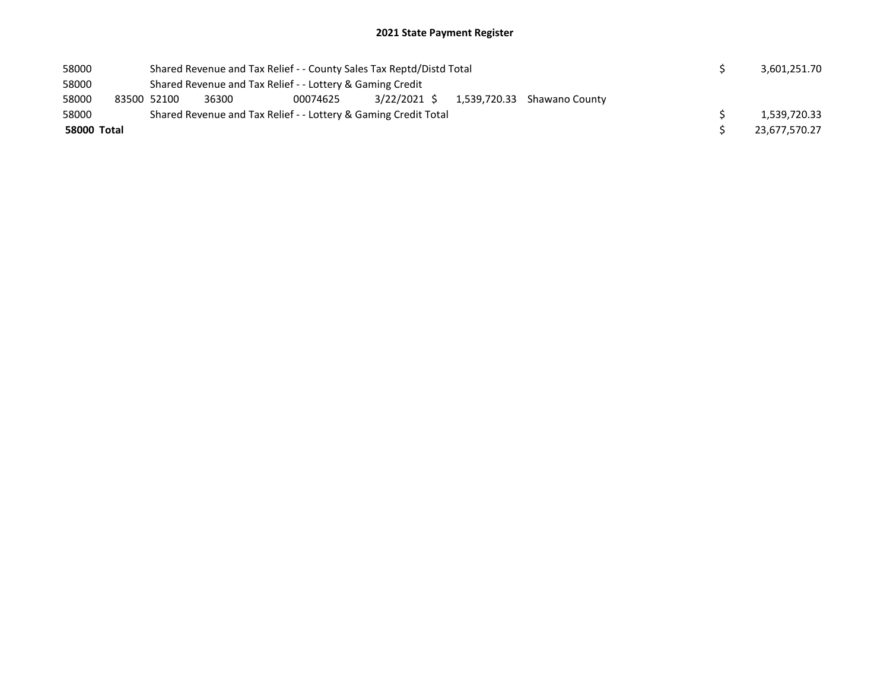| 58000       |             | Shared Revenue and Tax Relief - - County Sales Tax Reptd/Distd Total |  |  | 3,601,251.70  |  |  |  |  |  |
|-------------|-------------|----------------------------------------------------------------------|--|--|---------------|--|--|--|--|--|
| 58000       |             | Shared Revenue and Tax Relief - - Lottery & Gaming Credit            |  |  |               |  |  |  |  |  |
| 58000       | 83500 52100 | 36300                                                                |  |  |               |  |  |  |  |  |
| 58000       |             | Shared Revenue and Tax Relief - - Lottery & Gaming Credit Total      |  |  |               |  |  |  |  |  |
| 58000 Total |             |                                                                      |  |  | 23,677,570.27 |  |  |  |  |  |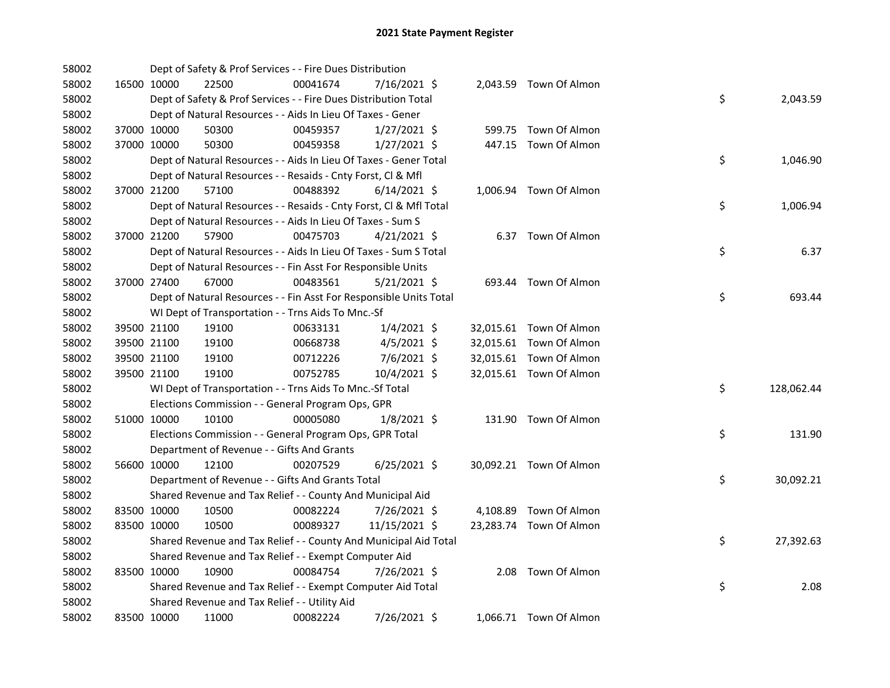| 58002 |             |             | Dept of Safety & Prof Services - - Fire Dues Distribution          |          |                |  |                         |    |            |
|-------|-------------|-------------|--------------------------------------------------------------------|----------|----------------|--|-------------------------|----|------------|
| 58002 |             | 16500 10000 | 22500                                                              | 00041674 | 7/16/2021 \$   |  | 2,043.59 Town Of Almon  |    |            |
| 58002 |             |             | Dept of Safety & Prof Services - - Fire Dues Distribution Total    |          |                |  |                         | \$ | 2,043.59   |
| 58002 |             |             | Dept of Natural Resources - - Aids In Lieu Of Taxes - Gener        |          |                |  |                         |    |            |
| 58002 |             | 37000 10000 | 50300                                                              | 00459357 | $1/27/2021$ \$ |  | 599.75 Town Of Almon    |    |            |
| 58002 | 37000 10000 |             | 50300                                                              | 00459358 | $1/27/2021$ \$ |  | 447.15 Town Of Almon    |    |            |
| 58002 |             |             | Dept of Natural Resources - - Aids In Lieu Of Taxes - Gener Total  |          |                |  |                         | \$ | 1,046.90   |
| 58002 |             |             | Dept of Natural Resources - - Resaids - Cnty Forst, Cl & Mfl       |          |                |  |                         |    |            |
| 58002 |             | 37000 21200 | 57100                                                              | 00488392 | $6/14/2021$ \$ |  | 1,006.94 Town Of Almon  |    |            |
| 58002 |             |             | Dept of Natural Resources - - Resaids - Cnty Forst, Cl & Mfl Total |          |                |  |                         | \$ | 1,006.94   |
| 58002 |             |             | Dept of Natural Resources - - Aids In Lieu Of Taxes - Sum S        |          |                |  |                         |    |            |
| 58002 |             | 37000 21200 | 57900                                                              | 00475703 | $4/21/2021$ \$ |  | 6.37 Town Of Almon      |    |            |
| 58002 |             |             | Dept of Natural Resources - - Aids In Lieu Of Taxes - Sum S Total  |          |                |  |                         | \$ | 6.37       |
| 58002 |             |             | Dept of Natural Resources - - Fin Asst For Responsible Units       |          |                |  |                         |    |            |
| 58002 |             | 37000 27400 | 67000                                                              | 00483561 | $5/21/2021$ \$ |  | 693.44 Town Of Almon    |    |            |
| 58002 |             |             | Dept of Natural Resources - - Fin Asst For Responsible Units Total |          |                |  |                         | \$ | 693.44     |
| 58002 |             |             | WI Dept of Transportation - - Trns Aids To Mnc.-Sf                 |          |                |  |                         |    |            |
| 58002 |             | 39500 21100 | 19100                                                              | 00633131 | $1/4/2021$ \$  |  | 32,015.61 Town Of Almon |    |            |
| 58002 |             | 39500 21100 | 19100                                                              | 00668738 | $4/5/2021$ \$  |  | 32,015.61 Town Of Almon |    |            |
| 58002 | 39500 21100 |             | 19100                                                              | 00712226 | 7/6/2021 \$    |  | 32,015.61 Town Of Almon |    |            |
| 58002 | 39500 21100 |             | 19100                                                              | 00752785 | 10/4/2021 \$   |  | 32,015.61 Town Of Almon |    |            |
| 58002 |             |             | WI Dept of Transportation - - Trns Aids To Mnc.-Sf Total           |          |                |  |                         | \$ | 128,062.44 |
| 58002 |             |             | Elections Commission - - General Program Ops, GPR                  |          |                |  |                         |    |            |
| 58002 | 51000 10000 |             | 10100                                                              | 00005080 | $1/8/2021$ \$  |  | 131.90 Town Of Almon    |    |            |
| 58002 |             |             | Elections Commission - - General Program Ops, GPR Total            |          |                |  |                         | \$ | 131.90     |
| 58002 |             |             | Department of Revenue - - Gifts And Grants                         |          |                |  |                         |    |            |
| 58002 |             | 56600 10000 | 12100                                                              | 00207529 | $6/25/2021$ \$ |  | 30,092.21 Town Of Almon |    |            |
| 58002 |             |             | Department of Revenue - - Gifts And Grants Total                   |          |                |  |                         | \$ | 30,092.21  |
| 58002 |             |             | Shared Revenue and Tax Relief - - County And Municipal Aid         |          |                |  |                         |    |            |
| 58002 | 83500 10000 |             | 10500                                                              | 00082224 | 7/26/2021 \$   |  | 4,108.89 Town Of Almon  |    |            |
| 58002 | 83500 10000 |             | 10500                                                              | 00089327 | 11/15/2021 \$  |  | 23,283.74 Town Of Almon |    |            |
| 58002 |             |             | Shared Revenue and Tax Relief - - County And Municipal Aid Total   |          |                |  |                         | \$ | 27,392.63  |
| 58002 |             |             | Shared Revenue and Tax Relief - - Exempt Computer Aid              |          |                |  |                         |    |            |
| 58002 | 83500 10000 |             | 10900                                                              | 00084754 | 7/26/2021 \$   |  | 2.08 Town Of Almon      |    |            |
| 58002 |             |             | Shared Revenue and Tax Relief - - Exempt Computer Aid Total        |          |                |  |                         | \$ | 2.08       |
| 58002 |             |             | Shared Revenue and Tax Relief - - Utility Aid                      |          |                |  |                         |    |            |
| 58002 |             | 83500 10000 | 11000                                                              | 00082224 | 7/26/2021 \$   |  | 1,066.71 Town Of Almon  |    |            |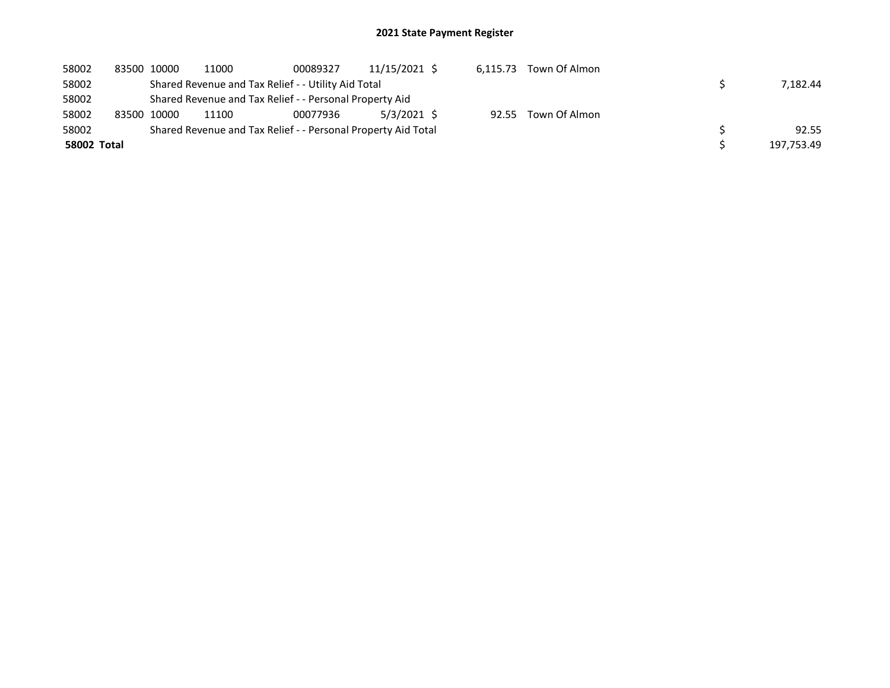| 58002       | 83500 10000 | 11000 | 00089327                                                      | 11/15/2021 \$ | 6.115.73 | Town Of Almon       |            |
|-------------|-------------|-------|---------------------------------------------------------------|---------------|----------|---------------------|------------|
| 58002       |             |       | Shared Revenue and Tax Relief - - Utility Aid Total           |               |          |                     | 7.182.44   |
| 58002       |             |       | Shared Revenue and Tax Relief - - Personal Property Aid       |               |          |                     |            |
| 58002       | 83500 10000 | 11100 | 00077936                                                      | 5/3/2021 \$   |          | 92.55 Town Of Almon |            |
| 58002       |             |       | Shared Revenue and Tax Relief - - Personal Property Aid Total |               |          |                     | 92.55      |
| 58002 Total |             |       |                                                               |               |          |                     | 197.753.49 |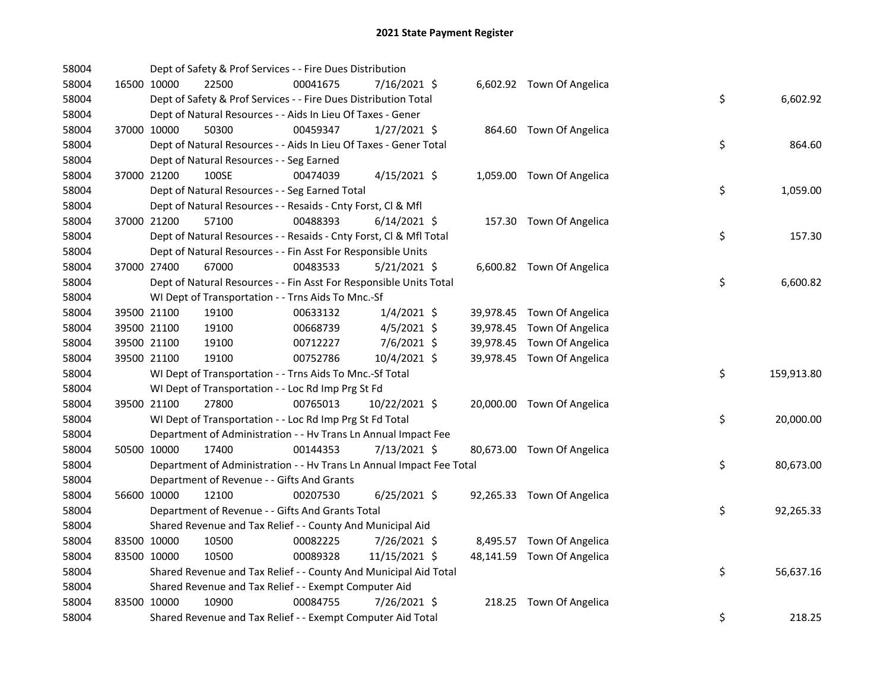| 58004 |             |             | Dept of Safety & Prof Services - - Fire Dues Distribution            |          |                |  |                            |    |            |
|-------|-------------|-------------|----------------------------------------------------------------------|----------|----------------|--|----------------------------|----|------------|
| 58004 |             | 16500 10000 | 22500                                                                | 00041675 | 7/16/2021 \$   |  | 6,602.92 Town Of Angelica  |    |            |
| 58004 |             |             | Dept of Safety & Prof Services - - Fire Dues Distribution Total      |          |                |  |                            | \$ | 6,602.92   |
| 58004 |             |             | Dept of Natural Resources - - Aids In Lieu Of Taxes - Gener          |          |                |  |                            |    |            |
| 58004 |             | 37000 10000 | 50300                                                                | 00459347 | $1/27/2021$ \$ |  | 864.60 Town Of Angelica    |    |            |
| 58004 |             |             | Dept of Natural Resources - - Aids In Lieu Of Taxes - Gener Total    |          |                |  |                            | \$ | 864.60     |
| 58004 |             |             | Dept of Natural Resources - - Seg Earned                             |          |                |  |                            |    |            |
| 58004 |             | 37000 21200 | 100SE                                                                | 00474039 | $4/15/2021$ \$ |  | 1,059.00 Town Of Angelica  |    |            |
| 58004 |             |             | Dept of Natural Resources - - Seg Earned Total                       |          |                |  |                            | \$ | 1,059.00   |
| 58004 |             |             | Dept of Natural Resources - - Resaids - Cnty Forst, Cl & Mfl         |          |                |  |                            |    |            |
| 58004 |             | 37000 21200 | 57100                                                                | 00488393 | $6/14/2021$ \$ |  | 157.30 Town Of Angelica    |    |            |
| 58004 |             |             | Dept of Natural Resources - - Resaids - Cnty Forst, Cl & Mfl Total   |          |                |  |                            | \$ | 157.30     |
| 58004 |             |             | Dept of Natural Resources - - Fin Asst For Responsible Units         |          |                |  |                            |    |            |
| 58004 |             | 37000 27400 | 67000                                                                | 00483533 | $5/21/2021$ \$ |  | 6,600.82 Town Of Angelica  |    |            |
| 58004 |             |             | Dept of Natural Resources - - Fin Asst For Responsible Units Total   |          |                |  |                            | \$ | 6,600.82   |
| 58004 |             |             | WI Dept of Transportation - - Trns Aids To Mnc.-Sf                   |          |                |  |                            |    |            |
| 58004 |             | 39500 21100 | 19100                                                                | 00633132 | $1/4/2021$ \$  |  | 39,978.45 Town Of Angelica |    |            |
| 58004 |             | 39500 21100 | 19100                                                                | 00668739 | $4/5/2021$ \$  |  | 39,978.45 Town Of Angelica |    |            |
| 58004 |             | 39500 21100 | 19100                                                                | 00712227 | 7/6/2021 \$    |  | 39,978.45 Town Of Angelica |    |            |
| 58004 |             | 39500 21100 | 19100                                                                | 00752786 | 10/4/2021 \$   |  | 39,978.45 Town Of Angelica |    |            |
| 58004 |             |             | WI Dept of Transportation - - Trns Aids To Mnc.-Sf Total             |          |                |  |                            | \$ | 159,913.80 |
| 58004 |             |             | WI Dept of Transportation - - Loc Rd Imp Prg St Fd                   |          |                |  |                            |    |            |
| 58004 |             | 39500 21100 | 27800                                                                | 00765013 | 10/22/2021 \$  |  | 20,000.00 Town Of Angelica |    |            |
| 58004 |             |             | WI Dept of Transportation - - Loc Rd Imp Prg St Fd Total             |          |                |  |                            | \$ | 20,000.00  |
| 58004 |             |             | Department of Administration - - Hv Trans Ln Annual Impact Fee       |          |                |  |                            |    |            |
| 58004 |             | 50500 10000 | 17400                                                                | 00144353 | 7/13/2021 \$   |  | 80,673.00 Town Of Angelica |    |            |
| 58004 |             |             | Department of Administration - - Hv Trans Ln Annual Impact Fee Total |          |                |  |                            | \$ | 80,673.00  |
| 58004 |             |             | Department of Revenue - - Gifts And Grants                           |          |                |  |                            |    |            |
| 58004 |             | 56600 10000 | 12100                                                                | 00207530 | $6/25/2021$ \$ |  | 92,265.33 Town Of Angelica |    |            |
| 58004 |             |             | Department of Revenue - - Gifts And Grants Total                     |          |                |  |                            | \$ | 92,265.33  |
| 58004 |             |             | Shared Revenue and Tax Relief - - County And Municipal Aid           |          |                |  |                            |    |            |
| 58004 |             | 83500 10000 | 10500                                                                | 00082225 | 7/26/2021 \$   |  | 8,495.57 Town Of Angelica  |    |            |
| 58004 | 83500 10000 |             | 10500                                                                | 00089328 | 11/15/2021 \$  |  | 48,141.59 Town Of Angelica |    |            |
| 58004 |             |             | Shared Revenue and Tax Relief - - County And Municipal Aid Total     |          |                |  |                            | \$ | 56,637.16  |
| 58004 |             |             | Shared Revenue and Tax Relief - - Exempt Computer Aid                |          |                |  |                            |    |            |
| 58004 | 83500 10000 |             | 10900                                                                | 00084755 | 7/26/2021 \$   |  | 218.25 Town Of Angelica    |    |            |
| 58004 |             |             | Shared Revenue and Tax Relief - - Exempt Computer Aid Total          |          |                |  |                            | \$ | 218.25     |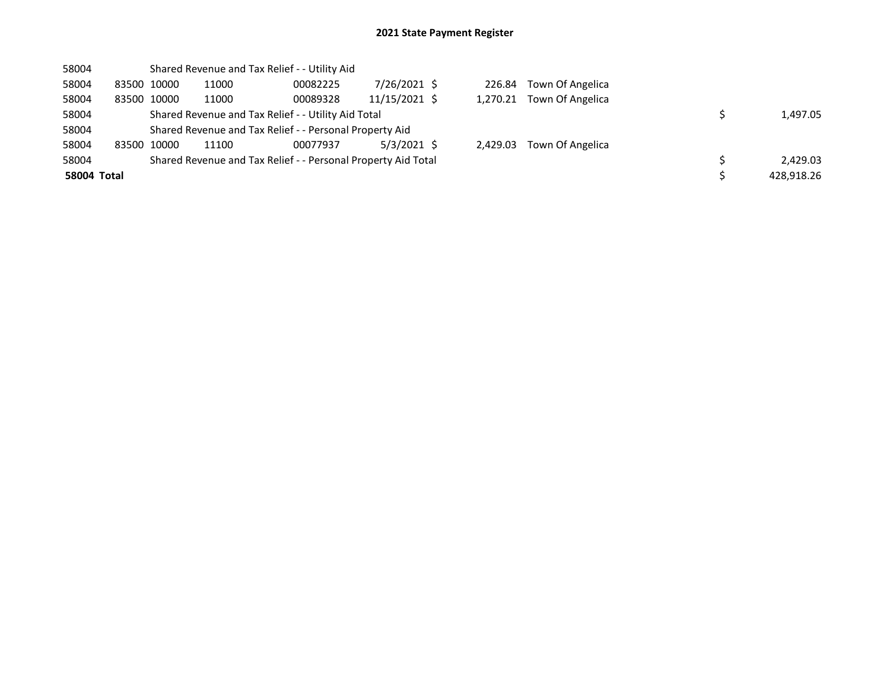| 58004              |       |             |       | Shared Revenue and Tax Relief - - Utility Aid                 |               |          |                         |            |
|--------------------|-------|-------------|-------|---------------------------------------------------------------|---------------|----------|-------------------------|------------|
| 58004              |       | 83500 10000 | 11000 | 00082225                                                      | 7/26/2021 \$  |          | 226.84 Town Of Angelica |            |
| 58004              |       | 83500 10000 | 11000 | 00089328                                                      | 11/15/2021 \$ | 1.270.21 | Town Of Angelica        |            |
| 58004              |       |             |       | Shared Revenue and Tax Relief - - Utility Aid Total           |               | 1.497.05 |                         |            |
| 58004              |       |             |       | Shared Revenue and Tax Relief - - Personal Property Aid       |               |          |                         |            |
| 58004              | 83500 | 10000       | 11100 | 00077937                                                      | $5/3/2021$ \$ | 2.429.03 | Town Of Angelica        |            |
| 58004              |       |             |       | Shared Revenue and Tax Relief - - Personal Property Aid Total |               |          |                         | 2,429.03   |
| <b>58004 Total</b> |       |             |       |                                                               |               |          |                         | 428.918.26 |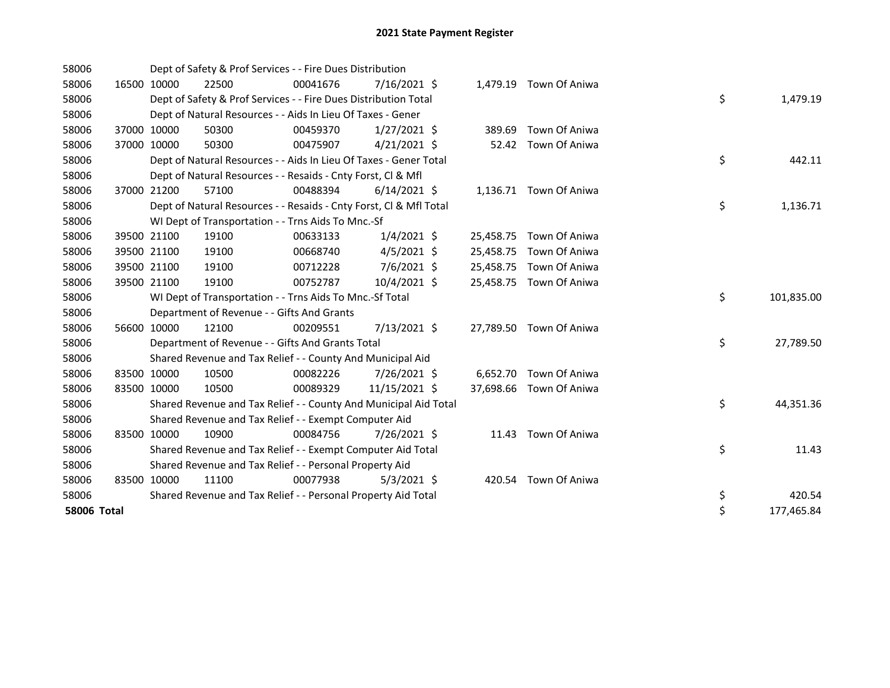| 58006       |             | Dept of Safety & Prof Services - - Fire Dues Distribution          |          |                |        |                         |    |            |
|-------------|-------------|--------------------------------------------------------------------|----------|----------------|--------|-------------------------|----|------------|
| 58006       | 16500 10000 | 22500                                                              | 00041676 | $7/16/2021$ \$ |        | 1,479.19 Town Of Aniwa  |    |            |
| 58006       |             | Dept of Safety & Prof Services - - Fire Dues Distribution Total    |          |                |        |                         | \$ | 1,479.19   |
| 58006       |             | Dept of Natural Resources - - Aids In Lieu Of Taxes - Gener        |          |                |        |                         |    |            |
| 58006       | 37000 10000 | 50300                                                              | 00459370 | $1/27/2021$ \$ | 389.69 | Town Of Aniwa           |    |            |
| 58006       | 37000 10000 | 50300                                                              | 00475907 | $4/21/2021$ \$ | 52.42  | Town Of Aniwa           |    |            |
| 58006       |             | Dept of Natural Resources - - Aids In Lieu Of Taxes - Gener Total  |          |                |        |                         | \$ | 442.11     |
| 58006       |             | Dept of Natural Resources - - Resaids - Cnty Forst, Cl & Mfl       |          |                |        |                         |    |            |
| 58006       | 37000 21200 | 57100                                                              | 00488394 | $6/14/2021$ \$ |        | 1,136.71 Town Of Aniwa  |    |            |
| 58006       |             | Dept of Natural Resources - - Resaids - Cnty Forst, Cl & Mfl Total |          |                |        |                         | \$ | 1,136.71   |
| 58006       |             | WI Dept of Transportation - - Trns Aids To Mnc.-Sf                 |          |                |        |                         |    |            |
| 58006       | 39500 21100 | 19100                                                              | 00633133 | $1/4/2021$ \$  |        | 25,458.75 Town Of Aniwa |    |            |
| 58006       | 39500 21100 | 19100                                                              | 00668740 | $4/5/2021$ \$  |        | 25,458.75 Town Of Aniwa |    |            |
| 58006       | 39500 21100 | 19100                                                              | 00712228 | $7/6/2021$ \$  |        | 25,458.75 Town Of Aniwa |    |            |
| 58006       | 39500 21100 | 19100                                                              | 00752787 | 10/4/2021 \$   |        | 25,458.75 Town Of Aniwa |    |            |
| 58006       |             | WI Dept of Transportation - - Trns Aids To Mnc.-Sf Total           |          |                |        |                         | \$ | 101,835.00 |
| 58006       |             | Department of Revenue - - Gifts And Grants                         |          |                |        |                         |    |            |
| 58006       | 56600 10000 | 12100                                                              | 00209551 | 7/13/2021 \$   |        | 27,789.50 Town Of Aniwa |    |            |
| 58006       |             | Department of Revenue - - Gifts And Grants Total                   |          |                |        |                         | \$ | 27,789.50  |
| 58006       |             | Shared Revenue and Tax Relief - - County And Municipal Aid         |          |                |        |                         |    |            |
| 58006       | 83500 10000 | 10500                                                              | 00082226 | 7/26/2021 \$   |        | 6,652.70 Town Of Aniwa  |    |            |
| 58006       | 83500 10000 | 10500                                                              | 00089329 | 11/15/2021 \$  |        | 37,698.66 Town Of Aniwa |    |            |
| 58006       |             | Shared Revenue and Tax Relief - - County And Municipal Aid Total   |          |                |        |                         | \$ | 44,351.36  |
| 58006       |             | Shared Revenue and Tax Relief - - Exempt Computer Aid              |          |                |        |                         |    |            |
| 58006       | 83500 10000 | 10900                                                              | 00084756 | 7/26/2021 \$   |        | 11.43 Town Of Aniwa     |    |            |
| 58006       |             | Shared Revenue and Tax Relief - - Exempt Computer Aid Total        |          |                |        |                         | \$ | 11.43      |
| 58006       |             | Shared Revenue and Tax Relief - - Personal Property Aid            |          |                |        |                         |    |            |
| 58006       | 83500 10000 | 11100                                                              | 00077938 | $5/3/2021$ \$  |        | 420.54 Town Of Aniwa    |    |            |
| 58006       |             | Shared Revenue and Tax Relief - - Personal Property Aid Total      |          |                |        |                         | \$ | 420.54     |
| 58006 Total |             |                                                                    |          |                |        |                         | \$ | 177,465.84 |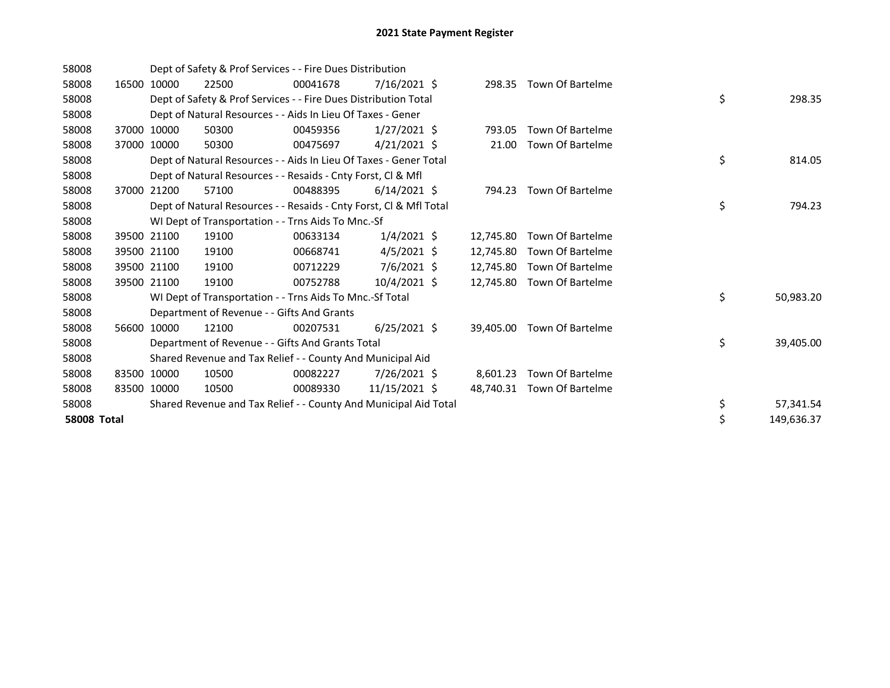| 58008              |       |             | Dept of Safety & Prof Services - - Fire Dues Distribution          |          |                   |           |                         |    |            |
|--------------------|-------|-------------|--------------------------------------------------------------------|----------|-------------------|-----------|-------------------------|----|------------|
| 58008              | 16500 | 10000       | 22500                                                              | 00041678 | $7/16/2021$ \$    |           | 298.35 Town Of Bartelme |    |            |
| 58008              |       |             | Dept of Safety & Prof Services - - Fire Dues Distribution Total    |          |                   |           |                         | \$ | 298.35     |
| 58008              |       |             | Dept of Natural Resources - - Aids In Lieu Of Taxes - Gener        |          |                   |           |                         |    |            |
| 58008              |       | 37000 10000 | 50300                                                              | 00459356 | $1/27/2021$ \$    | 793.05    | Town Of Bartelme        |    |            |
| 58008              |       | 37000 10000 | 50300                                                              | 00475697 | $4/21/2021 \;$ \$ | 21.00     | <b>Town Of Bartelme</b> |    |            |
| 58008              |       |             | Dept of Natural Resources - - Aids In Lieu Of Taxes - Gener Total  |          |                   |           |                         | \$ | 814.05     |
| 58008              |       |             | Dept of Natural Resources - - Resaids - Cnty Forst, Cl & Mfl       |          |                   |           |                         |    |            |
| 58008              | 37000 | 21200       | 57100                                                              | 00488395 | $6/14/2021$ \$    | 794.23    | <b>Town Of Bartelme</b> |    |            |
| 58008              |       |             | Dept of Natural Resources - - Resaids - Cnty Forst, Cl & Mfl Total |          |                   |           |                         | \$ | 794.23     |
| 58008              |       |             | WI Dept of Transportation - - Trns Aids To Mnc.-Sf                 |          |                   |           |                         |    |            |
| 58008              |       | 39500 21100 | 19100                                                              | 00633134 | $1/4/2021$ \$     | 12.745.80 | <b>Town Of Bartelme</b> |    |            |
| 58008              |       | 39500 21100 | 19100                                                              | 00668741 | $4/5/2021$ \$     | 12,745.80 | Town Of Bartelme        |    |            |
| 58008              |       | 39500 21100 | 19100                                                              | 00712229 | $7/6/2021$ \$     | 12.745.80 | <b>Town Of Bartelme</b> |    |            |
| 58008              |       | 39500 21100 | 19100                                                              | 00752788 | 10/4/2021 \$      | 12,745.80 | Town Of Bartelme        |    |            |
| 58008              |       |             | WI Dept of Transportation - - Trns Aids To Mnc.-Sf Total           |          |                   |           |                         | \$ | 50,983.20  |
| 58008              |       |             | Department of Revenue - - Gifts And Grants                         |          |                   |           |                         |    |            |
| 58008              | 56600 | 10000       | 12100                                                              | 00207531 | $6/25/2021$ \$    | 39,405.00 | Town Of Bartelme        |    |            |
| 58008              |       |             | Department of Revenue - - Gifts And Grants Total                   |          |                   |           |                         | \$ | 39,405.00  |
| 58008              |       |             | Shared Revenue and Tax Relief - - County And Municipal Aid         |          |                   |           |                         |    |            |
| 58008              |       | 83500 10000 | 10500                                                              | 00082227 | $7/26/2021$ \$    | 8,601.23  | <b>Town Of Bartelme</b> |    |            |
| 58008              |       | 83500 10000 | 10500                                                              | 00089330 | 11/15/2021 \$     | 48,740.31 | <b>Town Of Bartelme</b> |    |            |
| 58008              |       |             | Shared Revenue and Tax Relief - - County And Municipal Aid Total   |          |                   |           |                         | \$ | 57,341.54  |
| <b>58008 Total</b> |       |             |                                                                    |          |                   |           |                         | \$ | 149,636.37 |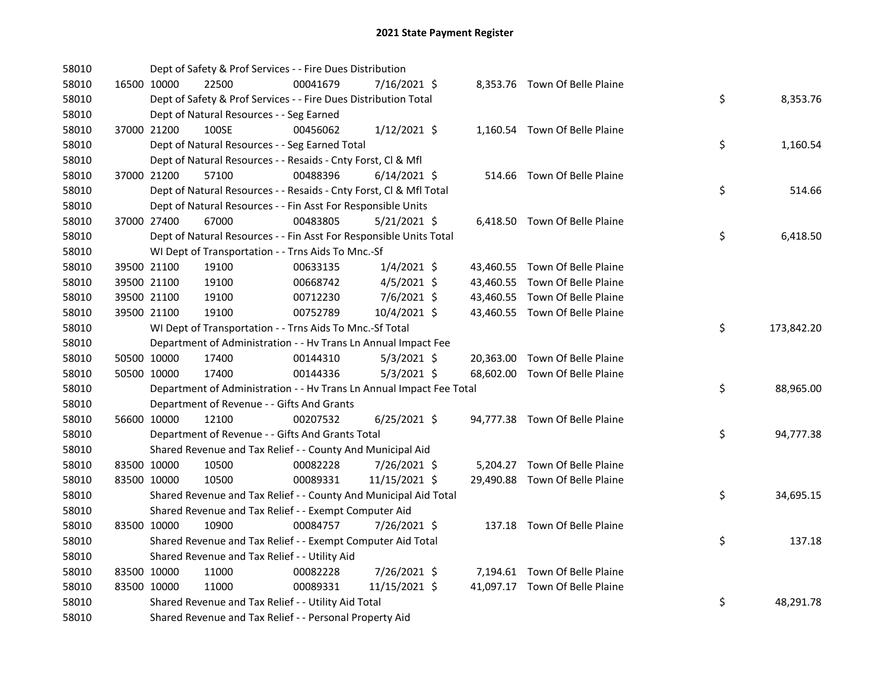| 58010 |             | Dept of Safety & Prof Services - - Fire Dues Distribution            |          |                |  |                                |    |            |
|-------|-------------|----------------------------------------------------------------------|----------|----------------|--|--------------------------------|----|------------|
| 58010 | 16500 10000 | 22500                                                                | 00041679 | 7/16/2021 \$   |  | 8,353.76 Town Of Belle Plaine  |    |            |
| 58010 |             | Dept of Safety & Prof Services - - Fire Dues Distribution Total      |          |                |  |                                | \$ | 8,353.76   |
| 58010 |             | Dept of Natural Resources - - Seg Earned                             |          |                |  |                                |    |            |
| 58010 | 37000 21200 | 100SE                                                                | 00456062 | $1/12/2021$ \$ |  | 1,160.54 Town Of Belle Plaine  |    |            |
| 58010 |             | Dept of Natural Resources - - Seg Earned Total                       |          |                |  |                                | \$ | 1,160.54   |
| 58010 |             | Dept of Natural Resources - - Resaids - Cnty Forst, Cl & Mfl         |          |                |  |                                |    |            |
| 58010 | 37000 21200 | 57100                                                                | 00488396 | $6/14/2021$ \$ |  | 514.66 Town Of Belle Plaine    |    |            |
| 58010 |             | Dept of Natural Resources - - Resaids - Cnty Forst, Cl & Mfl Total   |          |                |  |                                | \$ | 514.66     |
| 58010 |             | Dept of Natural Resources - - Fin Asst For Responsible Units         |          |                |  |                                |    |            |
| 58010 | 37000 27400 | 67000                                                                | 00483805 | $5/21/2021$ \$ |  | 6,418.50 Town Of Belle Plaine  |    |            |
| 58010 |             | Dept of Natural Resources - - Fin Asst For Responsible Units Total   |          |                |  |                                | \$ | 6,418.50   |
| 58010 |             | WI Dept of Transportation - - Trns Aids To Mnc.-Sf                   |          |                |  |                                |    |            |
| 58010 | 39500 21100 | 19100                                                                | 00633135 | $1/4/2021$ \$  |  | 43,460.55 Town Of Belle Plaine |    |            |
| 58010 | 39500 21100 | 19100                                                                | 00668742 | $4/5/2021$ \$  |  | 43,460.55 Town Of Belle Plaine |    |            |
| 58010 | 39500 21100 | 19100                                                                | 00712230 | 7/6/2021 \$    |  | 43,460.55 Town Of Belle Plaine |    |            |
| 58010 | 39500 21100 | 19100                                                                | 00752789 | 10/4/2021 \$   |  | 43,460.55 Town Of Belle Plaine |    |            |
| 58010 |             | WI Dept of Transportation - - Trns Aids To Mnc.-Sf Total             |          |                |  |                                | \$ | 173,842.20 |
| 58010 |             | Department of Administration - - Hv Trans Ln Annual Impact Fee       |          |                |  |                                |    |            |
| 58010 | 50500 10000 | 17400                                                                | 00144310 | $5/3/2021$ \$  |  | 20,363.00 Town Of Belle Plaine |    |            |
| 58010 | 50500 10000 | 17400                                                                | 00144336 | $5/3/2021$ \$  |  | 68,602.00 Town Of Belle Plaine |    |            |
| 58010 |             | Department of Administration - - Hv Trans Ln Annual Impact Fee Total |          |                |  |                                | \$ | 88,965.00  |
| 58010 |             | Department of Revenue - - Gifts And Grants                           |          |                |  |                                |    |            |
| 58010 | 56600 10000 | 12100                                                                | 00207532 | $6/25/2021$ \$ |  | 94,777.38 Town Of Belle Plaine |    |            |
| 58010 |             | Department of Revenue - - Gifts And Grants Total                     |          |                |  |                                | \$ | 94,777.38  |
| 58010 |             | Shared Revenue and Tax Relief - - County And Municipal Aid           |          |                |  |                                |    |            |
| 58010 | 83500 10000 | 10500                                                                | 00082228 | 7/26/2021 \$   |  | 5,204.27 Town Of Belle Plaine  |    |            |
| 58010 | 83500 10000 | 10500                                                                | 00089331 | 11/15/2021 \$  |  | 29,490.88 Town Of Belle Plaine |    |            |
| 58010 |             | Shared Revenue and Tax Relief - - County And Municipal Aid Total     |          |                |  |                                | \$ | 34,695.15  |
| 58010 |             | Shared Revenue and Tax Relief - - Exempt Computer Aid                |          |                |  |                                |    |            |
| 58010 | 83500 10000 | 10900                                                                | 00084757 | 7/26/2021 \$   |  | 137.18 Town Of Belle Plaine    |    |            |
| 58010 |             | Shared Revenue and Tax Relief - - Exempt Computer Aid Total          |          |                |  |                                | \$ | 137.18     |
| 58010 |             | Shared Revenue and Tax Relief - - Utility Aid                        |          |                |  |                                |    |            |
| 58010 | 83500 10000 | 11000                                                                | 00082228 | 7/26/2021 \$   |  | 7,194.61 Town Of Belle Plaine  |    |            |
| 58010 | 83500 10000 | 11000                                                                | 00089331 | 11/15/2021 \$  |  | 41,097.17 Town Of Belle Plaine |    |            |
| 58010 |             | Shared Revenue and Tax Relief - - Utility Aid Total                  |          |                |  |                                | \$ | 48,291.78  |
| 58010 |             | Shared Revenue and Tax Relief - - Personal Property Aid              |          |                |  |                                |    |            |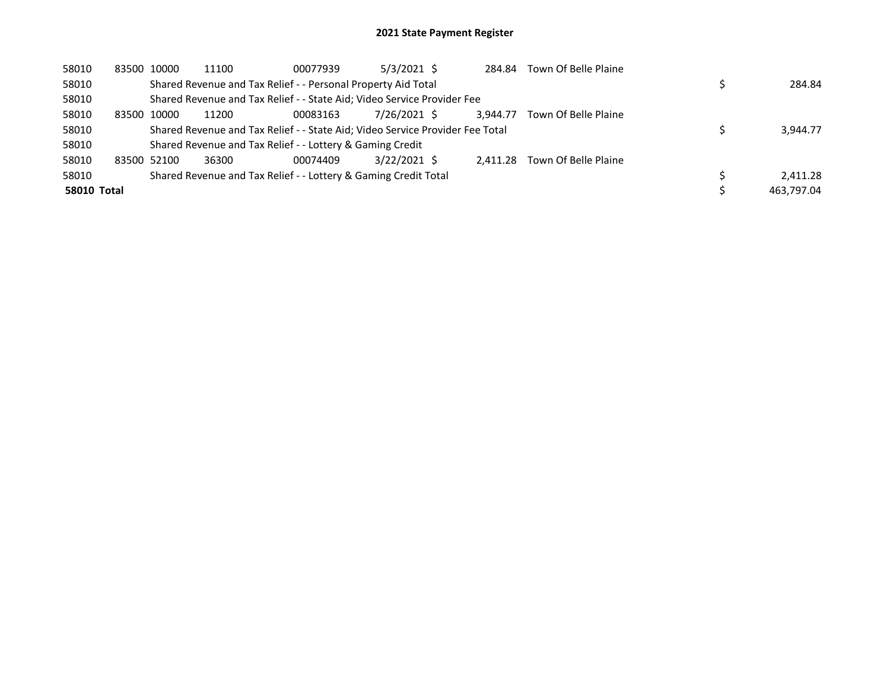| 58010              |             | 83500 10000 | 11100 | 00077939                                                                      | 5/3/2021 \$  | 284.84   | Town Of Belle Plaine |            |
|--------------------|-------------|-------------|-------|-------------------------------------------------------------------------------|--------------|----------|----------------------|------------|
| 58010              |             |             |       | Shared Revenue and Tax Relief - - Personal Property Aid Total                 |              |          |                      | 284.84     |
| 58010              |             |             |       | Shared Revenue and Tax Relief - - State Aid; Video Service Provider Fee       |              |          |                      |            |
| 58010              | 83500       | 10000       | 11200 | 00083163                                                                      | 7/26/2021 \$ | 3.944.77 | Town Of Belle Plaine |            |
| 58010              |             |             |       | Shared Revenue and Tax Relief - - State Aid; Video Service Provider Fee Total |              |          |                      | 3,944.77   |
| 58010              |             |             |       | Shared Revenue and Tax Relief - - Lottery & Gaming Credit                     |              |          |                      |            |
| 58010              | 83500 52100 |             | 36300 | 00074409                                                                      | 3/22/2021 \$ | 2.411.28 | Town Of Belle Plaine |            |
| 58010              |             |             |       | Shared Revenue and Tax Relief - - Lottery & Gaming Credit Total               |              |          |                      | 2.411.28   |
| <b>58010 Total</b> |             |             |       |                                                                               |              |          |                      | 463.797.04 |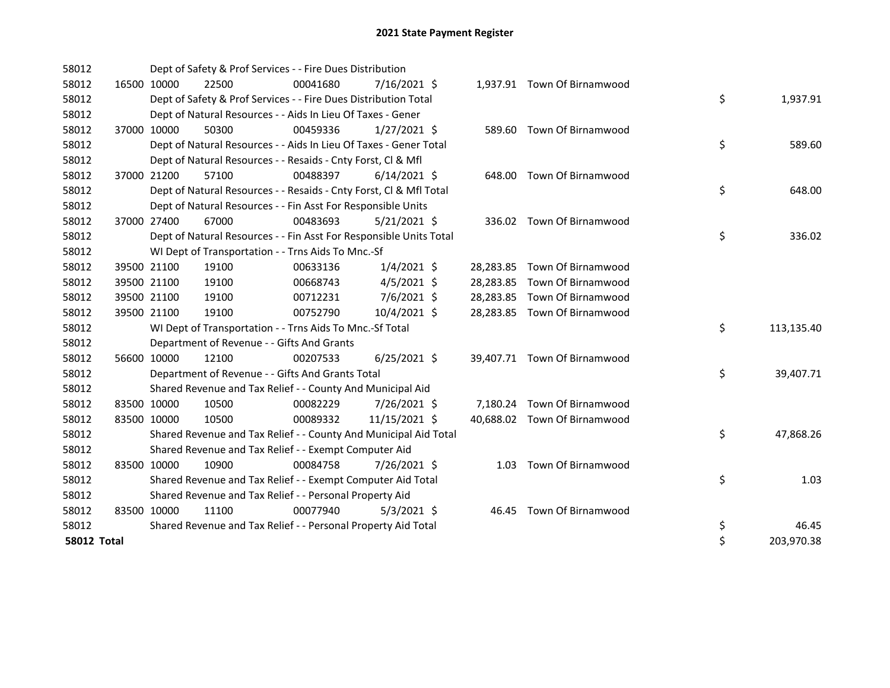| 58012              |             |                                            | Dept of Safety & Prof Services - - Fire Dues Distribution          |                |  |                              |    |            |
|--------------------|-------------|--------------------------------------------|--------------------------------------------------------------------|----------------|--|------------------------------|----|------------|
| 58012              | 16500 10000 | 22500                                      | 00041680                                                           | $7/16/2021$ \$ |  | 1,937.91 Town Of Birnamwood  |    |            |
| 58012              |             |                                            | Dept of Safety & Prof Services - - Fire Dues Distribution Total    |                |  |                              | \$ | 1,937.91   |
| 58012              |             |                                            | Dept of Natural Resources - - Aids In Lieu Of Taxes - Gener        |                |  |                              |    |            |
| 58012              | 37000 10000 | 50300                                      | 00459336                                                           | $1/27/2021$ \$ |  | 589.60 Town Of Birnamwood    |    |            |
| 58012              |             |                                            | Dept of Natural Resources - - Aids In Lieu Of Taxes - Gener Total  |                |  |                              | \$ | 589.60     |
| 58012              |             |                                            | Dept of Natural Resources - - Resaids - Cnty Forst, CI & Mfl       |                |  |                              |    |            |
| 58012              | 37000 21200 | 57100                                      | 00488397                                                           | $6/14/2021$ \$ |  | 648.00 Town Of Birnamwood    |    |            |
| 58012              |             |                                            | Dept of Natural Resources - - Resaids - Cnty Forst, CI & Mfl Total |                |  |                              | \$ | 648.00     |
| 58012              |             |                                            | Dept of Natural Resources - - Fin Asst For Responsible Units       |                |  |                              |    |            |
| 58012              | 37000 27400 | 67000                                      | 00483693                                                           | $5/21/2021$ \$ |  | 336.02 Town Of Birnamwood    |    |            |
| 58012              |             |                                            | Dept of Natural Resources - - Fin Asst For Responsible Units Total |                |  |                              | \$ | 336.02     |
| 58012              |             |                                            | WI Dept of Transportation - - Trns Aids To Mnc.-Sf                 |                |  |                              |    |            |
| 58012              | 39500 21100 | 19100                                      | 00633136                                                           | $1/4/2021$ \$  |  | 28,283.85 Town Of Birnamwood |    |            |
| 58012              | 39500 21100 | 19100                                      | 00668743                                                           | $4/5/2021$ \$  |  | 28,283.85 Town Of Birnamwood |    |            |
| 58012              | 39500 21100 | 19100                                      | 00712231                                                           | 7/6/2021 \$    |  | 28,283.85 Town Of Birnamwood |    |            |
| 58012              | 39500 21100 | 19100                                      | 00752790                                                           | 10/4/2021 \$   |  | 28,283.85 Town Of Birnamwood |    |            |
| 58012              |             |                                            | WI Dept of Transportation - - Trns Aids To Mnc.-Sf Total           |                |  |                              | \$ | 113,135.40 |
| 58012              |             | Department of Revenue - - Gifts And Grants |                                                                    |                |  |                              |    |            |
| 58012              | 56600 10000 | 12100                                      | 00207533                                                           | $6/25/2021$ \$ |  | 39,407.71 Town Of Birnamwood |    |            |
| 58012              |             |                                            | Department of Revenue - - Gifts And Grants Total                   |                |  |                              | \$ | 39,407.71  |
| 58012              |             |                                            | Shared Revenue and Tax Relief - - County And Municipal Aid         |                |  |                              |    |            |
| 58012              | 83500 10000 | 10500                                      | 00082229                                                           | 7/26/2021 \$   |  | 7,180.24 Town Of Birnamwood  |    |            |
| 58012              | 83500 10000 | 10500                                      | 00089332                                                           | 11/15/2021 \$  |  | 40,688.02 Town Of Birnamwood |    |            |
| 58012              |             |                                            | Shared Revenue and Tax Relief - - County And Municipal Aid Total   |                |  |                              | \$ | 47,868.26  |
| 58012              |             |                                            | Shared Revenue and Tax Relief - - Exempt Computer Aid              |                |  |                              |    |            |
| 58012              | 83500 10000 | 10900                                      | 00084758                                                           | 7/26/2021 \$   |  | 1.03 Town Of Birnamwood      |    |            |
| 58012              |             |                                            | Shared Revenue and Tax Relief - - Exempt Computer Aid Total        |                |  |                              | \$ | 1.03       |
| 58012              |             |                                            | Shared Revenue and Tax Relief - - Personal Property Aid            |                |  |                              |    |            |
| 58012              | 83500 10000 | 11100                                      | 00077940                                                           | $5/3/2021$ \$  |  | 46.45 Town Of Birnamwood     |    |            |
| 58012              |             |                                            | Shared Revenue and Tax Relief - - Personal Property Aid Total      |                |  |                              | \$ | 46.45      |
| <b>58012 Total</b> |             |                                            |                                                                    |                |  |                              | \$ | 203,970.38 |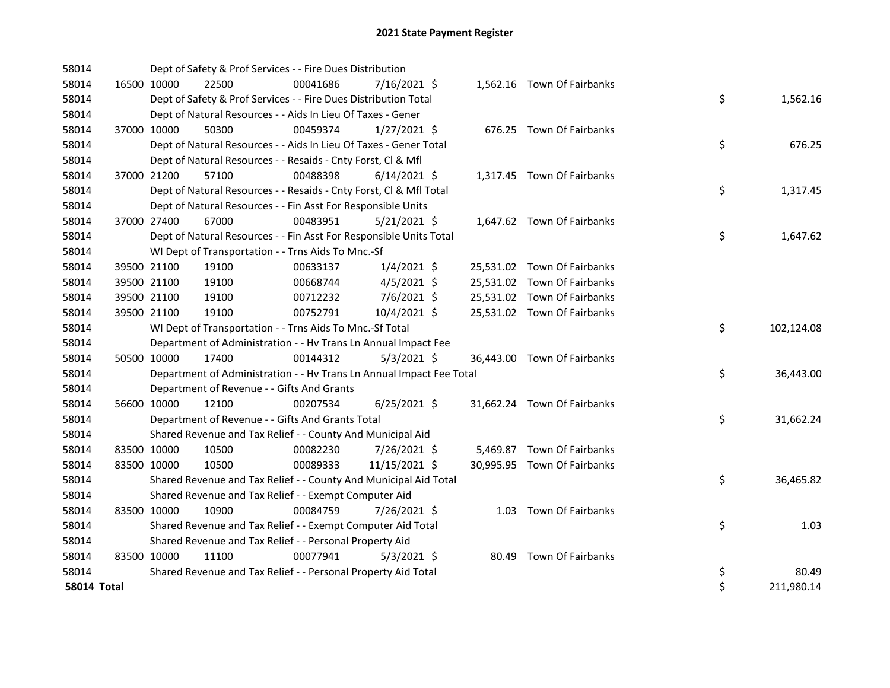| 58014              |             |             | Dept of Safety & Prof Services - - Fire Dues Distribution            |          |                |       |                             |    |            |
|--------------------|-------------|-------------|----------------------------------------------------------------------|----------|----------------|-------|-----------------------------|----|------------|
| 58014              |             | 16500 10000 | 22500                                                                | 00041686 | 7/16/2021 \$   |       | 1,562.16 Town Of Fairbanks  |    |            |
| 58014              |             |             | Dept of Safety & Prof Services - - Fire Dues Distribution Total      |          |                |       |                             | \$ | 1,562.16   |
| 58014              |             |             | Dept of Natural Resources - - Aids In Lieu Of Taxes - Gener          |          |                |       |                             |    |            |
| 58014              |             | 37000 10000 | 50300                                                                | 00459374 | $1/27/2021$ \$ |       | 676.25 Town Of Fairbanks    |    |            |
| 58014              |             |             | Dept of Natural Resources - - Aids In Lieu Of Taxes - Gener Total    |          |                |       |                             | \$ | 676.25     |
| 58014              |             |             | Dept of Natural Resources - - Resaids - Cnty Forst, Cl & Mfl         |          |                |       |                             |    |            |
| 58014              |             | 37000 21200 | 57100                                                                | 00488398 | $6/14/2021$ \$ |       | 1,317.45 Town Of Fairbanks  |    |            |
| 58014              |             |             | Dept of Natural Resources - - Resaids - Cnty Forst, CI & Mfl Total   |          |                |       |                             | \$ | 1,317.45   |
| 58014              |             |             | Dept of Natural Resources - - Fin Asst For Responsible Units         |          |                |       |                             |    |            |
| 58014              |             | 37000 27400 | 67000                                                                | 00483951 | $5/21/2021$ \$ |       | 1,647.62 Town Of Fairbanks  |    |            |
| 58014              |             |             | Dept of Natural Resources - - Fin Asst For Responsible Units Total   |          |                |       |                             | \$ | 1,647.62   |
| 58014              |             |             | WI Dept of Transportation - - Trns Aids To Mnc.-Sf                   |          |                |       |                             |    |            |
| 58014              |             | 39500 21100 | 19100                                                                | 00633137 | $1/4/2021$ \$  |       | 25,531.02 Town Of Fairbanks |    |            |
| 58014              |             | 39500 21100 | 19100                                                                | 00668744 | $4/5/2021$ \$  |       | 25,531.02 Town Of Fairbanks |    |            |
| 58014              |             | 39500 21100 | 19100                                                                | 00712232 | 7/6/2021 \$    |       | 25,531.02 Town Of Fairbanks |    |            |
| 58014              |             | 39500 21100 | 19100                                                                | 00752791 | 10/4/2021 \$   |       | 25,531.02 Town Of Fairbanks |    |            |
| 58014              |             |             | WI Dept of Transportation - - Trns Aids To Mnc.-Sf Total             |          |                |       |                             | \$ | 102,124.08 |
| 58014              |             |             | Department of Administration - - Hv Trans Ln Annual Impact Fee       |          |                |       |                             |    |            |
| 58014              |             | 50500 10000 | 17400                                                                | 00144312 | $5/3/2021$ \$  |       | 36,443.00 Town Of Fairbanks |    |            |
| 58014              |             |             | Department of Administration - - Hv Trans Ln Annual Impact Fee Total |          |                |       |                             | \$ | 36,443.00  |
| 58014              |             |             | Department of Revenue - - Gifts And Grants                           |          |                |       |                             |    |            |
| 58014              |             | 56600 10000 | 12100                                                                | 00207534 | $6/25/2021$ \$ |       | 31,662.24 Town Of Fairbanks |    |            |
| 58014              |             |             | Department of Revenue - - Gifts And Grants Total                     |          |                |       |                             | \$ | 31,662.24  |
| 58014              |             |             | Shared Revenue and Tax Relief - - County And Municipal Aid           |          |                |       |                             |    |            |
| 58014              |             | 83500 10000 | 10500                                                                | 00082230 | 7/26/2021 \$   |       | 5,469.87 Town Of Fairbanks  |    |            |
| 58014              |             | 83500 10000 | 10500                                                                | 00089333 | 11/15/2021 \$  |       | 30,995.95 Town Of Fairbanks |    |            |
| 58014              |             |             | Shared Revenue and Tax Relief - - County And Municipal Aid Total     |          |                |       |                             | \$ | 36,465.82  |
| 58014              |             |             | Shared Revenue and Tax Relief - - Exempt Computer Aid                |          |                |       |                             |    |            |
| 58014              | 83500 10000 |             | 10900                                                                | 00084759 | 7/26/2021 \$   |       | 1.03 Town Of Fairbanks      |    |            |
| 58014              |             |             | Shared Revenue and Tax Relief - - Exempt Computer Aid Total          |          |                |       |                             | \$ | 1.03       |
| 58014              |             |             | Shared Revenue and Tax Relief - - Personal Property Aid              |          |                |       |                             |    |            |
| 58014              | 83500 10000 |             | 11100                                                                | 00077941 | $5/3/2021$ \$  | 80.49 | Town Of Fairbanks           |    |            |
| 58014              |             |             | Shared Revenue and Tax Relief - - Personal Property Aid Total        |          |                |       |                             | \$ | 80.49      |
| <b>58014 Total</b> |             |             |                                                                      |          |                |       |                             | \$ | 211,980.14 |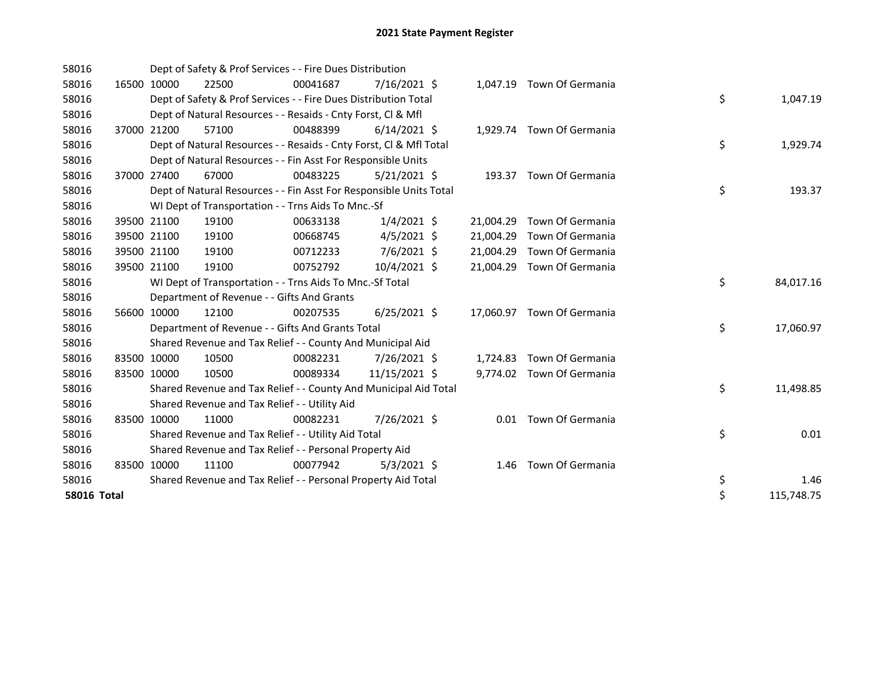| 58016       | Dept of Safety & Prof Services - - Fire Dues Distribution |                                                                    |          |                |  |           |                            |  |    |            |
|-------------|-----------------------------------------------------------|--------------------------------------------------------------------|----------|----------------|--|-----------|----------------------------|--|----|------------|
| 58016       | 16500 10000                                               | 22500                                                              | 00041687 | 7/16/2021 \$   |  |           | 1,047.19 Town Of Germania  |  |    |            |
| 58016       |                                                           | Dept of Safety & Prof Services - - Fire Dues Distribution Total    |          |                |  |           |                            |  | \$ | 1,047.19   |
| 58016       |                                                           | Dept of Natural Resources - - Resaids - Cnty Forst, CI & Mfl       |          |                |  |           |                            |  |    |            |
| 58016       | 37000 21200                                               | 57100                                                              | 00488399 | $6/14/2021$ \$ |  |           | 1,929.74 Town Of Germania  |  |    |            |
| 58016       |                                                           | Dept of Natural Resources - - Resaids - Cnty Forst, CI & Mfl Total |          |                |  |           |                            |  | \$ | 1,929.74   |
| 58016       |                                                           | Dept of Natural Resources - - Fin Asst For Responsible Units       |          |                |  |           |                            |  |    |            |
| 58016       | 37000 27400                                               | 67000                                                              | 00483225 | $5/21/2021$ \$ |  |           | 193.37 Town Of Germania    |  |    |            |
| 58016       |                                                           | Dept of Natural Resources - - Fin Asst For Responsible Units Total |          |                |  |           |                            |  | \$ | 193.37     |
| 58016       |                                                           | WI Dept of Transportation - - Trns Aids To Mnc.-Sf                 |          |                |  |           |                            |  |    |            |
| 58016       | 39500 21100                                               | 19100                                                              | 00633138 | $1/4/2021$ \$  |  | 21,004.29 | Town Of Germania           |  |    |            |
| 58016       | 39500 21100                                               | 19100                                                              | 00668745 | $4/5/2021$ \$  |  | 21,004.29 | Town Of Germania           |  |    |            |
| 58016       | 39500 21100                                               | 19100                                                              | 00712233 | 7/6/2021 \$    |  | 21,004.29 | Town Of Germania           |  |    |            |
| 58016       | 39500 21100                                               | 19100                                                              | 00752792 | 10/4/2021 \$   |  |           | 21,004.29 Town Of Germania |  |    |            |
| 58016       |                                                           | WI Dept of Transportation - - Trns Aids To Mnc.-Sf Total           |          |                |  |           |                            |  | \$ | 84,017.16  |
| 58016       |                                                           | Department of Revenue - - Gifts And Grants                         |          |                |  |           |                            |  |    |            |
| 58016       | 56600 10000                                               | 12100                                                              | 00207535 | $6/25/2021$ \$ |  |           | 17,060.97 Town Of Germania |  |    |            |
| 58016       |                                                           | Department of Revenue - - Gifts And Grants Total                   |          |                |  |           |                            |  | \$ | 17,060.97  |
| 58016       |                                                           | Shared Revenue and Tax Relief - - County And Municipal Aid         |          |                |  |           |                            |  |    |            |
| 58016       | 83500 10000                                               | 10500                                                              | 00082231 | 7/26/2021 \$   |  | 1,724.83  | Town Of Germania           |  |    |            |
| 58016       | 83500 10000                                               | 10500                                                              | 00089334 | 11/15/2021 \$  |  |           | 9,774.02 Town Of Germania  |  |    |            |
| 58016       |                                                           | Shared Revenue and Tax Relief - - County And Municipal Aid Total   |          |                |  |           |                            |  | \$ | 11,498.85  |
| 58016       |                                                           | Shared Revenue and Tax Relief - - Utility Aid                      |          |                |  |           |                            |  |    |            |
| 58016       | 83500 10000                                               | 11000                                                              | 00082231 | 7/26/2021 \$   |  |           | 0.01 Town Of Germania      |  |    |            |
| 58016       |                                                           | Shared Revenue and Tax Relief - - Utility Aid Total                |          |                |  |           |                            |  | \$ | 0.01       |
| 58016       |                                                           | Shared Revenue and Tax Relief - - Personal Property Aid            |          |                |  |           |                            |  |    |            |
| 58016       | 83500 10000                                               | 11100                                                              | 00077942 | $5/3/2021$ \$  |  | 1.46      | Town Of Germania           |  |    |            |
| 58016       |                                                           | Shared Revenue and Tax Relief - - Personal Property Aid Total      |          |                |  |           |                            |  | \$ | 1.46       |
| 58016 Total |                                                           |                                                                    |          |                |  |           |                            |  | \$ | 115,748.75 |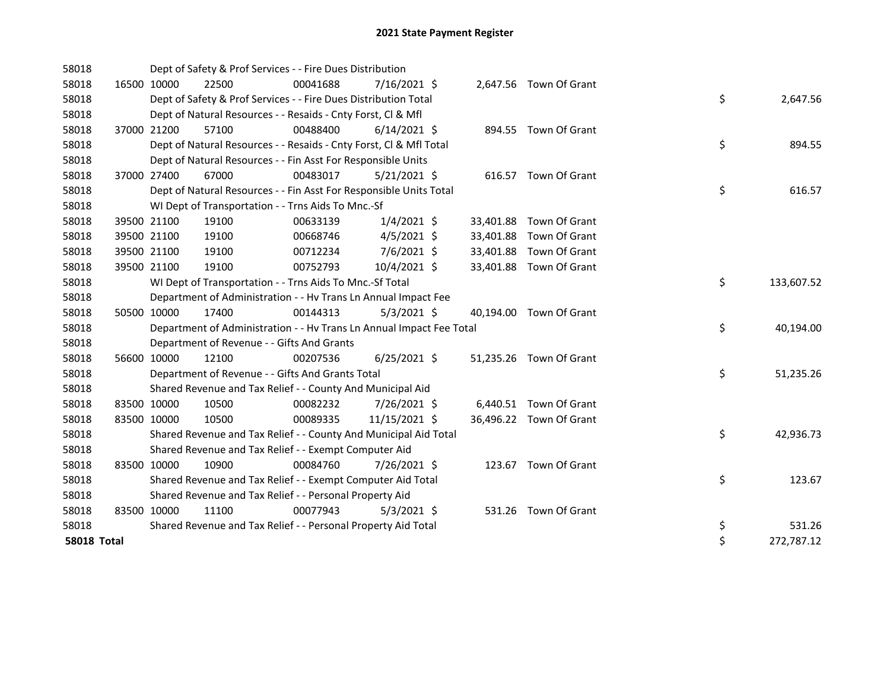| 58018              |             |             | Dept of Safety & Prof Services - - Fire Dues Distribution            |          |                |  |                         |    |            |
|--------------------|-------------|-------------|----------------------------------------------------------------------|----------|----------------|--|-------------------------|----|------------|
| 58018              |             | 16500 10000 | 22500                                                                | 00041688 | 7/16/2021 \$   |  | 2,647.56 Town Of Grant  |    |            |
| 58018              |             |             | Dept of Safety & Prof Services - - Fire Dues Distribution Total      |          |                |  |                         | \$ | 2,647.56   |
| 58018              |             |             | Dept of Natural Resources - - Resaids - Cnty Forst, CI & Mfl         |          |                |  |                         |    |            |
| 58018              |             | 37000 21200 | 57100                                                                | 00488400 | $6/14/2021$ \$ |  | 894.55 Town Of Grant    |    |            |
| 58018              |             |             | Dept of Natural Resources - - Resaids - Cnty Forst, Cl & Mfl Total   |          |                |  |                         | \$ | 894.55     |
| 58018              |             |             | Dept of Natural Resources - - Fin Asst For Responsible Units         |          |                |  |                         |    |            |
| 58018              |             | 37000 27400 | 67000                                                                | 00483017 | $5/21/2021$ \$ |  | 616.57 Town Of Grant    |    |            |
| 58018              |             |             | Dept of Natural Resources - - Fin Asst For Responsible Units Total   |          |                |  |                         | \$ | 616.57     |
| 58018              |             |             | WI Dept of Transportation - - Trns Aids To Mnc.-Sf                   |          |                |  |                         |    |            |
| 58018              |             | 39500 21100 | 19100                                                                | 00633139 | $1/4/2021$ \$  |  | 33,401.88 Town Of Grant |    |            |
| 58018              |             | 39500 21100 | 19100                                                                | 00668746 | $4/5/2021$ \$  |  | 33,401.88 Town Of Grant |    |            |
| 58018              |             | 39500 21100 | 19100                                                                | 00712234 | $7/6/2021$ \$  |  | 33,401.88 Town Of Grant |    |            |
| 58018              |             | 39500 21100 | 19100                                                                | 00752793 | 10/4/2021 \$   |  | 33,401.88 Town Of Grant |    |            |
| 58018              |             |             | WI Dept of Transportation - - Trns Aids To Mnc.-Sf Total             |          |                |  |                         | \$ | 133,607.52 |
| 58018              |             |             | Department of Administration - - Hv Trans Ln Annual Impact Fee       |          |                |  |                         |    |            |
| 58018              |             | 50500 10000 | 17400                                                                | 00144313 | $5/3/2021$ \$  |  | 40,194.00 Town Of Grant |    |            |
| 58018              |             |             | Department of Administration - - Hv Trans Ln Annual Impact Fee Total |          |                |  |                         | \$ | 40,194.00  |
| 58018              |             |             | Department of Revenue - - Gifts And Grants                           |          |                |  |                         |    |            |
| 58018              |             | 56600 10000 | 12100                                                                | 00207536 | $6/25/2021$ \$ |  | 51,235.26 Town Of Grant |    |            |
| 58018              |             |             | Department of Revenue - - Gifts And Grants Total                     |          |                |  |                         | \$ | 51,235.26  |
| 58018              |             |             | Shared Revenue and Tax Relief - - County And Municipal Aid           |          |                |  |                         |    |            |
| 58018              | 83500 10000 |             | 10500                                                                | 00082232 | 7/26/2021 \$   |  | 6,440.51 Town Of Grant  |    |            |
| 58018              | 83500 10000 |             | 10500                                                                | 00089335 | 11/15/2021 \$  |  | 36,496.22 Town Of Grant |    |            |
| 58018              |             |             | Shared Revenue and Tax Relief - - County And Municipal Aid Total     |          |                |  |                         | \$ | 42,936.73  |
| 58018              |             |             | Shared Revenue and Tax Relief - - Exempt Computer Aid                |          |                |  |                         |    |            |
| 58018              |             | 83500 10000 | 10900                                                                | 00084760 | 7/26/2021 \$   |  | 123.67 Town Of Grant    |    |            |
| 58018              |             |             | Shared Revenue and Tax Relief - - Exempt Computer Aid Total          |          |                |  |                         | \$ | 123.67     |
| 58018              |             |             | Shared Revenue and Tax Relief - - Personal Property Aid              |          |                |  |                         |    |            |
| 58018              | 83500 10000 |             | 11100                                                                | 00077943 | $5/3/2021$ \$  |  | 531.26 Town Of Grant    |    |            |
| 58018              |             |             | Shared Revenue and Tax Relief - - Personal Property Aid Total        |          |                |  |                         | \$ | 531.26     |
| <b>58018 Total</b> |             |             |                                                                      |          |                |  |                         | \$ | 272,787.12 |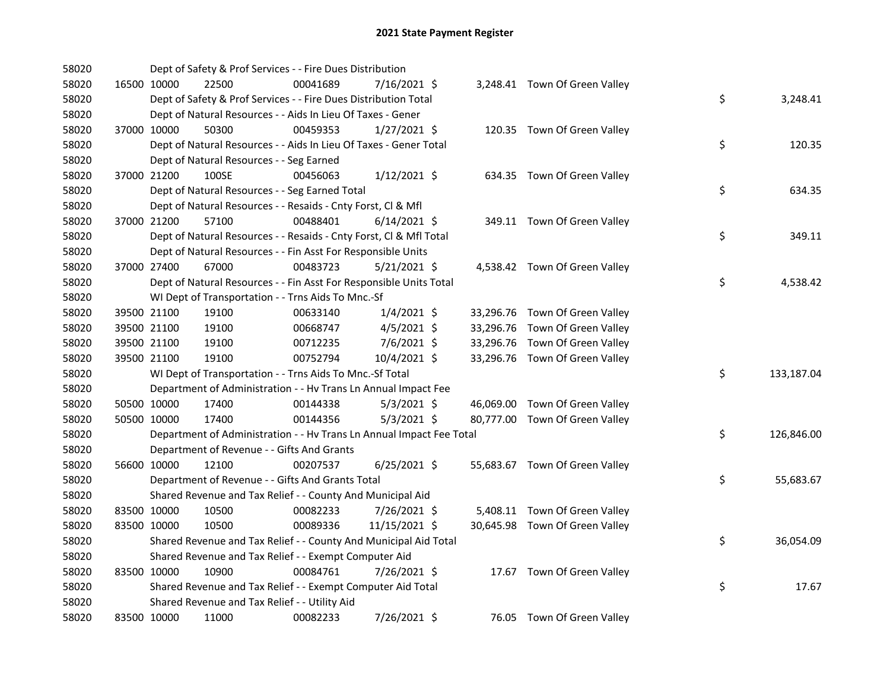| 58020 |             |             | Dept of Safety & Prof Services - - Fire Dues Distribution            |          |                |  |                                |    |            |
|-------|-------------|-------------|----------------------------------------------------------------------|----------|----------------|--|--------------------------------|----|------------|
| 58020 |             | 16500 10000 | 22500                                                                | 00041689 | 7/16/2021 \$   |  | 3,248.41 Town Of Green Valley  |    |            |
| 58020 |             |             | Dept of Safety & Prof Services - - Fire Dues Distribution Total      |          |                |  |                                | \$ | 3,248.41   |
| 58020 |             |             | Dept of Natural Resources - - Aids In Lieu Of Taxes - Gener          |          |                |  |                                |    |            |
| 58020 |             | 37000 10000 | 50300                                                                | 00459353 | $1/27/2021$ \$ |  | 120.35 Town Of Green Valley    |    |            |
| 58020 |             |             | Dept of Natural Resources - - Aids In Lieu Of Taxes - Gener Total    |          |                |  |                                | \$ | 120.35     |
| 58020 |             |             | Dept of Natural Resources - - Seg Earned                             |          |                |  |                                |    |            |
| 58020 |             | 37000 21200 | 100SE                                                                | 00456063 | $1/12/2021$ \$ |  | 634.35 Town Of Green Valley    |    |            |
| 58020 |             |             | Dept of Natural Resources - - Seg Earned Total                       |          |                |  |                                | \$ | 634.35     |
| 58020 |             |             | Dept of Natural Resources - - Resaids - Cnty Forst, Cl & Mfl         |          |                |  |                                |    |            |
| 58020 |             | 37000 21200 | 57100                                                                | 00488401 | $6/14/2021$ \$ |  | 349.11 Town Of Green Valley    |    |            |
| 58020 |             |             | Dept of Natural Resources - - Resaids - Cnty Forst, Cl & Mfl Total   |          |                |  |                                | \$ | 349.11     |
| 58020 |             |             | Dept of Natural Resources - - Fin Asst For Responsible Units         |          |                |  |                                |    |            |
| 58020 |             | 37000 27400 | 67000                                                                | 00483723 | $5/21/2021$ \$ |  | 4,538.42 Town Of Green Valley  |    |            |
| 58020 |             |             | Dept of Natural Resources - - Fin Asst For Responsible Units Total   |          |                |  |                                | \$ | 4,538.42   |
| 58020 |             |             | WI Dept of Transportation - - Trns Aids To Mnc.-Sf                   |          |                |  |                                |    |            |
| 58020 |             | 39500 21100 | 19100                                                                | 00633140 | $1/4/2021$ \$  |  | 33,296.76 Town Of Green Valley |    |            |
| 58020 |             | 39500 21100 | 19100                                                                | 00668747 | $4/5/2021$ \$  |  | 33,296.76 Town Of Green Valley |    |            |
| 58020 |             | 39500 21100 | 19100                                                                | 00712235 | 7/6/2021 \$    |  | 33,296.76 Town Of Green Valley |    |            |
| 58020 |             | 39500 21100 | 19100                                                                | 00752794 | 10/4/2021 \$   |  | 33,296.76 Town Of Green Valley |    |            |
| 58020 |             |             | WI Dept of Transportation - - Trns Aids To Mnc.-Sf Total             |          |                |  |                                | \$ | 133,187.04 |
| 58020 |             |             | Department of Administration - - Hv Trans Ln Annual Impact Fee       |          |                |  |                                |    |            |
| 58020 |             | 50500 10000 | 17400                                                                | 00144338 | $5/3/2021$ \$  |  | 46,069.00 Town Of Green Valley |    |            |
| 58020 |             | 50500 10000 | 17400                                                                | 00144356 | $5/3/2021$ \$  |  | 80,777.00 Town Of Green Valley |    |            |
| 58020 |             |             | Department of Administration - - Hv Trans Ln Annual Impact Fee Total |          |                |  |                                | \$ | 126,846.00 |
| 58020 |             |             | Department of Revenue - - Gifts And Grants                           |          |                |  |                                |    |            |
| 58020 |             | 56600 10000 | 12100                                                                | 00207537 | $6/25/2021$ \$ |  | 55,683.67 Town Of Green Valley |    |            |
| 58020 |             |             | Department of Revenue - - Gifts And Grants Total                     |          |                |  |                                | \$ | 55,683.67  |
| 58020 |             |             | Shared Revenue and Tax Relief - - County And Municipal Aid           |          |                |  |                                |    |            |
| 58020 |             | 83500 10000 | 10500                                                                | 00082233 | 7/26/2021 \$   |  | 5,408.11 Town Of Green Valley  |    |            |
| 58020 | 83500 10000 |             | 10500                                                                | 00089336 | 11/15/2021 \$  |  | 30,645.98 Town Of Green Valley |    |            |
| 58020 |             |             | Shared Revenue and Tax Relief - - County And Municipal Aid Total     |          |                |  |                                | \$ | 36,054.09  |
| 58020 |             |             | Shared Revenue and Tax Relief - - Exempt Computer Aid                |          |                |  |                                |    |            |
| 58020 |             | 83500 10000 | 10900                                                                | 00084761 | 7/26/2021 \$   |  | 17.67 Town Of Green Valley     |    |            |
| 58020 |             |             | Shared Revenue and Tax Relief - - Exempt Computer Aid Total          |          |                |  |                                | \$ | 17.67      |
| 58020 |             |             | Shared Revenue and Tax Relief - - Utility Aid                        |          |                |  |                                |    |            |
| 58020 |             | 83500 10000 | 11000                                                                | 00082233 | 7/26/2021 \$   |  | 76.05 Town Of Green Valley     |    |            |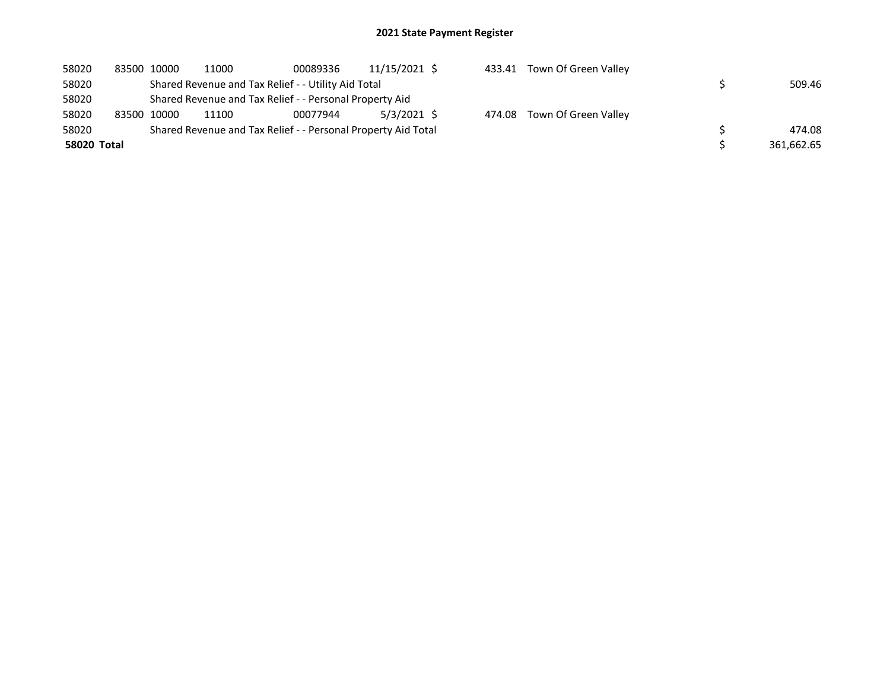| 58020       | 83500 10000 | 11000 | 00089336                                                      | 11/15/2021 \$ | 433.41 | Town Of Green Valley |            |
|-------------|-------------|-------|---------------------------------------------------------------|---------------|--------|----------------------|------------|
| 58020       |             |       | Shared Revenue and Tax Relief - - Utility Aid Total           |               |        |                      | 509.46     |
| 58020       |             |       | Shared Revenue and Tax Relief - - Personal Property Aid       |               |        |                      |            |
| 58020       | 83500 10000 | 11100 | 00077944                                                      | 5/3/2021 \$   | 474.08 | Town Of Green Valley |            |
| 58020       |             |       | Shared Revenue and Tax Relief - - Personal Property Aid Total |               |        |                      | 474.08     |
| 58020 Total |             |       |                                                               |               |        |                      | 361,662.65 |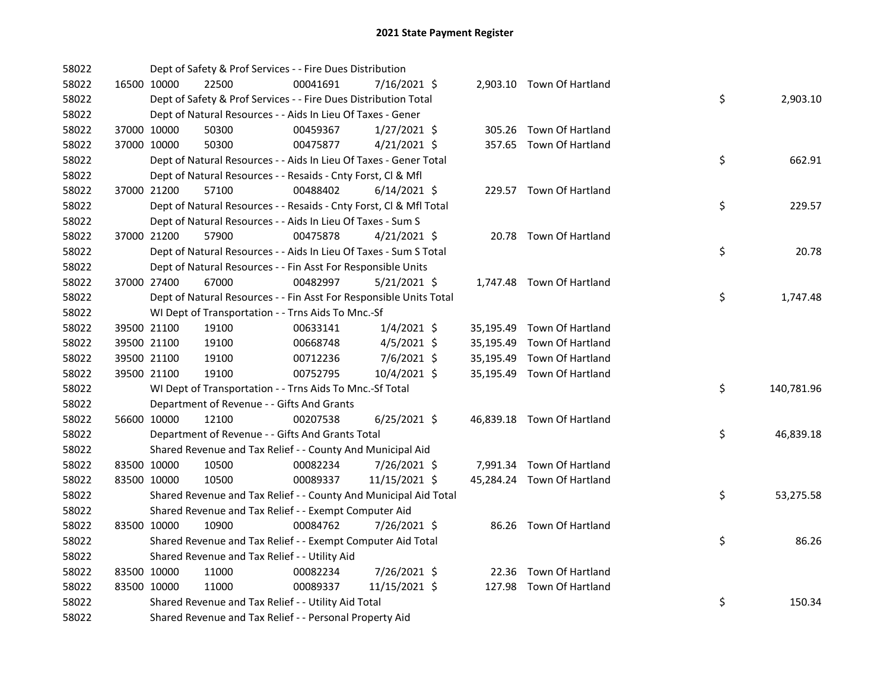| 58022 |             | Dept of Safety & Prof Services - - Fire Dues Distribution          |          |                |  |                            |    |            |
|-------|-------------|--------------------------------------------------------------------|----------|----------------|--|----------------------------|----|------------|
| 58022 | 16500 10000 | 22500                                                              | 00041691 | 7/16/2021 \$   |  | 2,903.10 Town Of Hartland  |    |            |
| 58022 |             | Dept of Safety & Prof Services - - Fire Dues Distribution Total    |          |                |  |                            | \$ | 2,903.10   |
| 58022 |             | Dept of Natural Resources - - Aids In Lieu Of Taxes - Gener        |          |                |  |                            |    |            |
| 58022 | 37000 10000 | 50300                                                              | 00459367 | $1/27/2021$ \$ |  | 305.26 Town Of Hartland    |    |            |
| 58022 | 37000 10000 | 50300                                                              | 00475877 | $4/21/2021$ \$ |  | 357.65 Town Of Hartland    |    |            |
| 58022 |             | Dept of Natural Resources - - Aids In Lieu Of Taxes - Gener Total  |          |                |  |                            | \$ | 662.91     |
| 58022 |             | Dept of Natural Resources - - Resaids - Cnty Forst, Cl & Mfl       |          |                |  |                            |    |            |
| 58022 | 37000 21200 | 57100                                                              | 00488402 | $6/14/2021$ \$ |  | 229.57 Town Of Hartland    |    |            |
| 58022 |             | Dept of Natural Resources - - Resaids - Cnty Forst, Cl & Mfl Total |          |                |  |                            | \$ | 229.57     |
| 58022 |             | Dept of Natural Resources - - Aids In Lieu Of Taxes - Sum S        |          |                |  |                            |    |            |
| 58022 | 37000 21200 | 57900                                                              | 00475878 | $4/21/2021$ \$ |  | 20.78 Town Of Hartland     |    |            |
| 58022 |             | Dept of Natural Resources - - Aids In Lieu Of Taxes - Sum S Total  |          |                |  |                            | \$ | 20.78      |
| 58022 |             | Dept of Natural Resources - - Fin Asst For Responsible Units       |          |                |  |                            |    |            |
| 58022 | 37000 27400 | 67000                                                              | 00482997 | $5/21/2021$ \$ |  | 1,747.48 Town Of Hartland  |    |            |
| 58022 |             | Dept of Natural Resources - - Fin Asst For Responsible Units Total |          |                |  |                            | \$ | 1,747.48   |
| 58022 |             | WI Dept of Transportation - - Trns Aids To Mnc.-Sf                 |          |                |  |                            |    |            |
| 58022 | 39500 21100 | 19100                                                              | 00633141 | $1/4/2021$ \$  |  | 35,195.49 Town Of Hartland |    |            |
| 58022 | 39500 21100 | 19100                                                              | 00668748 | $4/5/2021$ \$  |  | 35,195.49 Town Of Hartland |    |            |
| 58022 | 39500 21100 | 19100                                                              | 00712236 | $7/6/2021$ \$  |  | 35,195.49 Town Of Hartland |    |            |
| 58022 | 39500 21100 | 19100                                                              | 00752795 | 10/4/2021 \$   |  | 35,195.49 Town Of Hartland |    |            |
| 58022 |             | WI Dept of Transportation - - Trns Aids To Mnc.-Sf Total           |          |                |  |                            | \$ | 140,781.96 |
| 58022 |             | Department of Revenue - - Gifts And Grants                         |          |                |  |                            |    |            |
| 58022 | 56600 10000 | 12100                                                              | 00207538 | $6/25/2021$ \$ |  | 46,839.18 Town Of Hartland |    |            |
| 58022 |             | Department of Revenue - - Gifts And Grants Total                   |          |                |  |                            | \$ | 46,839.18  |
| 58022 |             | Shared Revenue and Tax Relief - - County And Municipal Aid         |          |                |  |                            |    |            |
| 58022 | 83500 10000 | 10500                                                              | 00082234 | 7/26/2021 \$   |  | 7,991.34 Town Of Hartland  |    |            |
| 58022 | 83500 10000 | 10500                                                              | 00089337 | 11/15/2021 \$  |  | 45,284.24 Town Of Hartland |    |            |
| 58022 |             | Shared Revenue and Tax Relief - - County And Municipal Aid Total   |          |                |  |                            | \$ | 53,275.58  |
| 58022 |             | Shared Revenue and Tax Relief - - Exempt Computer Aid              |          |                |  |                            |    |            |
| 58022 | 83500 10000 | 10900                                                              | 00084762 | 7/26/2021 \$   |  | 86.26 Town Of Hartland     |    |            |
| 58022 |             | Shared Revenue and Tax Relief - - Exempt Computer Aid Total        |          |                |  |                            | \$ | 86.26      |
| 58022 |             | Shared Revenue and Tax Relief - - Utility Aid                      |          |                |  |                            |    |            |
| 58022 | 83500 10000 | 11000                                                              | 00082234 | 7/26/2021 \$   |  | 22.36 Town Of Hartland     |    |            |
| 58022 | 83500 10000 | 11000                                                              | 00089337 | 11/15/2021 \$  |  | 127.98 Town Of Hartland    |    |            |
| 58022 |             | Shared Revenue and Tax Relief - - Utility Aid Total                |          |                |  |                            | \$ | 150.34     |
| 58022 |             | Shared Revenue and Tax Relief - - Personal Property Aid            |          |                |  |                            |    |            |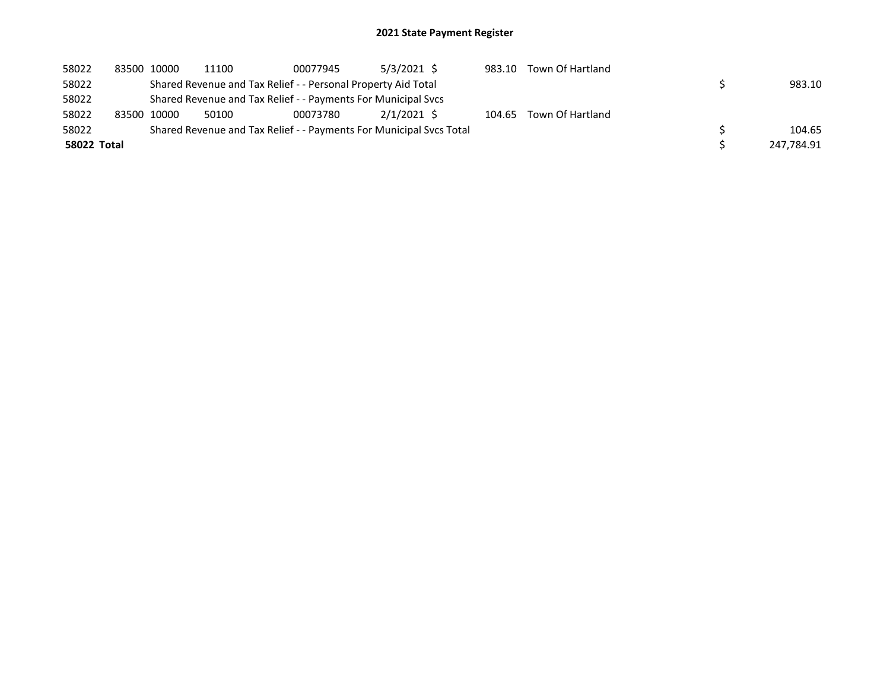| 58022              | 83500 10000 | 11100 | 00077945                                                      | 5/3/2021 \$                                                         | 983.10 | Town Of Hartland        |            |
|--------------------|-------------|-------|---------------------------------------------------------------|---------------------------------------------------------------------|--------|-------------------------|------------|
| 58022              |             |       | Shared Revenue and Tax Relief - - Personal Property Aid Total |                                                                     |        |                         | 983.10     |
| 58022              |             |       | Shared Revenue and Tax Relief - - Payments For Municipal Svcs |                                                                     |        |                         |            |
| 58022              | 83500 10000 | 50100 | 00073780                                                      | 2/1/2021 \$                                                         |        | 104.65 Town Of Hartland |            |
| 58022              |             |       |                                                               | Shared Revenue and Tax Relief - - Payments For Municipal Svcs Total |        |                         | 104.65     |
| <b>58022 Total</b> |             |       |                                                               |                                                                     |        |                         | 247,784.91 |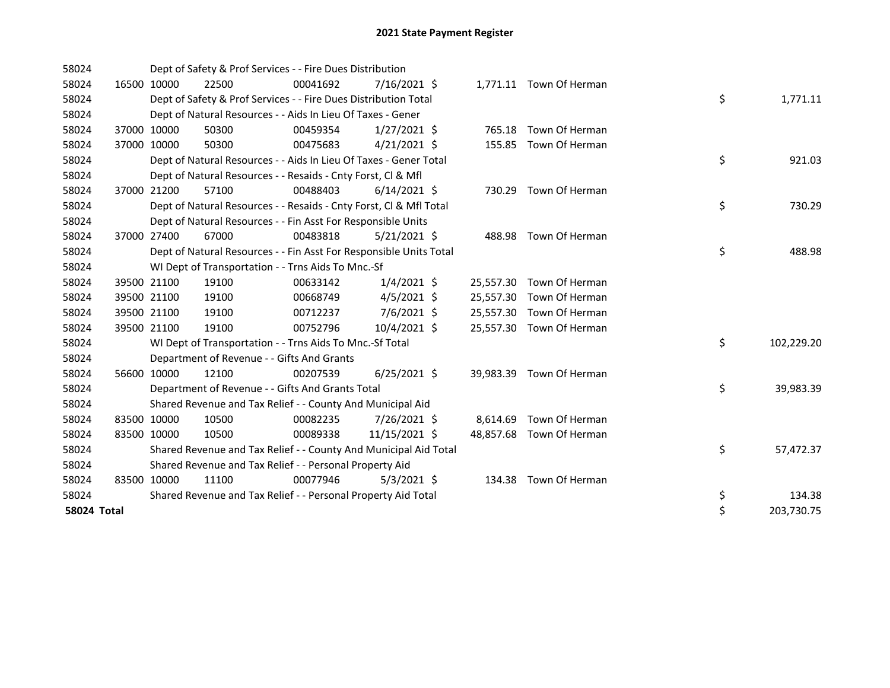| 58024       |             |             | Dept of Safety & Prof Services - - Fire Dues Distribution          |          |                |           |                          |    |            |
|-------------|-------------|-------------|--------------------------------------------------------------------|----------|----------------|-----------|--------------------------|----|------------|
| 58024       |             | 16500 10000 | 22500                                                              | 00041692 | $7/16/2021$ \$ |           | 1,771.11 Town Of Herman  |    |            |
| 58024       |             |             | Dept of Safety & Prof Services - - Fire Dues Distribution Total    |          |                |           |                          | \$ | 1,771.11   |
| 58024       |             |             | Dept of Natural Resources - - Aids In Lieu Of Taxes - Gener        |          |                |           |                          |    |            |
| 58024       |             | 37000 10000 | 50300                                                              | 00459354 | $1/27/2021$ \$ | 765.18    | Town Of Herman           |    |            |
| 58024       |             | 37000 10000 | 50300                                                              | 00475683 | $4/21/2021$ \$ |           | 155.85 Town Of Herman    |    |            |
| 58024       |             |             | Dept of Natural Resources - - Aids In Lieu Of Taxes - Gener Total  |          |                |           |                          | \$ | 921.03     |
| 58024       |             |             | Dept of Natural Resources - - Resaids - Cnty Forst, Cl & Mfl       |          |                |           |                          |    |            |
| 58024       |             | 37000 21200 | 57100                                                              | 00488403 | $6/14/2021$ \$ |           | 730.29 Town Of Herman    |    |            |
| 58024       |             |             | Dept of Natural Resources - - Resaids - Cnty Forst, Cl & Mfl Total |          |                |           |                          | \$ | 730.29     |
| 58024       |             |             | Dept of Natural Resources - - Fin Asst For Responsible Units       |          |                |           |                          |    |            |
| 58024       |             | 37000 27400 | 67000                                                              | 00483818 | $5/21/2021$ \$ |           | 488.98 Town Of Herman    |    |            |
| 58024       |             |             | Dept of Natural Resources - - Fin Asst For Responsible Units Total |          |                |           |                          | \$ | 488.98     |
| 58024       |             |             | WI Dept of Transportation - - Trns Aids To Mnc.-Sf                 |          |                |           |                          |    |            |
| 58024       |             | 39500 21100 | 19100                                                              | 00633142 | $1/4/2021$ \$  | 25,557.30 | Town Of Herman           |    |            |
| 58024       |             | 39500 21100 | 19100                                                              | 00668749 | $4/5/2021$ \$  | 25,557.30 | Town Of Herman           |    |            |
| 58024       |             | 39500 21100 | 19100                                                              | 00712237 | $7/6/2021$ \$  | 25,557.30 | Town Of Herman           |    |            |
| 58024       |             | 39500 21100 | 19100                                                              | 00752796 | 10/4/2021 \$   | 25,557.30 | Town Of Herman           |    |            |
| 58024       |             |             | WI Dept of Transportation - - Trns Aids To Mnc.-Sf Total           |          |                |           |                          | \$ | 102,229.20 |
| 58024       |             |             | Department of Revenue - - Gifts And Grants                         |          |                |           |                          |    |            |
| 58024       |             | 56600 10000 | 12100                                                              | 00207539 | $6/25/2021$ \$ | 39,983.39 | Town Of Herman           |    |            |
| 58024       |             |             | Department of Revenue - - Gifts And Grants Total                   |          |                |           |                          | \$ | 39,983.39  |
| 58024       |             |             | Shared Revenue and Tax Relief - - County And Municipal Aid         |          |                |           |                          |    |            |
| 58024       |             | 83500 10000 | 10500                                                              | 00082235 | 7/26/2021 \$   | 8,614.69  | Town Of Herman           |    |            |
| 58024       | 83500 10000 |             | 10500                                                              | 00089338 | 11/15/2021 \$  |           | 48,857.68 Town Of Herman |    |            |
| 58024       |             |             | Shared Revenue and Tax Relief - - County And Municipal Aid Total   |          |                |           |                          | \$ | 57,472.37  |
| 58024       |             |             | Shared Revenue and Tax Relief - - Personal Property Aid            |          |                |           |                          |    |            |
| 58024       |             | 83500 10000 | 11100                                                              | 00077946 | $5/3/2021$ \$  |           | 134.38 Town Of Herman    |    |            |
| 58024       |             |             | Shared Revenue and Tax Relief - - Personal Property Aid Total      |          |                |           |                          | \$ | 134.38     |
| 58024 Total |             |             |                                                                    |          |                |           |                          | \$ | 203,730.75 |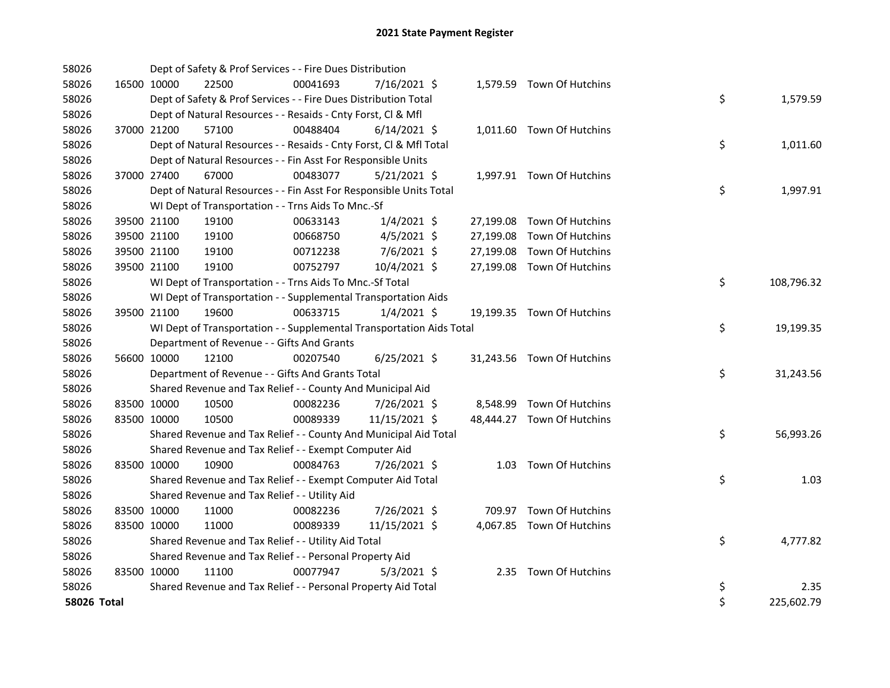| 58026       |                      |                                               | Dept of Safety & Prof Services - - Fire Dues Distribution            |                |  |                            |    |            |
|-------------|----------------------|-----------------------------------------------|----------------------------------------------------------------------|----------------|--|----------------------------|----|------------|
| 58026       | 16500 10000<br>22500 |                                               | 00041693                                                             | 7/16/2021 \$   |  | 1,579.59 Town Of Hutchins  |    |            |
| 58026       |                      |                                               | Dept of Safety & Prof Services - - Fire Dues Distribution Total      |                |  |                            | \$ | 1,579.59   |
| 58026       |                      |                                               | Dept of Natural Resources - - Resaids - Cnty Forst, CI & Mfl         |                |  |                            |    |            |
| 58026       | 37000 21200<br>57100 |                                               | 00488404                                                             | $6/14/2021$ \$ |  | 1,011.60 Town Of Hutchins  |    |            |
| 58026       |                      |                                               | Dept of Natural Resources - - Resaids - Cnty Forst, Cl & Mfl Total   |                |  |                            | \$ | 1,011.60   |
| 58026       |                      |                                               | Dept of Natural Resources - - Fin Asst For Responsible Units         |                |  |                            |    |            |
| 58026       | 37000 27400<br>67000 |                                               | 00483077                                                             | $5/21/2021$ \$ |  | 1,997.91 Town Of Hutchins  |    |            |
| 58026       |                      |                                               | Dept of Natural Resources - - Fin Asst For Responsible Units Total   |                |  |                            | \$ | 1,997.91   |
| 58026       |                      |                                               | WI Dept of Transportation - - Trns Aids To Mnc.-Sf                   |                |  |                            |    |            |
| 58026       | 39500 21100<br>19100 |                                               | 00633143                                                             | $1/4/2021$ \$  |  | 27,199.08 Town Of Hutchins |    |            |
| 58026       | 39500 21100<br>19100 |                                               | 00668750                                                             | $4/5/2021$ \$  |  | 27,199.08 Town Of Hutchins |    |            |
| 58026       | 39500 21100<br>19100 |                                               | 00712238                                                             | 7/6/2021 \$    |  | 27,199.08 Town Of Hutchins |    |            |
| 58026       | 39500 21100<br>19100 |                                               | 00752797                                                             | 10/4/2021 \$   |  | 27,199.08 Town Of Hutchins |    |            |
| 58026       |                      |                                               | WI Dept of Transportation - - Trns Aids To Mnc.-Sf Total             |                |  |                            | \$ | 108,796.32 |
| 58026       |                      |                                               | WI Dept of Transportation - - Supplemental Transportation Aids       |                |  |                            |    |            |
| 58026       | 19600<br>39500 21100 |                                               | 00633715                                                             | $1/4/2021$ \$  |  | 19,199.35 Town Of Hutchins |    |            |
| 58026       |                      |                                               | WI Dept of Transportation - - Supplemental Transportation Aids Total |                |  |                            | \$ | 19,199.35  |
| 58026       |                      | Department of Revenue - - Gifts And Grants    |                                                                      |                |  |                            |    |            |
| 58026       | 56600 10000<br>12100 |                                               | 00207540                                                             | $6/25/2021$ \$ |  | 31,243.56 Town Of Hutchins |    |            |
| 58026       |                      |                                               | Department of Revenue - - Gifts And Grants Total                     |                |  |                            | \$ | 31,243.56  |
| 58026       |                      |                                               | Shared Revenue and Tax Relief - - County And Municipal Aid           |                |  |                            |    |            |
| 58026       | 83500 10000<br>10500 |                                               | 00082236                                                             | 7/26/2021 \$   |  | 8,548.99 Town Of Hutchins  |    |            |
| 58026       | 83500 10000<br>10500 |                                               | 00089339                                                             | 11/15/2021 \$  |  | 48,444.27 Town Of Hutchins |    |            |
| 58026       |                      |                                               | Shared Revenue and Tax Relief - - County And Municipal Aid Total     |                |  |                            | \$ | 56,993.26  |
| 58026       |                      |                                               | Shared Revenue and Tax Relief - - Exempt Computer Aid                |                |  |                            |    |            |
| 58026       | 83500 10000<br>10900 |                                               | 00084763                                                             | 7/26/2021 \$   |  | 1.03 Town Of Hutchins      |    |            |
| 58026       |                      |                                               | Shared Revenue and Tax Relief - - Exempt Computer Aid Total          |                |  |                            | \$ | 1.03       |
| 58026       |                      | Shared Revenue and Tax Relief - - Utility Aid |                                                                      |                |  |                            |    |            |
| 58026       | 11000<br>83500 10000 |                                               | 00082236                                                             | 7/26/2021 \$   |  | 709.97 Town Of Hutchins    |    |            |
| 58026       | 11000<br>83500 10000 |                                               | 00089339                                                             | 11/15/2021 \$  |  | 4,067.85 Town Of Hutchins  |    |            |
| 58026       |                      |                                               | Shared Revenue and Tax Relief - - Utility Aid Total                  |                |  |                            | \$ | 4,777.82   |
| 58026       |                      |                                               | Shared Revenue and Tax Relief - - Personal Property Aid              |                |  |                            |    |            |
| 58026       | 83500 10000<br>11100 |                                               | 00077947                                                             | $5/3/2021$ \$  |  | 2.35 Town Of Hutchins      |    |            |
| 58026       |                      |                                               | Shared Revenue and Tax Relief - - Personal Property Aid Total        |                |  |                            | \$ | 2.35       |
| 58026 Total |                      |                                               |                                                                      |                |  |                            | \$ | 225,602.79 |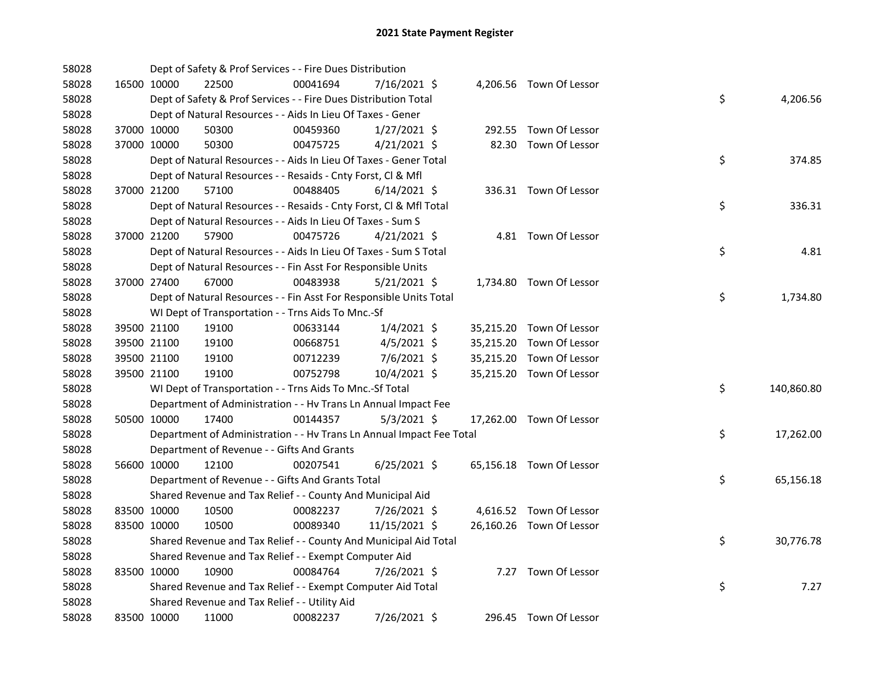| 58028 |             | Dept of Safety & Prof Services - - Fire Dues Distribution            |          |                |  |                          |    |            |
|-------|-------------|----------------------------------------------------------------------|----------|----------------|--|--------------------------|----|------------|
| 58028 | 16500 10000 | 22500                                                                | 00041694 | 7/16/2021 \$   |  | 4,206.56 Town Of Lessor  |    |            |
| 58028 |             | Dept of Safety & Prof Services - - Fire Dues Distribution Total      |          |                |  |                          | \$ | 4,206.56   |
| 58028 |             | Dept of Natural Resources - - Aids In Lieu Of Taxes - Gener          |          |                |  |                          |    |            |
| 58028 | 37000 10000 | 50300                                                                | 00459360 | $1/27/2021$ \$ |  | 292.55 Town Of Lessor    |    |            |
| 58028 | 37000 10000 | 50300                                                                | 00475725 | $4/21/2021$ \$ |  | 82.30 Town Of Lessor     |    |            |
| 58028 |             | Dept of Natural Resources - - Aids In Lieu Of Taxes - Gener Total    |          |                |  |                          | \$ | 374.85     |
| 58028 |             | Dept of Natural Resources - - Resaids - Cnty Forst, Cl & Mfl         |          |                |  |                          |    |            |
| 58028 | 37000 21200 | 57100                                                                | 00488405 | $6/14/2021$ \$ |  | 336.31 Town Of Lessor    |    |            |
| 58028 |             | Dept of Natural Resources - - Resaids - Cnty Forst, Cl & Mfl Total   |          |                |  |                          | \$ | 336.31     |
| 58028 |             | Dept of Natural Resources - - Aids In Lieu Of Taxes - Sum S          |          |                |  |                          |    |            |
| 58028 | 37000 21200 | 57900                                                                | 00475726 | $4/21/2021$ \$ |  | 4.81 Town Of Lessor      |    |            |
| 58028 |             | Dept of Natural Resources - - Aids In Lieu Of Taxes - Sum S Total    |          |                |  |                          | \$ | 4.81       |
| 58028 |             | Dept of Natural Resources - - Fin Asst For Responsible Units         |          |                |  |                          |    |            |
| 58028 | 37000 27400 | 67000                                                                | 00483938 | $5/21/2021$ \$ |  | 1,734.80 Town Of Lessor  |    |            |
| 58028 |             | Dept of Natural Resources - - Fin Asst For Responsible Units Total   |          |                |  |                          | \$ | 1,734.80   |
| 58028 |             | WI Dept of Transportation - - Trns Aids To Mnc.-Sf                   |          |                |  |                          |    |            |
| 58028 | 39500 21100 | 19100                                                                | 00633144 | $1/4/2021$ \$  |  | 35,215.20 Town Of Lessor |    |            |
| 58028 | 39500 21100 | 19100                                                                | 00668751 | $4/5/2021$ \$  |  | 35,215.20 Town Of Lessor |    |            |
| 58028 | 39500 21100 | 19100                                                                | 00712239 | 7/6/2021 \$    |  | 35,215.20 Town Of Lessor |    |            |
| 58028 | 39500 21100 | 19100                                                                | 00752798 | 10/4/2021 \$   |  | 35,215.20 Town Of Lessor |    |            |
| 58028 |             | WI Dept of Transportation - - Trns Aids To Mnc.-Sf Total             |          |                |  |                          | \$ | 140,860.80 |
| 58028 |             | Department of Administration - - Hv Trans Ln Annual Impact Fee       |          |                |  |                          |    |            |
| 58028 | 50500 10000 | 17400                                                                | 00144357 | $5/3/2021$ \$  |  | 17,262.00 Town Of Lessor |    |            |
| 58028 |             | Department of Administration - - Hv Trans Ln Annual Impact Fee Total |          |                |  |                          | \$ | 17,262.00  |
| 58028 |             | Department of Revenue - - Gifts And Grants                           |          |                |  |                          |    |            |
| 58028 | 56600 10000 | 12100                                                                | 00207541 | $6/25/2021$ \$ |  | 65,156.18 Town Of Lessor |    |            |
| 58028 |             | Department of Revenue - - Gifts And Grants Total                     |          |                |  |                          | \$ | 65,156.18  |
| 58028 |             | Shared Revenue and Tax Relief - - County And Municipal Aid           |          |                |  |                          |    |            |
| 58028 | 83500 10000 | 10500                                                                | 00082237 | 7/26/2021 \$   |  | 4,616.52 Town Of Lessor  |    |            |
| 58028 | 83500 10000 | 10500                                                                | 00089340 | 11/15/2021 \$  |  | 26,160.26 Town Of Lessor |    |            |
| 58028 |             | Shared Revenue and Tax Relief - - County And Municipal Aid Total     |          |                |  |                          | \$ | 30,776.78  |
| 58028 |             | Shared Revenue and Tax Relief - - Exempt Computer Aid                |          |                |  |                          |    |            |
| 58028 | 83500 10000 | 10900                                                                | 00084764 | 7/26/2021 \$   |  | 7.27 Town Of Lessor      |    |            |
| 58028 |             | Shared Revenue and Tax Relief - - Exempt Computer Aid Total          |          |                |  |                          | \$ | 7.27       |
| 58028 |             | Shared Revenue and Tax Relief - - Utility Aid                        |          |                |  |                          |    |            |
| 58028 | 83500 10000 | 11000                                                                | 00082237 | 7/26/2021 \$   |  | 296.45 Town Of Lessor    |    |            |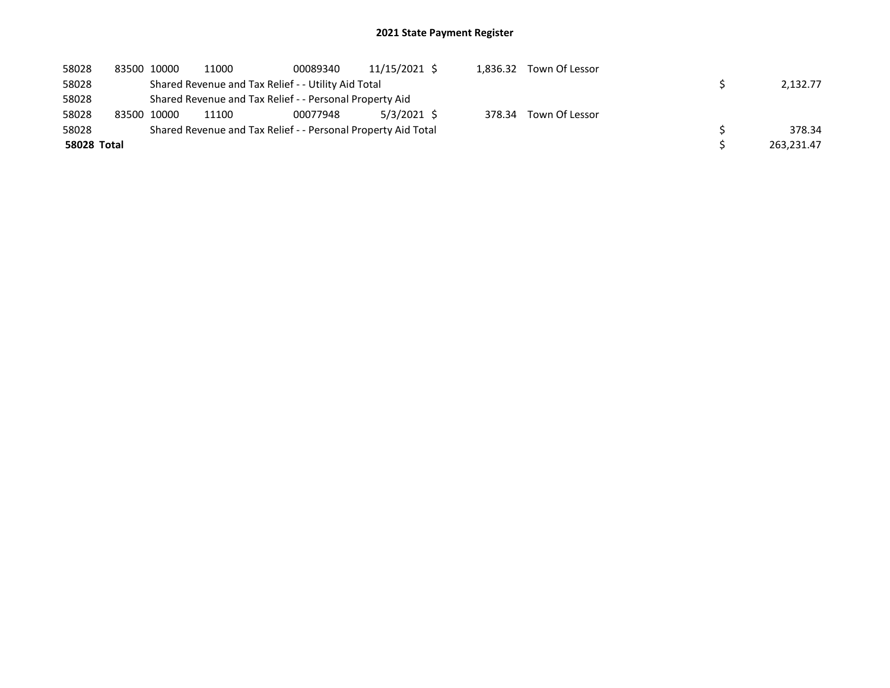| 58028       | 83500 10000 | 11000                                                         | 00089340 | 11/15/2021 \$ |        | 1,836.32 Town Of Lessor |            |
|-------------|-------------|---------------------------------------------------------------|----------|---------------|--------|-------------------------|------------|
| 58028       |             | Shared Revenue and Tax Relief - - Utility Aid Total           |          |               |        |                         | 2,132.77   |
| 58028       |             | Shared Revenue and Tax Relief - - Personal Property Aid       |          |               |        |                         |            |
| 58028       | 83500 10000 | 11100                                                         | 00077948 | 5/3/2021 \$   | 378.34 | Town Of Lessor          |            |
| 58028       |             | Shared Revenue and Tax Relief - - Personal Property Aid Total |          |               |        |                         | 378.34     |
| 58028 Total |             |                                                               |          |               |        |                         | 263,231.47 |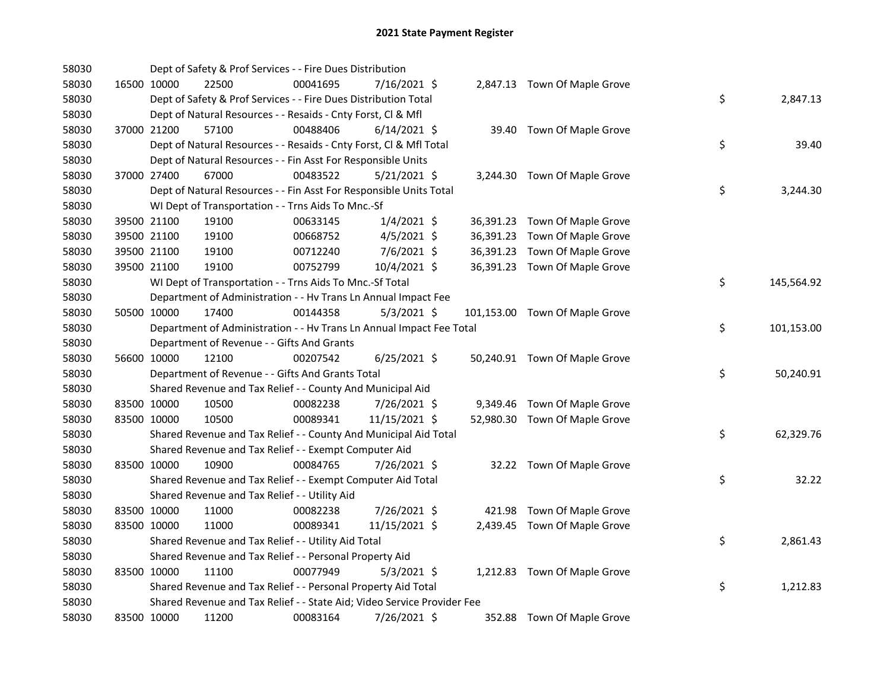| 58030 |             | Dept of Safety & Prof Services - - Fire Dues Distribution               |          |                |  |                                |    |            |
|-------|-------------|-------------------------------------------------------------------------|----------|----------------|--|--------------------------------|----|------------|
| 58030 | 16500 10000 | 22500                                                                   | 00041695 | 7/16/2021 \$   |  | 2,847.13 Town Of Maple Grove   |    |            |
| 58030 |             | Dept of Safety & Prof Services - - Fire Dues Distribution Total         |          |                |  |                                | \$ | 2,847.13   |
| 58030 |             | Dept of Natural Resources - - Resaids - Cnty Forst, Cl & Mfl            |          |                |  |                                |    |            |
| 58030 | 37000 21200 | 57100                                                                   | 00488406 | $6/14/2021$ \$ |  | 39.40 Town Of Maple Grove      |    |            |
| 58030 |             | Dept of Natural Resources - - Resaids - Cnty Forst, Cl & Mfl Total      |          |                |  |                                | \$ | 39.40      |
| 58030 |             | Dept of Natural Resources - - Fin Asst For Responsible Units            |          |                |  |                                |    |            |
| 58030 | 37000 27400 | 67000                                                                   | 00483522 | $5/21/2021$ \$ |  | 3,244.30 Town Of Maple Grove   |    |            |
| 58030 |             | Dept of Natural Resources - - Fin Asst For Responsible Units Total      |          |                |  |                                | \$ | 3,244.30   |
| 58030 |             | WI Dept of Transportation - - Trns Aids To Mnc.-Sf                      |          |                |  |                                |    |            |
| 58030 | 39500 21100 | 19100                                                                   | 00633145 | $1/4/2021$ \$  |  | 36,391.23 Town Of Maple Grove  |    |            |
| 58030 | 39500 21100 | 19100                                                                   | 00668752 | $4/5/2021$ \$  |  | 36,391.23 Town Of Maple Grove  |    |            |
| 58030 | 39500 21100 | 19100                                                                   | 00712240 | 7/6/2021 \$    |  | 36,391.23 Town Of Maple Grove  |    |            |
| 58030 | 39500 21100 | 19100                                                                   | 00752799 | 10/4/2021 \$   |  | 36,391.23 Town Of Maple Grove  |    |            |
| 58030 |             | WI Dept of Transportation - - Trns Aids To Mnc.-Sf Total                |          |                |  |                                | \$ | 145,564.92 |
| 58030 |             | Department of Administration - - Hv Trans Ln Annual Impact Fee          |          |                |  |                                |    |            |
| 58030 | 50500 10000 | 17400                                                                   | 00144358 | $5/3/2021$ \$  |  | 101,153.00 Town Of Maple Grove |    |            |
| 58030 |             | Department of Administration - - Hv Trans Ln Annual Impact Fee Total    |          |                |  |                                | \$ | 101,153.00 |
| 58030 |             | Department of Revenue - - Gifts And Grants                              |          |                |  |                                |    |            |
| 58030 | 56600 10000 | 12100                                                                   | 00207542 | $6/25/2021$ \$ |  | 50,240.91 Town Of Maple Grove  |    |            |
| 58030 |             | Department of Revenue - - Gifts And Grants Total                        |          |                |  |                                | \$ | 50,240.91  |
| 58030 |             | Shared Revenue and Tax Relief - - County And Municipal Aid              |          |                |  |                                |    |            |
| 58030 | 83500 10000 | 10500                                                                   | 00082238 | 7/26/2021 \$   |  | 9,349.46 Town Of Maple Grove   |    |            |
| 58030 | 83500 10000 | 10500                                                                   | 00089341 | 11/15/2021 \$  |  | 52,980.30 Town Of Maple Grove  |    |            |
| 58030 |             | Shared Revenue and Tax Relief - - County And Municipal Aid Total        |          |                |  |                                | \$ | 62,329.76  |
| 58030 |             | Shared Revenue and Tax Relief - - Exempt Computer Aid                   |          |                |  |                                |    |            |
| 58030 | 83500 10000 | 10900                                                                   | 00084765 | 7/26/2021 \$   |  | 32.22 Town Of Maple Grove      |    |            |
| 58030 |             | Shared Revenue and Tax Relief - - Exempt Computer Aid Total             |          |                |  |                                | \$ | 32.22      |
| 58030 |             | Shared Revenue and Tax Relief - - Utility Aid                           |          |                |  |                                |    |            |
| 58030 | 83500 10000 | 11000                                                                   | 00082238 | 7/26/2021 \$   |  | 421.98 Town Of Maple Grove     |    |            |
| 58030 | 83500 10000 | 11000                                                                   | 00089341 | 11/15/2021 \$  |  | 2,439.45 Town Of Maple Grove   |    |            |
| 58030 |             | Shared Revenue and Tax Relief - - Utility Aid Total                     |          |                |  |                                | \$ | 2,861.43   |
| 58030 |             | Shared Revenue and Tax Relief - - Personal Property Aid                 |          |                |  |                                |    |            |
| 58030 | 83500 10000 | 11100                                                                   | 00077949 | $5/3/2021$ \$  |  | 1,212.83 Town Of Maple Grove   |    |            |
| 58030 |             | Shared Revenue and Tax Relief - - Personal Property Aid Total           |          |                |  |                                | \$ | 1,212.83   |
| 58030 |             | Shared Revenue and Tax Relief - - State Aid; Video Service Provider Fee |          |                |  |                                |    |            |
| 58030 | 83500 10000 | 11200                                                                   | 00083164 | 7/26/2021 \$   |  | 352.88 Town Of Maple Grove     |    |            |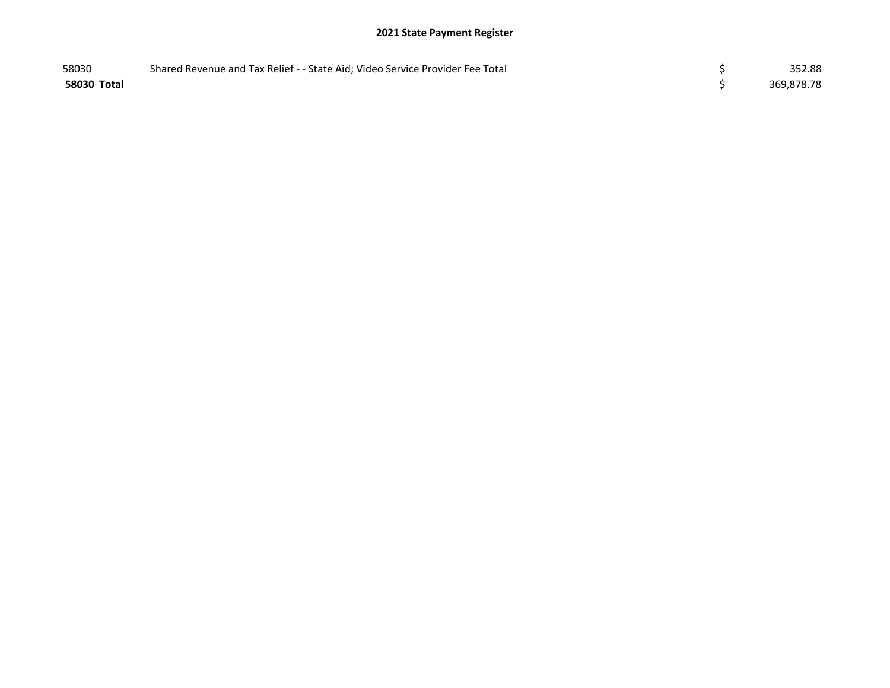| 58030       | Shared Revenue and Tax Relief - - State Aid; Video Service Provider Fee Total | 352.88     |
|-------------|-------------------------------------------------------------------------------|------------|
| 58030 Total |                                                                               | 369,878.78 |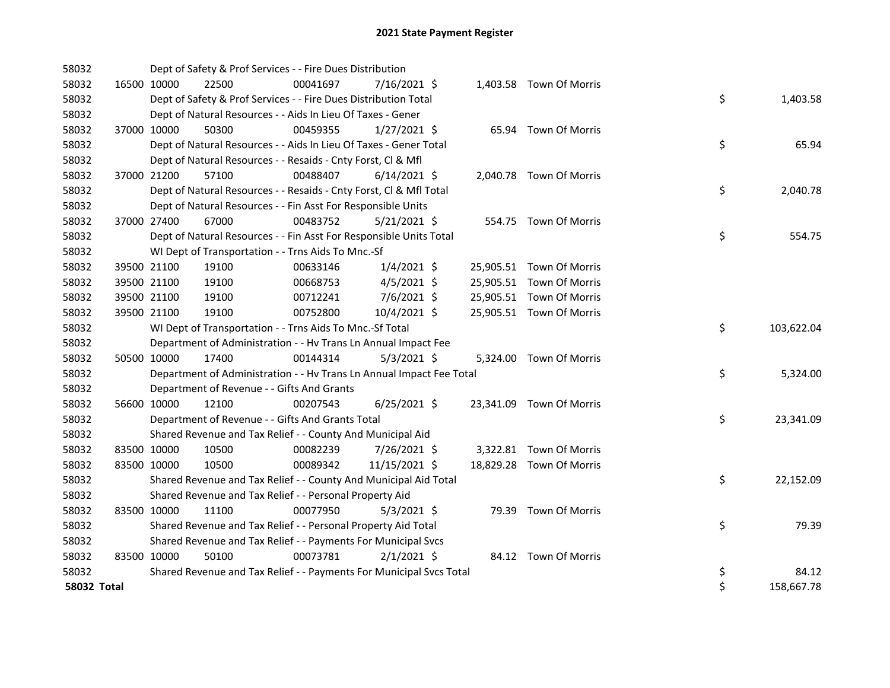| 58032              |             | Dept of Safety & Prof Services - - Fire Dues Distribution            |          |                |  |                          |    |            |
|--------------------|-------------|----------------------------------------------------------------------|----------|----------------|--|--------------------------|----|------------|
| 58032              | 16500 10000 | 22500                                                                | 00041697 | 7/16/2021 \$   |  | 1,403.58 Town Of Morris  |    |            |
| 58032              |             | Dept of Safety & Prof Services - - Fire Dues Distribution Total      |          |                |  |                          | \$ | 1,403.58   |
| 58032              |             | Dept of Natural Resources - - Aids In Lieu Of Taxes - Gener          |          |                |  |                          |    |            |
| 58032              | 37000 10000 | 50300                                                                | 00459355 | $1/27/2021$ \$ |  | 65.94 Town Of Morris     |    |            |
| 58032              |             | Dept of Natural Resources - - Aids In Lieu Of Taxes - Gener Total    |          |                |  |                          | \$ | 65.94      |
| 58032              |             | Dept of Natural Resources - - Resaids - Cnty Forst, Cl & Mfl         |          |                |  |                          |    |            |
| 58032              | 37000 21200 | 57100                                                                | 00488407 | $6/14/2021$ \$ |  | 2,040.78 Town Of Morris  |    |            |
| 58032              |             | Dept of Natural Resources - - Resaids - Cnty Forst, Cl & Mfl Total   |          |                |  |                          | \$ | 2,040.78   |
| 58032              |             | Dept of Natural Resources - - Fin Asst For Responsible Units         |          |                |  |                          |    |            |
| 58032              | 37000 27400 | 67000                                                                | 00483752 | $5/21/2021$ \$ |  | 554.75 Town Of Morris    |    |            |
| 58032              |             | Dept of Natural Resources - - Fin Asst For Responsible Units Total   |          |                |  |                          | \$ | 554.75     |
| 58032              |             | WI Dept of Transportation - - Trns Aids To Mnc.-Sf                   |          |                |  |                          |    |            |
| 58032              | 39500 21100 | 19100                                                                | 00633146 | $1/4/2021$ \$  |  | 25,905.51 Town Of Morris |    |            |
| 58032              | 39500 21100 | 19100                                                                | 00668753 | $4/5/2021$ \$  |  | 25,905.51 Town Of Morris |    |            |
| 58032              | 39500 21100 | 19100                                                                | 00712241 | $7/6/2021$ \$  |  | 25,905.51 Town Of Morris |    |            |
| 58032              | 39500 21100 | 19100                                                                | 00752800 | 10/4/2021 \$   |  | 25,905.51 Town Of Morris |    |            |
| 58032              |             | WI Dept of Transportation - - Trns Aids To Mnc.-Sf Total             |          |                |  |                          | \$ | 103,622.04 |
| 58032              |             | Department of Administration - - Hv Trans Ln Annual Impact Fee       |          |                |  |                          |    |            |
| 58032              | 50500 10000 | 17400                                                                | 00144314 | $5/3/2021$ \$  |  | 5,324.00 Town Of Morris  |    |            |
| 58032              |             | Department of Administration - - Hv Trans Ln Annual Impact Fee Total |          |                |  |                          | \$ | 5,324.00   |
| 58032              |             | Department of Revenue - - Gifts And Grants                           |          |                |  |                          |    |            |
| 58032              | 56600 10000 | 12100                                                                | 00207543 | $6/25/2021$ \$ |  | 23,341.09 Town Of Morris |    |            |
| 58032              |             | Department of Revenue - - Gifts And Grants Total                     |          |                |  |                          | \$ | 23,341.09  |
| 58032              |             | Shared Revenue and Tax Relief - - County And Municipal Aid           |          |                |  |                          |    |            |
| 58032              | 83500 10000 | 10500                                                                | 00082239 | 7/26/2021 \$   |  | 3,322.81 Town Of Morris  |    |            |
| 58032              | 83500 10000 | 10500                                                                | 00089342 | 11/15/2021 \$  |  | 18,829.28 Town Of Morris |    |            |
| 58032              |             | Shared Revenue and Tax Relief - - County And Municipal Aid Total     |          |                |  |                          | \$ | 22,152.09  |
| 58032              |             | Shared Revenue and Tax Relief - - Personal Property Aid              |          |                |  |                          |    |            |
| 58032              | 83500 10000 | 11100                                                                | 00077950 | $5/3/2021$ \$  |  | 79.39 Town Of Morris     |    |            |
| 58032              |             | Shared Revenue and Tax Relief - - Personal Property Aid Total        |          |                |  |                          | \$ | 79.39      |
| 58032              |             | Shared Revenue and Tax Relief - - Payments For Municipal Svcs        |          |                |  |                          |    |            |
| 58032              | 83500 10000 | 50100                                                                | 00073781 | $2/1/2021$ \$  |  | 84.12 Town Of Morris     |    |            |
| 58032              |             | Shared Revenue and Tax Relief - - Payments For Municipal Svcs Total  |          |                |  |                          | \$ | 84.12      |
| <b>58032 Total</b> |             |                                                                      |          |                |  |                          | \$ | 158,667.78 |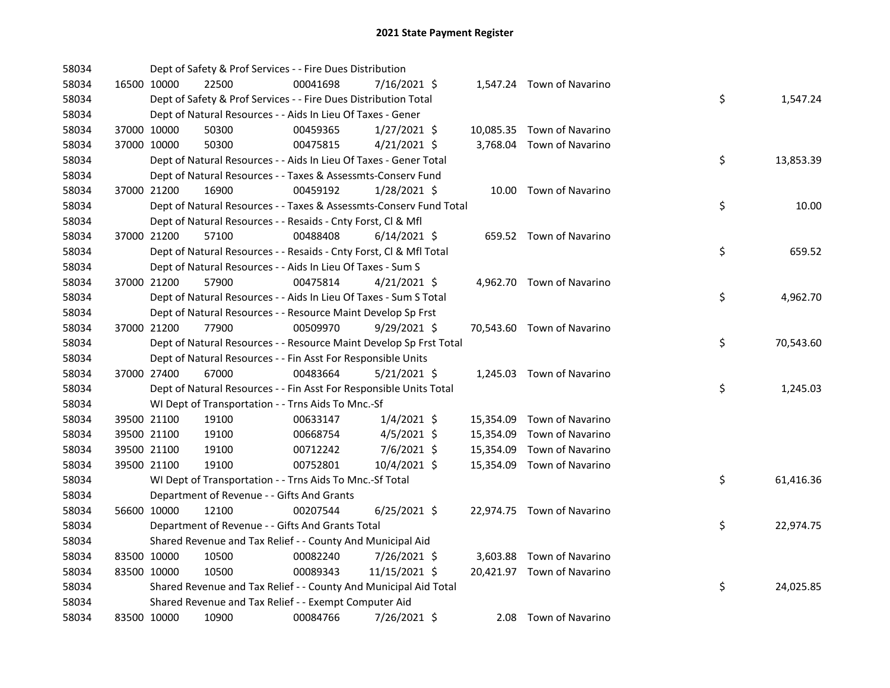| 58034 |             | Dept of Safety & Prof Services - - Fire Dues Distribution          |          |                |  |                            |    |           |
|-------|-------------|--------------------------------------------------------------------|----------|----------------|--|----------------------------|----|-----------|
| 58034 | 16500 10000 | 22500                                                              | 00041698 | 7/16/2021 \$   |  | 1,547.24 Town of Navarino  |    |           |
| 58034 |             | Dept of Safety & Prof Services - - Fire Dues Distribution Total    |          |                |  |                            | \$ | 1,547.24  |
| 58034 |             | Dept of Natural Resources - - Aids In Lieu Of Taxes - Gener        |          |                |  |                            |    |           |
| 58034 | 37000 10000 | 50300                                                              | 00459365 | $1/27/2021$ \$ |  | 10,085.35 Town of Navarino |    |           |
| 58034 | 37000 10000 | 50300                                                              | 00475815 | $4/21/2021$ \$ |  | 3,768.04 Town of Navarino  |    |           |
| 58034 |             | Dept of Natural Resources - - Aids In Lieu Of Taxes - Gener Total  |          |                |  |                            | \$ | 13,853.39 |
| 58034 |             | Dept of Natural Resources - - Taxes & Assessmts-Conserv Fund       |          |                |  |                            |    |           |
| 58034 | 37000 21200 | 16900                                                              | 00459192 | $1/28/2021$ \$ |  | 10.00 Town of Navarino     |    |           |
| 58034 |             | Dept of Natural Resources - - Taxes & Assessmts-Conserv Fund Total |          |                |  |                            | \$ | 10.00     |
| 58034 |             | Dept of Natural Resources - - Resaids - Cnty Forst, Cl & Mfl       |          |                |  |                            |    |           |
| 58034 | 37000 21200 | 57100                                                              | 00488408 | 6/14/2021 \$   |  | 659.52 Town of Navarino    |    |           |
| 58034 |             | Dept of Natural Resources - - Resaids - Cnty Forst, Cl & Mfl Total |          |                |  |                            | \$ | 659.52    |
| 58034 |             | Dept of Natural Resources - - Aids In Lieu Of Taxes - Sum S        |          |                |  |                            |    |           |
| 58034 | 37000 21200 | 57900                                                              | 00475814 | $4/21/2021$ \$ |  | 4,962.70 Town of Navarino  |    |           |
| 58034 |             | Dept of Natural Resources - - Aids In Lieu Of Taxes - Sum S Total  |          |                |  |                            | \$ | 4,962.70  |
| 58034 |             | Dept of Natural Resources - - Resource Maint Develop Sp Frst       |          |                |  |                            |    |           |
| 58034 | 37000 21200 | 77900                                                              | 00509970 | $9/29/2021$ \$ |  | 70,543.60 Town of Navarino |    |           |
| 58034 |             | Dept of Natural Resources - - Resource Maint Develop Sp Frst Total |          |                |  |                            | \$ | 70,543.60 |
| 58034 |             | Dept of Natural Resources - - Fin Asst For Responsible Units       |          |                |  |                            |    |           |
| 58034 | 37000 27400 | 67000                                                              | 00483664 | $5/21/2021$ \$ |  | 1,245.03 Town of Navarino  |    |           |
| 58034 |             | Dept of Natural Resources - - Fin Asst For Responsible Units Total |          |                |  |                            | \$ | 1,245.03  |
| 58034 |             | WI Dept of Transportation - - Trns Aids To Mnc.-Sf                 |          |                |  |                            |    |           |
| 58034 | 39500 21100 | 19100                                                              | 00633147 | $1/4/2021$ \$  |  | 15,354.09 Town of Navarino |    |           |
| 58034 | 39500 21100 | 19100                                                              | 00668754 | $4/5/2021$ \$  |  | 15,354.09 Town of Navarino |    |           |
| 58034 | 39500 21100 | 19100                                                              | 00712242 | 7/6/2021 \$    |  | 15,354.09 Town of Navarino |    |           |
| 58034 | 39500 21100 | 19100                                                              | 00752801 | 10/4/2021 \$   |  | 15,354.09 Town of Navarino |    |           |
| 58034 |             | WI Dept of Transportation - - Trns Aids To Mnc.-Sf Total           |          |                |  |                            | \$ | 61,416.36 |
| 58034 |             | Department of Revenue - - Gifts And Grants                         |          |                |  |                            |    |           |
| 58034 | 56600 10000 | 12100                                                              | 00207544 | $6/25/2021$ \$ |  | 22,974.75 Town of Navarino |    |           |
| 58034 |             | Department of Revenue - - Gifts And Grants Total                   |          |                |  |                            | \$ | 22,974.75 |
| 58034 |             | Shared Revenue and Tax Relief - - County And Municipal Aid         |          |                |  |                            |    |           |
| 58034 | 83500 10000 | 10500                                                              | 00082240 | 7/26/2021 \$   |  | 3,603.88 Town of Navarino  |    |           |
| 58034 | 83500 10000 | 10500                                                              | 00089343 | 11/15/2021 \$  |  | 20,421.97 Town of Navarino |    |           |
| 58034 |             | Shared Revenue and Tax Relief - - County And Municipal Aid Total   |          |                |  |                            | \$ | 24,025.85 |
| 58034 |             | Shared Revenue and Tax Relief - - Exempt Computer Aid              |          |                |  |                            |    |           |
| 58034 | 83500 10000 | 10900                                                              | 00084766 | 7/26/2021 \$   |  | 2.08 Town of Navarino      |    |           |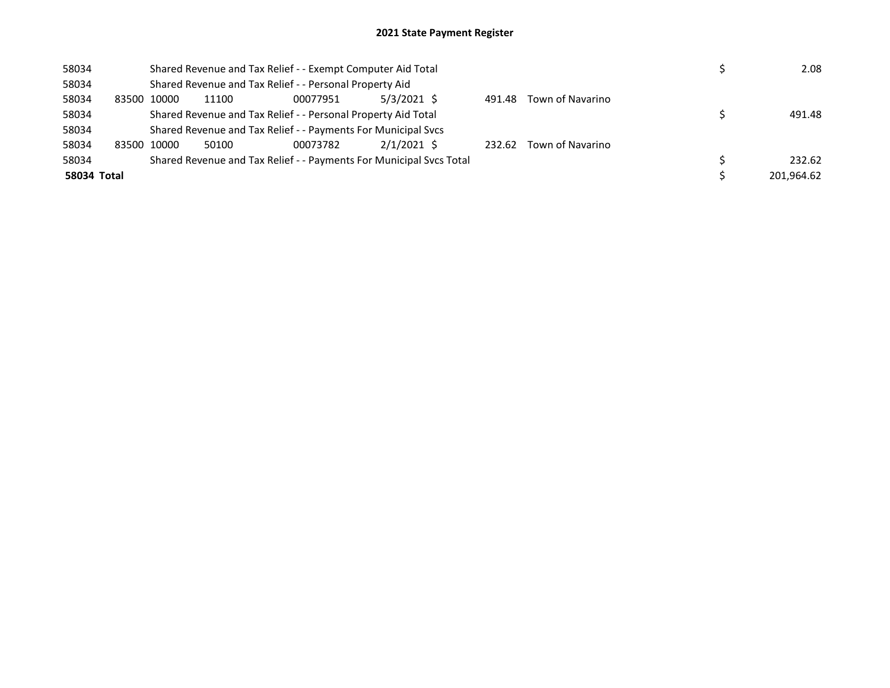| 58034       |             |       | Shared Revenue and Tax Relief - - Exempt Computer Aid Total         |               |        |                  | 2.08       |
|-------------|-------------|-------|---------------------------------------------------------------------|---------------|--------|------------------|------------|
| 58034       |             |       | Shared Revenue and Tax Relief - - Personal Property Aid             |               |        |                  |            |
| 58034       | 83500 10000 | 11100 | 00077951                                                            | 5/3/2021 \$   | 491.48 | Town of Navarino |            |
| 58034       |             |       | Shared Revenue and Tax Relief - - Personal Property Aid Total       |               |        |                  | 491.48     |
| 58034       |             |       | Shared Revenue and Tax Relief - - Payments For Municipal Svcs       |               |        |                  |            |
| 58034       | 83500 10000 | 50100 | 00073782                                                            | $2/1/2021$ \$ | 232.62 | Town of Navarino |            |
| 58034       |             |       | Shared Revenue and Tax Relief - - Payments For Municipal Svcs Total |               |        |                  | 232.62     |
| 58034 Total |             |       |                                                                     |               |        |                  | 201.964.62 |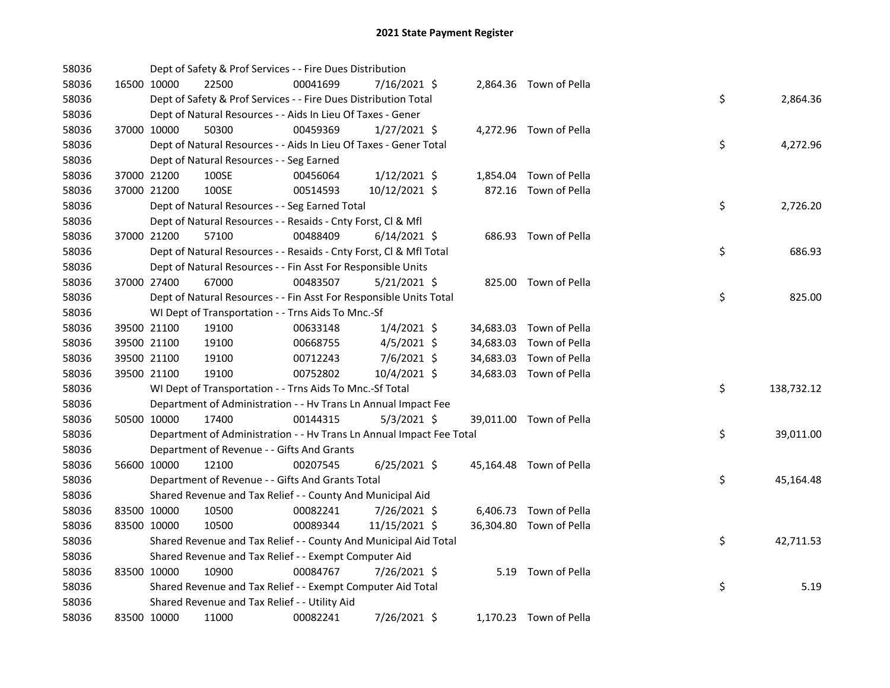| 58036 |             |             | Dept of Safety & Prof Services - - Fire Dues Distribution            |          |                |  |                         |    |            |
|-------|-------------|-------------|----------------------------------------------------------------------|----------|----------------|--|-------------------------|----|------------|
| 58036 |             | 16500 10000 | 22500                                                                | 00041699 | 7/16/2021 \$   |  | 2,864.36 Town of Pella  |    |            |
| 58036 |             |             | Dept of Safety & Prof Services - - Fire Dues Distribution Total      |          |                |  |                         | \$ | 2,864.36   |
| 58036 |             |             | Dept of Natural Resources - - Aids In Lieu Of Taxes - Gener          |          |                |  |                         |    |            |
| 58036 |             | 37000 10000 | 50300                                                                | 00459369 | $1/27/2021$ \$ |  | 4,272.96 Town of Pella  |    |            |
| 58036 |             |             | Dept of Natural Resources - - Aids In Lieu Of Taxes - Gener Total    |          |                |  |                         | \$ | 4,272.96   |
| 58036 |             |             | Dept of Natural Resources - - Seg Earned                             |          |                |  |                         |    |            |
| 58036 |             | 37000 21200 | 100SE                                                                | 00456064 | $1/12/2021$ \$ |  | 1,854.04 Town of Pella  |    |            |
| 58036 |             | 37000 21200 | 100SE                                                                | 00514593 | 10/12/2021 \$  |  | 872.16 Town of Pella    |    |            |
| 58036 |             |             | Dept of Natural Resources - - Seg Earned Total                       |          |                |  |                         | \$ | 2,726.20   |
| 58036 |             |             | Dept of Natural Resources - - Resaids - Cnty Forst, Cl & Mfl         |          |                |  |                         |    |            |
| 58036 |             | 37000 21200 | 57100                                                                | 00488409 | $6/14/2021$ \$ |  | 686.93 Town of Pella    |    |            |
| 58036 |             |             | Dept of Natural Resources - - Resaids - Cnty Forst, Cl & Mfl Total   |          |                |  |                         | \$ | 686.93     |
| 58036 |             |             | Dept of Natural Resources - - Fin Asst For Responsible Units         |          |                |  |                         |    |            |
| 58036 |             | 37000 27400 | 67000                                                                | 00483507 | $5/21/2021$ \$ |  | 825.00 Town of Pella    |    |            |
| 58036 |             |             | Dept of Natural Resources - - Fin Asst For Responsible Units Total   |          |                |  |                         | \$ | 825.00     |
| 58036 |             |             | WI Dept of Transportation - - Trns Aids To Mnc.-Sf                   |          |                |  |                         |    |            |
| 58036 |             | 39500 21100 | 19100                                                                | 00633148 | $1/4/2021$ \$  |  | 34,683.03 Town of Pella |    |            |
| 58036 |             | 39500 21100 | 19100                                                                | 00668755 | $4/5/2021$ \$  |  | 34,683.03 Town of Pella |    |            |
| 58036 | 39500 21100 |             | 19100                                                                | 00712243 | 7/6/2021 \$    |  | 34,683.03 Town of Pella |    |            |
| 58036 | 39500 21100 |             | 19100                                                                | 00752802 | 10/4/2021 \$   |  | 34,683.03 Town of Pella |    |            |
| 58036 |             |             | WI Dept of Transportation - - Trns Aids To Mnc.-Sf Total             |          |                |  |                         | \$ | 138,732.12 |
| 58036 |             |             | Department of Administration - - Hv Trans Ln Annual Impact Fee       |          |                |  |                         |    |            |
| 58036 |             | 50500 10000 | 17400                                                                | 00144315 | $5/3/2021$ \$  |  | 39,011.00 Town of Pella |    |            |
| 58036 |             |             | Department of Administration - - Hv Trans Ln Annual Impact Fee Total |          |                |  |                         | \$ | 39,011.00  |
| 58036 |             |             | Department of Revenue - - Gifts And Grants                           |          |                |  |                         |    |            |
| 58036 |             | 56600 10000 | 12100                                                                | 00207545 | $6/25/2021$ \$ |  | 45,164.48 Town of Pella |    |            |
| 58036 |             |             | Department of Revenue - - Gifts And Grants Total                     |          |                |  |                         | \$ | 45,164.48  |
| 58036 |             |             | Shared Revenue and Tax Relief - - County And Municipal Aid           |          |                |  |                         |    |            |
| 58036 | 83500 10000 |             | 10500                                                                | 00082241 | 7/26/2021 \$   |  | 6,406.73 Town of Pella  |    |            |
| 58036 | 83500 10000 |             | 10500                                                                | 00089344 | 11/15/2021 \$  |  | 36,304.80 Town of Pella |    |            |
| 58036 |             |             | Shared Revenue and Tax Relief - - County And Municipal Aid Total     |          |                |  |                         | \$ | 42,711.53  |
| 58036 |             |             | Shared Revenue and Tax Relief - - Exempt Computer Aid                |          |                |  |                         |    |            |
| 58036 | 83500 10000 |             | 10900                                                                | 00084767 | 7/26/2021 \$   |  | 5.19 Town of Pella      |    |            |
| 58036 |             |             | Shared Revenue and Tax Relief - - Exempt Computer Aid Total          |          |                |  |                         | \$ | 5.19       |
| 58036 |             |             | Shared Revenue and Tax Relief - - Utility Aid                        |          |                |  |                         |    |            |
| 58036 |             | 83500 10000 | 11000                                                                | 00082241 | 7/26/2021 \$   |  | 1,170.23 Town of Pella  |    |            |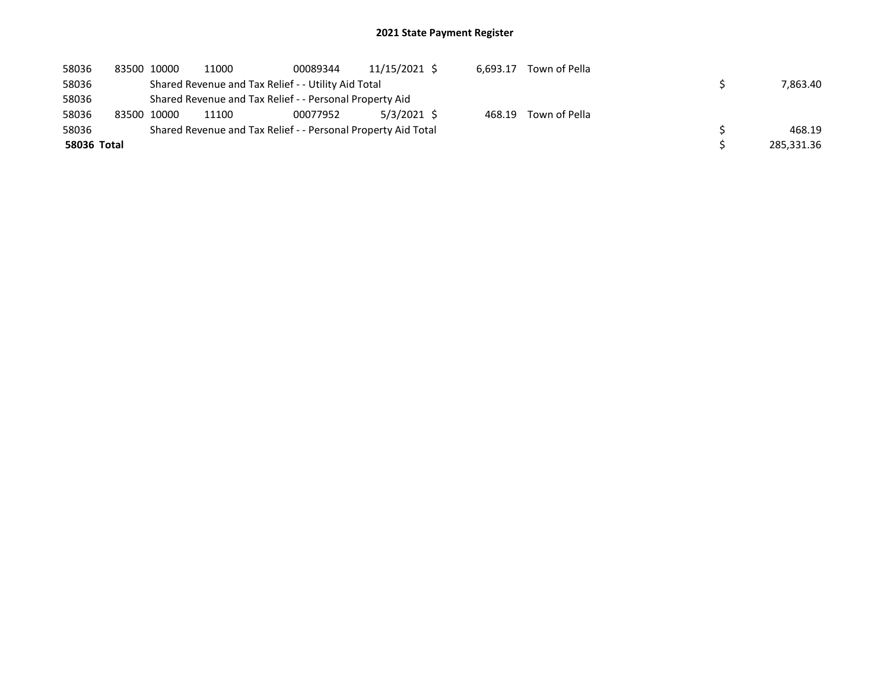| 58036       | 83500 10000 | 11000                                                         | 00089344 | 11/15/2021 \$ | 6.693.17 | Town of Pella |            |
|-------------|-------------|---------------------------------------------------------------|----------|---------------|----------|---------------|------------|
| 58036       |             | Shared Revenue and Tax Relief - - Utility Aid Total           |          |               |          |               | 7.863.40   |
| 58036       |             | Shared Revenue and Tax Relief - - Personal Property Aid       |          |               |          |               |            |
| 58036       | 83500 10000 | 11100                                                         | 00077952 | 5/3/2021 \$   | 468.19   | Town of Pella |            |
| 58036       |             | Shared Revenue and Tax Relief - - Personal Property Aid Total |          |               |          |               | 468.19     |
| 58036 Total |             |                                                               |          |               |          |               | 285,331.36 |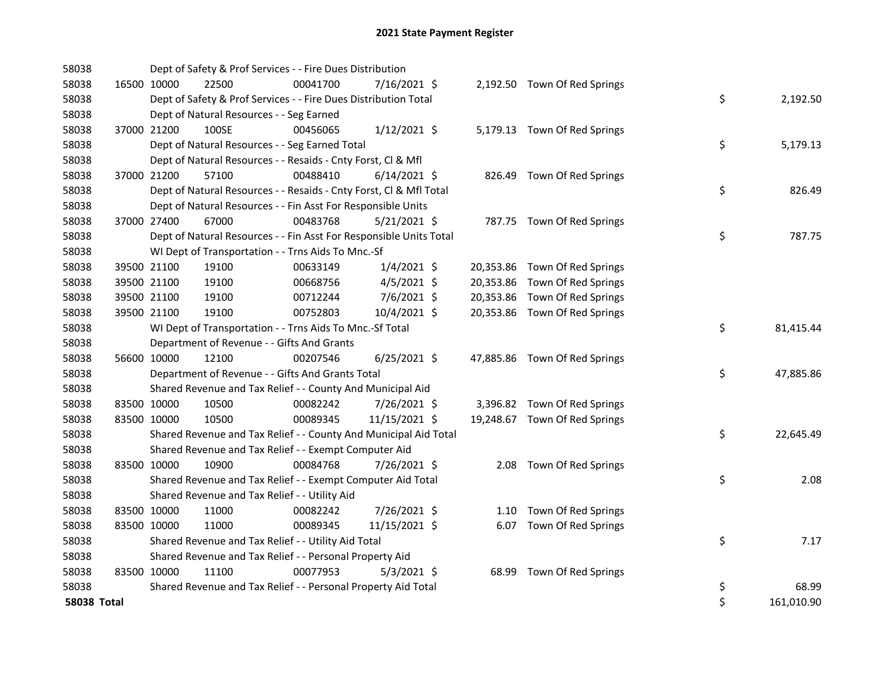| 58038       |             |                                               | Dept of Safety & Prof Services - - Fire Dues Distribution          |                |  |                               |    |            |
|-------------|-------------|-----------------------------------------------|--------------------------------------------------------------------|----------------|--|-------------------------------|----|------------|
| 58038       | 16500 10000 | 22500                                         | 00041700                                                           | 7/16/2021 \$   |  | 2,192.50 Town Of Red Springs  |    |            |
| 58038       |             |                                               | Dept of Safety & Prof Services - - Fire Dues Distribution Total    |                |  |                               | \$ | 2,192.50   |
| 58038       |             | Dept of Natural Resources - - Seg Earned      |                                                                    |                |  |                               |    |            |
| 58038       | 37000 21200 | 100SE                                         | 00456065                                                           | $1/12/2021$ \$ |  | 5,179.13 Town Of Red Springs  |    |            |
| 58038       |             |                                               | Dept of Natural Resources - - Seg Earned Total                     |                |  |                               | \$ | 5,179.13   |
| 58038       |             |                                               | Dept of Natural Resources - - Resaids - Cnty Forst, Cl & Mfl       |                |  |                               |    |            |
| 58038       | 37000 21200 | 57100                                         | 00488410                                                           | $6/14/2021$ \$ |  | 826.49 Town Of Red Springs    |    |            |
| 58038       |             |                                               | Dept of Natural Resources - - Resaids - Cnty Forst, Cl & Mfl Total |                |  |                               | \$ | 826.49     |
| 58038       |             |                                               | Dept of Natural Resources - - Fin Asst For Responsible Units       |                |  |                               |    |            |
| 58038       | 37000 27400 | 67000                                         | 00483768                                                           | 5/21/2021 \$   |  | 787.75 Town Of Red Springs    |    |            |
| 58038       |             |                                               | Dept of Natural Resources - - Fin Asst For Responsible Units Total |                |  |                               | \$ | 787.75     |
| 58038       |             |                                               | WI Dept of Transportation - - Trns Aids To Mnc.-Sf                 |                |  |                               |    |            |
| 58038       | 39500 21100 | 19100                                         | 00633149                                                           | $1/4/2021$ \$  |  | 20,353.86 Town Of Red Springs |    |            |
| 58038       | 39500 21100 | 19100                                         | 00668756                                                           | $4/5/2021$ \$  |  | 20,353.86 Town Of Red Springs |    |            |
| 58038       | 39500 21100 | 19100                                         | 00712244                                                           | 7/6/2021 \$    |  | 20,353.86 Town Of Red Springs |    |            |
| 58038       | 39500 21100 | 19100                                         | 00752803                                                           | 10/4/2021 \$   |  | 20,353.86 Town Of Red Springs |    |            |
| 58038       |             |                                               | WI Dept of Transportation - - Trns Aids To Mnc.-Sf Total           |                |  |                               | \$ | 81,415.44  |
| 58038       |             | Department of Revenue - - Gifts And Grants    |                                                                    |                |  |                               |    |            |
| 58038       | 56600 10000 | 12100                                         | 00207546                                                           | $6/25/2021$ \$ |  | 47,885.86 Town Of Red Springs |    |            |
| 58038       |             |                                               | Department of Revenue - - Gifts And Grants Total                   |                |  |                               | \$ | 47,885.86  |
| 58038       |             |                                               | Shared Revenue and Tax Relief - - County And Municipal Aid         |                |  |                               |    |            |
| 58038       | 83500 10000 | 10500                                         | 00082242                                                           | 7/26/2021 \$   |  | 3,396.82 Town Of Red Springs  |    |            |
| 58038       | 83500 10000 | 10500                                         | 00089345                                                           | 11/15/2021 \$  |  | 19,248.67 Town Of Red Springs |    |            |
| 58038       |             |                                               | Shared Revenue and Tax Relief - - County And Municipal Aid Total   |                |  |                               | \$ | 22,645.49  |
| 58038       |             |                                               | Shared Revenue and Tax Relief - - Exempt Computer Aid              |                |  |                               |    |            |
| 58038       | 83500 10000 | 10900                                         | 00084768                                                           | 7/26/2021 \$   |  | 2.08 Town Of Red Springs      |    |            |
| 58038       |             |                                               | Shared Revenue and Tax Relief - - Exempt Computer Aid Total        |                |  |                               | \$ | 2.08       |
| 58038       |             | Shared Revenue and Tax Relief - - Utility Aid |                                                                    |                |  |                               |    |            |
| 58038       | 83500 10000 | 11000                                         | 00082242                                                           | 7/26/2021 \$   |  | 1.10 Town Of Red Springs      |    |            |
| 58038       | 83500 10000 | 11000                                         | 00089345                                                           | 11/15/2021 \$  |  | 6.07 Town Of Red Springs      |    |            |
| 58038       |             |                                               | Shared Revenue and Tax Relief - - Utility Aid Total                |                |  |                               | \$ | 7.17       |
| 58038       |             |                                               | Shared Revenue and Tax Relief - - Personal Property Aid            |                |  |                               |    |            |
| 58038       | 83500 10000 | 11100                                         | 00077953                                                           | $5/3/2021$ \$  |  | 68.99 Town Of Red Springs     |    |            |
| 58038       |             |                                               | Shared Revenue and Tax Relief - - Personal Property Aid Total      |                |  |                               | \$ | 68.99      |
| 58038 Total |             |                                               |                                                                    |                |  |                               | \$ | 161,010.90 |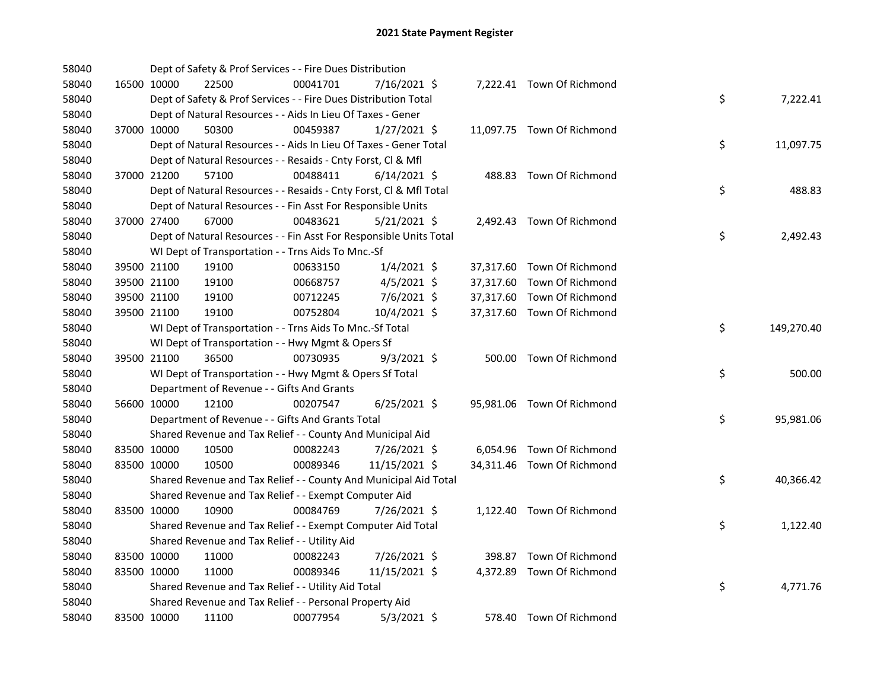| 58040 |             |             | Dept of Safety & Prof Services - - Fire Dues Distribution          |          |                |  |                            |    |            |
|-------|-------------|-------------|--------------------------------------------------------------------|----------|----------------|--|----------------------------|----|------------|
| 58040 |             | 16500 10000 | 22500                                                              | 00041701 | 7/16/2021 \$   |  | 7,222.41 Town Of Richmond  |    |            |
| 58040 |             |             | Dept of Safety & Prof Services - - Fire Dues Distribution Total    |          |                |  |                            | \$ | 7,222.41   |
| 58040 |             |             | Dept of Natural Resources - - Aids In Lieu Of Taxes - Gener        |          |                |  |                            |    |            |
| 58040 |             | 37000 10000 | 50300                                                              | 00459387 | $1/27/2021$ \$ |  | 11,097.75 Town Of Richmond |    |            |
| 58040 |             |             | Dept of Natural Resources - - Aids In Lieu Of Taxes - Gener Total  |          |                |  |                            | \$ | 11,097.75  |
| 58040 |             |             | Dept of Natural Resources - - Resaids - Cnty Forst, Cl & Mfl       |          |                |  |                            |    |            |
| 58040 |             | 37000 21200 | 57100                                                              | 00488411 | $6/14/2021$ \$ |  | 488.83 Town Of Richmond    |    |            |
| 58040 |             |             | Dept of Natural Resources - - Resaids - Cnty Forst, CI & Mfl Total |          |                |  |                            | \$ | 488.83     |
| 58040 |             |             | Dept of Natural Resources - - Fin Asst For Responsible Units       |          |                |  |                            |    |            |
| 58040 |             | 37000 27400 | 67000                                                              | 00483621 | $5/21/2021$ \$ |  | 2,492.43 Town Of Richmond  |    |            |
| 58040 |             |             | Dept of Natural Resources - - Fin Asst For Responsible Units Total |          |                |  |                            | \$ | 2,492.43   |
| 58040 |             |             | WI Dept of Transportation - - Trns Aids To Mnc.-Sf                 |          |                |  |                            |    |            |
| 58040 |             | 39500 21100 | 19100                                                              | 00633150 | $1/4/2021$ \$  |  | 37,317.60 Town Of Richmond |    |            |
| 58040 |             | 39500 21100 | 19100                                                              | 00668757 | $4/5/2021$ \$  |  | 37,317.60 Town Of Richmond |    |            |
| 58040 |             | 39500 21100 | 19100                                                              | 00712245 | 7/6/2021 \$    |  | 37,317.60 Town Of Richmond |    |            |
| 58040 |             | 39500 21100 | 19100                                                              | 00752804 | 10/4/2021 \$   |  | 37,317.60 Town Of Richmond |    |            |
| 58040 |             |             | WI Dept of Transportation - - Trns Aids To Mnc.-Sf Total           |          |                |  |                            | \$ | 149,270.40 |
| 58040 |             |             | WI Dept of Transportation - - Hwy Mgmt & Opers Sf                  |          |                |  |                            |    |            |
| 58040 |             | 39500 21100 | 36500                                                              | 00730935 | $9/3/2021$ \$  |  | 500.00 Town Of Richmond    |    |            |
| 58040 |             |             | WI Dept of Transportation - - Hwy Mgmt & Opers Sf Total            |          |                |  |                            | \$ | 500.00     |
| 58040 |             |             | Department of Revenue - - Gifts And Grants                         |          |                |  |                            |    |            |
| 58040 |             | 56600 10000 | 12100                                                              | 00207547 | $6/25/2021$ \$ |  | 95,981.06 Town Of Richmond |    |            |
| 58040 |             |             | Department of Revenue - - Gifts And Grants Total                   |          |                |  |                            | \$ | 95,981.06  |
| 58040 |             |             | Shared Revenue and Tax Relief - - County And Municipal Aid         |          |                |  |                            |    |            |
| 58040 |             | 83500 10000 | 10500                                                              | 00082243 | 7/26/2021 \$   |  | 6,054.96 Town Of Richmond  |    |            |
| 58040 | 83500 10000 |             | 10500                                                              | 00089346 | 11/15/2021 \$  |  | 34,311.46 Town Of Richmond |    |            |
| 58040 |             |             | Shared Revenue and Tax Relief - - County And Municipal Aid Total   |          |                |  |                            | \$ | 40,366.42  |
| 58040 |             |             | Shared Revenue and Tax Relief - - Exempt Computer Aid              |          |                |  |                            |    |            |
| 58040 |             | 83500 10000 | 10900                                                              | 00084769 | 7/26/2021 \$   |  | 1,122.40 Town Of Richmond  |    |            |
| 58040 |             |             | Shared Revenue and Tax Relief - - Exempt Computer Aid Total        |          |                |  |                            | \$ | 1,122.40   |
| 58040 |             |             | Shared Revenue and Tax Relief - - Utility Aid                      |          |                |  |                            |    |            |
| 58040 |             | 83500 10000 | 11000                                                              | 00082243 | 7/26/2021 \$   |  | 398.87 Town Of Richmond    |    |            |
| 58040 | 83500 10000 |             | 11000                                                              | 00089346 | 11/15/2021 \$  |  | 4,372.89 Town Of Richmond  |    |            |
| 58040 |             |             | Shared Revenue and Tax Relief - - Utility Aid Total                |          |                |  |                            | \$ | 4,771.76   |
| 58040 |             |             | Shared Revenue and Tax Relief - - Personal Property Aid            |          |                |  |                            |    |            |
| 58040 |             | 83500 10000 | 11100                                                              | 00077954 | $5/3/2021$ \$  |  | 578.40 Town Of Richmond    |    |            |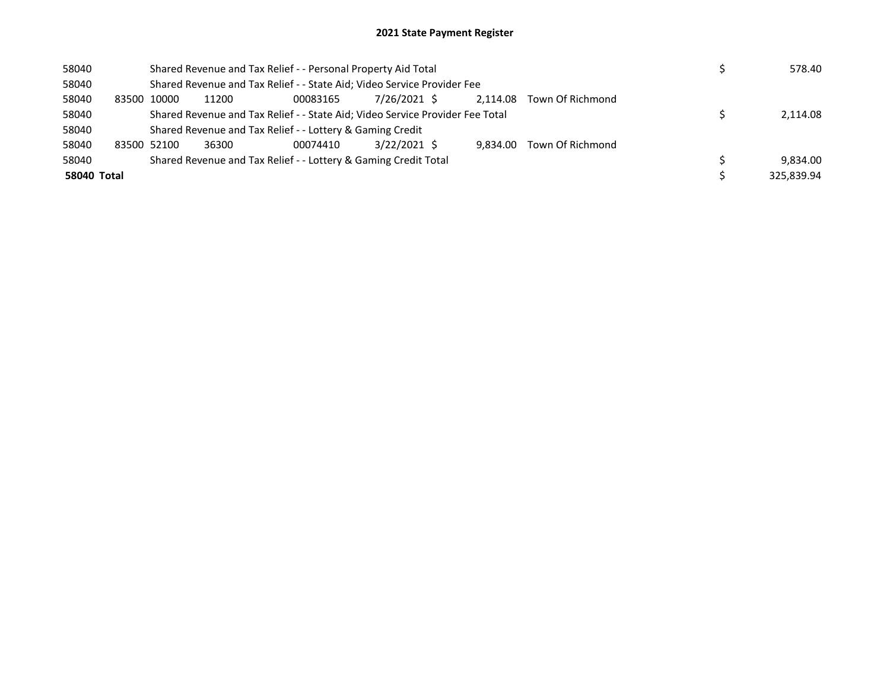| 58040       |       |                                                                               | Shared Revenue and Tax Relief - - Personal Property Aid Total | 578.40                                                                  |              |          |                  |            |
|-------------|-------|-------------------------------------------------------------------------------|---------------------------------------------------------------|-------------------------------------------------------------------------|--------------|----------|------------------|------------|
| 58040       |       |                                                                               |                                                               | Shared Revenue and Tax Relief - - State Aid; Video Service Provider Fee |              |          |                  |            |
| 58040       | 83500 | 10000                                                                         | 11200                                                         | 00083165                                                                | 7/26/2021 \$ | 2.114.08 | Town Of Richmond |            |
| 58040       |       | Shared Revenue and Tax Relief - - State Aid; Video Service Provider Fee Total | 2.114.08                                                      |                                                                         |              |          |                  |            |
| 58040       |       |                                                                               |                                                               | Shared Revenue and Tax Relief - - Lottery & Gaming Credit               |              |          |                  |            |
| 58040       |       | 83500 52100                                                                   | 36300                                                         | 00074410                                                                | 3/22/2021 \$ | 9.834.00 | Town Of Richmond |            |
| 58040       |       |                                                                               |                                                               | Shared Revenue and Tax Relief - - Lottery & Gaming Credit Total         |              |          |                  | 9,834.00   |
| 58040 Total |       |                                                                               |                                                               |                                                                         |              |          |                  | 325.839.94 |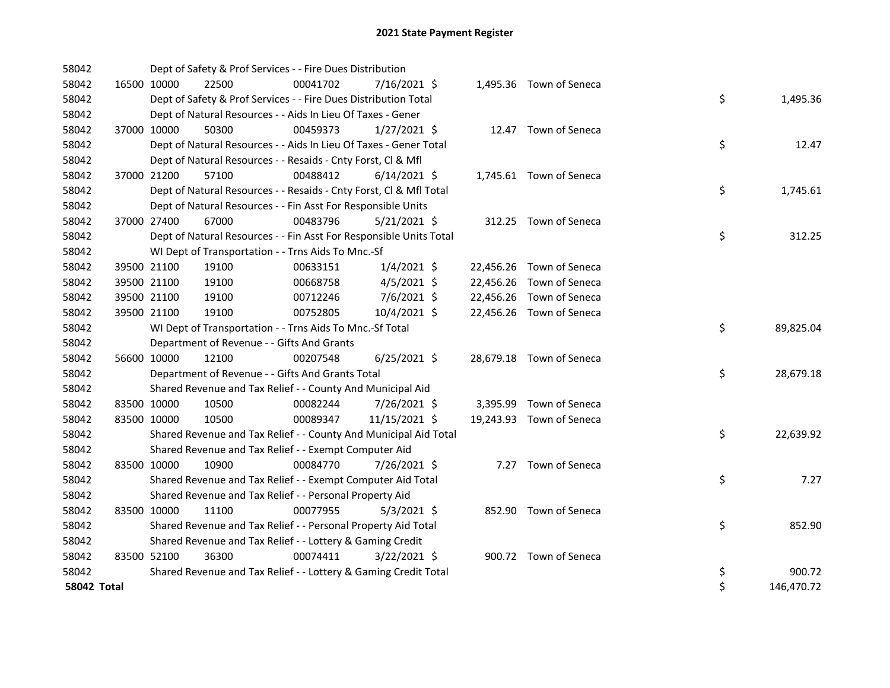| 58042              |             | Dept of Safety & Prof Services - - Fire Dues Distribution          |          |                |  |                          |    |            |
|--------------------|-------------|--------------------------------------------------------------------|----------|----------------|--|--------------------------|----|------------|
| 58042              | 16500 10000 | 22500                                                              | 00041702 | 7/16/2021 \$   |  | 1,495.36 Town of Seneca  |    |            |
| 58042              |             | Dept of Safety & Prof Services - - Fire Dues Distribution Total    |          |                |  |                          | \$ | 1,495.36   |
| 58042              |             | Dept of Natural Resources - - Aids In Lieu Of Taxes - Gener        |          |                |  |                          |    |            |
| 58042              | 37000 10000 | 50300                                                              | 00459373 | $1/27/2021$ \$ |  | 12.47 Town of Seneca     |    |            |
| 58042              |             | Dept of Natural Resources - - Aids In Lieu Of Taxes - Gener Total  |          |                |  |                          | \$ | 12.47      |
| 58042              |             | Dept of Natural Resources - - Resaids - Cnty Forst, Cl & Mfl       |          |                |  |                          |    |            |
| 58042              | 37000 21200 | 57100                                                              | 00488412 | $6/14/2021$ \$ |  | 1,745.61 Town of Seneca  |    |            |
| 58042              |             | Dept of Natural Resources - - Resaids - Cnty Forst, Cl & Mfl Total |          |                |  |                          | \$ | 1,745.61   |
| 58042              |             | Dept of Natural Resources - - Fin Asst For Responsible Units       |          |                |  |                          |    |            |
| 58042              | 37000 27400 | 67000                                                              | 00483796 | $5/21/2021$ \$ |  | 312.25 Town of Seneca    |    |            |
| 58042              |             | Dept of Natural Resources - - Fin Asst For Responsible Units Total |          |                |  |                          | \$ | 312.25     |
| 58042              |             | WI Dept of Transportation - - Trns Aids To Mnc.-Sf                 |          |                |  |                          |    |            |
| 58042              | 39500 21100 | 19100                                                              | 00633151 | $1/4/2021$ \$  |  | 22,456.26 Town of Seneca |    |            |
| 58042              | 39500 21100 | 19100                                                              | 00668758 | $4/5/2021$ \$  |  | 22,456.26 Town of Seneca |    |            |
| 58042              | 39500 21100 | 19100                                                              | 00712246 | $7/6/2021$ \$  |  | 22,456.26 Town of Seneca |    |            |
| 58042              | 39500 21100 | 19100                                                              | 00752805 | 10/4/2021 \$   |  | 22,456.26 Town of Seneca |    |            |
| 58042              |             | WI Dept of Transportation - - Trns Aids To Mnc.-Sf Total           |          |                |  |                          | \$ | 89,825.04  |
| 58042              |             | Department of Revenue - - Gifts And Grants                         |          |                |  |                          |    |            |
| 58042              | 56600 10000 | 12100                                                              | 00207548 | $6/25/2021$ \$ |  | 28,679.18 Town of Seneca |    |            |
| 58042              |             | Department of Revenue - - Gifts And Grants Total                   |          |                |  |                          | \$ | 28,679.18  |
| 58042              |             | Shared Revenue and Tax Relief - - County And Municipal Aid         |          |                |  |                          |    |            |
| 58042              | 83500 10000 | 10500                                                              | 00082244 | 7/26/2021 \$   |  | 3,395.99 Town of Seneca  |    |            |
| 58042              | 83500 10000 | 10500                                                              | 00089347 | 11/15/2021 \$  |  | 19,243.93 Town of Seneca |    |            |
| 58042              |             | Shared Revenue and Tax Relief - - County And Municipal Aid Total   |          |                |  |                          | \$ | 22,639.92  |
| 58042              |             | Shared Revenue and Tax Relief - - Exempt Computer Aid              |          |                |  |                          |    |            |
| 58042              | 83500 10000 | 10900                                                              | 00084770 | 7/26/2021 \$   |  | 7.27 Town of Seneca      |    |            |
| 58042              |             | Shared Revenue and Tax Relief - - Exempt Computer Aid Total        |          |                |  |                          | \$ | 7.27       |
| 58042              |             | Shared Revenue and Tax Relief - - Personal Property Aid            |          |                |  |                          |    |            |
| 58042              | 83500 10000 | 11100                                                              | 00077955 | $5/3/2021$ \$  |  | 852.90 Town of Seneca    |    |            |
| 58042              |             | Shared Revenue and Tax Relief - - Personal Property Aid Total      |          |                |  |                          | \$ | 852.90     |
| 58042              |             | Shared Revenue and Tax Relief - - Lottery & Gaming Credit          |          |                |  |                          |    |            |
| 58042              | 83500 52100 | 36300                                                              | 00074411 | $3/22/2021$ \$ |  | 900.72 Town of Seneca    |    |            |
| 58042              |             | Shared Revenue and Tax Relief - - Lottery & Gaming Credit Total    |          |                |  |                          | \$ | 900.72     |
| <b>58042 Total</b> |             |                                                                    |          |                |  |                          | \$ | 146,470.72 |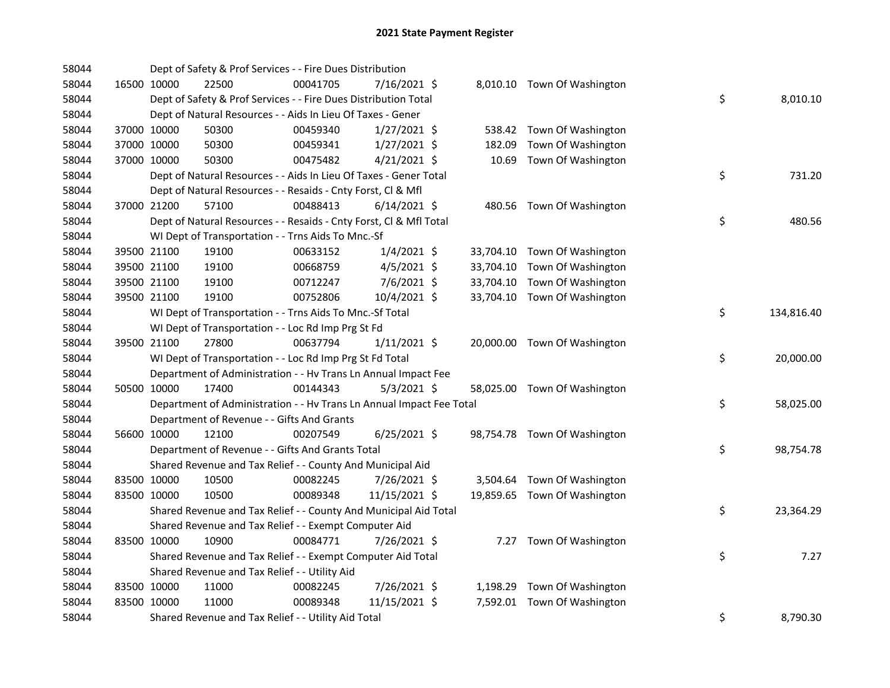| 58044 |             |             | Dept of Safety & Prof Services - - Fire Dues Distribution            |          |                |      |                              |    |            |
|-------|-------------|-------------|----------------------------------------------------------------------|----------|----------------|------|------------------------------|----|------------|
| 58044 |             | 16500 10000 | 22500                                                                | 00041705 | 7/16/2021 \$   |      | 8,010.10 Town Of Washington  |    |            |
| 58044 |             |             | Dept of Safety & Prof Services - - Fire Dues Distribution Total      |          |                |      |                              | \$ | 8,010.10   |
| 58044 |             |             | Dept of Natural Resources - - Aids In Lieu Of Taxes - Gener          |          |                |      |                              |    |            |
| 58044 |             | 37000 10000 | 50300                                                                | 00459340 | $1/27/2021$ \$ |      | 538.42 Town Of Washington    |    |            |
| 58044 |             | 37000 10000 | 50300                                                                | 00459341 | $1/27/2021$ \$ |      | 182.09 Town Of Washington    |    |            |
| 58044 | 37000 10000 |             | 50300                                                                | 00475482 | $4/21/2021$ \$ |      | 10.69 Town Of Washington     |    |            |
| 58044 |             |             | Dept of Natural Resources - - Aids In Lieu Of Taxes - Gener Total    |          |                |      |                              | \$ | 731.20     |
| 58044 |             |             | Dept of Natural Resources - - Resaids - Cnty Forst, Cl & Mfl         |          |                |      |                              |    |            |
| 58044 |             | 37000 21200 | 57100                                                                | 00488413 | $6/14/2021$ \$ |      | 480.56 Town Of Washington    |    |            |
| 58044 |             |             | Dept of Natural Resources - - Resaids - Cnty Forst, Cl & Mfl Total   |          |                |      |                              | \$ | 480.56     |
| 58044 |             |             | WI Dept of Transportation - - Trns Aids To Mnc.-Sf                   |          |                |      |                              |    |            |
| 58044 |             | 39500 21100 | 19100                                                                | 00633152 | $1/4/2021$ \$  |      | 33,704.10 Town Of Washington |    |            |
| 58044 |             | 39500 21100 | 19100                                                                | 00668759 | $4/5/2021$ \$  |      | 33,704.10 Town Of Washington |    |            |
| 58044 |             | 39500 21100 | 19100                                                                | 00712247 | 7/6/2021 \$    |      | 33,704.10 Town Of Washington |    |            |
| 58044 | 39500 21100 |             | 19100                                                                | 00752806 | 10/4/2021 \$   |      | 33,704.10 Town Of Washington |    |            |
| 58044 |             |             | WI Dept of Transportation - - Trns Aids To Mnc.-Sf Total             |          |                |      |                              | \$ | 134,816.40 |
| 58044 |             |             | WI Dept of Transportation - - Loc Rd Imp Prg St Fd                   |          |                |      |                              |    |            |
| 58044 |             | 39500 21100 | 27800                                                                | 00637794 | $1/11/2021$ \$ |      | 20,000.00 Town Of Washington |    |            |
| 58044 |             |             | WI Dept of Transportation - - Loc Rd Imp Prg St Fd Total             |          |                |      |                              | \$ | 20,000.00  |
| 58044 |             |             | Department of Administration - - Hv Trans Ln Annual Impact Fee       |          |                |      |                              |    |            |
| 58044 |             | 50500 10000 | 17400                                                                | 00144343 | $5/3/2021$ \$  |      | 58,025.00 Town Of Washington |    |            |
| 58044 |             |             | Department of Administration - - Hv Trans Ln Annual Impact Fee Total |          |                |      |                              | \$ | 58,025.00  |
| 58044 |             |             | Department of Revenue - - Gifts And Grants                           |          |                |      |                              |    |            |
| 58044 |             | 56600 10000 | 12100                                                                | 00207549 | $6/25/2021$ \$ |      | 98,754.78 Town Of Washington |    |            |
| 58044 |             |             | Department of Revenue - - Gifts And Grants Total                     |          |                |      |                              | \$ | 98,754.78  |
| 58044 |             |             | Shared Revenue and Tax Relief - - County And Municipal Aid           |          |                |      |                              |    |            |
| 58044 |             | 83500 10000 | 10500                                                                | 00082245 | 7/26/2021 \$   |      | 3,504.64 Town Of Washington  |    |            |
| 58044 | 83500 10000 |             | 10500                                                                | 00089348 | 11/15/2021 \$  |      | 19,859.65 Town Of Washington |    |            |
| 58044 |             |             | Shared Revenue and Tax Relief - - County And Municipal Aid Total     |          |                |      |                              | \$ | 23,364.29  |
| 58044 |             |             | Shared Revenue and Tax Relief - - Exempt Computer Aid                |          |                |      |                              |    |            |
| 58044 |             | 83500 10000 | 10900                                                                | 00084771 | 7/26/2021 \$   | 7.27 | Town Of Washington           |    |            |
| 58044 |             |             | Shared Revenue and Tax Relief - - Exempt Computer Aid Total          |          |                |      |                              | \$ | 7.27       |
| 58044 |             |             | Shared Revenue and Tax Relief - - Utility Aid                        |          |                |      |                              |    |            |
| 58044 |             | 83500 10000 | 11000                                                                | 00082245 | 7/26/2021 \$   |      | 1,198.29 Town Of Washington  |    |            |
| 58044 | 83500 10000 |             | 11000                                                                | 00089348 | 11/15/2021 \$  |      | 7,592.01 Town Of Washington  |    |            |
| 58044 |             |             | Shared Revenue and Tax Relief - - Utility Aid Total                  |          |                |      |                              | \$ | 8,790.30   |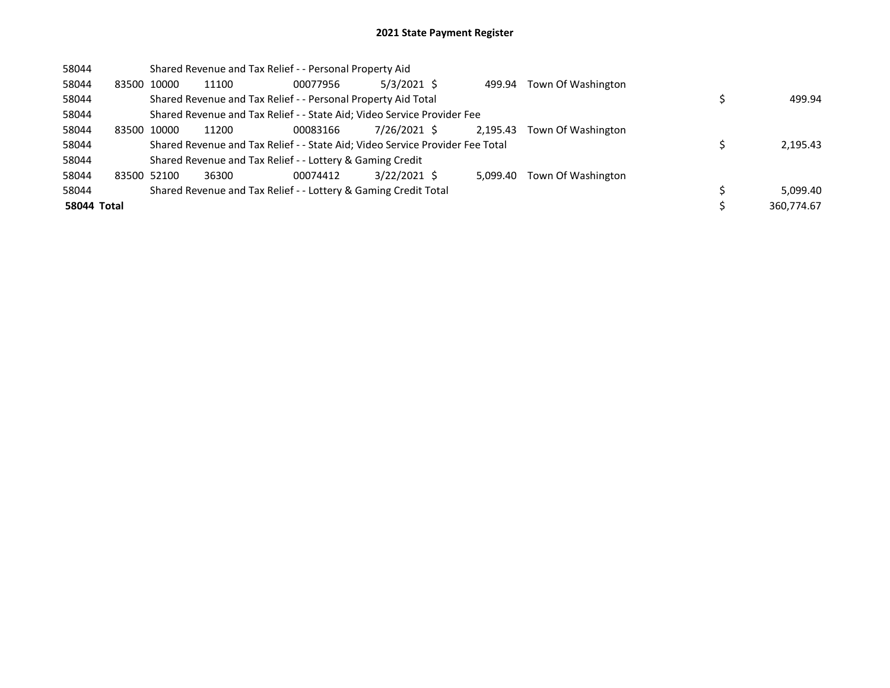| 58044       |             |       | Shared Revenue and Tax Relief - - Personal Property Aid                       |          |               |          |                    |            |
|-------------|-------------|-------|-------------------------------------------------------------------------------|----------|---------------|----------|--------------------|------------|
| 58044       | 83500 10000 |       | 11100                                                                         | 00077956 | $5/3/2021$ \$ | 499.94   | Town Of Washington |            |
| 58044       |             |       | Shared Revenue and Tax Relief - - Personal Property Aid Total                 |          |               |          |                    | 499.94     |
| 58044       |             |       | Shared Revenue and Tax Relief - - State Aid; Video Service Provider Fee       |          |               |          |                    |            |
| 58044       | 83500       | 10000 | 11200                                                                         | 00083166 | 7/26/2021 \$  | 2.195.43 | Town Of Washington |            |
| 58044       |             |       | Shared Revenue and Tax Relief - - State Aid; Video Service Provider Fee Total |          |               |          |                    | 2,195.43   |
| 58044       |             |       | Shared Revenue and Tax Relief - - Lottery & Gaming Credit                     |          |               |          |                    |            |
| 58044       | 83500 52100 |       | 36300                                                                         | 00074412 | 3/22/2021 \$  | 5.099.40 | Town Of Washington |            |
| 58044       |             |       | Shared Revenue and Tax Relief - - Lottery & Gaming Credit Total               |          |               |          |                    | 5,099.40   |
| 58044 Total |             |       |                                                                               |          |               |          |                    | 360.774.67 |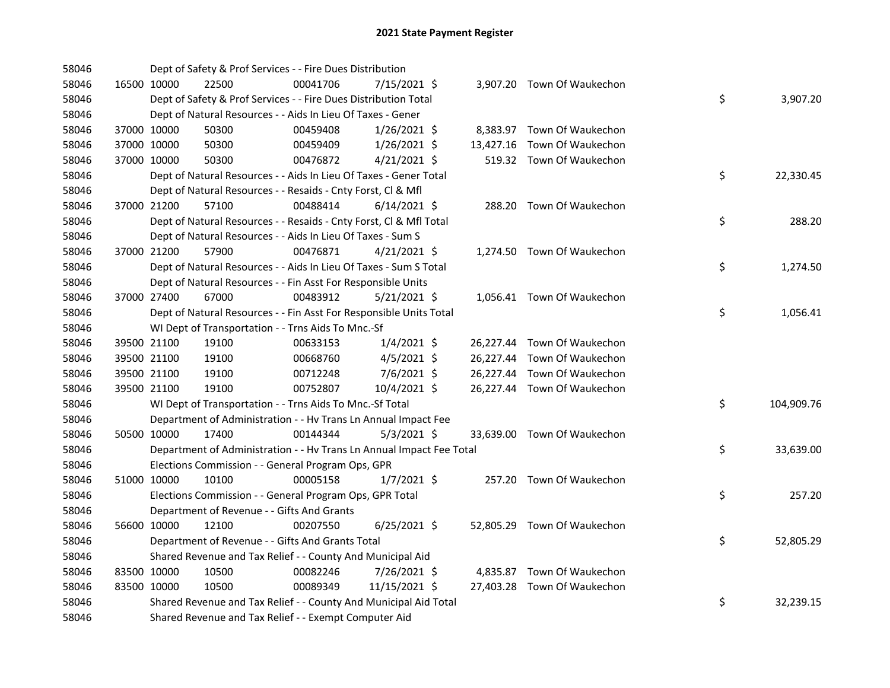| 58046 |             | Dept of Safety & Prof Services - - Fire Dues Distribution            |          |                |  |                             |    |            |
|-------|-------------|----------------------------------------------------------------------|----------|----------------|--|-----------------------------|----|------------|
| 58046 | 16500 10000 | 22500                                                                | 00041706 | 7/15/2021 \$   |  | 3,907.20 Town Of Waukechon  |    |            |
| 58046 |             | Dept of Safety & Prof Services - - Fire Dues Distribution Total      |          |                |  |                             | \$ | 3,907.20   |
| 58046 |             | Dept of Natural Resources - - Aids In Lieu Of Taxes - Gener          |          |                |  |                             |    |            |
| 58046 | 37000 10000 | 50300                                                                | 00459408 | $1/26/2021$ \$ |  | 8,383.97 Town Of Waukechon  |    |            |
| 58046 | 37000 10000 | 50300                                                                | 00459409 | $1/26/2021$ \$ |  | 13,427.16 Town Of Waukechon |    |            |
| 58046 | 37000 10000 | 50300                                                                | 00476872 | $4/21/2021$ \$ |  | 519.32 Town Of Waukechon    |    |            |
| 58046 |             | Dept of Natural Resources - - Aids In Lieu Of Taxes - Gener Total    |          |                |  |                             | \$ | 22,330.45  |
| 58046 |             | Dept of Natural Resources - - Resaids - Cnty Forst, Cl & Mfl         |          |                |  |                             |    |            |
| 58046 | 37000 21200 | 57100                                                                | 00488414 | $6/14/2021$ \$ |  | 288.20 Town Of Waukechon    |    |            |
| 58046 |             | Dept of Natural Resources - - Resaids - Cnty Forst, Cl & Mfl Total   |          |                |  |                             | \$ | 288.20     |
| 58046 |             | Dept of Natural Resources - - Aids In Lieu Of Taxes - Sum S          |          |                |  |                             |    |            |
| 58046 | 37000 21200 | 57900                                                                | 00476871 | $4/21/2021$ \$ |  | 1,274.50 Town Of Waukechon  |    |            |
| 58046 |             | Dept of Natural Resources - - Aids In Lieu Of Taxes - Sum S Total    |          |                |  |                             | \$ | 1,274.50   |
| 58046 |             | Dept of Natural Resources - - Fin Asst For Responsible Units         |          |                |  |                             |    |            |
| 58046 | 37000 27400 | 67000                                                                | 00483912 | $5/21/2021$ \$ |  | 1,056.41 Town Of Waukechon  |    |            |
| 58046 |             | Dept of Natural Resources - - Fin Asst For Responsible Units Total   |          |                |  |                             | \$ | 1,056.41   |
| 58046 |             | WI Dept of Transportation - - Trns Aids To Mnc.-Sf                   |          |                |  |                             |    |            |
| 58046 | 39500 21100 | 19100                                                                | 00633153 | 1/4/2021 \$    |  | 26,227.44 Town Of Waukechon |    |            |
| 58046 | 39500 21100 | 19100                                                                | 00668760 | $4/5/2021$ \$  |  | 26,227.44 Town Of Waukechon |    |            |
| 58046 | 39500 21100 | 19100                                                                | 00712248 | 7/6/2021 \$    |  | 26,227.44 Town Of Waukechon |    |            |
| 58046 | 39500 21100 | 19100                                                                | 00752807 | 10/4/2021 \$   |  | 26,227.44 Town Of Waukechon |    |            |
| 58046 |             | WI Dept of Transportation - - Trns Aids To Mnc.-Sf Total             |          |                |  |                             | \$ | 104,909.76 |
| 58046 |             | Department of Administration - - Hv Trans Ln Annual Impact Fee       |          |                |  |                             |    |            |
| 58046 | 50500 10000 | 17400                                                                | 00144344 | $5/3/2021$ \$  |  | 33,639.00 Town Of Waukechon |    |            |
| 58046 |             | Department of Administration - - Hv Trans Ln Annual Impact Fee Total |          |                |  |                             | \$ | 33,639.00  |
| 58046 |             | Elections Commission - - General Program Ops, GPR                    |          |                |  |                             |    |            |
| 58046 | 51000 10000 | 10100                                                                | 00005158 | $1/7/2021$ \$  |  | 257.20 Town Of Waukechon    |    |            |
| 58046 |             | Elections Commission - - General Program Ops, GPR Total              |          |                |  |                             | \$ | 257.20     |
| 58046 |             | Department of Revenue - - Gifts And Grants                           |          |                |  |                             |    |            |
| 58046 | 56600 10000 | 12100                                                                | 00207550 | $6/25/2021$ \$ |  | 52,805.29 Town Of Waukechon |    |            |
| 58046 |             | Department of Revenue - - Gifts And Grants Total                     |          |                |  |                             | \$ | 52,805.29  |
| 58046 |             | Shared Revenue and Tax Relief - - County And Municipal Aid           |          |                |  |                             |    |            |
| 58046 | 83500 10000 | 10500                                                                | 00082246 | 7/26/2021 \$   |  | 4,835.87 Town Of Waukechon  |    |            |
| 58046 | 83500 10000 | 10500                                                                | 00089349 | 11/15/2021 \$  |  | 27,403.28 Town Of Waukechon |    |            |
| 58046 |             | Shared Revenue and Tax Relief - - County And Municipal Aid Total     |          |                |  |                             | \$ | 32,239.15  |
| 58046 |             | Shared Revenue and Tax Relief - - Exempt Computer Aid                |          |                |  |                             |    |            |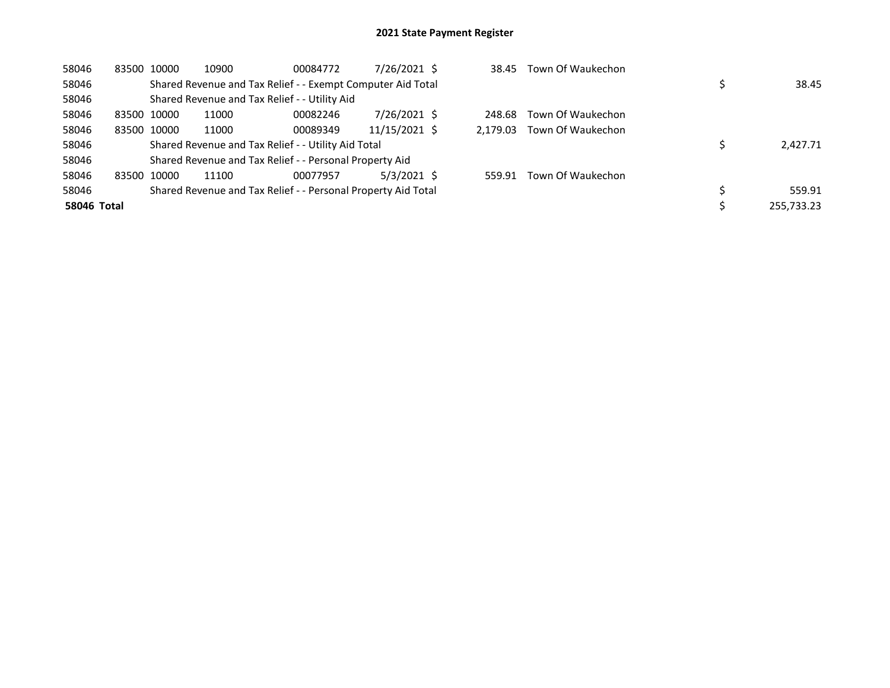| 58046       |       | 83500 10000 | 10900 | 00084772                                                      | 7/26/2021 \$  | 38.45    | Town Of Waukechon |            |
|-------------|-------|-------------|-------|---------------------------------------------------------------|---------------|----------|-------------------|------------|
| 58046       |       |             |       | Shared Revenue and Tax Relief - - Exempt Computer Aid Total   |               |          |                   | 38.45      |
| 58046       |       |             |       | Shared Revenue and Tax Relief - - Utility Aid                 |               |          |                   |            |
| 58046       |       | 83500 10000 | 11000 | 00082246                                                      | 7/26/2021 \$  | 248.68   | Town Of Waukechon |            |
| 58046       |       | 83500 10000 | 11000 | 00089349                                                      | 11/15/2021 \$ | 2.179.03 | Town Of Waukechon |            |
| 58046       |       |             |       | Shared Revenue and Tax Relief - - Utility Aid Total           |               |          |                   | 2,427.71   |
| 58046       |       |             |       | Shared Revenue and Tax Relief - - Personal Property Aid       |               |          |                   |            |
| 58046       | 83500 | 10000       | 11100 | 00077957                                                      | $5/3/2021$ \$ | 559.91   | Town Of Waukechon |            |
| 58046       |       |             |       | Shared Revenue and Tax Relief - - Personal Property Aid Total |               |          |                   | 559.91     |
| 58046 Total |       |             |       |                                                               |               |          |                   | 255,733.23 |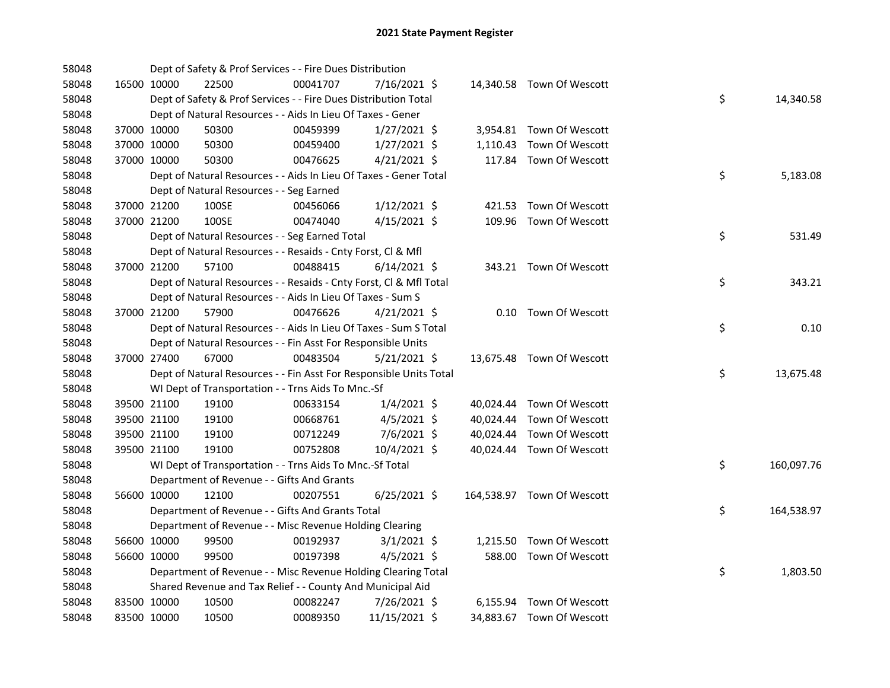| 58048 |             |             | Dept of Safety & Prof Services - - Fire Dues Distribution          |          |                |  |                            |    |            |
|-------|-------------|-------------|--------------------------------------------------------------------|----------|----------------|--|----------------------------|----|------------|
| 58048 |             | 16500 10000 | 22500                                                              | 00041707 | 7/16/2021 \$   |  | 14,340.58 Town Of Wescott  |    |            |
| 58048 |             |             | Dept of Safety & Prof Services - - Fire Dues Distribution Total    |          |                |  |                            | \$ | 14,340.58  |
| 58048 |             |             | Dept of Natural Resources - - Aids In Lieu Of Taxes - Gener        |          |                |  |                            |    |            |
| 58048 |             | 37000 10000 | 50300                                                              | 00459399 | $1/27/2021$ \$ |  | 3,954.81 Town Of Wescott   |    |            |
| 58048 |             | 37000 10000 | 50300                                                              | 00459400 | $1/27/2021$ \$ |  | 1,110.43 Town Of Wescott   |    |            |
| 58048 |             | 37000 10000 | 50300                                                              | 00476625 | $4/21/2021$ \$ |  | 117.84 Town Of Wescott     |    |            |
| 58048 |             |             | Dept of Natural Resources - - Aids In Lieu Of Taxes - Gener Total  |          |                |  |                            | \$ | 5,183.08   |
| 58048 |             |             | Dept of Natural Resources - - Seg Earned                           |          |                |  |                            |    |            |
| 58048 |             | 37000 21200 | 100SE                                                              | 00456066 | $1/12/2021$ \$ |  | 421.53 Town Of Wescott     |    |            |
| 58048 |             | 37000 21200 | 100SE                                                              | 00474040 | $4/15/2021$ \$ |  | 109.96 Town Of Wescott     |    |            |
| 58048 |             |             | Dept of Natural Resources - - Seg Earned Total                     |          |                |  |                            | \$ | 531.49     |
| 58048 |             |             | Dept of Natural Resources - - Resaids - Cnty Forst, Cl & Mfl       |          |                |  |                            |    |            |
| 58048 |             | 37000 21200 | 57100                                                              | 00488415 | $6/14/2021$ \$ |  | 343.21 Town Of Wescott     |    |            |
| 58048 |             |             | Dept of Natural Resources - - Resaids - Cnty Forst, Cl & Mfl Total |          |                |  |                            | \$ | 343.21     |
| 58048 |             |             | Dept of Natural Resources - - Aids In Lieu Of Taxes - Sum S        |          |                |  |                            |    |            |
| 58048 |             | 37000 21200 | 57900                                                              | 00476626 | $4/21/2021$ \$ |  | 0.10 Town Of Wescott       |    |            |
| 58048 |             |             | Dept of Natural Resources - - Aids In Lieu Of Taxes - Sum S Total  |          |                |  |                            | \$ | 0.10       |
| 58048 |             |             | Dept of Natural Resources - - Fin Asst For Responsible Units       |          |                |  |                            |    |            |
| 58048 |             | 37000 27400 | 67000                                                              | 00483504 | $5/21/2021$ \$ |  | 13,675.48 Town Of Wescott  |    |            |
| 58048 |             |             | Dept of Natural Resources - - Fin Asst For Responsible Units Total |          |                |  |                            | \$ | 13,675.48  |
| 58048 |             |             | WI Dept of Transportation - - Trns Aids To Mnc.-Sf                 |          |                |  |                            |    |            |
| 58048 |             | 39500 21100 | 19100                                                              | 00633154 | $1/4/2021$ \$  |  | 40,024.44 Town Of Wescott  |    |            |
| 58048 |             | 39500 21100 | 19100                                                              | 00668761 | 4/5/2021 \$    |  | 40,024.44 Town Of Wescott  |    |            |
| 58048 |             | 39500 21100 | 19100                                                              | 00712249 | $7/6/2021$ \$  |  | 40,024.44 Town Of Wescott  |    |            |
| 58048 |             | 39500 21100 | 19100                                                              | 00752808 | 10/4/2021 \$   |  | 40,024.44 Town Of Wescott  |    |            |
| 58048 |             |             | WI Dept of Transportation - - Trns Aids To Mnc.-Sf Total           |          |                |  |                            | \$ | 160,097.76 |
| 58048 |             |             | Department of Revenue - - Gifts And Grants                         |          |                |  |                            |    |            |
| 58048 |             | 56600 10000 | 12100                                                              | 00207551 | $6/25/2021$ \$ |  | 164,538.97 Town Of Wescott |    |            |
| 58048 |             |             | Department of Revenue - - Gifts And Grants Total                   |          |                |  |                            | \$ | 164,538.97 |
| 58048 |             |             | Department of Revenue - - Misc Revenue Holding Clearing            |          |                |  |                            |    |            |
| 58048 |             | 56600 10000 | 99500                                                              | 00192937 | $3/1/2021$ \$  |  | 1,215.50 Town Of Wescott   |    |            |
| 58048 |             | 56600 10000 | 99500                                                              | 00197398 | $4/5/2021$ \$  |  | 588.00 Town Of Wescott     |    |            |
| 58048 |             |             | Department of Revenue - - Misc Revenue Holding Clearing Total      |          |                |  |                            | \$ | 1,803.50   |
| 58048 |             |             | Shared Revenue and Tax Relief - - County And Municipal Aid         |          |                |  |                            |    |            |
| 58048 |             | 83500 10000 | 10500                                                              | 00082247 | 7/26/2021 \$   |  | 6,155.94 Town Of Wescott   |    |            |
| 58048 | 83500 10000 |             | 10500                                                              | 00089350 | 11/15/2021 \$  |  | 34,883.67 Town Of Wescott  |    |            |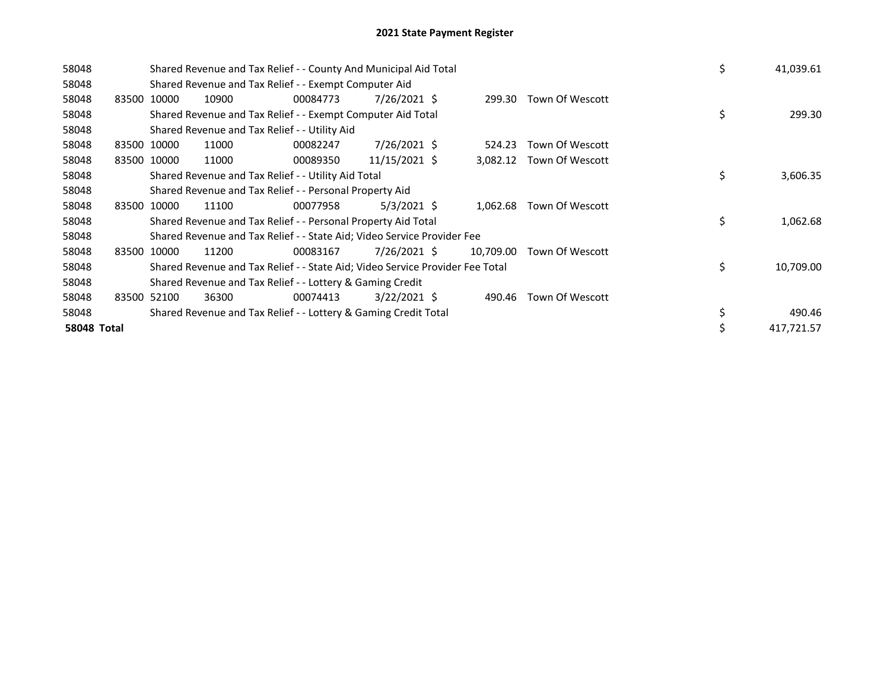| 58048              |       |             |                                               | Shared Revenue and Tax Relief - - County And Municipal Aid Total              |                |           |                 | \$<br>41,039.61  |
|--------------------|-------|-------------|-----------------------------------------------|-------------------------------------------------------------------------------|----------------|-----------|-----------------|------------------|
| 58048              |       |             |                                               | Shared Revenue and Tax Relief - - Exempt Computer Aid                         |                |           |                 |                  |
| 58048              |       | 83500 10000 | 10900                                         | 00084773                                                                      | 7/26/2021 \$   | 299.30    | Town Of Wescott |                  |
| 58048              |       |             |                                               | Shared Revenue and Tax Relief - - Exempt Computer Aid Total                   |                |           |                 | \$<br>299.30     |
| 58048              |       |             | Shared Revenue and Tax Relief - - Utility Aid |                                                                               |                |           |                 |                  |
| 58048              |       | 83500 10000 | 11000                                         | 00082247                                                                      | 7/26/2021 \$   | 524.23    | Town Of Wescott |                  |
| 58048              |       | 83500 10000 | 11000                                         | 00089350                                                                      | 11/15/2021 \$  | 3,082.12  | Town Of Wescott |                  |
| 58048              |       |             |                                               | Shared Revenue and Tax Relief - - Utility Aid Total                           |                |           |                 | \$<br>3,606.35   |
| 58048              |       |             |                                               | Shared Revenue and Tax Relief - - Personal Property Aid                       |                |           |                 |                  |
| 58048              |       | 83500 10000 | 11100                                         | 00077958                                                                      | $5/3/2021$ \$  | 1,062.68  | Town Of Wescott |                  |
| 58048              |       |             |                                               | Shared Revenue and Tax Relief - - Personal Property Aid Total                 |                |           |                 | \$<br>1,062.68   |
| 58048              |       |             |                                               | Shared Revenue and Tax Relief - - State Aid; Video Service Provider Fee       |                |           |                 |                  |
| 58048              | 83500 | 10000       | 11200                                         | 00083167                                                                      | 7/26/2021 \$   | 10,709.00 | Town Of Wescott |                  |
| 58048              |       |             |                                               | Shared Revenue and Tax Relief - - State Aid; Video Service Provider Fee Total |                |           |                 | \$<br>10,709.00  |
| 58048              |       |             |                                               | Shared Revenue and Tax Relief - - Lottery & Gaming Credit                     |                |           |                 |                  |
| 58048              |       | 83500 52100 | 36300                                         | 00074413                                                                      | $3/22/2021$ \$ | 490.46    | Town Of Wescott |                  |
| 58048              |       |             |                                               | Shared Revenue and Tax Relief - - Lottery & Gaming Credit Total               |                |           |                 | 490.46           |
| <b>58048 Total</b> |       |             |                                               |                                                                               |                |           |                 | \$<br>417,721.57 |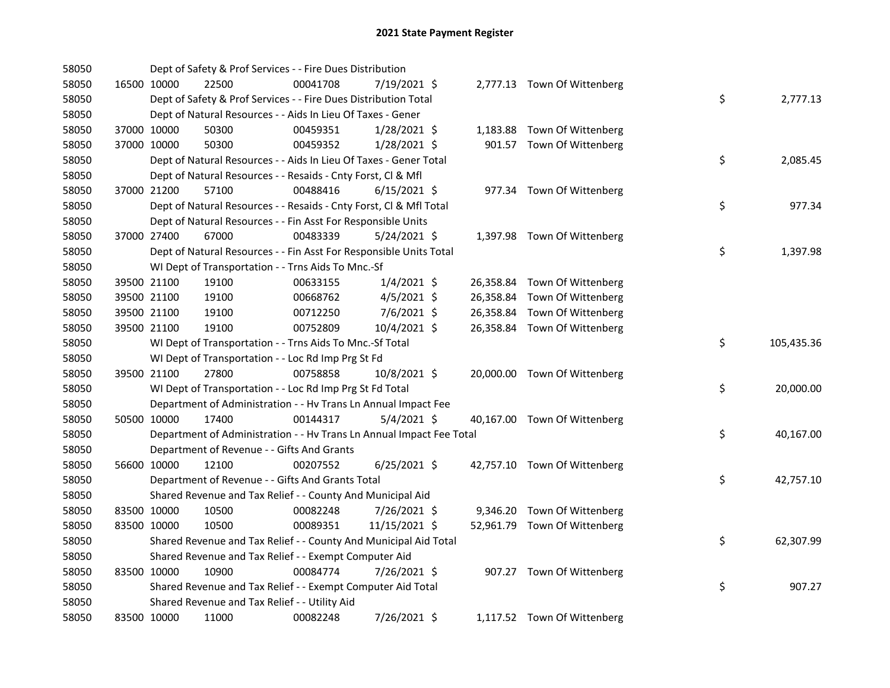| 58050 |             |             | Dept of Safety & Prof Services - - Fire Dues Distribution            |          |                |  |                              |    |            |
|-------|-------------|-------------|----------------------------------------------------------------------|----------|----------------|--|------------------------------|----|------------|
| 58050 |             | 16500 10000 | 22500                                                                | 00041708 | 7/19/2021 \$   |  | 2,777.13 Town Of Wittenberg  |    |            |
| 58050 |             |             | Dept of Safety & Prof Services - - Fire Dues Distribution Total      |          |                |  |                              | \$ | 2,777.13   |
| 58050 |             |             | Dept of Natural Resources - - Aids In Lieu Of Taxes - Gener          |          |                |  |                              |    |            |
| 58050 | 37000 10000 |             | 50300                                                                | 00459351 | 1/28/2021 \$   |  | 1,183.88 Town Of Wittenberg  |    |            |
| 58050 | 37000 10000 |             | 50300                                                                | 00459352 | $1/28/2021$ \$ |  | 901.57 Town Of Wittenberg    |    |            |
| 58050 |             |             | Dept of Natural Resources - - Aids In Lieu Of Taxes - Gener Total    |          |                |  |                              | \$ | 2,085.45   |
| 58050 |             |             | Dept of Natural Resources - - Resaids - Cnty Forst, Cl & Mfl         |          |                |  |                              |    |            |
| 58050 |             | 37000 21200 | 57100                                                                | 00488416 | $6/15/2021$ \$ |  | 977.34 Town Of Wittenberg    |    |            |
| 58050 |             |             | Dept of Natural Resources - - Resaids - Cnty Forst, Cl & Mfl Total   |          |                |  |                              | \$ | 977.34     |
| 58050 |             |             | Dept of Natural Resources - - Fin Asst For Responsible Units         |          |                |  |                              |    |            |
| 58050 |             | 37000 27400 | 67000                                                                | 00483339 | 5/24/2021 \$   |  | 1,397.98 Town Of Wittenberg  |    |            |
| 58050 |             |             | Dept of Natural Resources - - Fin Asst For Responsible Units Total   |          |                |  |                              | \$ | 1,397.98   |
| 58050 |             |             | WI Dept of Transportation - - Trns Aids To Mnc.-Sf                   |          |                |  |                              |    |            |
| 58050 |             | 39500 21100 | 19100                                                                | 00633155 | $1/4/2021$ \$  |  | 26,358.84 Town Of Wittenberg |    |            |
| 58050 |             | 39500 21100 | 19100                                                                | 00668762 | $4/5/2021$ \$  |  | 26,358.84 Town Of Wittenberg |    |            |
| 58050 |             | 39500 21100 | 19100                                                                | 00712250 | $7/6/2021$ \$  |  | 26,358.84 Town Of Wittenberg |    |            |
| 58050 | 39500 21100 |             | 19100                                                                | 00752809 | 10/4/2021 \$   |  | 26,358.84 Town Of Wittenberg |    |            |
| 58050 |             |             | WI Dept of Transportation - - Trns Aids To Mnc.-Sf Total             |          |                |  |                              | \$ | 105,435.36 |
| 58050 |             |             | WI Dept of Transportation - - Loc Rd Imp Prg St Fd                   |          |                |  |                              |    |            |
| 58050 |             | 39500 21100 | 27800                                                                | 00758858 | 10/8/2021 \$   |  | 20,000.00 Town Of Wittenberg |    |            |
| 58050 |             |             | WI Dept of Transportation - - Loc Rd Imp Prg St Fd Total             |          |                |  |                              | \$ | 20,000.00  |
| 58050 |             |             | Department of Administration - - Hv Trans Ln Annual Impact Fee       |          |                |  |                              |    |            |
| 58050 | 50500 10000 |             | 17400                                                                | 00144317 | $5/4/2021$ \$  |  | 40,167.00 Town Of Wittenberg |    |            |
| 58050 |             |             | Department of Administration - - Hv Trans Ln Annual Impact Fee Total |          |                |  |                              | \$ | 40,167.00  |
| 58050 |             |             | Department of Revenue - - Gifts And Grants                           |          |                |  |                              |    |            |
| 58050 | 56600 10000 |             | 12100                                                                | 00207552 | $6/25/2021$ \$ |  | 42,757.10 Town Of Wittenberg |    |            |
| 58050 |             |             | Department of Revenue - - Gifts And Grants Total                     |          |                |  |                              | \$ | 42,757.10  |
| 58050 |             |             | Shared Revenue and Tax Relief - - County And Municipal Aid           |          |                |  |                              |    |            |
| 58050 |             | 83500 10000 | 10500                                                                | 00082248 | $7/26/2021$ \$ |  | 9,346.20 Town Of Wittenberg  |    |            |
| 58050 |             | 83500 10000 | 10500                                                                | 00089351 | 11/15/2021 \$  |  | 52,961.79 Town Of Wittenberg |    |            |
| 58050 |             |             | Shared Revenue and Tax Relief - - County And Municipal Aid Total     |          |                |  |                              | \$ | 62,307.99  |
| 58050 |             |             | Shared Revenue and Tax Relief - - Exempt Computer Aid                |          |                |  |                              |    |            |
| 58050 | 83500 10000 |             | 10900                                                                | 00084774 | 7/26/2021 \$   |  | 907.27 Town Of Wittenberg    |    |            |
| 58050 |             |             | Shared Revenue and Tax Relief - - Exempt Computer Aid Total          |          |                |  |                              | \$ | 907.27     |
| 58050 |             |             | Shared Revenue and Tax Relief - - Utility Aid                        |          |                |  |                              |    |            |
| 58050 | 83500 10000 |             | 11000                                                                | 00082248 | 7/26/2021 \$   |  | 1,117.52 Town Of Wittenberg  |    |            |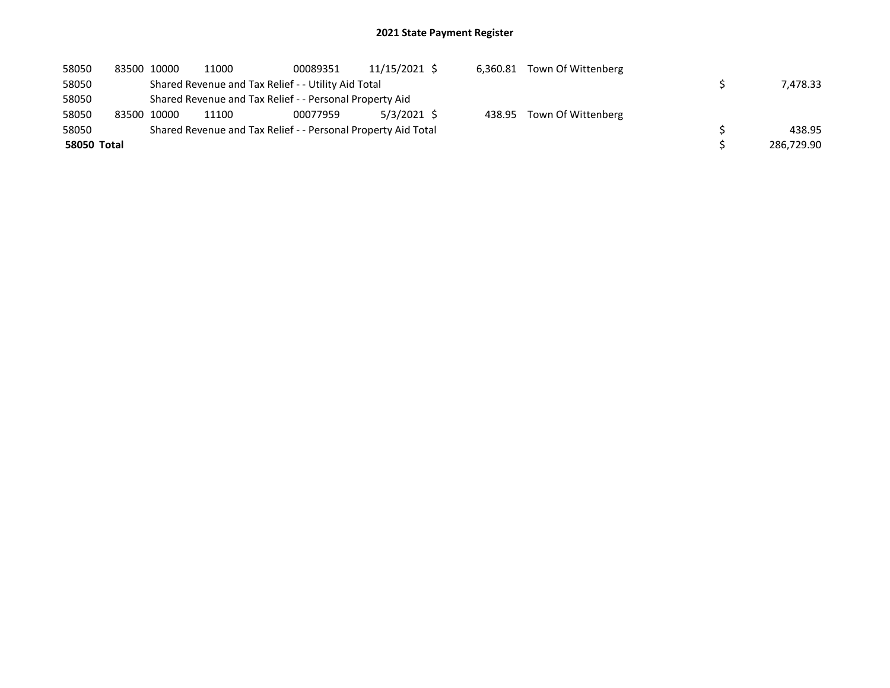| 58050       | 83500 10000 | 11000 | 00089351                                                      | 11/15/2021 \$ |  | 6,360.81 Town Of Wittenberg |            |
|-------------|-------------|-------|---------------------------------------------------------------|---------------|--|-----------------------------|------------|
| 58050       |             |       | Shared Revenue and Tax Relief - - Utility Aid Total           |               |  |                             | 7.478.33   |
| 58050       |             |       | Shared Revenue and Tax Relief - - Personal Property Aid       |               |  |                             |            |
| 58050       | 83500 10000 | 11100 | 00077959                                                      | 5/3/2021 \$   |  | 438.95 Town Of Wittenberg   |            |
| 58050       |             |       | Shared Revenue and Tax Relief - - Personal Property Aid Total |               |  |                             | 438.95     |
| 58050 Total |             |       |                                                               |               |  |                             | 286,729.90 |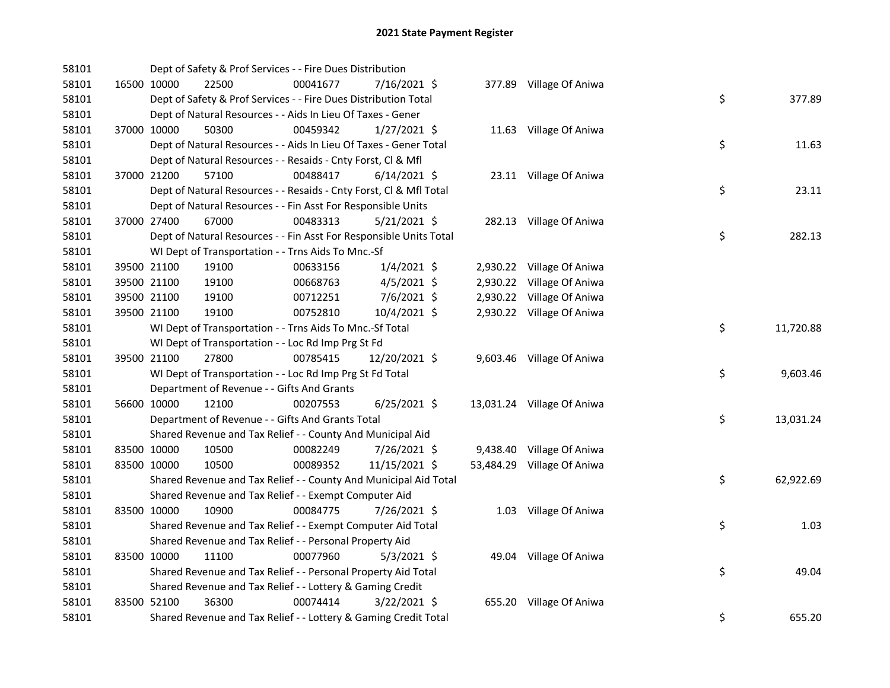| 58101 |             | Dept of Safety & Prof Services - - Fire Dues Distribution          |          |                |  |                            |    |           |
|-------|-------------|--------------------------------------------------------------------|----------|----------------|--|----------------------------|----|-----------|
| 58101 | 16500 10000 | 22500                                                              | 00041677 | 7/16/2021 \$   |  | 377.89 Village Of Aniwa    |    |           |
| 58101 |             | Dept of Safety & Prof Services - - Fire Dues Distribution Total    |          |                |  |                            | \$ | 377.89    |
| 58101 |             | Dept of Natural Resources - - Aids In Lieu Of Taxes - Gener        |          |                |  |                            |    |           |
| 58101 | 37000 10000 | 50300                                                              | 00459342 | $1/27/2021$ \$ |  | 11.63 Village Of Aniwa     |    |           |
| 58101 |             | Dept of Natural Resources - - Aids In Lieu Of Taxes - Gener Total  |          |                |  |                            | \$ | 11.63     |
| 58101 |             | Dept of Natural Resources - - Resaids - Cnty Forst, CI & Mfl       |          |                |  |                            |    |           |
| 58101 | 37000 21200 | 57100                                                              | 00488417 | $6/14/2021$ \$ |  | 23.11 Village Of Aniwa     |    |           |
| 58101 |             | Dept of Natural Resources - - Resaids - Cnty Forst, Cl & Mfl Total |          |                |  |                            | \$ | 23.11     |
| 58101 |             | Dept of Natural Resources - - Fin Asst For Responsible Units       |          |                |  |                            |    |           |
| 58101 | 37000 27400 | 67000                                                              | 00483313 | $5/21/2021$ \$ |  | 282.13 Village Of Aniwa    |    |           |
| 58101 |             | Dept of Natural Resources - - Fin Asst For Responsible Units Total |          |                |  |                            | \$ | 282.13    |
| 58101 |             | WI Dept of Transportation - - Trns Aids To Mnc.-Sf                 |          |                |  |                            |    |           |
| 58101 | 39500 21100 | 19100                                                              | 00633156 | $1/4/2021$ \$  |  | 2,930.22 Village Of Aniwa  |    |           |
| 58101 | 39500 21100 | 19100                                                              | 00668763 | $4/5/2021$ \$  |  | 2,930.22 Village Of Aniwa  |    |           |
| 58101 | 39500 21100 | 19100                                                              | 00712251 | 7/6/2021 \$    |  | 2,930.22 Village Of Aniwa  |    |           |
| 58101 | 39500 21100 | 19100                                                              | 00752810 | 10/4/2021 \$   |  | 2,930.22 Village Of Aniwa  |    |           |
| 58101 |             | WI Dept of Transportation - - Trns Aids To Mnc.-Sf Total           |          |                |  |                            | \$ | 11,720.88 |
| 58101 |             | WI Dept of Transportation - - Loc Rd Imp Prg St Fd                 |          |                |  |                            |    |           |
| 58101 | 39500 21100 | 27800                                                              | 00785415 | 12/20/2021 \$  |  | 9,603.46 Village Of Aniwa  |    |           |
| 58101 |             | WI Dept of Transportation - - Loc Rd Imp Prg St Fd Total           |          |                |  |                            | \$ | 9,603.46  |
| 58101 |             | Department of Revenue - - Gifts And Grants                         |          |                |  |                            |    |           |
| 58101 | 56600 10000 | 12100                                                              | 00207553 | $6/25/2021$ \$ |  | 13,031.24 Village Of Aniwa |    |           |
| 58101 |             | Department of Revenue - - Gifts And Grants Total                   |          |                |  |                            | \$ | 13,031.24 |
| 58101 |             | Shared Revenue and Tax Relief - - County And Municipal Aid         |          |                |  |                            |    |           |
| 58101 | 83500 10000 | 10500                                                              | 00082249 | 7/26/2021 \$   |  | 9,438.40 Village Of Aniwa  |    |           |
| 58101 | 83500 10000 | 10500                                                              | 00089352 | 11/15/2021 \$  |  | 53,484.29 Village Of Aniwa |    |           |
| 58101 |             | Shared Revenue and Tax Relief - - County And Municipal Aid Total   |          |                |  |                            | \$ | 62,922.69 |
| 58101 |             | Shared Revenue and Tax Relief - - Exempt Computer Aid              |          |                |  |                            |    |           |
| 58101 | 83500 10000 | 10900                                                              | 00084775 | 7/26/2021 \$   |  | 1.03 Village Of Aniwa      |    |           |
| 58101 |             | Shared Revenue and Tax Relief - - Exempt Computer Aid Total        |          |                |  |                            | \$ | 1.03      |
| 58101 |             | Shared Revenue and Tax Relief - - Personal Property Aid            |          |                |  |                            |    |           |
| 58101 | 83500 10000 | 11100                                                              | 00077960 | $5/3/2021$ \$  |  | 49.04 Village Of Aniwa     |    |           |
| 58101 |             | Shared Revenue and Tax Relief - - Personal Property Aid Total      |          |                |  |                            | \$ | 49.04     |
| 58101 |             | Shared Revenue and Tax Relief - - Lottery & Gaming Credit          |          |                |  |                            |    |           |
| 58101 | 83500 52100 | 36300                                                              | 00074414 | $3/22/2021$ \$ |  | 655.20 Village Of Aniwa    |    |           |
| 58101 |             | Shared Revenue and Tax Relief - - Lottery & Gaming Credit Total    |          |                |  |                            | \$ | 655.20    |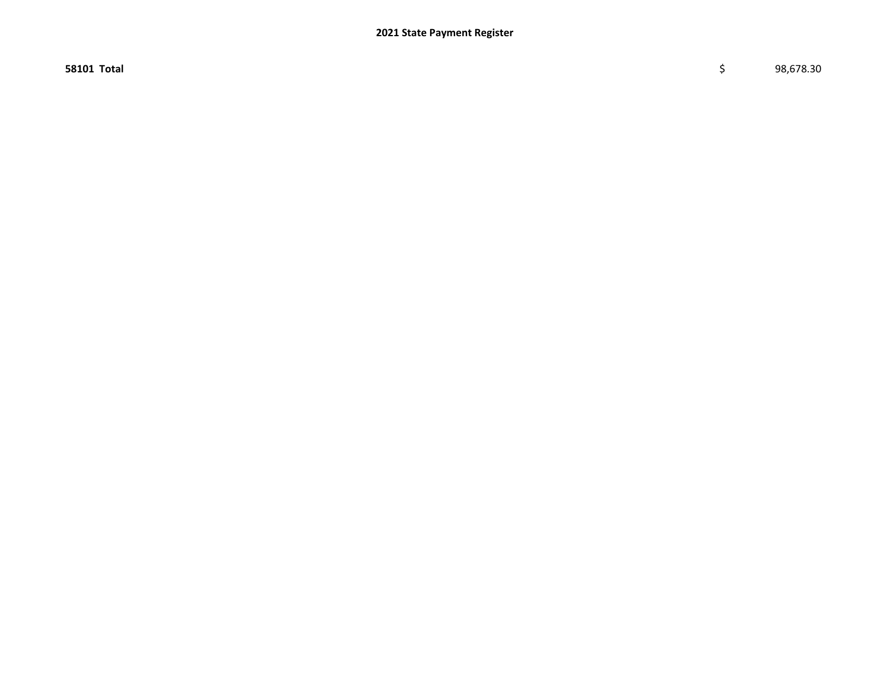58101 Total \$ 98,678.30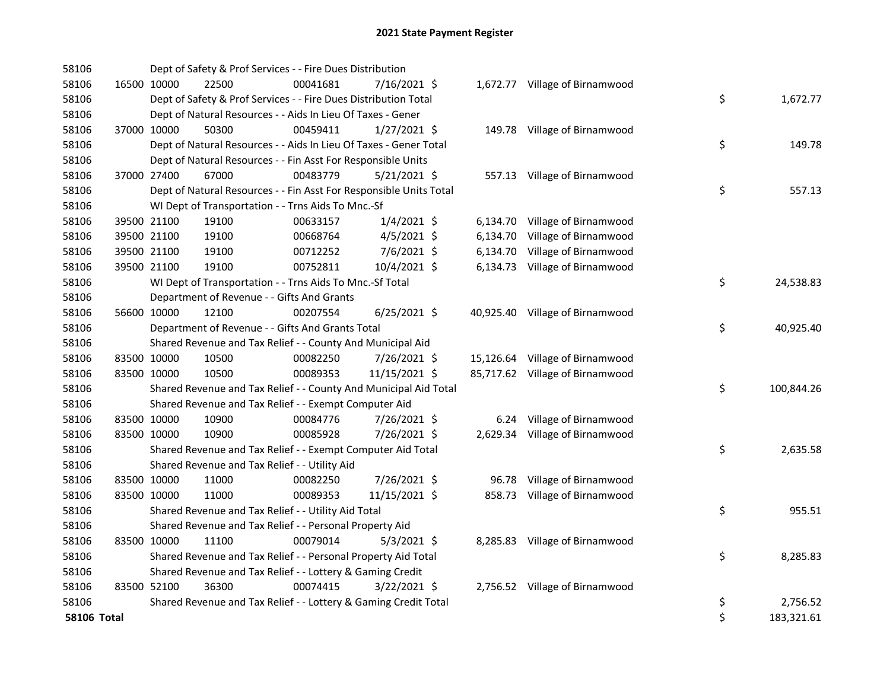| 58106              |             |             | Dept of Safety & Prof Services - - Fire Dues Distribution          |          |                |          |                                 |    |            |
|--------------------|-------------|-------------|--------------------------------------------------------------------|----------|----------------|----------|---------------------------------|----|------------|
| 58106              |             | 16500 10000 | 22500                                                              | 00041681 | 7/16/2021 \$   |          | 1,672.77 Village of Birnamwood  |    |            |
| 58106              |             |             | Dept of Safety & Prof Services - - Fire Dues Distribution Total    |          |                |          |                                 | \$ | 1,672.77   |
| 58106              |             |             | Dept of Natural Resources - - Aids In Lieu Of Taxes - Gener        |          |                |          |                                 |    |            |
| 58106              | 37000 10000 |             | 50300                                                              | 00459411 | $1/27/2021$ \$ |          | 149.78 Village of Birnamwood    |    |            |
| 58106              |             |             | Dept of Natural Resources - - Aids In Lieu Of Taxes - Gener Total  |          |                |          |                                 | \$ | 149.78     |
| 58106              |             |             | Dept of Natural Resources - - Fin Asst For Responsible Units       |          |                |          |                                 |    |            |
| 58106              | 37000 27400 |             | 67000                                                              | 00483779 | $5/21/2021$ \$ |          | 557.13 Village of Birnamwood    |    |            |
| 58106              |             |             | Dept of Natural Resources - - Fin Asst For Responsible Units Total |          |                |          |                                 | \$ | 557.13     |
| 58106              |             |             | WI Dept of Transportation - - Trns Aids To Mnc.-Sf                 |          |                |          |                                 |    |            |
| 58106              |             | 39500 21100 | 19100                                                              | 00633157 | $1/4/2021$ \$  |          | 6,134.70 Village of Birnamwood  |    |            |
| 58106              |             | 39500 21100 | 19100                                                              | 00668764 | $4/5/2021$ \$  | 6,134.70 | Village of Birnamwood           |    |            |
| 58106              |             | 39500 21100 | 19100                                                              | 00712252 | 7/6/2021 \$    | 6,134.70 | Village of Birnamwood           |    |            |
| 58106              |             | 39500 21100 | 19100                                                              | 00752811 | 10/4/2021 \$   |          | 6,134.73 Village of Birnamwood  |    |            |
| 58106              |             |             | WI Dept of Transportation - - Trns Aids To Mnc.-Sf Total           |          |                |          |                                 | \$ | 24,538.83  |
| 58106              |             |             | Department of Revenue - - Gifts And Grants                         |          |                |          |                                 |    |            |
| 58106              |             | 56600 10000 | 12100                                                              | 00207554 | $6/25/2021$ \$ |          | 40,925.40 Village of Birnamwood |    |            |
| 58106              |             |             | Department of Revenue - - Gifts And Grants Total                   |          |                |          |                                 | \$ | 40,925.40  |
| 58106              |             |             | Shared Revenue and Tax Relief - - County And Municipal Aid         |          |                |          |                                 |    |            |
| 58106              |             | 83500 10000 | 10500                                                              | 00082250 | 7/26/2021 \$   |          | 15,126.64 Village of Birnamwood |    |            |
| 58106              | 83500 10000 |             | 10500                                                              | 00089353 | 11/15/2021 \$  |          | 85,717.62 Village of Birnamwood |    |            |
| 58106              |             |             | Shared Revenue and Tax Relief - - County And Municipal Aid Total   |          |                |          |                                 | \$ | 100,844.26 |
| 58106              |             |             | Shared Revenue and Tax Relief - - Exempt Computer Aid              |          |                |          |                                 |    |            |
| 58106              | 83500 10000 |             | 10900                                                              | 00084776 | 7/26/2021 \$   |          | 6.24 Village of Birnamwood      |    |            |
| 58106              | 83500 10000 |             | 10900                                                              | 00085928 | 7/26/2021 \$   |          | 2,629.34 Village of Birnamwood  |    |            |
| 58106              |             |             | Shared Revenue and Tax Relief - - Exempt Computer Aid Total        |          |                |          |                                 | \$ | 2,635.58   |
| 58106              |             |             | Shared Revenue and Tax Relief - - Utility Aid                      |          |                |          |                                 |    |            |
| 58106              |             | 83500 10000 | 11000                                                              | 00082250 | 7/26/2021 \$   |          | 96.78 Village of Birnamwood     |    |            |
| 58106              | 83500 10000 |             | 11000                                                              | 00089353 | 11/15/2021 \$  |          | 858.73 Village of Birnamwood    |    |            |
| 58106              |             |             | Shared Revenue and Tax Relief - - Utility Aid Total                |          |                |          |                                 | \$ | 955.51     |
| 58106              |             |             | Shared Revenue and Tax Relief - - Personal Property Aid            |          |                |          |                                 |    |            |
| 58106              |             | 83500 10000 | 11100                                                              | 00079014 | $5/3/2021$ \$  |          | 8,285.83 Village of Birnamwood  |    |            |
| 58106              |             |             | Shared Revenue and Tax Relief - - Personal Property Aid Total      |          |                |          |                                 | \$ | 8,285.83   |
| 58106              |             |             | Shared Revenue and Tax Relief - - Lottery & Gaming Credit          |          |                |          |                                 |    |            |
| 58106              | 83500 52100 |             | 36300                                                              | 00074415 | $3/22/2021$ \$ |          | 2,756.52 Village of Birnamwood  |    |            |
| 58106              |             |             | Shared Revenue and Tax Relief - - Lottery & Gaming Credit Total    |          |                |          |                                 | \$ | 2,756.52   |
| <b>58106 Total</b> |             |             |                                                                    |          |                |          |                                 | \$ | 183,321.61 |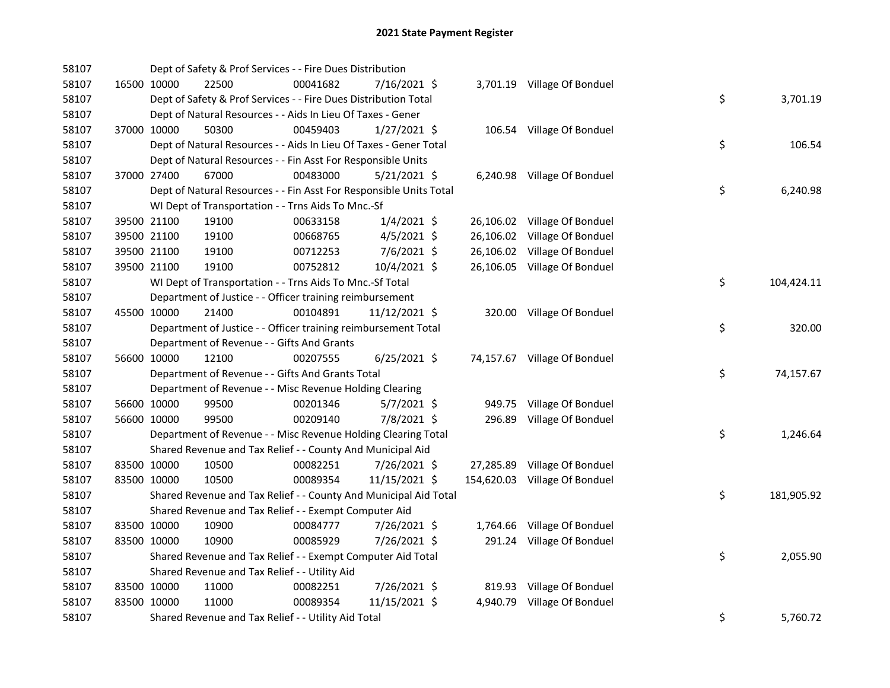| 58107 |             | Dept of Safety & Prof Services - - Fire Dues Distribution          |          |                |  |                               |    |            |
|-------|-------------|--------------------------------------------------------------------|----------|----------------|--|-------------------------------|----|------------|
| 58107 | 16500 10000 | 22500                                                              | 00041682 | 7/16/2021 \$   |  | 3,701.19 Village Of Bonduel   |    |            |
| 58107 |             | Dept of Safety & Prof Services - - Fire Dues Distribution Total    |          |                |  |                               | \$ | 3,701.19   |
| 58107 |             | Dept of Natural Resources - - Aids In Lieu Of Taxes - Gener        |          |                |  |                               |    |            |
| 58107 | 37000 10000 | 50300                                                              | 00459403 | $1/27/2021$ \$ |  | 106.54 Village Of Bonduel     |    |            |
| 58107 |             | Dept of Natural Resources - - Aids In Lieu Of Taxes - Gener Total  |          |                |  |                               | \$ | 106.54     |
| 58107 |             | Dept of Natural Resources - - Fin Asst For Responsible Units       |          |                |  |                               |    |            |
| 58107 | 37000 27400 | 67000                                                              | 00483000 | $5/21/2021$ \$ |  | 6,240.98 Village Of Bonduel   |    |            |
| 58107 |             | Dept of Natural Resources - - Fin Asst For Responsible Units Total |          |                |  |                               | \$ | 6,240.98   |
| 58107 |             | WI Dept of Transportation - - Trns Aids To Mnc.-Sf                 |          |                |  |                               |    |            |
| 58107 | 39500 21100 | 19100                                                              | 00633158 | $1/4/2021$ \$  |  | 26,106.02 Village Of Bonduel  |    |            |
| 58107 | 39500 21100 | 19100                                                              | 00668765 | $4/5/2021$ \$  |  | 26,106.02 Village Of Bonduel  |    |            |
| 58107 | 39500 21100 | 19100                                                              | 00712253 | 7/6/2021 \$    |  | 26,106.02 Village Of Bonduel  |    |            |
| 58107 | 39500 21100 | 19100                                                              | 00752812 | 10/4/2021 \$   |  | 26,106.05 Village Of Bonduel  |    |            |
| 58107 |             | WI Dept of Transportation - - Trns Aids To Mnc.-Sf Total           |          |                |  |                               | \$ | 104,424.11 |
| 58107 |             | Department of Justice - - Officer training reimbursement           |          |                |  |                               |    |            |
| 58107 | 45500 10000 | 21400                                                              | 00104891 | 11/12/2021 \$  |  | 320.00 Village Of Bonduel     |    |            |
| 58107 |             | Department of Justice - - Officer training reimbursement Total     |          |                |  |                               | \$ | 320.00     |
| 58107 |             | Department of Revenue - - Gifts And Grants                         |          |                |  |                               |    |            |
| 58107 | 56600 10000 | 12100                                                              | 00207555 | $6/25/2021$ \$ |  | 74,157.67 Village Of Bonduel  |    |            |
| 58107 |             | Department of Revenue - - Gifts And Grants Total                   |          |                |  |                               | \$ | 74,157.67  |
| 58107 |             | Department of Revenue - - Misc Revenue Holding Clearing            |          |                |  |                               |    |            |
| 58107 | 56600 10000 | 99500                                                              | 00201346 | $5/7/2021$ \$  |  | 949.75 Village Of Bonduel     |    |            |
| 58107 | 56600 10000 | 99500                                                              | 00209140 | 7/8/2021 \$    |  | 296.89 Village Of Bonduel     |    |            |
| 58107 |             | Department of Revenue - - Misc Revenue Holding Clearing Total      |          |                |  |                               | \$ | 1,246.64   |
| 58107 |             | Shared Revenue and Tax Relief - - County And Municipal Aid         |          |                |  |                               |    |            |
| 58107 | 83500 10000 | 10500                                                              | 00082251 | 7/26/2021 \$   |  | 27,285.89 Village Of Bonduel  |    |            |
| 58107 | 83500 10000 | 10500                                                              | 00089354 | 11/15/2021 \$  |  | 154,620.03 Village Of Bonduel |    |            |
| 58107 |             | Shared Revenue and Tax Relief - - County And Municipal Aid Total   |          |                |  |                               | \$ | 181,905.92 |
| 58107 |             | Shared Revenue and Tax Relief - - Exempt Computer Aid              |          |                |  |                               |    |            |
| 58107 | 83500 10000 | 10900                                                              | 00084777 | 7/26/2021 \$   |  | 1,764.66 Village Of Bonduel   |    |            |
| 58107 | 83500 10000 | 10900                                                              | 00085929 | 7/26/2021 \$   |  | 291.24 Village Of Bonduel     |    |            |
| 58107 |             | Shared Revenue and Tax Relief - - Exempt Computer Aid Total        |          |                |  |                               | \$ | 2,055.90   |
| 58107 |             | Shared Revenue and Tax Relief - - Utility Aid                      |          |                |  |                               |    |            |
| 58107 | 83500 10000 | 11000                                                              | 00082251 | 7/26/2021 \$   |  | 819.93 Village Of Bonduel     |    |            |
| 58107 | 83500 10000 | 11000                                                              | 00089354 | 11/15/2021 \$  |  | 4,940.79 Village Of Bonduel   |    |            |
| 58107 |             | Shared Revenue and Tax Relief - - Utility Aid Total                |          |                |  |                               | \$ | 5,760.72   |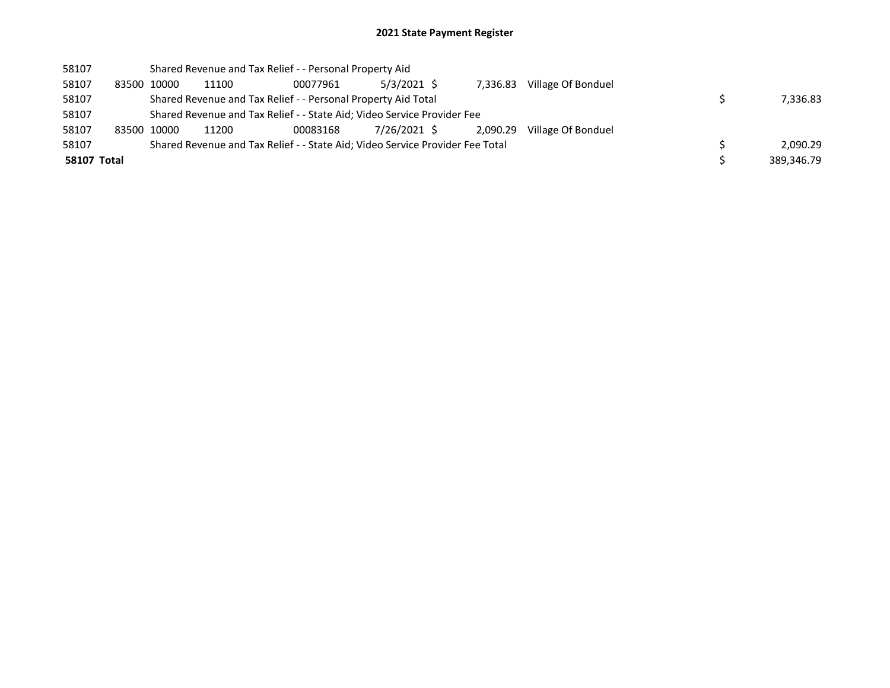| 58107       |             | Shared Revenue and Tax Relief - - Personal Property Aid                       |          |              |          |                    |            |
|-------------|-------------|-------------------------------------------------------------------------------|----------|--------------|----------|--------------------|------------|
| 58107       | 83500 10000 | 11100                                                                         | 00077961 | 5/3/2021 \$  | 7.336.83 | Village Of Bonduel |            |
| 58107       |             | Shared Revenue and Tax Relief - - Personal Property Aid Total                 |          |              |          |                    | 7,336.83   |
| 58107       |             | Shared Revenue and Tax Relief - - State Aid; Video Service Provider Fee       |          |              |          |                    |            |
| 58107       | 83500 10000 | 11200                                                                         | 00083168 | 7/26/2021 \$ | 2.090.29 | Village Of Bonduel |            |
| 58107       |             | Shared Revenue and Tax Relief - - State Aid; Video Service Provider Fee Total |          |              |          |                    | 2,090.29   |
| 58107 Total |             |                                                                               |          |              |          |                    | 389,346.79 |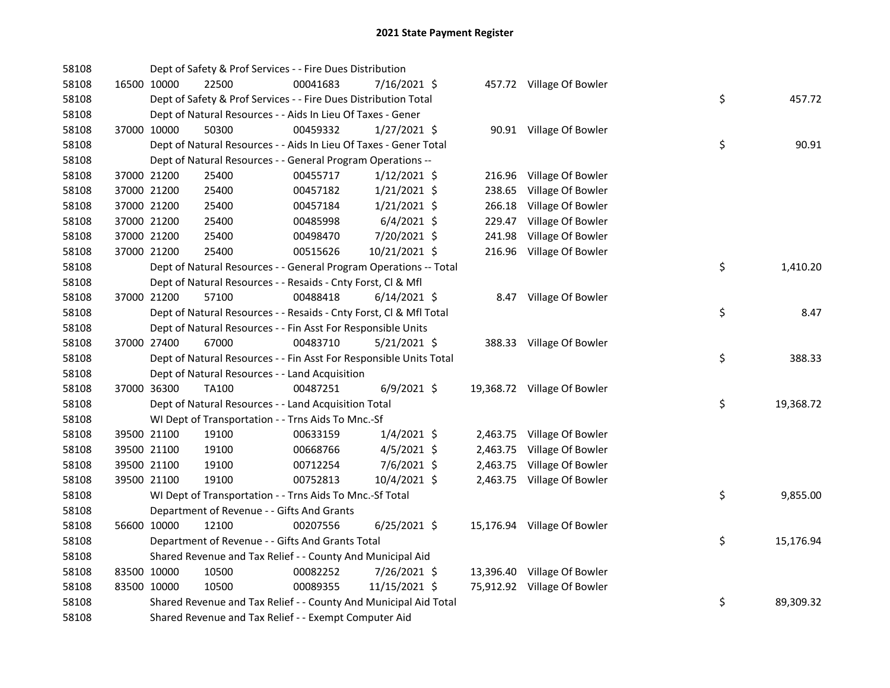| 58108 |             | Dept of Safety & Prof Services - - Fire Dues Distribution          |          |                |          |                             |    |           |
|-------|-------------|--------------------------------------------------------------------|----------|----------------|----------|-----------------------------|----|-----------|
| 58108 | 16500 10000 | 22500                                                              | 00041683 | 7/16/2021 \$   |          | 457.72 Village Of Bowler    |    |           |
| 58108 |             | Dept of Safety & Prof Services - - Fire Dues Distribution Total    |          |                |          |                             | \$ | 457.72    |
| 58108 |             | Dept of Natural Resources - - Aids In Lieu Of Taxes - Gener        |          |                |          |                             |    |           |
| 58108 | 37000 10000 | 50300                                                              | 00459332 | $1/27/2021$ \$ |          | 90.91 Village Of Bowler     |    |           |
| 58108 |             | Dept of Natural Resources - - Aids In Lieu Of Taxes - Gener Total  |          |                |          |                             | \$ | 90.91     |
| 58108 |             | Dept of Natural Resources - - General Program Operations --        |          |                |          |                             |    |           |
| 58108 | 37000 21200 | 25400                                                              | 00455717 | $1/12/2021$ \$ | 216.96   | Village Of Bowler           |    |           |
| 58108 | 37000 21200 | 25400                                                              | 00457182 | $1/21/2021$ \$ | 238.65   | Village Of Bowler           |    |           |
| 58108 | 37000 21200 | 25400                                                              | 00457184 | $1/21/2021$ \$ | 266.18   | Village Of Bowler           |    |           |
| 58108 | 37000 21200 | 25400                                                              | 00485998 | $6/4/2021$ \$  | 229.47   | Village Of Bowler           |    |           |
| 58108 | 37000 21200 | 25400                                                              | 00498470 | 7/20/2021 \$   | 241.98   | Village Of Bowler           |    |           |
| 58108 | 37000 21200 | 25400                                                              | 00515626 | 10/21/2021 \$  |          | 216.96 Village Of Bowler    |    |           |
| 58108 |             | Dept of Natural Resources - - General Program Operations -- Total  |          |                |          |                             | \$ | 1,410.20  |
| 58108 |             | Dept of Natural Resources - - Resaids - Cnty Forst, Cl & Mfl       |          |                |          |                             |    |           |
| 58108 | 37000 21200 | 57100                                                              | 00488418 | $6/14/2021$ \$ |          | 8.47 Village Of Bowler      |    |           |
| 58108 |             | Dept of Natural Resources - - Resaids - Cnty Forst, Cl & Mfl Total |          |                |          |                             | \$ | 8.47      |
| 58108 |             | Dept of Natural Resources - - Fin Asst For Responsible Units       |          |                |          |                             |    |           |
| 58108 | 37000 27400 | 67000                                                              | 00483710 | $5/21/2021$ \$ |          | 388.33 Village Of Bowler    |    |           |
| 58108 |             | Dept of Natural Resources - - Fin Asst For Responsible Units Total |          |                |          |                             | \$ | 388.33    |
| 58108 |             | Dept of Natural Resources - - Land Acquisition                     |          |                |          |                             |    |           |
| 58108 | 37000 36300 | TA100                                                              | 00487251 | $6/9/2021$ \$  |          | 19,368.72 Village Of Bowler |    |           |
| 58108 |             | Dept of Natural Resources - - Land Acquisition Total               |          |                |          |                             | \$ | 19,368.72 |
| 58108 |             | WI Dept of Transportation - - Trns Aids To Mnc.-Sf                 |          |                |          |                             |    |           |
| 58108 | 39500 21100 | 19100                                                              | 00633159 | $1/4/2021$ \$  |          | 2,463.75 Village Of Bowler  |    |           |
| 58108 | 39500 21100 | 19100                                                              | 00668766 | $4/5/2021$ \$  | 2,463.75 | Village Of Bowler           |    |           |
| 58108 | 39500 21100 | 19100                                                              | 00712254 | 7/6/2021 \$    | 2,463.75 | Village Of Bowler           |    |           |
| 58108 | 39500 21100 | 19100                                                              | 00752813 | 10/4/2021 \$   |          | 2,463.75 Village Of Bowler  |    |           |
| 58108 |             | WI Dept of Transportation - - Trns Aids To Mnc.-Sf Total           |          |                |          |                             | \$ | 9,855.00  |
| 58108 |             | Department of Revenue - - Gifts And Grants                         |          |                |          |                             |    |           |
| 58108 | 56600 10000 | 12100                                                              | 00207556 | $6/25/2021$ \$ |          | 15,176.94 Village Of Bowler |    |           |
| 58108 |             | Department of Revenue - - Gifts And Grants Total                   |          |                |          |                             | \$ | 15,176.94 |
| 58108 |             | Shared Revenue and Tax Relief - - County And Municipal Aid         |          |                |          |                             |    |           |
| 58108 | 83500 10000 | 10500                                                              | 00082252 | 7/26/2021 \$   |          | 13,396.40 Village Of Bowler |    |           |
| 58108 | 83500 10000 | 10500                                                              | 00089355 | 11/15/2021 \$  |          | 75,912.92 Village Of Bowler |    |           |
| 58108 |             | Shared Revenue and Tax Relief - - County And Municipal Aid Total   |          |                |          |                             | \$ | 89,309.32 |
| 58108 |             | Shared Revenue and Tax Relief - - Exempt Computer Aid              |          |                |          |                             |    |           |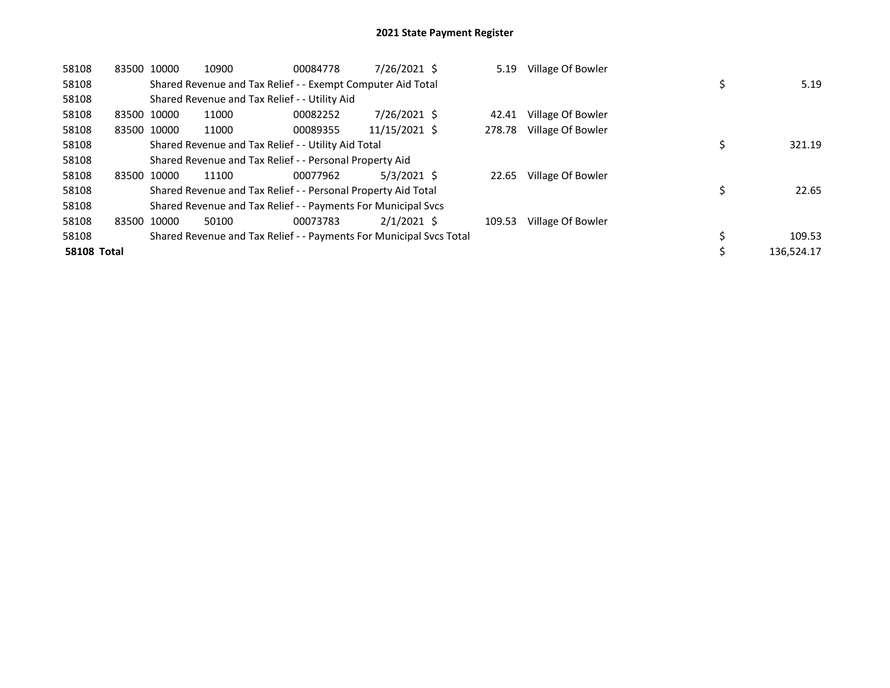| 58108              | 83500 10000 |             | 10900 | 00084778                                                            | 7/26/2021 \$  | 5.19   | Village Of Bowler |            |
|--------------------|-------------|-------------|-------|---------------------------------------------------------------------|---------------|--------|-------------------|------------|
| 58108              |             |             |       | Shared Revenue and Tax Relief - - Exempt Computer Aid Total         |               |        |                   | 5.19       |
| 58108              |             |             |       | Shared Revenue and Tax Relief - - Utility Aid                       |               |        |                   |            |
| 58108              | 83500 10000 |             | 11000 | 00082252                                                            | 7/26/2021 \$  | 42.41  | Village Of Bowler |            |
| 58108              |             | 83500 10000 | 11000 | 00089355                                                            | 11/15/2021 \$ | 278.78 | Village Of Bowler |            |
| 58108              |             |             |       | Shared Revenue and Tax Relief - - Utility Aid Total                 |               |        |                   | 321.19     |
| 58108              |             |             |       | Shared Revenue and Tax Relief - - Personal Property Aid             |               |        |                   |            |
| 58108              |             | 83500 10000 | 11100 | 00077962                                                            | $5/3/2021$ \$ | 22.65  | Village Of Bowler |            |
| 58108              |             |             |       | Shared Revenue and Tax Relief - - Personal Property Aid Total       |               |        |                   | 22.65      |
| 58108              |             |             |       | Shared Revenue and Tax Relief - - Payments For Municipal Svcs       |               |        |                   |            |
| 58108              | 83500       | 10000       | 50100 | 00073783                                                            | $2/1/2021$ \$ | 109.53 | Village Of Bowler |            |
| 58108              |             |             |       | Shared Revenue and Tax Relief - - Payments For Municipal Svcs Total |               |        |                   | 109.53     |
| <b>58108 Total</b> |             |             |       |                                                                     |               |        |                   | 136,524.17 |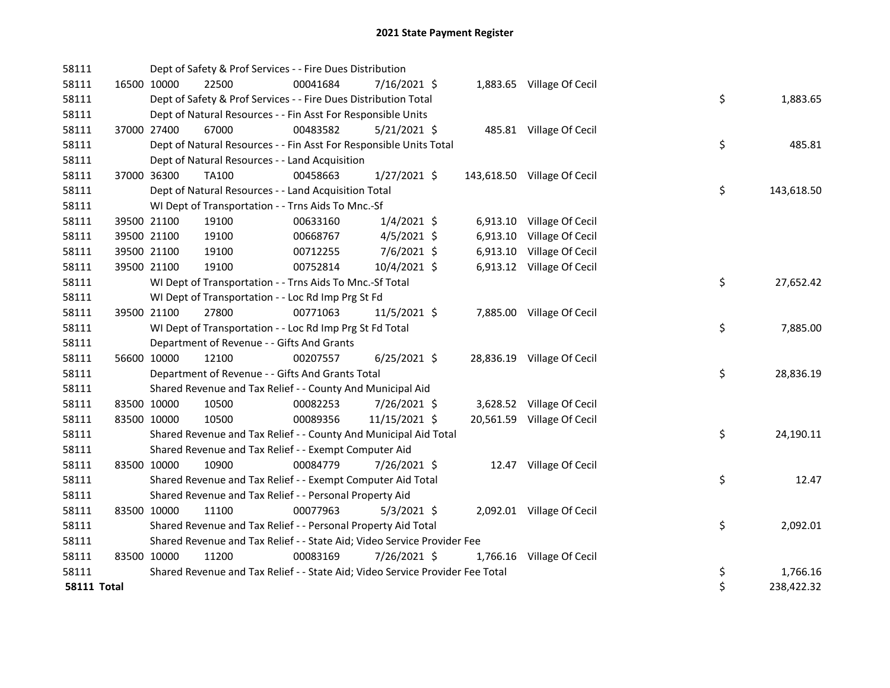| 58111              | Dept of Safety & Prof Services - - Fire Dues Distribution                     |          |                |          |                             |                  |
|--------------------|-------------------------------------------------------------------------------|----------|----------------|----------|-----------------------------|------------------|
| 58111              | 16500 10000<br>22500                                                          | 00041684 | $7/16/2021$ \$ |          | 1,883.65 Village Of Cecil   |                  |
| 58111              | Dept of Safety & Prof Services - - Fire Dues Distribution Total               |          |                |          |                             | \$<br>1,883.65   |
| 58111              | Dept of Natural Resources - - Fin Asst For Responsible Units                  |          |                |          |                             |                  |
| 58111              | 37000 27400<br>67000                                                          | 00483582 | $5/21/2021$ \$ |          | 485.81 Village Of Cecil     |                  |
| 58111              | Dept of Natural Resources - - Fin Asst For Responsible Units Total            |          |                |          |                             | \$<br>485.81     |
| 58111              | Dept of Natural Resources - - Land Acquisition                                |          |                |          |                             |                  |
| 58111              | 37000 36300<br>TA100                                                          | 00458663 | $1/27/2021$ \$ |          | 143,618.50 Village Of Cecil |                  |
| 58111              | Dept of Natural Resources - - Land Acquisition Total                          |          |                |          |                             | \$<br>143,618.50 |
| 58111              | WI Dept of Transportation - - Trns Aids To Mnc.-Sf                            |          |                |          |                             |                  |
| 58111              | 39500 21100<br>19100                                                          | 00633160 | $1/4/2021$ \$  |          | 6,913.10 Village Of Cecil   |                  |
| 58111              | 39500 21100<br>19100                                                          | 00668767 | $4/5/2021$ \$  | 6,913.10 | Village Of Cecil            |                  |
| 58111              | 19100<br>39500 21100                                                          | 00712255 | $7/6/2021$ \$  |          | 6,913.10 Village Of Cecil   |                  |
| 58111              | 39500 21100<br>19100                                                          | 00752814 | 10/4/2021 \$   |          | 6,913.12 Village Of Cecil   |                  |
| 58111              | WI Dept of Transportation - - Trns Aids To Mnc.-Sf Total                      |          |                |          |                             | \$<br>27,652.42  |
| 58111              | WI Dept of Transportation - - Loc Rd Imp Prg St Fd                            |          |                |          |                             |                  |
| 58111              | 39500 21100<br>27800                                                          | 00771063 | 11/5/2021 \$   |          | 7,885.00 Village Of Cecil   |                  |
| 58111              | WI Dept of Transportation - - Loc Rd Imp Prg St Fd Total                      |          |                |          |                             | \$<br>7,885.00   |
| 58111              | Department of Revenue - - Gifts And Grants                                    |          |                |          |                             |                  |
| 58111              | 56600 10000<br>12100                                                          | 00207557 | $6/25/2021$ \$ |          | 28,836.19 Village Of Cecil  |                  |
| 58111              | Department of Revenue - - Gifts And Grants Total                              |          |                |          |                             | \$<br>28,836.19  |
| 58111              | Shared Revenue and Tax Relief - - County And Municipal Aid                    |          |                |          |                             |                  |
| 58111              | 83500 10000<br>10500                                                          | 00082253 | 7/26/2021 \$   |          | 3,628.52 Village Of Cecil   |                  |
| 58111              | 83500 10000<br>10500                                                          | 00089356 | 11/15/2021 \$  |          | 20,561.59 Village Of Cecil  |                  |
| 58111              | Shared Revenue and Tax Relief - - County And Municipal Aid Total              |          |                |          |                             | \$<br>24,190.11  |
| 58111              | Shared Revenue and Tax Relief - - Exempt Computer Aid                         |          |                |          |                             |                  |
| 58111              | 83500 10000<br>10900                                                          | 00084779 | 7/26/2021 \$   |          | 12.47 Village Of Cecil      |                  |
| 58111              | Shared Revenue and Tax Relief - - Exempt Computer Aid Total                   |          |                |          |                             | \$<br>12.47      |
| 58111              | Shared Revenue and Tax Relief - - Personal Property Aid                       |          |                |          |                             |                  |
| 58111              | 83500 10000<br>11100                                                          | 00077963 | $5/3/2021$ \$  |          | 2,092.01 Village Of Cecil   |                  |
| 58111              | Shared Revenue and Tax Relief - - Personal Property Aid Total                 |          |                |          |                             | \$<br>2,092.01   |
| 58111              | Shared Revenue and Tax Relief - - State Aid; Video Service Provider Fee       |          |                |          |                             |                  |
| 58111              | 83500 10000<br>11200                                                          | 00083169 | 7/26/2021 \$   |          | 1,766.16 Village Of Cecil   |                  |
| 58111              | Shared Revenue and Tax Relief - - State Aid; Video Service Provider Fee Total |          |                |          |                             | \$<br>1,766.16   |
| <b>58111 Total</b> |                                                                               |          |                |          |                             | \$<br>238,422.32 |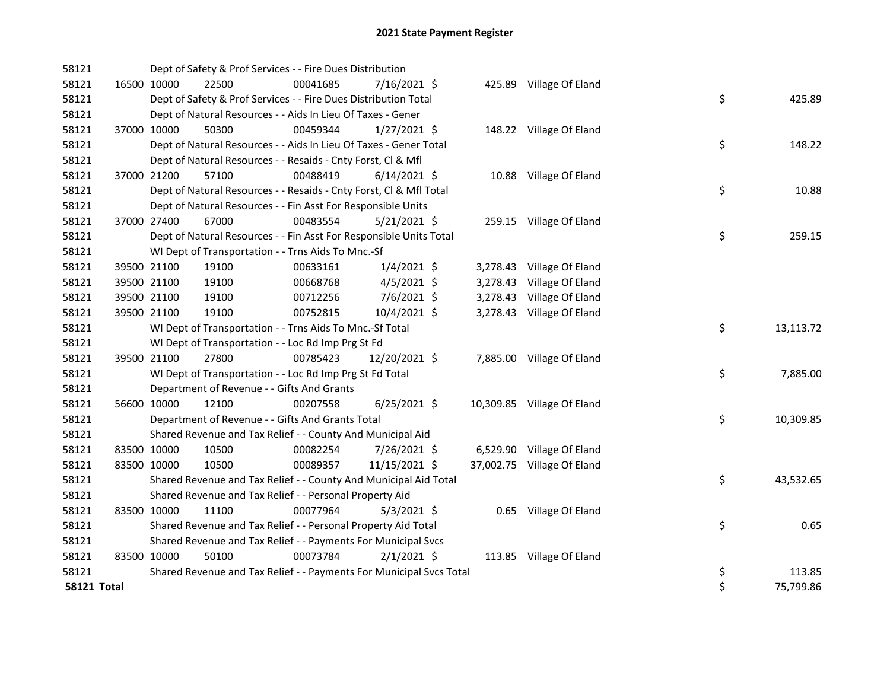| 58121              |             | Dept of Safety & Prof Services - - Fire Dues Distribution           |          |                |          |                            |    |           |
|--------------------|-------------|---------------------------------------------------------------------|----------|----------------|----------|----------------------------|----|-----------|
| 58121              | 16500 10000 | 22500                                                               | 00041685 | 7/16/2021 \$   |          | 425.89 Village Of Eland    |    |           |
| 58121              |             | Dept of Safety & Prof Services - - Fire Dues Distribution Total     |          |                |          |                            | \$ | 425.89    |
| 58121              |             | Dept of Natural Resources - - Aids In Lieu Of Taxes - Gener         |          |                |          |                            |    |           |
| 58121              | 37000 10000 | 50300                                                               | 00459344 | $1/27/2021$ \$ |          | 148.22 Village Of Eland    |    |           |
| 58121              |             | Dept of Natural Resources - - Aids In Lieu Of Taxes - Gener Total   |          |                |          |                            | \$ | 148.22    |
| 58121              |             | Dept of Natural Resources - - Resaids - Cnty Forst, Cl & Mfl        |          |                |          |                            |    |           |
| 58121              | 37000 21200 | 57100                                                               | 00488419 | $6/14/2021$ \$ |          | 10.88 Village Of Eland     |    |           |
| 58121              |             | Dept of Natural Resources - - Resaids - Cnty Forst, CI & Mfl Total  |          |                |          |                            | \$ | 10.88     |
| 58121              |             | Dept of Natural Resources - - Fin Asst For Responsible Units        |          |                |          |                            |    |           |
| 58121              | 37000 27400 | 67000                                                               | 00483554 | $5/21/2021$ \$ |          | 259.15 Village Of Eland    |    |           |
| 58121              |             | Dept of Natural Resources - - Fin Asst For Responsible Units Total  |          |                |          |                            | \$ | 259.15    |
| 58121              |             | WI Dept of Transportation - - Trns Aids To Mnc.-Sf                  |          |                |          |                            |    |           |
| 58121              | 39500 21100 | 19100                                                               | 00633161 | $1/4/2021$ \$  |          | 3,278.43 Village Of Eland  |    |           |
| 58121              | 39500 21100 | 19100                                                               | 00668768 | $4/5/2021$ \$  | 3,278.43 | Village Of Eland           |    |           |
| 58121              | 39500 21100 | 19100                                                               | 00712256 | $7/6/2021$ \$  | 3,278.43 | Village Of Eland           |    |           |
| 58121              | 39500 21100 | 19100                                                               | 00752815 | 10/4/2021 \$   |          | 3,278.43 Village Of Eland  |    |           |
| 58121              |             | WI Dept of Transportation - - Trns Aids To Mnc.-Sf Total            |          |                |          |                            | \$ | 13,113.72 |
| 58121              |             | WI Dept of Transportation - - Loc Rd Imp Prg St Fd                  |          |                |          |                            |    |           |
| 58121              | 39500 21100 | 27800                                                               | 00785423 | 12/20/2021 \$  |          | 7,885.00 Village Of Eland  |    |           |
| 58121              |             | WI Dept of Transportation - - Loc Rd Imp Prg St Fd Total            |          |                |          |                            | \$ | 7,885.00  |
| 58121              |             | Department of Revenue - - Gifts And Grants                          |          |                |          |                            |    |           |
| 58121              | 56600 10000 | 12100                                                               | 00207558 | $6/25/2021$ \$ |          | 10,309.85 Village Of Eland |    |           |
| 58121              |             | Department of Revenue - - Gifts And Grants Total                    |          |                |          |                            | \$ | 10,309.85 |
| 58121              |             | Shared Revenue and Tax Relief - - County And Municipal Aid          |          |                |          |                            |    |           |
| 58121              | 83500 10000 | 10500                                                               | 00082254 | 7/26/2021 \$   |          | 6,529.90 Village Of Eland  |    |           |
| 58121              | 83500 10000 | 10500                                                               | 00089357 | 11/15/2021 \$  |          | 37,002.75 Village Of Eland |    |           |
| 58121              |             | Shared Revenue and Tax Relief - - County And Municipal Aid Total    |          |                |          |                            | \$ | 43,532.65 |
| 58121              |             | Shared Revenue and Tax Relief - - Personal Property Aid             |          |                |          |                            |    |           |
| 58121              | 83500 10000 | 11100                                                               | 00077964 | $5/3/2021$ \$  |          | 0.65 Village Of Eland      |    |           |
| 58121              |             | Shared Revenue and Tax Relief - - Personal Property Aid Total       |          |                |          |                            | \$ | 0.65      |
| 58121              |             | Shared Revenue and Tax Relief - - Payments For Municipal Svcs       |          |                |          |                            |    |           |
| 58121              | 83500 10000 | 50100                                                               | 00073784 | $2/1/2021$ \$  |          | 113.85 Village Of Eland    |    |           |
| 58121              |             | Shared Revenue and Tax Relief - - Payments For Municipal Svcs Total |          |                |          |                            | \$ | 113.85    |
| <b>58121 Total</b> |             |                                                                     |          |                |          |                            | \$ | 75,799.86 |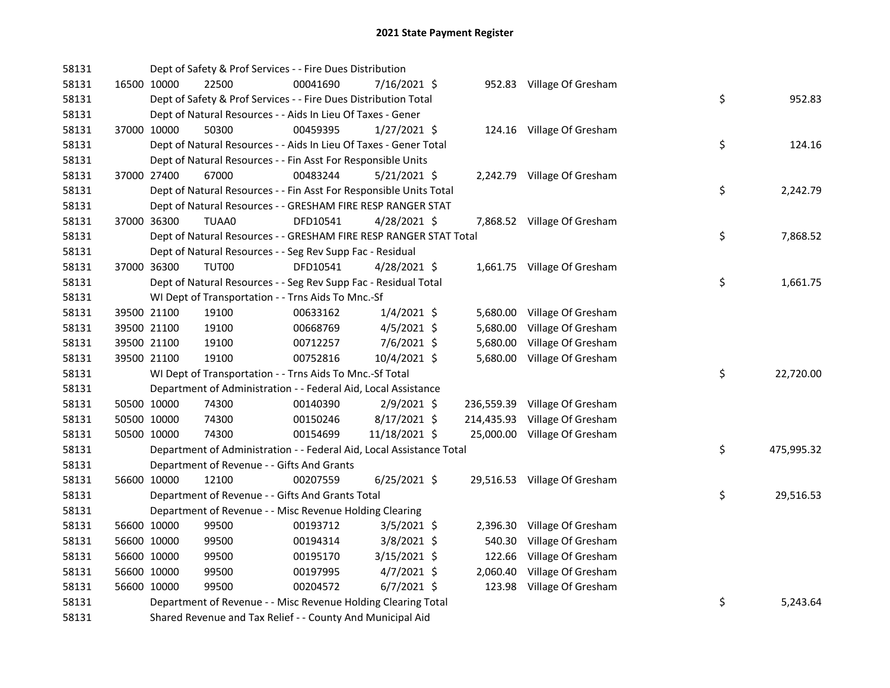| 58131 |             | Dept of Safety & Prof Services - - Fire Dues Distribution            |          |                |  |                               |    |            |
|-------|-------------|----------------------------------------------------------------------|----------|----------------|--|-------------------------------|----|------------|
| 58131 | 16500 10000 | 22500                                                                | 00041690 | 7/16/2021 \$   |  | 952.83 Village Of Gresham     |    |            |
| 58131 |             | Dept of Safety & Prof Services - - Fire Dues Distribution Total      |          |                |  |                               | \$ | 952.83     |
| 58131 |             | Dept of Natural Resources - - Aids In Lieu Of Taxes - Gener          |          |                |  |                               |    |            |
| 58131 | 37000 10000 | 50300                                                                | 00459395 | $1/27/2021$ \$ |  | 124.16 Village Of Gresham     |    |            |
| 58131 |             | Dept of Natural Resources - - Aids In Lieu Of Taxes - Gener Total    |          |                |  |                               | \$ | 124.16     |
| 58131 |             | Dept of Natural Resources - - Fin Asst For Responsible Units         |          |                |  |                               |    |            |
| 58131 | 37000 27400 | 67000                                                                | 00483244 | $5/21/2021$ \$ |  | 2,242.79 Village Of Gresham   |    |            |
| 58131 |             | Dept of Natural Resources - - Fin Asst For Responsible Units Total   |          |                |  |                               | \$ | 2,242.79   |
| 58131 |             | Dept of Natural Resources - - GRESHAM FIRE RESP RANGER STAT          |          |                |  |                               |    |            |
| 58131 | 37000 36300 | TUAA0                                                                | DFD10541 | $4/28/2021$ \$ |  | 7,868.52 Village Of Gresham   |    |            |
| 58131 |             | Dept of Natural Resources - - GRESHAM FIRE RESP RANGER STAT Total    |          |                |  |                               | \$ | 7,868.52   |
| 58131 |             | Dept of Natural Resources - - Seg Rev Supp Fac - Residual            |          |                |  |                               |    |            |
| 58131 | 37000 36300 | TUT00                                                                | DFD10541 | $4/28/2021$ \$ |  | 1,661.75 Village Of Gresham   |    |            |
| 58131 |             | Dept of Natural Resources - - Seg Rev Supp Fac - Residual Total      |          |                |  |                               | \$ | 1,661.75   |
| 58131 |             | WI Dept of Transportation - - Trns Aids To Mnc.-Sf                   |          |                |  |                               |    |            |
| 58131 | 39500 21100 | 19100                                                                | 00633162 | $1/4/2021$ \$  |  | 5,680.00 Village Of Gresham   |    |            |
| 58131 | 39500 21100 | 19100                                                                | 00668769 | $4/5/2021$ \$  |  | 5,680.00 Village Of Gresham   |    |            |
| 58131 | 39500 21100 | 19100                                                                | 00712257 | 7/6/2021 \$    |  | 5,680.00 Village Of Gresham   |    |            |
| 58131 | 39500 21100 | 19100                                                                | 00752816 | 10/4/2021 \$   |  | 5,680.00 Village Of Gresham   |    |            |
| 58131 |             | WI Dept of Transportation - - Trns Aids To Mnc.-Sf Total             |          |                |  |                               | \$ | 22,720.00  |
| 58131 |             | Department of Administration - - Federal Aid, Local Assistance       |          |                |  |                               |    |            |
| 58131 | 50500 10000 | 74300                                                                | 00140390 | $2/9/2021$ \$  |  | 236,559.39 Village Of Gresham |    |            |
| 58131 | 50500 10000 | 74300                                                                | 00150246 | $8/17/2021$ \$ |  | 214,435.93 Village Of Gresham |    |            |
| 58131 | 50500 10000 | 74300                                                                | 00154699 | 11/18/2021 \$  |  | 25,000.00 Village Of Gresham  |    |            |
| 58131 |             | Department of Administration - - Federal Aid, Local Assistance Total |          |                |  |                               | \$ | 475,995.32 |
| 58131 |             | Department of Revenue - - Gifts And Grants                           |          |                |  |                               |    |            |
| 58131 | 56600 10000 | 12100                                                                | 00207559 | $6/25/2021$ \$ |  | 29,516.53 Village Of Gresham  |    |            |
| 58131 |             | Department of Revenue - - Gifts And Grants Total                     |          |                |  |                               | \$ | 29,516.53  |
| 58131 |             | Department of Revenue - - Misc Revenue Holding Clearing              |          |                |  |                               |    |            |
| 58131 | 56600 10000 | 99500                                                                | 00193712 | $3/5/2021$ \$  |  | 2,396.30 Village Of Gresham   |    |            |
| 58131 | 56600 10000 | 99500                                                                | 00194314 | $3/8/2021$ \$  |  | 540.30 Village Of Gresham     |    |            |
| 58131 | 56600 10000 | 99500                                                                | 00195170 | $3/15/2021$ \$ |  | 122.66 Village Of Gresham     |    |            |
| 58131 | 56600 10000 | 99500                                                                | 00197995 | 4/7/2021 \$    |  | 2,060.40 Village Of Gresham   |    |            |
| 58131 | 56600 10000 | 99500                                                                | 00204572 | $6/7/2021$ \$  |  | 123.98 Village Of Gresham     |    |            |
| 58131 |             | Department of Revenue - - Misc Revenue Holding Clearing Total        |          |                |  |                               | \$ | 5,243.64   |
| 58131 |             | Shared Revenue and Tax Relief - - County And Municipal Aid           |          |                |  |                               |    |            |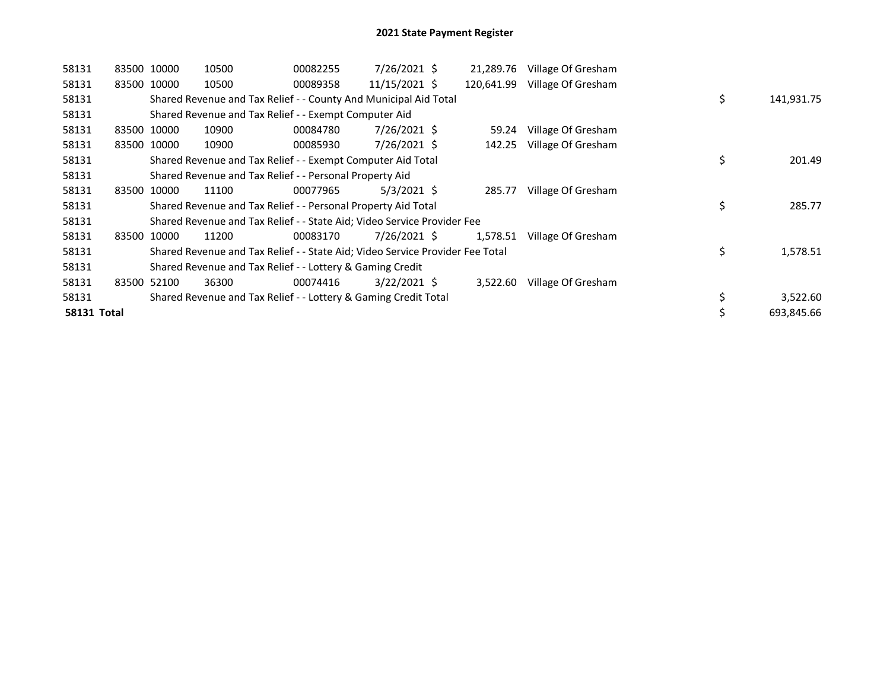| 58131       | 83500 10000 |             | 10500                                                                         | 00082255 | $7/26/2021$ \$ | 21,289.76  | Village Of Gresham |    |            |
|-------------|-------------|-------------|-------------------------------------------------------------------------------|----------|----------------|------------|--------------------|----|------------|
| 58131       | 83500 10000 |             | 10500                                                                         | 00089358 | 11/15/2021 \$  | 120,641.99 | Village Of Gresham |    |            |
| 58131       |             |             | Shared Revenue and Tax Relief - - County And Municipal Aid Total              |          |                |            |                    | \$ | 141,931.75 |
| 58131       |             |             | Shared Revenue and Tax Relief - - Exempt Computer Aid                         |          |                |            |                    |    |            |
| 58131       |             | 83500 10000 | 10900                                                                         | 00084780 | $7/26/2021$ \$ | 59.24      | Village Of Gresham |    |            |
| 58131       | 83500       | 10000       | 10900                                                                         | 00085930 | $7/26/2021$ \$ | 142.25     | Village Of Gresham |    |            |
| 58131       |             |             | Shared Revenue and Tax Relief - - Exempt Computer Aid Total                   |          |                |            |                    | \$ | 201.49     |
| 58131       |             |             | Shared Revenue and Tax Relief - - Personal Property Aid                       |          |                |            |                    |    |            |
| 58131       | 83500       | 10000       | 11100                                                                         | 00077965 | $5/3/2021$ \$  | 285.77     | Village Of Gresham |    |            |
| 58131       |             |             | Shared Revenue and Tax Relief - - Personal Property Aid Total                 |          |                |            |                    | \$ | 285.77     |
| 58131       |             |             | Shared Revenue and Tax Relief - - State Aid; Video Service Provider Fee       |          |                |            |                    |    |            |
| 58131       |             | 83500 10000 | 11200                                                                         | 00083170 | 7/26/2021 \$   | 1,578.51   | Village Of Gresham |    |            |
| 58131       |             |             | Shared Revenue and Tax Relief - - State Aid; Video Service Provider Fee Total |          |                |            |                    | \$ | 1,578.51   |
| 58131       |             |             | Shared Revenue and Tax Relief - - Lottery & Gaming Credit                     |          |                |            |                    |    |            |
| 58131       |             | 83500 52100 | 36300                                                                         | 00074416 | $3/22/2021$ \$ | 3,522.60   | Village Of Gresham |    |            |
| 58131       |             |             | Shared Revenue and Tax Relief - - Lottery & Gaming Credit Total               |          |                |            |                    | \$ | 3,522.60   |
| 58131 Total |             |             |                                                                               |          |                |            |                    | \$ | 693,845.66 |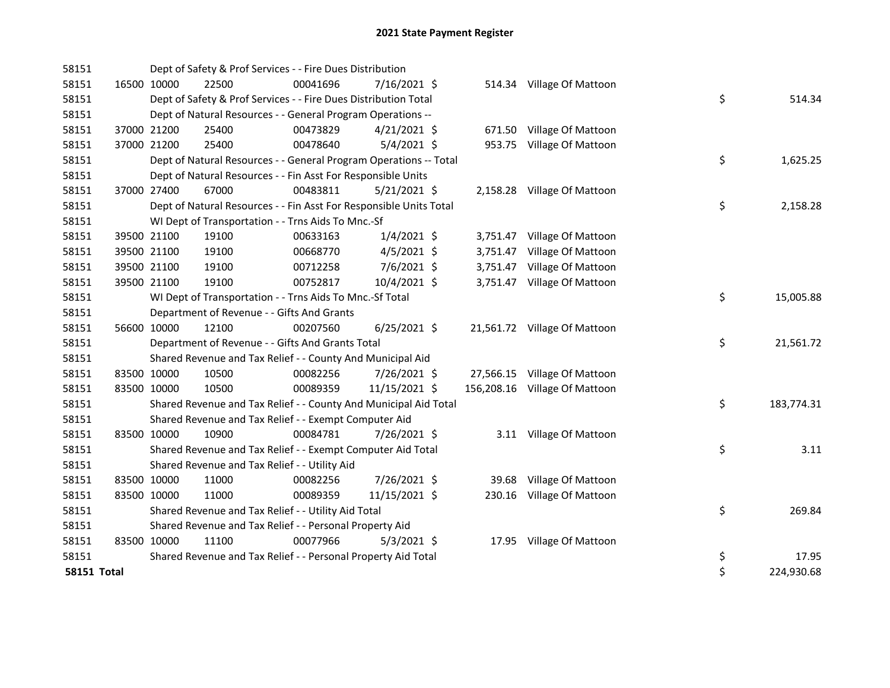| 58151       |             |             | Dept of Safety & Prof Services - - Fire Dues Distribution          |          |                |          |                               |    |            |
|-------------|-------------|-------------|--------------------------------------------------------------------|----------|----------------|----------|-------------------------------|----|------------|
| 58151       | 16500 10000 |             | 22500                                                              | 00041696 | 7/16/2021 \$   |          | 514.34 Village Of Mattoon     |    |            |
| 58151       |             |             | Dept of Safety & Prof Services - - Fire Dues Distribution Total    |          |                |          |                               | \$ | 514.34     |
| 58151       |             |             | Dept of Natural Resources - - General Program Operations --        |          |                |          |                               |    |            |
| 58151       |             | 37000 21200 | 25400                                                              | 00473829 | $4/21/2021$ \$ |          | 671.50 Village Of Mattoon     |    |            |
| 58151       |             | 37000 21200 | 25400                                                              | 00478640 | $5/4/2021$ \$  |          | 953.75 Village Of Mattoon     |    |            |
| 58151       |             |             | Dept of Natural Resources - - General Program Operations -- Total  |          |                |          |                               | \$ | 1,625.25   |
| 58151       |             |             | Dept of Natural Resources - - Fin Asst For Responsible Units       |          |                |          |                               |    |            |
| 58151       |             | 37000 27400 | 67000                                                              | 00483811 | 5/21/2021 \$   |          | 2,158.28 Village Of Mattoon   |    |            |
| 58151       |             |             | Dept of Natural Resources - - Fin Asst For Responsible Units Total |          |                |          |                               | \$ | 2,158.28   |
| 58151       |             |             | WI Dept of Transportation - - Trns Aids To Mnc.-Sf                 |          |                |          |                               |    |            |
| 58151       |             | 39500 21100 | 19100                                                              | 00633163 | $1/4/2021$ \$  |          | 3,751.47 Village Of Mattoon   |    |            |
| 58151       |             | 39500 21100 | 19100                                                              | 00668770 | $4/5/2021$ \$  | 3,751.47 | Village Of Mattoon            |    |            |
| 58151       |             | 39500 21100 | 19100                                                              | 00712258 | 7/6/2021 \$    |          | 3,751.47 Village Of Mattoon   |    |            |
| 58151       |             | 39500 21100 | 19100                                                              | 00752817 | 10/4/2021 \$   |          | 3,751.47 Village Of Mattoon   |    |            |
| 58151       |             |             | WI Dept of Transportation - - Trns Aids To Mnc.-Sf Total           |          |                |          |                               | \$ | 15,005.88  |
| 58151       |             |             | Department of Revenue - - Gifts And Grants                         |          |                |          |                               |    |            |
| 58151       |             | 56600 10000 | 12100                                                              | 00207560 | $6/25/2021$ \$ |          | 21,561.72 Village Of Mattoon  |    |            |
| 58151       |             |             | Department of Revenue - - Gifts And Grants Total                   |          |                |          |                               | \$ | 21,561.72  |
| 58151       |             |             | Shared Revenue and Tax Relief - - County And Municipal Aid         |          |                |          |                               |    |            |
| 58151       | 83500 10000 |             | 10500                                                              | 00082256 | 7/26/2021 \$   |          | 27,566.15 Village Of Mattoon  |    |            |
| 58151       |             | 83500 10000 | 10500                                                              | 00089359 | 11/15/2021 \$  |          | 156,208.16 Village Of Mattoon |    |            |
| 58151       |             |             | Shared Revenue and Tax Relief - - County And Municipal Aid Total   |          |                |          |                               | \$ | 183,774.31 |
| 58151       |             |             | Shared Revenue and Tax Relief - - Exempt Computer Aid              |          |                |          |                               |    |            |
| 58151       | 83500 10000 |             | 10900                                                              | 00084781 | 7/26/2021 \$   |          | 3.11 Village Of Mattoon       |    |            |
| 58151       |             |             | Shared Revenue and Tax Relief - - Exempt Computer Aid Total        |          |                |          |                               | \$ | 3.11       |
| 58151       |             |             | Shared Revenue and Tax Relief - - Utility Aid                      |          |                |          |                               |    |            |
| 58151       | 83500 10000 |             | 11000                                                              | 00082256 | 7/26/2021 \$   |          | 39.68 Village Of Mattoon      |    |            |
| 58151       | 83500 10000 |             | 11000                                                              | 00089359 | 11/15/2021 \$  |          | 230.16 Village Of Mattoon     |    |            |
| 58151       |             |             | Shared Revenue and Tax Relief - - Utility Aid Total                |          |                |          |                               | \$ | 269.84     |
| 58151       |             |             | Shared Revenue and Tax Relief - - Personal Property Aid            |          |                |          |                               |    |            |
| 58151       | 83500 10000 |             | 11100                                                              | 00077966 | $5/3/2021$ \$  |          | 17.95 Village Of Mattoon      |    |            |
| 58151       |             |             | Shared Revenue and Tax Relief - - Personal Property Aid Total      |          |                |          |                               | \$ | 17.95      |
| 58151 Total |             |             |                                                                    |          |                |          |                               | \$ | 224,930.68 |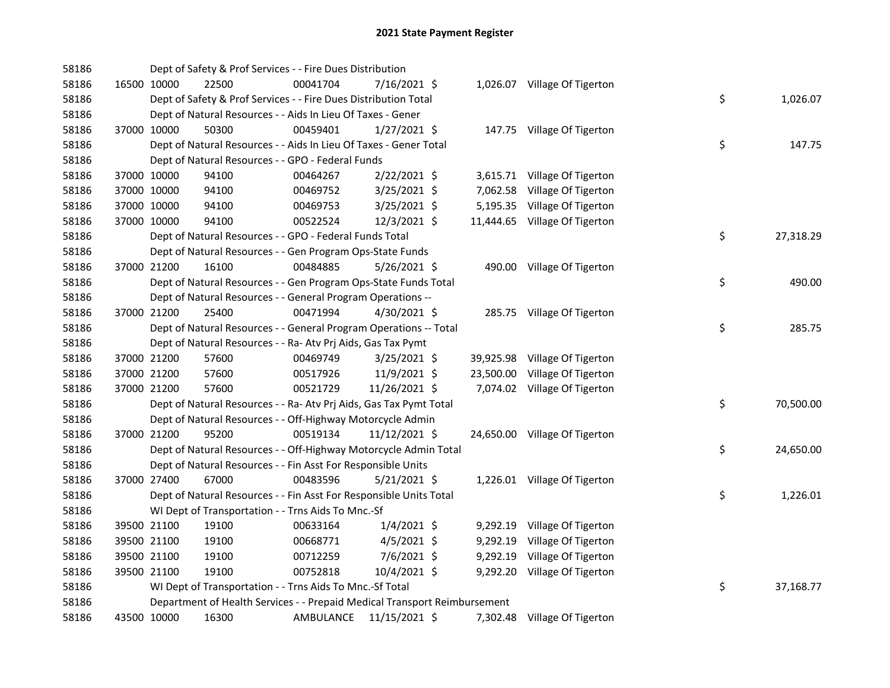| 58186 |             | Dept of Safety & Prof Services - - Fire Dues Distribution                 |           |                |          |                               |    |           |
|-------|-------------|---------------------------------------------------------------------------|-----------|----------------|----------|-------------------------------|----|-----------|
| 58186 | 16500 10000 | 22500                                                                     | 00041704  | 7/16/2021 \$   |          | 1,026.07 Village Of Tigerton  |    |           |
| 58186 |             | Dept of Safety & Prof Services - - Fire Dues Distribution Total           |           |                |          |                               | \$ | 1,026.07  |
| 58186 |             | Dept of Natural Resources - - Aids In Lieu Of Taxes - Gener               |           |                |          |                               |    |           |
| 58186 | 37000 10000 | 50300                                                                     | 00459401  | $1/27/2021$ \$ |          | 147.75 Village Of Tigerton    |    |           |
| 58186 |             | Dept of Natural Resources - - Aids In Lieu Of Taxes - Gener Total         |           |                |          |                               | \$ | 147.75    |
| 58186 |             | Dept of Natural Resources - - GPO - Federal Funds                         |           |                |          |                               |    |           |
| 58186 | 37000 10000 | 94100                                                                     | 00464267  | 2/22/2021 \$   |          | 3,615.71 Village Of Tigerton  |    |           |
| 58186 | 37000 10000 | 94100                                                                     | 00469752  | $3/25/2021$ \$ |          | 7,062.58 Village Of Tigerton  |    |           |
| 58186 | 37000 10000 | 94100                                                                     | 00469753  | $3/25/2021$ \$ |          | 5,195.35 Village Of Tigerton  |    |           |
| 58186 | 37000 10000 | 94100                                                                     | 00522524  | 12/3/2021 \$   |          | 11,444.65 Village Of Tigerton |    |           |
| 58186 |             | Dept of Natural Resources - - GPO - Federal Funds Total                   |           |                |          |                               | \$ | 27,318.29 |
| 58186 |             | Dept of Natural Resources - - Gen Program Ops-State Funds                 |           |                |          |                               |    |           |
| 58186 | 37000 21200 | 16100                                                                     | 00484885  | 5/26/2021 \$   |          | 490.00 Village Of Tigerton    |    |           |
| 58186 |             | Dept of Natural Resources - - Gen Program Ops-State Funds Total           |           |                |          |                               | \$ | 490.00    |
| 58186 |             | Dept of Natural Resources - - General Program Operations --               |           |                |          |                               |    |           |
| 58186 | 37000 21200 | 25400                                                                     | 00471994  | $4/30/2021$ \$ |          | 285.75 Village Of Tigerton    |    |           |
| 58186 |             | Dept of Natural Resources - - General Program Operations -- Total         |           |                |          |                               | \$ | 285.75    |
| 58186 |             | Dept of Natural Resources - - Ra- Atv Prj Aids, Gas Tax Pymt              |           |                |          |                               |    |           |
| 58186 | 37000 21200 | 57600                                                                     | 00469749  | $3/25/2021$ \$ |          | 39,925.98 Village Of Tigerton |    |           |
| 58186 | 37000 21200 | 57600                                                                     | 00517926  | 11/9/2021 \$   |          | 23,500.00 Village Of Tigerton |    |           |
| 58186 | 37000 21200 | 57600                                                                     | 00521729  | 11/26/2021 \$  |          | 7,074.02 Village Of Tigerton  |    |           |
| 58186 |             | Dept of Natural Resources - - Ra- Atv Prj Aids, Gas Tax Pymt Total        |           |                |          |                               | \$ | 70,500.00 |
| 58186 |             | Dept of Natural Resources - - Off-Highway Motorcycle Admin                |           |                |          |                               |    |           |
| 58186 | 37000 21200 | 95200                                                                     | 00519134  | 11/12/2021 \$  |          | 24,650.00 Village Of Tigerton |    |           |
| 58186 |             | Dept of Natural Resources - - Off-Highway Motorcycle Admin Total          |           |                |          |                               | \$ | 24,650.00 |
| 58186 |             | Dept of Natural Resources - - Fin Asst For Responsible Units              |           |                |          |                               |    |           |
| 58186 | 37000 27400 | 67000                                                                     | 00483596  | $5/21/2021$ \$ |          | 1,226.01 Village Of Tigerton  |    |           |
| 58186 |             | Dept of Natural Resources - - Fin Asst For Responsible Units Total        |           |                |          |                               | \$ | 1,226.01  |
| 58186 |             | WI Dept of Transportation - - Trns Aids To Mnc.-Sf                        |           |                |          |                               |    |           |
| 58186 | 39500 21100 | 19100                                                                     | 00633164  | $1/4/2021$ \$  |          | 9,292.19 Village Of Tigerton  |    |           |
| 58186 | 39500 21100 | 19100                                                                     | 00668771  | $4/5/2021$ \$  | 9,292.19 | Village Of Tigerton           |    |           |
| 58186 | 39500 21100 | 19100                                                                     | 00712259  | 7/6/2021 \$    |          | 9,292.19 Village Of Tigerton  |    |           |
| 58186 | 39500 21100 | 19100                                                                     | 00752818  | 10/4/2021 \$   |          | 9,292.20 Village Of Tigerton  |    |           |
| 58186 |             | WI Dept of Transportation - - Trns Aids To Mnc.-Sf Total                  |           |                |          |                               | \$ | 37,168.77 |
| 58186 |             | Department of Health Services - - Prepaid Medical Transport Reimbursement |           |                |          |                               |    |           |
| 58186 | 43500 10000 | 16300                                                                     | AMBULANCE | 11/15/2021 \$  |          | 7,302.48 Village Of Tigerton  |    |           |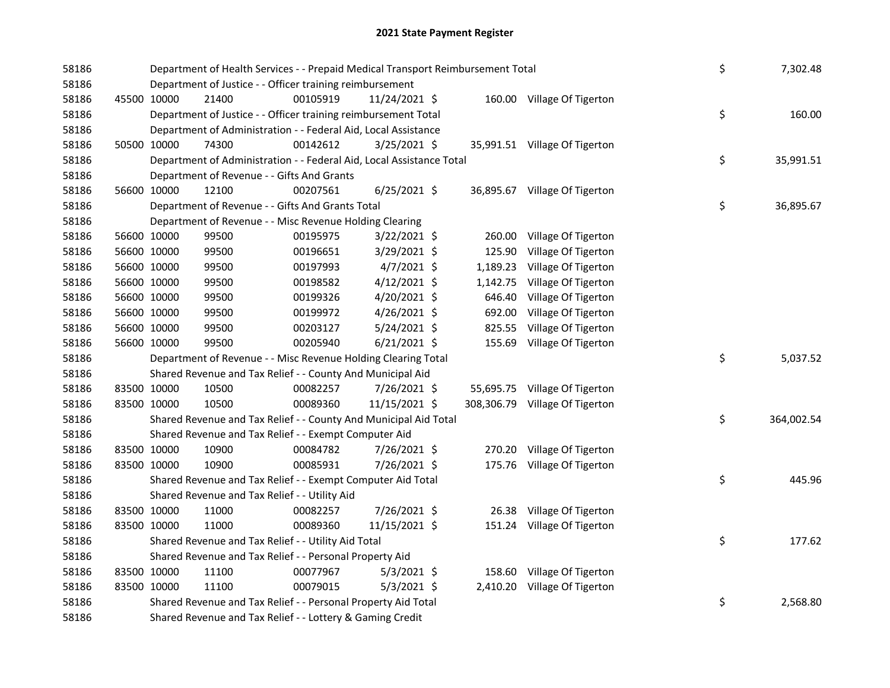| 58186 |             | Department of Health Services - - Prepaid Medical Transport Reimbursement Total | \$       | 7,302.48       |          |                                |    |            |
|-------|-------------|---------------------------------------------------------------------------------|----------|----------------|----------|--------------------------------|----|------------|
| 58186 |             | Department of Justice - - Officer training reimbursement                        |          |                |          |                                |    |            |
| 58186 | 45500 10000 | 21400                                                                           | 00105919 | 11/24/2021 \$  |          | 160.00 Village Of Tigerton     |    |            |
| 58186 |             | Department of Justice - - Officer training reimbursement Total                  |          |                |          |                                | \$ | 160.00     |
| 58186 |             | Department of Administration - - Federal Aid, Local Assistance                  |          |                |          |                                |    |            |
| 58186 | 50500 10000 | 74300                                                                           | 00142612 | $3/25/2021$ \$ |          | 35,991.51 Village Of Tigerton  |    |            |
| 58186 |             | Department of Administration - - Federal Aid, Local Assistance Total            |          |                |          |                                | \$ | 35,991.51  |
| 58186 |             | Department of Revenue - - Gifts And Grants                                      |          |                |          |                                |    |            |
| 58186 | 56600 10000 | 12100                                                                           | 00207561 | $6/25/2021$ \$ |          | 36,895.67 Village Of Tigerton  |    |            |
| 58186 |             | Department of Revenue - - Gifts And Grants Total                                |          |                |          |                                | \$ | 36,895.67  |
| 58186 |             | Department of Revenue - - Misc Revenue Holding Clearing                         |          |                |          |                                |    |            |
| 58186 | 56600 10000 | 99500                                                                           | 00195975 | $3/22/2021$ \$ | 260.00   | Village Of Tigerton            |    |            |
| 58186 | 56600 10000 | 99500                                                                           | 00196651 | 3/29/2021 \$   | 125.90   | Village Of Tigerton            |    |            |
| 58186 | 56600 10000 | 99500                                                                           | 00197993 | $4/7/2021$ \$  | 1,189.23 | Village Of Tigerton            |    |            |
| 58186 | 56600 10000 | 99500                                                                           | 00198582 | $4/12/2021$ \$ | 1,142.75 | Village Of Tigerton            |    |            |
| 58186 | 56600 10000 | 99500                                                                           | 00199326 | 4/20/2021 \$   | 646.40   | Village Of Tigerton            |    |            |
| 58186 | 56600 10000 | 99500                                                                           | 00199972 | $4/26/2021$ \$ | 692.00   | Village Of Tigerton            |    |            |
| 58186 | 56600 10000 | 99500                                                                           | 00203127 | $5/24/2021$ \$ | 825.55   | Village Of Tigerton            |    |            |
| 58186 | 56600 10000 | 99500                                                                           | 00205940 | $6/21/2021$ \$ | 155.69   | Village Of Tigerton            |    |            |
| 58186 |             | Department of Revenue - - Misc Revenue Holding Clearing Total                   |          |                |          |                                | \$ | 5,037.52   |
| 58186 |             | Shared Revenue and Tax Relief - - County And Municipal Aid                      |          |                |          |                                |    |            |
| 58186 | 83500 10000 | 10500                                                                           | 00082257 | 7/26/2021 \$   |          | 55,695.75 Village Of Tigerton  |    |            |
| 58186 | 83500 10000 | 10500                                                                           | 00089360 | 11/15/2021 \$  |          | 308,306.79 Village Of Tigerton |    |            |
| 58186 |             | Shared Revenue and Tax Relief - - County And Municipal Aid Total                |          |                |          |                                | \$ | 364,002.54 |
| 58186 |             | Shared Revenue and Tax Relief - - Exempt Computer Aid                           |          |                |          |                                |    |            |
| 58186 | 83500 10000 | 10900                                                                           | 00084782 | 7/26/2021 \$   |          | 270.20 Village Of Tigerton     |    |            |
| 58186 | 83500 10000 | 10900                                                                           | 00085931 | 7/26/2021 \$   |          | 175.76 Village Of Tigerton     |    |            |
| 58186 |             | Shared Revenue and Tax Relief - - Exempt Computer Aid Total                     |          |                |          |                                | \$ | 445.96     |
| 58186 |             | Shared Revenue and Tax Relief - - Utility Aid                                   |          |                |          |                                |    |            |
| 58186 | 83500 10000 | 11000                                                                           | 00082257 | 7/26/2021 \$   |          | 26.38 Village Of Tigerton      |    |            |
| 58186 | 83500 10000 | 11000                                                                           | 00089360 | 11/15/2021 \$  |          | 151.24 Village Of Tigerton     |    |            |
| 58186 |             | Shared Revenue and Tax Relief - - Utility Aid Total                             |          |                |          |                                | \$ | 177.62     |
| 58186 |             | Shared Revenue and Tax Relief - - Personal Property Aid                         |          |                |          |                                |    |            |
| 58186 | 83500 10000 | 11100                                                                           | 00077967 | $5/3/2021$ \$  |          | 158.60 Village Of Tigerton     |    |            |
| 58186 | 83500 10000 | 11100                                                                           | 00079015 | $5/3/2021$ \$  |          | 2,410.20 Village Of Tigerton   |    |            |
| 58186 |             | Shared Revenue and Tax Relief - - Personal Property Aid Total                   |          |                |          |                                | \$ | 2,568.80   |
| 58186 |             | Shared Revenue and Tax Relief - - Lottery & Gaming Credit                       |          |                |          |                                |    |            |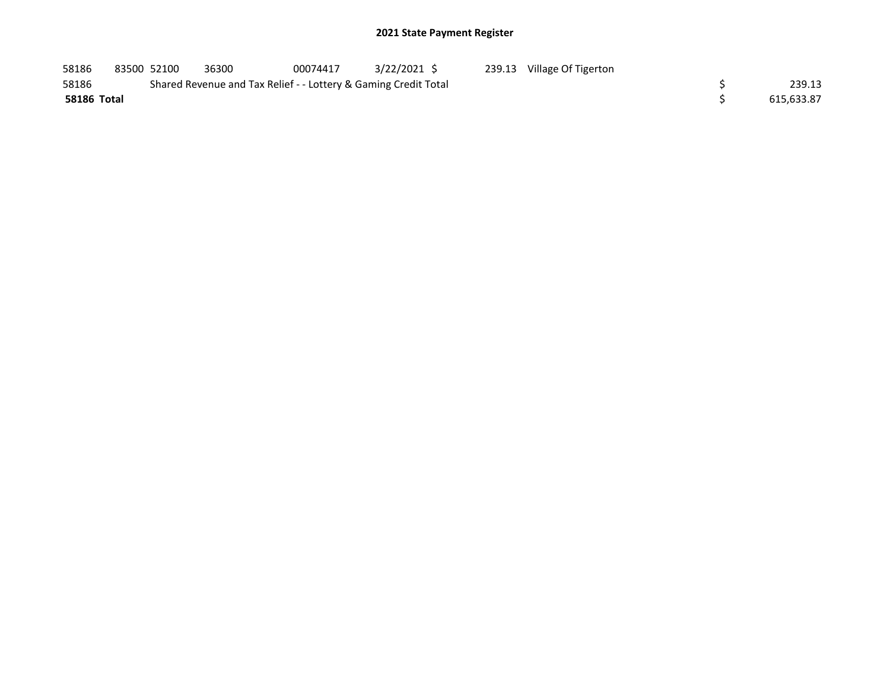| 58186       | 83500 52100 | 36300                                                           | 00074417 | $3/22/2021$ \$ | 239.13 | Village Of Tigerton |            |
|-------------|-------------|-----------------------------------------------------------------|----------|----------------|--------|---------------------|------------|
| 58186       |             | Shared Revenue and Tax Relief - - Lottery & Gaming Credit Total |          |                |        |                     | 239.13     |
| 58186 Total |             |                                                                 |          |                |        |                     | 615.633.87 |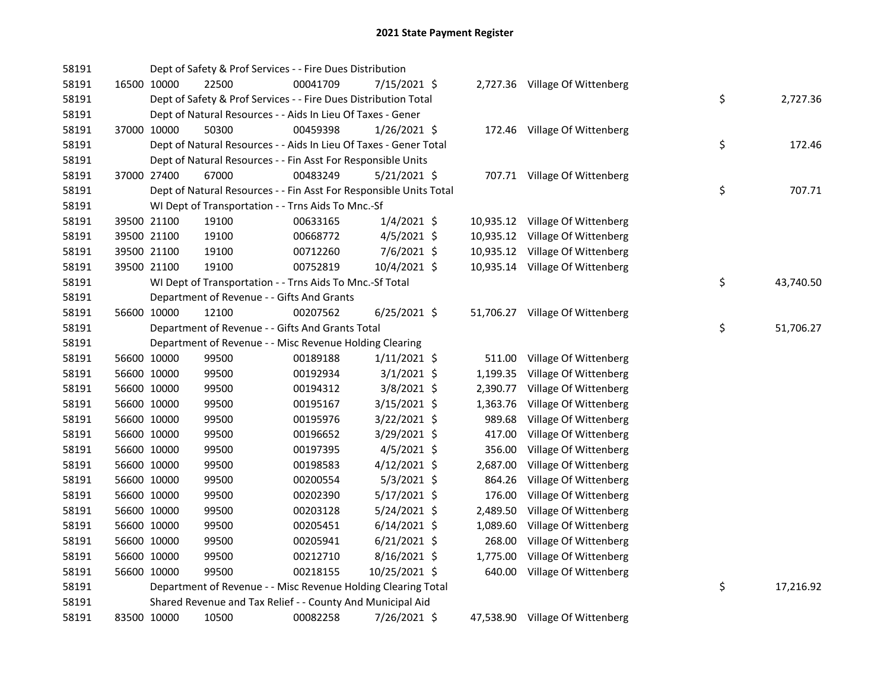| 58191 |             | Dept of Safety & Prof Services - - Fire Dues Distribution          |          |                |          |                                 |    |           |
|-------|-------------|--------------------------------------------------------------------|----------|----------------|----------|---------------------------------|----|-----------|
| 58191 | 16500 10000 | 22500                                                              | 00041709 | 7/15/2021 \$   |          | 2,727.36 Village Of Wittenberg  |    |           |
| 58191 |             | Dept of Safety & Prof Services - - Fire Dues Distribution Total    |          |                |          |                                 | \$ | 2,727.36  |
| 58191 |             | Dept of Natural Resources - - Aids In Lieu Of Taxes - Gener        |          |                |          |                                 |    |           |
| 58191 | 37000 10000 | 50300                                                              | 00459398 | 1/26/2021 \$   |          | 172.46 Village Of Wittenberg    |    |           |
| 58191 |             | Dept of Natural Resources - - Aids In Lieu Of Taxes - Gener Total  |          |                |          |                                 | \$ | 172.46    |
| 58191 |             | Dept of Natural Resources - - Fin Asst For Responsible Units       |          |                |          |                                 |    |           |
| 58191 | 37000 27400 | 67000                                                              | 00483249 | $5/21/2021$ \$ |          | 707.71 Village Of Wittenberg    |    |           |
| 58191 |             | Dept of Natural Resources - - Fin Asst For Responsible Units Total |          |                |          |                                 | \$ | 707.71    |
| 58191 |             | WI Dept of Transportation - - Trns Aids To Mnc.-Sf                 |          |                |          |                                 |    |           |
| 58191 | 39500 21100 | 19100                                                              | 00633165 | $1/4/2021$ \$  |          | 10,935.12 Village Of Wittenberg |    |           |
| 58191 | 39500 21100 | 19100                                                              | 00668772 | $4/5/2021$ \$  |          | 10,935.12 Village Of Wittenberg |    |           |
| 58191 | 39500 21100 | 19100                                                              | 00712260 | $7/6/2021$ \$  |          | 10,935.12 Village Of Wittenberg |    |           |
| 58191 | 39500 21100 | 19100                                                              | 00752819 | 10/4/2021 \$   |          | 10,935.14 Village Of Wittenberg |    |           |
| 58191 |             | WI Dept of Transportation - - Trns Aids To Mnc.-Sf Total           |          |                |          |                                 | \$ | 43,740.50 |
| 58191 |             | Department of Revenue - - Gifts And Grants                         |          |                |          |                                 |    |           |
| 58191 | 56600 10000 | 12100                                                              | 00207562 | $6/25/2021$ \$ |          | 51,706.27 Village Of Wittenberg |    |           |
| 58191 |             | Department of Revenue - - Gifts And Grants Total                   |          |                |          |                                 | \$ | 51,706.27 |
| 58191 |             | Department of Revenue - - Misc Revenue Holding Clearing            |          |                |          |                                 |    |           |
| 58191 | 56600 10000 | 99500                                                              | 00189188 | $1/11/2021$ \$ | 511.00   | Village Of Wittenberg           |    |           |
| 58191 | 56600 10000 | 99500                                                              | 00192934 | $3/1/2021$ \$  | 1,199.35 | Village Of Wittenberg           |    |           |
| 58191 | 56600 10000 | 99500                                                              | 00194312 | $3/8/2021$ \$  | 2,390.77 | Village Of Wittenberg           |    |           |
| 58191 | 56600 10000 | 99500                                                              | 00195167 | 3/15/2021 \$   | 1,363.76 | Village Of Wittenberg           |    |           |
| 58191 | 56600 10000 | 99500                                                              | 00195976 | 3/22/2021 \$   | 989.68   | Village Of Wittenberg           |    |           |
| 58191 | 56600 10000 | 99500                                                              | 00196652 | 3/29/2021 \$   | 417.00   | Village Of Wittenberg           |    |           |
| 58191 | 56600 10000 | 99500                                                              | 00197395 | $4/5/2021$ \$  | 356.00   | Village Of Wittenberg           |    |           |
| 58191 | 56600 10000 | 99500                                                              | 00198583 | 4/12/2021 \$   | 2,687.00 | Village Of Wittenberg           |    |           |
| 58191 | 56600 10000 | 99500                                                              | 00200554 | $5/3/2021$ \$  | 864.26   | Village Of Wittenberg           |    |           |
| 58191 | 56600 10000 | 99500                                                              | 00202390 | $5/17/2021$ \$ | 176.00   | Village Of Wittenberg           |    |           |
| 58191 | 56600 10000 | 99500                                                              | 00203128 | $5/24/2021$ \$ | 2,489.50 | Village Of Wittenberg           |    |           |
| 58191 | 56600 10000 | 99500                                                              | 00205451 | $6/14/2021$ \$ | 1,089.60 | Village Of Wittenberg           |    |           |
| 58191 | 56600 10000 | 99500                                                              | 00205941 | $6/21/2021$ \$ | 268.00   | Village Of Wittenberg           |    |           |
| 58191 | 56600 10000 | 99500                                                              | 00212710 | 8/16/2021 \$   | 1,775.00 | Village Of Wittenberg           |    |           |
| 58191 | 56600 10000 | 99500                                                              | 00218155 | 10/25/2021 \$  |          | 640.00 Village Of Wittenberg    |    |           |
| 58191 |             | Department of Revenue - - Misc Revenue Holding Clearing Total      |          |                |          |                                 | \$ | 17,216.92 |
| 58191 |             | Shared Revenue and Tax Relief - - County And Municipal Aid         |          |                |          |                                 |    |           |
| 58191 | 83500 10000 | 10500                                                              | 00082258 | 7/26/2021 \$   |          | 47,538.90 Village Of Wittenberg |    |           |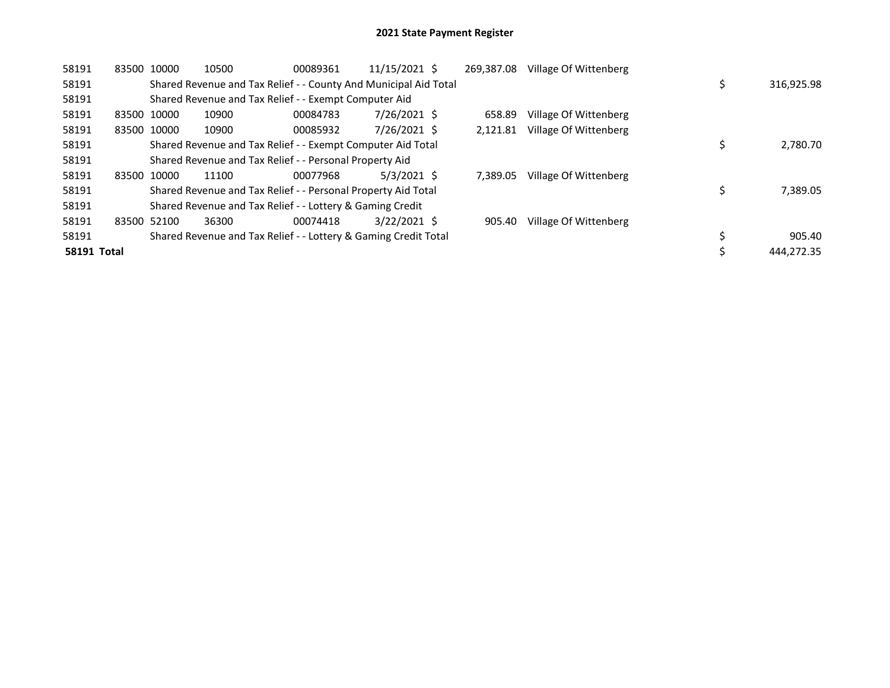| 58191          | 83500 10000 |       | 10500                                                            | 00089361 | 11/15/2021 \$  | 269.387.08 | Village Of Wittenberg |  |            |
|----------------|-------------|-------|------------------------------------------------------------------|----------|----------------|------------|-----------------------|--|------------|
| 58191          |             |       | Shared Revenue and Tax Relief - - County And Municipal Aid Total |          |                |            |                       |  | 316,925.98 |
| 58191          |             |       | Shared Revenue and Tax Relief - - Exempt Computer Aid            |          |                |            |                       |  |            |
| 58191          | 83500 10000 |       | 10900                                                            | 00084783 | 7/26/2021 \$   | 658.89     | Village Of Wittenberg |  |            |
| 58191          | 83500 10000 |       | 10900                                                            | 00085932 | 7/26/2021 \$   | 2.121.81   | Village Of Wittenberg |  |            |
| 58191          |             |       | Shared Revenue and Tax Relief - - Exempt Computer Aid Total      |          |                |            |                       |  | 2,780.70   |
| 58191          |             |       | Shared Revenue and Tax Relief - - Personal Property Aid          |          |                |            |                       |  |            |
| 58191          | 83500 10000 |       | 11100                                                            | 00077968 | $5/3/2021$ \$  | 7.389.05   | Village Of Wittenberg |  |            |
| 58191          |             |       | Shared Revenue and Tax Relief - - Personal Property Aid Total    |          |                |            |                       |  | 7,389.05   |
| 58191          |             |       | Shared Revenue and Tax Relief - - Lottery & Gaming Credit        |          |                |            |                       |  |            |
| 58191<br>83500 |             | 52100 | 36300                                                            | 00074418 | $3/22/2021$ \$ | 905.40     | Village Of Wittenberg |  |            |
| 58191          |             |       | Shared Revenue and Tax Relief - - Lottery & Gaming Credit Total  |          |                |            |                       |  | 905.40     |
| 58191 Total    |             |       |                                                                  |          |                |            |                       |  | 444.272.35 |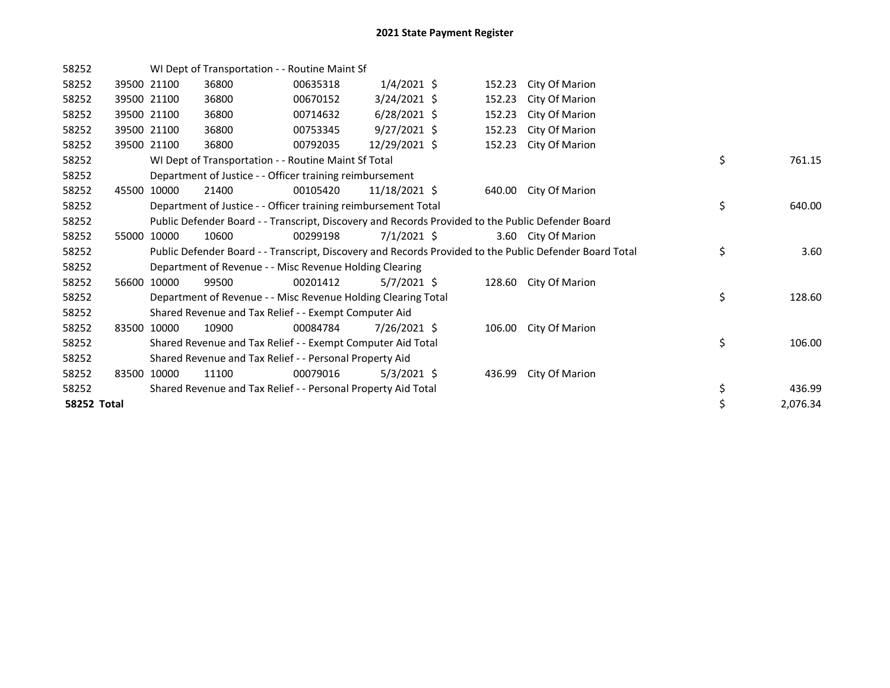| 58252       |       |             | WI Dept of Transportation - - Routine Maint Sf                 |          |                |        |                                                                                                         |                |
|-------------|-------|-------------|----------------------------------------------------------------|----------|----------------|--------|---------------------------------------------------------------------------------------------------------|----------------|
| 58252       |       | 39500 21100 | 36800                                                          | 00635318 | $1/4/2021$ \$  | 152.23 | City Of Marion                                                                                          |                |
| 58252       |       | 39500 21100 | 36800                                                          | 00670152 | $3/24/2021$ \$ | 152.23 | City Of Marion                                                                                          |                |
| 58252       |       | 39500 21100 | 36800                                                          | 00714632 | $6/28/2021$ \$ | 152.23 | City Of Marion                                                                                          |                |
| 58252       |       | 39500 21100 | 36800                                                          | 00753345 | $9/27/2021$ \$ | 152.23 | City Of Marion                                                                                          |                |
| 58252       |       | 39500 21100 | 36800                                                          | 00792035 | 12/29/2021 \$  | 152.23 | City Of Marion                                                                                          |                |
| 58252       |       |             | WI Dept of Transportation - - Routine Maint Sf Total           |          |                |        |                                                                                                         | \$<br>761.15   |
| 58252       |       |             | Department of Justice - - Officer training reimbursement       |          |                |        |                                                                                                         |                |
| 58252       |       | 45500 10000 | 21400                                                          | 00105420 | 11/18/2021 \$  |        | 640.00 City Of Marion                                                                                   |                |
| 58252       |       |             | Department of Justice - - Officer training reimbursement Total |          |                |        |                                                                                                         | \$<br>640.00   |
| 58252       |       |             |                                                                |          |                |        | Public Defender Board - - Transcript, Discovery and Records Provided to the Public Defender Board       |                |
| 58252       | 55000 | 10000       | 10600                                                          | 00299198 | $7/1/2021$ \$  |        | 3.60 City Of Marion                                                                                     |                |
| 58252       |       |             |                                                                |          |                |        | Public Defender Board - - Transcript, Discovery and Records Provided to the Public Defender Board Total | \$<br>3.60     |
| 58252       |       |             | Department of Revenue - - Misc Revenue Holding Clearing        |          |                |        |                                                                                                         |                |
| 58252       |       | 56600 10000 | 99500                                                          | 00201412 | $5/7/2021$ \$  |        | 128.60 City Of Marion                                                                                   |                |
| 58252       |       |             | Department of Revenue - - Misc Revenue Holding Clearing Total  |          |                |        |                                                                                                         | \$<br>128.60   |
| 58252       |       |             | Shared Revenue and Tax Relief - - Exempt Computer Aid          |          |                |        |                                                                                                         |                |
| 58252       |       | 83500 10000 | 10900                                                          | 00084784 | 7/26/2021 \$   |        | 106.00 City Of Marion                                                                                   |                |
| 58252       |       |             | Shared Revenue and Tax Relief - - Exempt Computer Aid Total    |          |                |        |                                                                                                         | \$<br>106.00   |
| 58252       |       |             | Shared Revenue and Tax Relief - - Personal Property Aid        |          |                |        |                                                                                                         |                |
| 58252       | 83500 | 10000       | 11100                                                          | 00079016 | $5/3/2021$ \$  | 436.99 | City Of Marion                                                                                          |                |
| 58252       |       |             | Shared Revenue and Tax Relief - - Personal Property Aid Total  |          |                |        |                                                                                                         | \$<br>436.99   |
| 58252 Total |       |             |                                                                |          |                |        |                                                                                                         | \$<br>2,076.34 |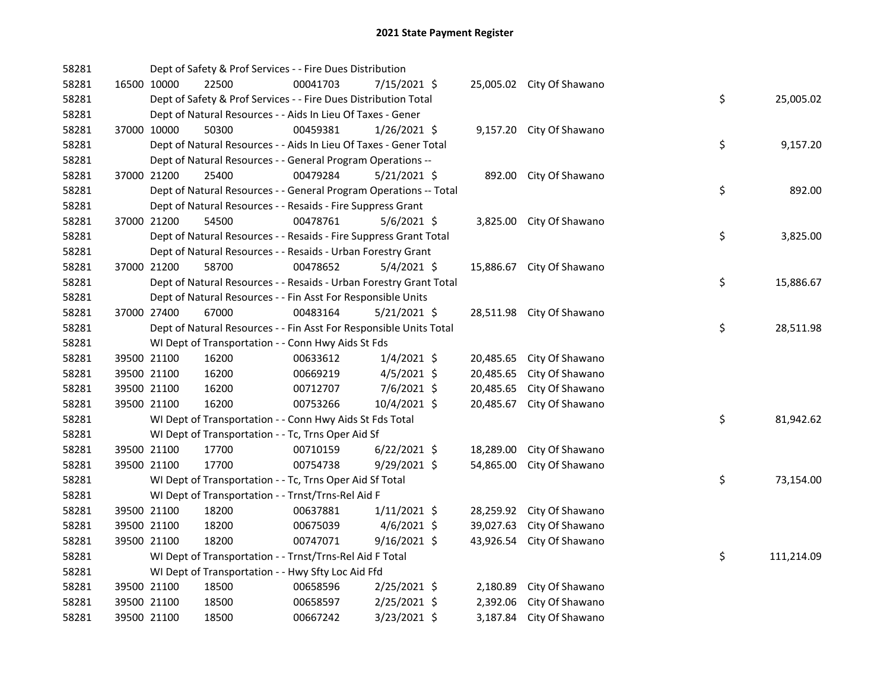| 58281 |             |             | Dept of Safety & Prof Services - - Fire Dues Distribution          |          |                |           |                           |    |            |
|-------|-------------|-------------|--------------------------------------------------------------------|----------|----------------|-----------|---------------------------|----|------------|
| 58281 |             | 16500 10000 | 22500                                                              | 00041703 | 7/15/2021 \$   |           | 25,005.02 City Of Shawano |    |            |
| 58281 |             |             | Dept of Safety & Prof Services - - Fire Dues Distribution Total    |          |                |           |                           | \$ | 25,005.02  |
| 58281 |             |             | Dept of Natural Resources - - Aids In Lieu Of Taxes - Gener        |          |                |           |                           |    |            |
| 58281 |             | 37000 10000 | 50300                                                              | 00459381 | 1/26/2021 \$   |           | 9,157.20 City Of Shawano  |    |            |
| 58281 |             |             | Dept of Natural Resources - - Aids In Lieu Of Taxes - Gener Total  |          |                |           |                           | \$ | 9,157.20   |
| 58281 |             |             | Dept of Natural Resources - - General Program Operations --        |          |                |           |                           |    |            |
| 58281 |             | 37000 21200 | 25400                                                              | 00479284 | $5/21/2021$ \$ |           | 892.00 City Of Shawano    |    |            |
| 58281 |             |             | Dept of Natural Resources - - General Program Operations -- Total  |          |                |           |                           | \$ | 892.00     |
| 58281 |             |             | Dept of Natural Resources - - Resaids - Fire Suppress Grant        |          |                |           |                           |    |            |
| 58281 |             | 37000 21200 | 54500                                                              | 00478761 | $5/6/2021$ \$  |           | 3,825.00 City Of Shawano  |    |            |
| 58281 |             |             | Dept of Natural Resources - - Resaids - Fire Suppress Grant Total  |          |                |           |                           | \$ | 3,825.00   |
| 58281 |             |             | Dept of Natural Resources - - Resaids - Urban Forestry Grant       |          |                |           |                           |    |            |
| 58281 | 37000 21200 |             | 58700                                                              | 00478652 | $5/4/2021$ \$  |           | 15,886.67 City Of Shawano |    |            |
| 58281 |             |             | Dept of Natural Resources - - Resaids - Urban Forestry Grant Total |          |                |           |                           | \$ | 15,886.67  |
| 58281 |             |             | Dept of Natural Resources - - Fin Asst For Responsible Units       |          |                |           |                           |    |            |
| 58281 |             | 37000 27400 | 67000                                                              | 00483164 | $5/21/2021$ \$ |           | 28,511.98 City Of Shawano |    |            |
| 58281 |             |             | Dept of Natural Resources - - Fin Asst For Responsible Units Total |          |                |           |                           | \$ | 28,511.98  |
| 58281 |             |             | WI Dept of Transportation - - Conn Hwy Aids St Fds                 |          |                |           |                           |    |            |
| 58281 |             | 39500 21100 | 16200                                                              | 00633612 | $1/4/2021$ \$  | 20,485.65 | City Of Shawano           |    |            |
| 58281 |             | 39500 21100 | 16200                                                              | 00669219 | $4/5/2021$ \$  | 20,485.65 | City Of Shawano           |    |            |
| 58281 |             | 39500 21100 | 16200                                                              | 00712707 | 7/6/2021 \$    | 20,485.65 | City Of Shawano           |    |            |
| 58281 | 39500 21100 |             | 16200                                                              | 00753266 | 10/4/2021 \$   | 20,485.67 | City Of Shawano           |    |            |
| 58281 |             |             | WI Dept of Transportation - - Conn Hwy Aids St Fds Total           |          |                |           |                           | \$ | 81,942.62  |
| 58281 |             |             | WI Dept of Transportation - - Tc, Trns Oper Aid Sf                 |          |                |           |                           |    |            |
| 58281 | 39500 21100 |             | 17700                                                              | 00710159 | $6/22/2021$ \$ | 18,289.00 | City Of Shawano           |    |            |
| 58281 | 39500 21100 |             | 17700                                                              | 00754738 | 9/29/2021 \$   | 54,865.00 | City Of Shawano           |    |            |
| 58281 |             |             | WI Dept of Transportation - - Tc, Trns Oper Aid Sf Total           |          |                |           |                           | \$ | 73,154.00  |
| 58281 |             |             | WI Dept of Transportation - - Trnst/Trns-Rel Aid F                 |          |                |           |                           |    |            |
| 58281 |             | 39500 21100 | 18200                                                              | 00637881 | 1/11/2021 \$   |           | 28,259.92 City Of Shawano |    |            |
| 58281 | 39500 21100 |             | 18200                                                              | 00675039 | $4/6/2021$ \$  | 39,027.63 | City Of Shawano           |    |            |
| 58281 |             | 39500 21100 | 18200                                                              | 00747071 | $9/16/2021$ \$ |           | 43,926.54 City Of Shawano |    |            |
| 58281 |             |             | WI Dept of Transportation - - Trnst/Trns-Rel Aid F Total           |          |                |           |                           | \$ | 111,214.09 |
| 58281 |             |             | WI Dept of Transportation - - Hwy Sfty Loc Aid Ffd                 |          |                |           |                           |    |            |
| 58281 |             | 39500 21100 | 18500                                                              | 00658596 | 2/25/2021 \$   | 2,180.89  | City Of Shawano           |    |            |
| 58281 |             | 39500 21100 | 18500                                                              | 00658597 | $2/25/2021$ \$ | 2,392.06  | City Of Shawano           |    |            |
| 58281 |             | 39500 21100 | 18500                                                              | 00667242 | 3/23/2021 \$   |           | 3,187.84 City Of Shawano  |    |            |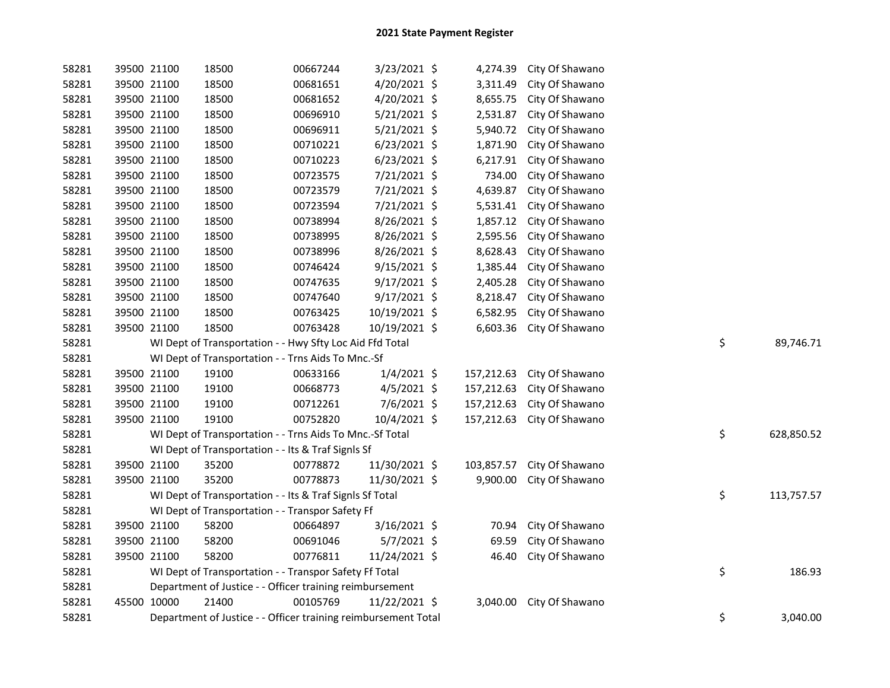| 58281 | 39500 21100 | 18500                                                          | 00667244 | 3/23/2021 \$   | 4,274.39   | City Of Shawano |    |            |
|-------|-------------|----------------------------------------------------------------|----------|----------------|------------|-----------------|----|------------|
| 58281 | 39500 21100 | 18500                                                          | 00681651 | 4/20/2021 \$   | 3,311.49   | City Of Shawano |    |            |
| 58281 | 39500 21100 | 18500                                                          | 00681652 | 4/20/2021 \$   | 8,655.75   | City Of Shawano |    |            |
| 58281 | 39500 21100 | 18500                                                          | 00696910 | 5/21/2021 \$   | 2,531.87   | City Of Shawano |    |            |
| 58281 | 39500 21100 | 18500                                                          | 00696911 | $5/21/2021$ \$ | 5,940.72   | City Of Shawano |    |            |
| 58281 | 39500 21100 | 18500                                                          | 00710221 | $6/23/2021$ \$ | 1,871.90   | City Of Shawano |    |            |
| 58281 | 39500 21100 | 18500                                                          | 00710223 | $6/23/2021$ \$ | 6,217.91   | City Of Shawano |    |            |
| 58281 | 39500 21100 | 18500                                                          | 00723575 | 7/21/2021 \$   | 734.00     | City Of Shawano |    |            |
| 58281 | 39500 21100 | 18500                                                          | 00723579 | 7/21/2021 \$   | 4,639.87   | City Of Shawano |    |            |
| 58281 | 39500 21100 | 18500                                                          | 00723594 | 7/21/2021 \$   | 5,531.41   | City Of Shawano |    |            |
| 58281 | 39500 21100 | 18500                                                          | 00738994 | 8/26/2021 \$   | 1,857.12   | City Of Shawano |    |            |
| 58281 | 39500 21100 | 18500                                                          | 00738995 | 8/26/2021 \$   | 2,595.56   | City Of Shawano |    |            |
| 58281 | 39500 21100 | 18500                                                          | 00738996 | 8/26/2021 \$   | 8,628.43   | City Of Shawano |    |            |
| 58281 | 39500 21100 | 18500                                                          | 00746424 | 9/15/2021 \$   | 1,385.44   | City Of Shawano |    |            |
| 58281 | 39500 21100 | 18500                                                          | 00747635 | $9/17/2021$ \$ | 2,405.28   | City Of Shawano |    |            |
| 58281 | 39500 21100 | 18500                                                          | 00747640 | $9/17/2021$ \$ | 8,218.47   | City Of Shawano |    |            |
| 58281 | 39500 21100 | 18500                                                          | 00763425 | 10/19/2021 \$  | 6,582.95   | City Of Shawano |    |            |
| 58281 | 39500 21100 | 18500                                                          | 00763428 | 10/19/2021 \$  | 6,603.36   | City Of Shawano |    |            |
| 58281 |             | WI Dept of Transportation - - Hwy Sfty Loc Aid Ffd Total       |          |                |            |                 | \$ | 89,746.71  |
| 58281 |             | WI Dept of Transportation - - Trns Aids To Mnc.-Sf             |          |                |            |                 |    |            |
| 58281 | 39500 21100 | 19100                                                          | 00633166 | $1/4/2021$ \$  | 157,212.63 | City Of Shawano |    |            |
| 58281 | 39500 21100 | 19100                                                          | 00668773 | $4/5/2021$ \$  | 157,212.63 | City Of Shawano |    |            |
| 58281 | 39500 21100 | 19100                                                          | 00712261 | 7/6/2021 \$    | 157,212.63 | City Of Shawano |    |            |
| 58281 | 39500 21100 | 19100                                                          | 00752820 | 10/4/2021 \$   | 157,212.63 | City Of Shawano |    |            |
| 58281 |             | WI Dept of Transportation - - Trns Aids To Mnc.-Sf Total       |          |                |            |                 | \$ | 628,850.52 |
| 58281 |             | WI Dept of Transportation - - Its & Traf SignIs Sf             |          |                |            |                 |    |            |
| 58281 | 39500 21100 | 35200                                                          | 00778872 | 11/30/2021 \$  | 103,857.57 | City Of Shawano |    |            |
| 58281 | 39500 21100 | 35200                                                          | 00778873 | 11/30/2021 \$  | 9,900.00   | City Of Shawano |    |            |
| 58281 |             | WI Dept of Transportation - - Its & Traf Signls Sf Total       |          |                |            |                 | \$ | 113,757.57 |
| 58281 |             | WI Dept of Transportation - - Transpor Safety Ff               |          |                |            |                 |    |            |
| 58281 | 39500 21100 | 58200                                                          | 00664897 | 3/16/2021 \$   | 70.94      | City Of Shawano |    |            |
| 58281 | 39500 21100 | 58200                                                          | 00691046 | 5/7/2021 \$    | 69.59      | City Of Shawano |    |            |
| 58281 | 39500 21100 | 58200                                                          | 00776811 | 11/24/2021 \$  | 46.40      | City Of Shawano |    |            |
| 58281 |             | WI Dept of Transportation - - Transpor Safety Ff Total         |          |                |            |                 | \$ | 186.93     |
| 58281 |             | Department of Justice - - Officer training reimbursement       |          |                |            |                 |    |            |
| 58281 | 45500 10000 | 21400                                                          | 00105769 | 11/22/2021 \$  | 3,040.00   | City Of Shawano |    |            |
| 58281 |             | Department of Justice - - Officer training reimbursement Total |          |                |            |                 | \$ | 3,040.00   |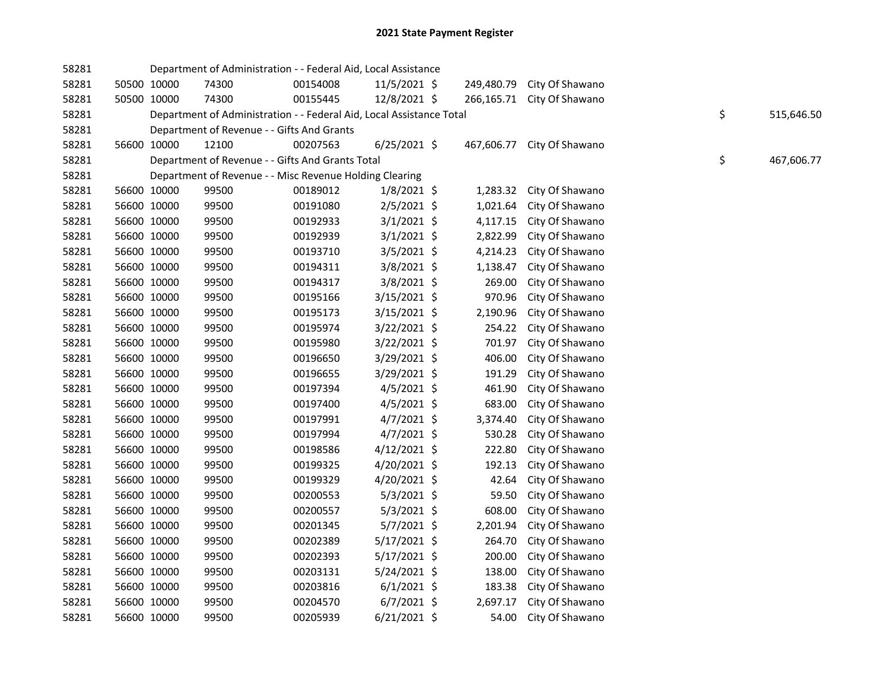| 58281 |             | Department of Administration - - Federal Aid, Local Assistance       |          |                |            |                 |    |            |
|-------|-------------|----------------------------------------------------------------------|----------|----------------|------------|-----------------|----|------------|
| 58281 | 50500 10000 | 74300                                                                | 00154008 | $11/5/2021$ \$ | 249,480.79 | City Of Shawano |    |            |
| 58281 | 50500 10000 | 74300                                                                | 00155445 | 12/8/2021 \$   | 266,165.71 | City Of Shawano |    |            |
| 58281 |             | Department of Administration - - Federal Aid, Local Assistance Total |          |                |            |                 | \$ | 515,646.50 |
| 58281 |             | Department of Revenue - - Gifts And Grants                           |          |                |            |                 |    |            |
| 58281 | 56600 10000 | 12100                                                                | 00207563 | $6/25/2021$ \$ | 467,606.77 | City Of Shawano |    |            |
| 58281 |             | Department of Revenue - - Gifts And Grants Total                     |          |                |            |                 | \$ | 467,606.77 |
| 58281 |             | Department of Revenue - - Misc Revenue Holding Clearing              |          |                |            |                 |    |            |
| 58281 | 56600 10000 | 99500                                                                | 00189012 | $1/8/2021$ \$  | 1,283.32   | City Of Shawano |    |            |
| 58281 | 56600 10000 | 99500                                                                | 00191080 | 2/5/2021 \$    | 1,021.64   | City Of Shawano |    |            |
| 58281 | 56600 10000 | 99500                                                                | 00192933 | $3/1/2021$ \$  | 4,117.15   | City Of Shawano |    |            |
| 58281 | 56600 10000 | 99500                                                                | 00192939 | $3/1/2021$ \$  | 2,822.99   | City Of Shawano |    |            |
| 58281 | 56600 10000 | 99500                                                                | 00193710 | 3/5/2021 \$    | 4,214.23   | City Of Shawano |    |            |
| 58281 | 56600 10000 | 99500                                                                | 00194311 | 3/8/2021 \$    | 1,138.47   | City Of Shawano |    |            |
| 58281 | 56600 10000 | 99500                                                                | 00194317 | 3/8/2021 \$    | 269.00     | City Of Shawano |    |            |
| 58281 | 56600 10000 | 99500                                                                | 00195166 | $3/15/2021$ \$ | 970.96     | City Of Shawano |    |            |
| 58281 | 56600 10000 | 99500                                                                | 00195173 | $3/15/2021$ \$ | 2,190.96   | City Of Shawano |    |            |
| 58281 | 56600 10000 | 99500                                                                | 00195974 | 3/22/2021 \$   | 254.22     | City Of Shawano |    |            |
| 58281 | 56600 10000 | 99500                                                                | 00195980 | 3/22/2021 \$   | 701.97     | City Of Shawano |    |            |
| 58281 | 56600 10000 | 99500                                                                | 00196650 | 3/29/2021 \$   | 406.00     | City Of Shawano |    |            |
| 58281 | 56600 10000 | 99500                                                                | 00196655 | 3/29/2021 \$   | 191.29     | City Of Shawano |    |            |
| 58281 | 56600 10000 | 99500                                                                | 00197394 | $4/5/2021$ \$  | 461.90     | City Of Shawano |    |            |
| 58281 | 56600 10000 | 99500                                                                | 00197400 | $4/5/2021$ \$  | 683.00     | City Of Shawano |    |            |
| 58281 | 56600 10000 | 99500                                                                | 00197991 | $4/7/2021$ \$  | 3,374.40   | City Of Shawano |    |            |
| 58281 | 56600 10000 | 99500                                                                | 00197994 | $4/7/2021$ \$  | 530.28     | City Of Shawano |    |            |
| 58281 | 56600 10000 | 99500                                                                | 00198586 | $4/12/2021$ \$ | 222.80     | City Of Shawano |    |            |
| 58281 | 56600 10000 | 99500                                                                | 00199325 | 4/20/2021 \$   | 192.13     | City Of Shawano |    |            |
| 58281 | 56600 10000 | 99500                                                                | 00199329 | 4/20/2021 \$   | 42.64      | City Of Shawano |    |            |
| 58281 | 56600 10000 | 99500                                                                | 00200553 | $5/3/2021$ \$  | 59.50      | City Of Shawano |    |            |
| 58281 | 56600 10000 | 99500                                                                | 00200557 | $5/3/2021$ \$  | 608.00     | City Of Shawano |    |            |
| 58281 | 56600 10000 | 99500                                                                | 00201345 | 5/7/2021 \$    | 2,201.94   | City Of Shawano |    |            |
| 58281 | 56600 10000 | 99500                                                                | 00202389 | $5/17/2021$ \$ | 264.70     | City Of Shawano |    |            |
| 58281 | 56600 10000 | 99500                                                                | 00202393 | $5/17/2021$ \$ | 200.00     | City Of Shawano |    |            |
| 58281 | 56600 10000 | 99500                                                                | 00203131 | $5/24/2021$ \$ | 138.00     | City Of Shawano |    |            |
| 58281 | 56600 10000 | 99500                                                                | 00203816 | $6/1/2021$ \$  | 183.38     | City Of Shawano |    |            |
| 58281 | 56600 10000 | 99500                                                                | 00204570 | $6/7/2021$ \$  | 2,697.17   | City Of Shawano |    |            |
| 58281 | 56600 10000 | 99500                                                                | 00205939 | $6/21/2021$ \$ | 54.00      | City Of Shawano |    |            |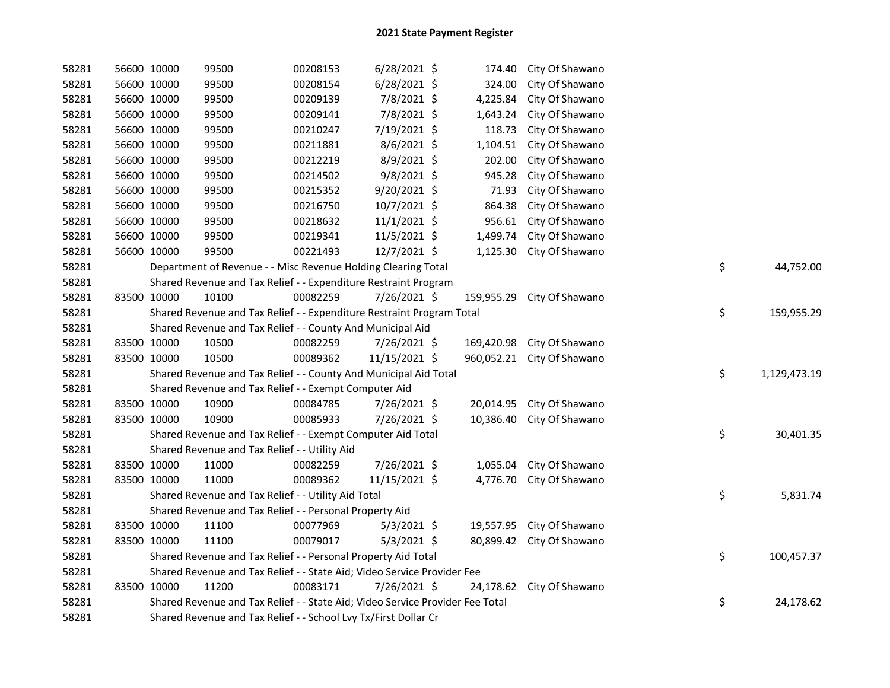| 58281 | 56600 10000 |             | 99500                                                                         | 00208153 | $6/28/2021$ \$ | 174.40     | City Of Shawano           |    |              |
|-------|-------------|-------------|-------------------------------------------------------------------------------|----------|----------------|------------|---------------------------|----|--------------|
| 58281 | 56600 10000 |             | 99500                                                                         | 00208154 | $6/28/2021$ \$ | 324.00     | City Of Shawano           |    |              |
| 58281 |             | 56600 10000 | 99500                                                                         | 00209139 | 7/8/2021 \$    | 4,225.84   | City Of Shawano           |    |              |
| 58281 |             | 56600 10000 | 99500                                                                         | 00209141 | 7/8/2021 \$    | 1,643.24   | City Of Shawano           |    |              |
| 58281 |             | 56600 10000 | 99500                                                                         | 00210247 | 7/19/2021 \$   | 118.73     | City Of Shawano           |    |              |
| 58281 |             | 56600 10000 | 99500                                                                         | 00211881 | 8/6/2021 \$    | 1,104.51   | City Of Shawano           |    |              |
| 58281 |             | 56600 10000 | 99500                                                                         | 00212219 | 8/9/2021 \$    | 202.00     | City Of Shawano           |    |              |
| 58281 |             | 56600 10000 | 99500                                                                         | 00214502 | $9/8/2021$ \$  | 945.28     | City Of Shawano           |    |              |
| 58281 |             | 56600 10000 | 99500                                                                         | 00215352 | 9/20/2021 \$   | 71.93      | City Of Shawano           |    |              |
| 58281 |             | 56600 10000 | 99500                                                                         | 00216750 | 10/7/2021 \$   | 864.38     | City Of Shawano           |    |              |
| 58281 |             | 56600 10000 | 99500                                                                         | 00218632 | 11/1/2021 \$   | 956.61     | City Of Shawano           |    |              |
| 58281 |             | 56600 10000 | 99500                                                                         | 00219341 | 11/5/2021 \$   | 1,499.74   | City Of Shawano           |    |              |
| 58281 | 56600 10000 |             | 99500                                                                         | 00221493 | 12/7/2021 \$   | 1,125.30   | City Of Shawano           |    |              |
| 58281 |             |             | Department of Revenue - - Misc Revenue Holding Clearing Total                 |          |                |            |                           | \$ | 44,752.00    |
| 58281 |             |             | Shared Revenue and Tax Relief - - Expenditure Restraint Program               |          |                |            |                           |    |              |
| 58281 | 83500 10000 |             | 10100                                                                         | 00082259 | 7/26/2021 \$   | 159,955.29 | City Of Shawano           |    |              |
| 58281 |             |             | Shared Revenue and Tax Relief - - Expenditure Restraint Program Total         |          |                |            |                           | \$ | 159,955.29   |
| 58281 |             |             | Shared Revenue and Tax Relief - - County And Municipal Aid                    |          |                |            |                           |    |              |
| 58281 |             | 83500 10000 | 10500                                                                         | 00082259 | $7/26/2021$ \$ | 169,420.98 | City Of Shawano           |    |              |
| 58281 |             | 83500 10000 | 10500                                                                         | 00089362 | 11/15/2021 \$  | 960,052.21 | City Of Shawano           |    |              |
| 58281 |             |             | Shared Revenue and Tax Relief - - County And Municipal Aid Total              |          |                |            |                           | \$ | 1,129,473.19 |
| 58281 |             |             | Shared Revenue and Tax Relief - - Exempt Computer Aid                         |          |                |            |                           |    |              |
| 58281 | 83500 10000 |             | 10900                                                                         | 00084785 | 7/26/2021 \$   | 20,014.95  | City Of Shawano           |    |              |
| 58281 | 83500 10000 |             | 10900                                                                         | 00085933 | 7/26/2021 \$   | 10,386.40  | City Of Shawano           |    |              |
| 58281 |             |             | Shared Revenue and Tax Relief - - Exempt Computer Aid Total                   |          |                |            |                           | \$ | 30,401.35    |
| 58281 |             |             | Shared Revenue and Tax Relief - - Utility Aid                                 |          |                |            |                           |    |              |
| 58281 |             | 83500 10000 | 11000                                                                         | 00082259 | 7/26/2021 \$   | 1,055.04   | City Of Shawano           |    |              |
| 58281 |             | 83500 10000 | 11000                                                                         | 00089362 | 11/15/2021 \$  | 4,776.70   | City Of Shawano           |    |              |
| 58281 |             |             | Shared Revenue and Tax Relief - - Utility Aid Total                           |          |                |            |                           | \$ | 5,831.74     |
| 58281 |             |             | Shared Revenue and Tax Relief - - Personal Property Aid                       |          |                |            |                           |    |              |
| 58281 |             | 83500 10000 | 11100                                                                         | 00077969 | $5/3/2021$ \$  |            | 19,557.95 City Of Shawano |    |              |
| 58281 |             | 83500 10000 | 11100                                                                         | 00079017 | $5/3/2021$ \$  | 80,899.42  | City Of Shawano           |    |              |
| 58281 |             |             | Shared Revenue and Tax Relief - - Personal Property Aid Total                 |          |                |            |                           | \$ | 100,457.37   |
| 58281 |             |             | Shared Revenue and Tax Relief - - State Aid; Video Service Provider Fee       |          |                |            |                           |    |              |
| 58281 | 83500 10000 |             | 11200                                                                         | 00083171 | 7/26/2021 \$   | 24,178.62  | City Of Shawano           |    |              |
| 58281 |             |             | Shared Revenue and Tax Relief - - State Aid; Video Service Provider Fee Total |          |                |            |                           | \$ | 24,178.62    |
| 58281 |             |             | Shared Revenue and Tax Relief - - School Lvy Tx/First Dollar Cr               |          |                |            |                           |    |              |